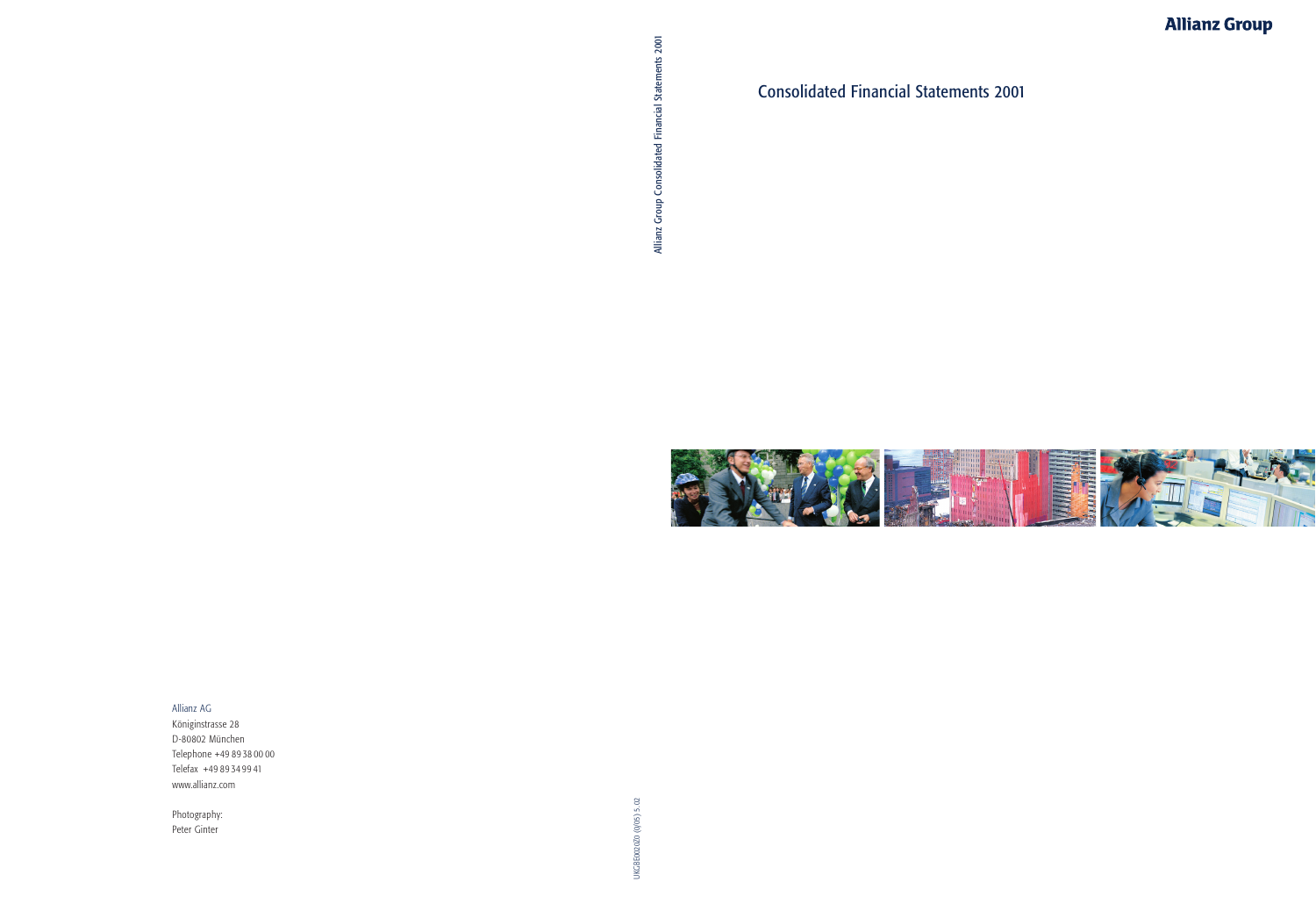**Allianz Group** 

# Consolidated Financial Statements 2001

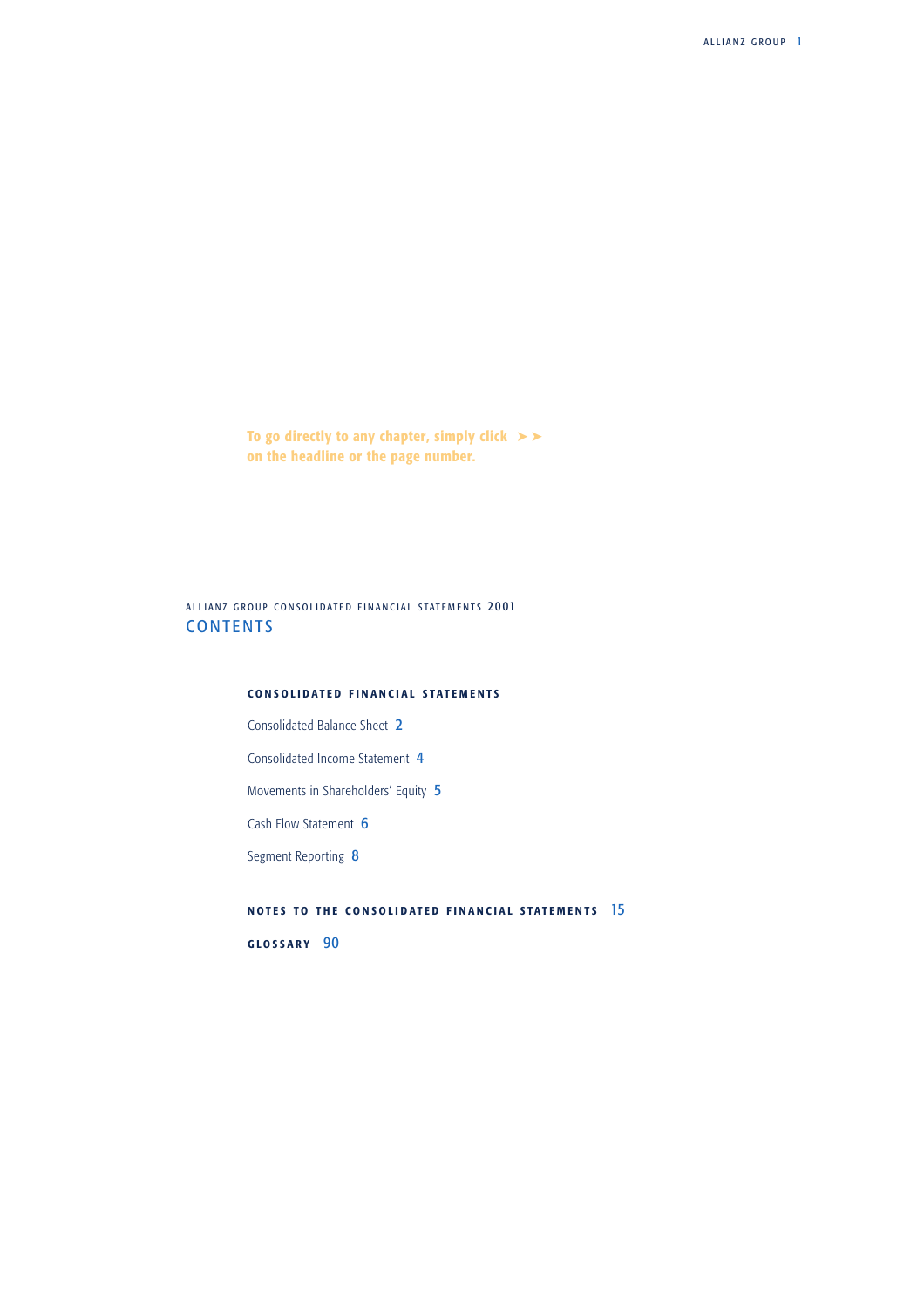To go directly to any chapter, simply click  $\rightarrow$ on the headline or the page number.

# **CONTENTS** ALLIANZ GROUP CONSOLIDATED FINANCIAL STATEMENTS 2001

#### [CONSOLIDATED FINANCIAL STATEMENTS](#page-2-0)

[Consolidated Balance Sheet](#page-2-0) 2

[Consolidated Income Statement](#page-4-0) 4

[Movements in Shareholders' Equity](#page-5-0) 5

[Cash Flow Statement](#page-6-0) 6

[Segment Reporting](#page-8-0) 8

[NOTES TO THE CONSOLIDATED FINANCIAL STATEMENTS](#page-15-0) 15

[GLOSSARY](#page-90-0) 90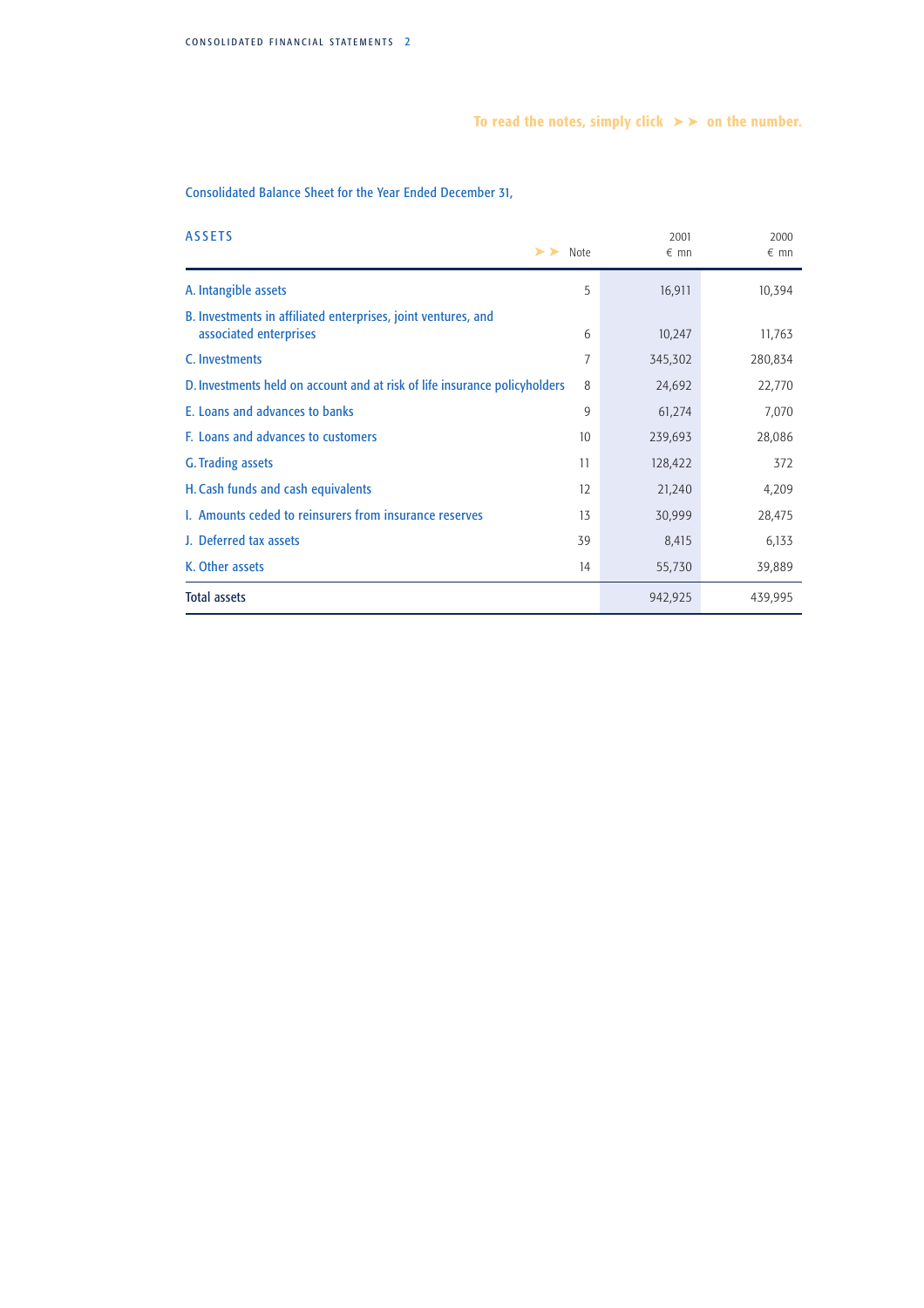<span id="page-2-0"></span>Consolidated Balance Sheet for the Year Ended December 31,

| <b>ASSETS</b>                                                                           | $\blacktriangleright$<br>Note | 2001<br>$\epsilon$ mn | 2000<br>$\n  mn\n$ |
|-----------------------------------------------------------------------------------------|-------------------------------|-----------------------|--------------------|
| A. Intangible assets                                                                    | 5                             | 16,911                | 10,394             |
| B. Investments in affiliated enterprises, joint ventures, and<br>associated enterprises | 6                             | 10,247                | 11,763             |
| C. Investments                                                                          | 7                             | 345,302               | 280,834            |
| D. Investments held on account and at risk of life insurance policyholders              | 8                             | 24,692                | 22,770             |
| E. Loans and advances to banks                                                          | 9                             | 61,274                | 7,070              |
| F. Loans and advances to customers                                                      | 10                            | 239,693               | 28,086             |
| <b>G.</b> Trading assets                                                                | 11                            | 128,422               | 372                |
| H. Cash funds and cash equivalents                                                      | 12                            | 21,240                | 4,209              |
| 1. Amounts ceded to reinsurers from insurance reserves                                  | 13                            | 30,999                | 28,475             |
| J. Deferred tax assets                                                                  | 39                            | 8,415                 | 6,133              |
| K. Other assets                                                                         | 14                            | 55,730                | 39,889             |
| <b>Total assets</b>                                                                     |                               | 942,925               | 439,995            |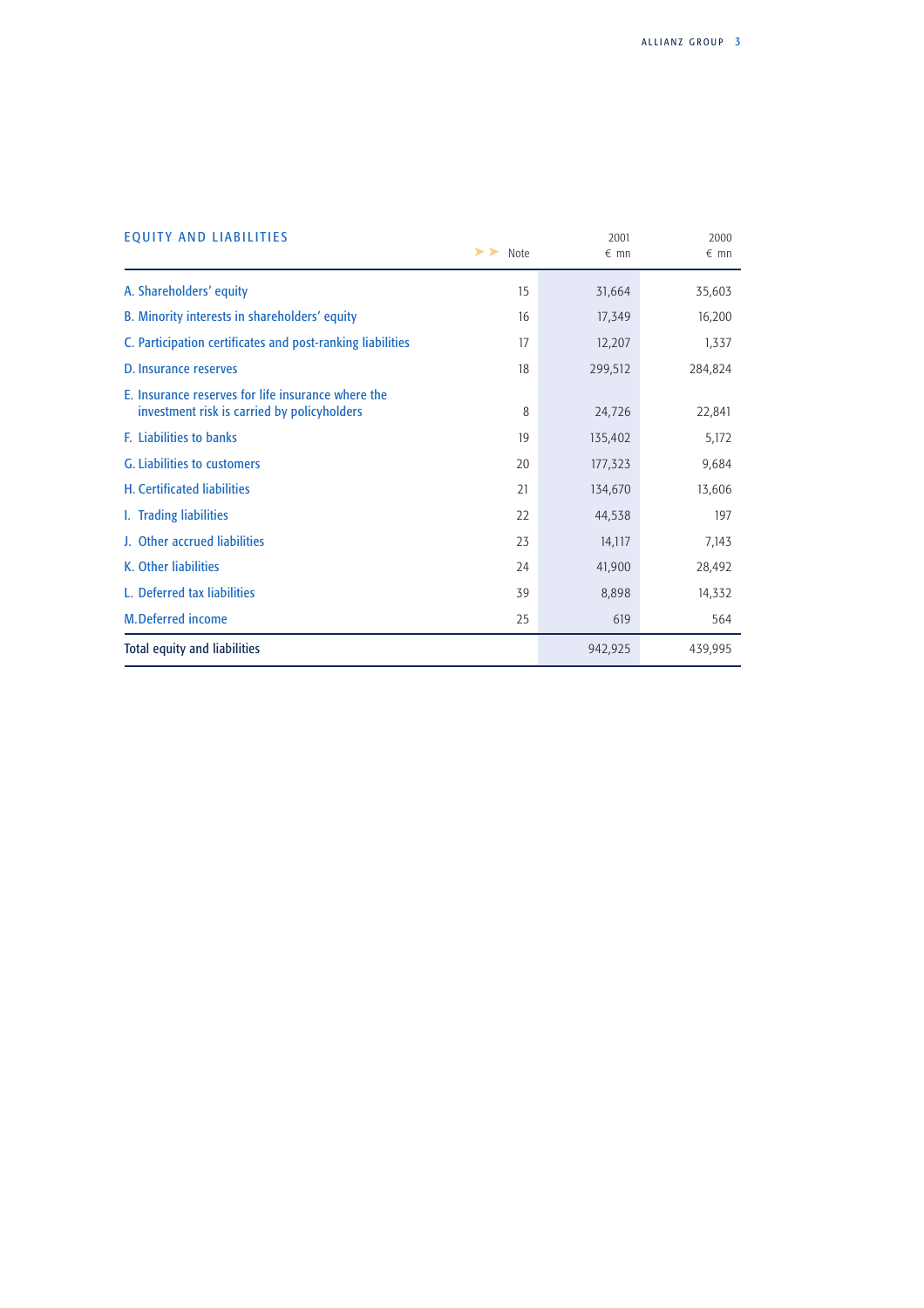| <b>EQUITY AND LIABILITIES</b>                                                                     | $\blacktriangleright$ $\blacktriangleright$ Note | 2001<br>$\epsilon$ mn | 2000<br>$\epsilon$ mn |
|---------------------------------------------------------------------------------------------------|--------------------------------------------------|-----------------------|-----------------------|
| A. Shareholders' equity                                                                           | 15                                               | 31,664                | 35,603                |
| B. Minority interests in shareholders' equity                                                     | 16                                               | 17,349                | 16,200                |
| C. Participation certificates and post-ranking liabilities                                        | 17                                               | 12,207                | 1,337                 |
| D. Insurance reserves                                                                             | 18                                               | 299,512               | 284,824               |
| E. Insurance reserves for life insurance where the<br>investment risk is carried by policyholders | 8                                                | 24,726                | 22,841                |
| <b>F.</b> Liabilities to banks                                                                    | 19                                               | 135,402               | 5,172                 |
| <b>G. Liabilities to customers</b>                                                                | 20                                               | 177,323               | 9,684                 |
| <b>H. Certificated liabilities</b>                                                                | 21                                               | 134,670               | 13,606                |
| I. Trading liabilities                                                                            | 22                                               | 44,538                | 197                   |
| J. Other accrued liabilities                                                                      | 23                                               | 14,117                | 7,143                 |
| K. Other liabilities                                                                              | 24                                               | 41,900                | 28,492                |
| L. Deferred tax liabilities                                                                       | 39                                               | 8,898                 | 14,332                |
| <b>M.Deferred income</b>                                                                          | 25                                               | 619                   | 564                   |
| <b>Total equity and liabilities</b>                                                               |                                                  | 942,925               | 439,995               |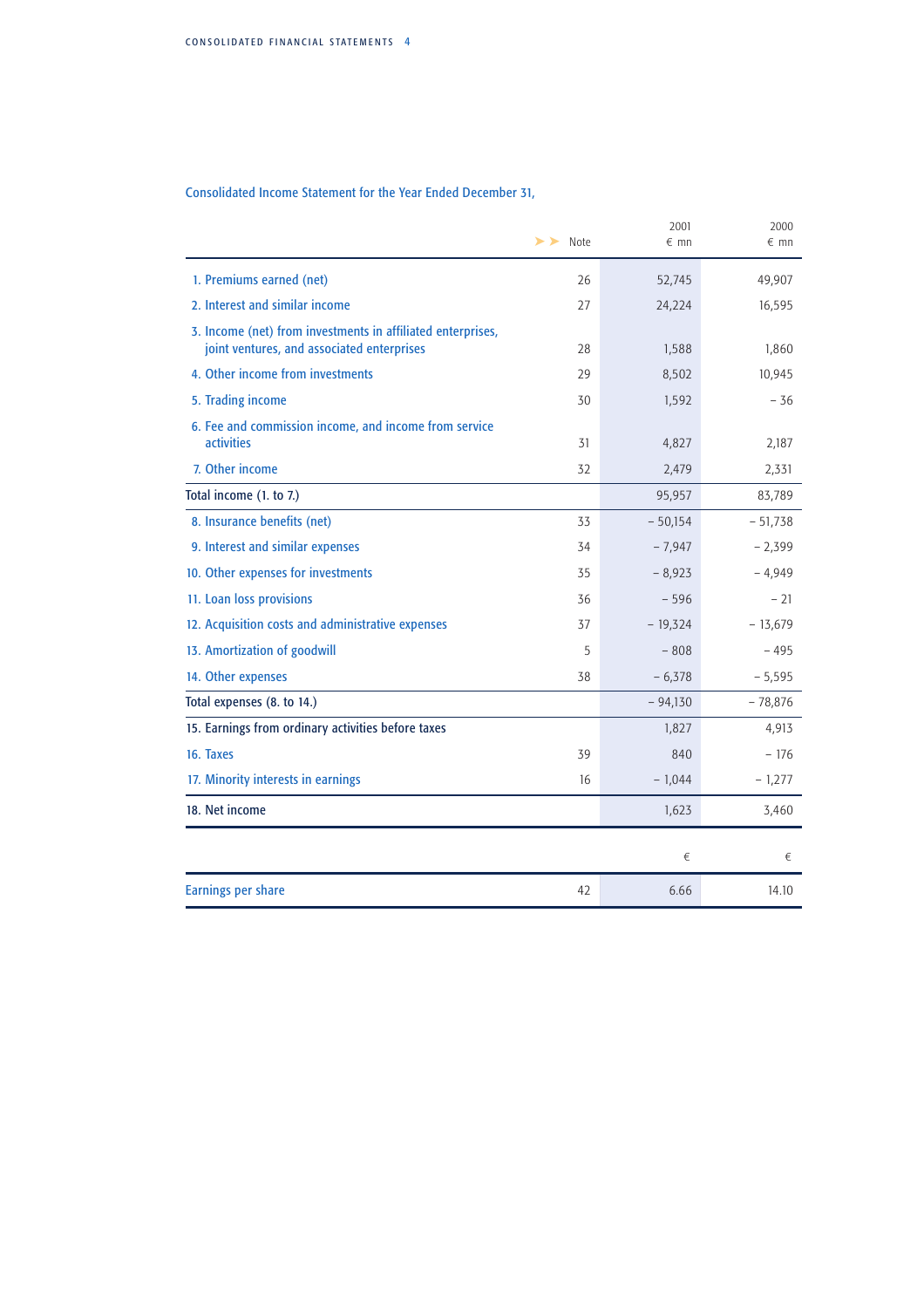# <span id="page-4-0"></span>Consolidated Income Statement for the Year Ended December 31,

|                                                                                                           | $\triangleright$ Note | 2001<br>$\epsilon$ mn | 2000<br>$\epsilon$ mn |
|-----------------------------------------------------------------------------------------------------------|-----------------------|-----------------------|-----------------------|
| 1. Premiums earned (net)                                                                                  | 26                    | 52,745                | 49,907                |
| 2. Interest and similar income                                                                            | 27                    | 24,224                | 16,595                |
| 3. Income (net) from investments in affiliated enterprises,<br>joint ventures, and associated enterprises | 28                    | 1,588                 | 1,860                 |
| 4. Other income from investments                                                                          | 29                    | 8,502                 | 10,945                |
| 5. Trading income                                                                                         | 30                    | 1,592                 | $-36$                 |
| 6. Fee and commission income, and income from service<br><b>activities</b>                                | 31                    | 4,827                 | 2,187                 |
| 7. Other income                                                                                           | 32                    | 2,479                 | 2,331                 |
| Total income (1. to 7.)                                                                                   |                       | 95,957                | 83,789                |
| 8. Insurance benefits (net)                                                                               | 33                    | $-50,154$             | $-51,738$             |
| 9. Interest and similar expenses                                                                          | 34                    | $-7,947$              | $-2,399$              |
| 10. Other expenses for investments                                                                        | 35                    | $-8,923$              | $-4,949$              |
| 11. Loan loss provisions                                                                                  | 36                    | $-596$                | $-21$                 |
| 12. Acquisition costs and administrative expenses                                                         | 37                    | $-19,324$             | $-13,679$             |
| 13. Amortization of goodwill                                                                              | 5                     | $-808$                | $-495$                |
| 14. Other expenses                                                                                        | 38                    | $-6,378$              | $-5,595$              |
| Total expenses (8. to 14.)                                                                                |                       | $-94,130$             | $-78,876$             |
| 15. Earnings from ordinary activities before taxes                                                        |                       | 1,827                 | 4,913                 |
| 16. Taxes                                                                                                 | 39                    | 840                   | $-176$                |
| 17. Minority interests in earnings                                                                        | 16                    | $-1,044$              | $-1,277$              |
| 18. Net income                                                                                            |                       | 1,623                 | 3,460                 |
|                                                                                                           |                       | €                     | €                     |
| <b>Earnings per share</b>                                                                                 | 42                    | 6.66                  | 14.10                 |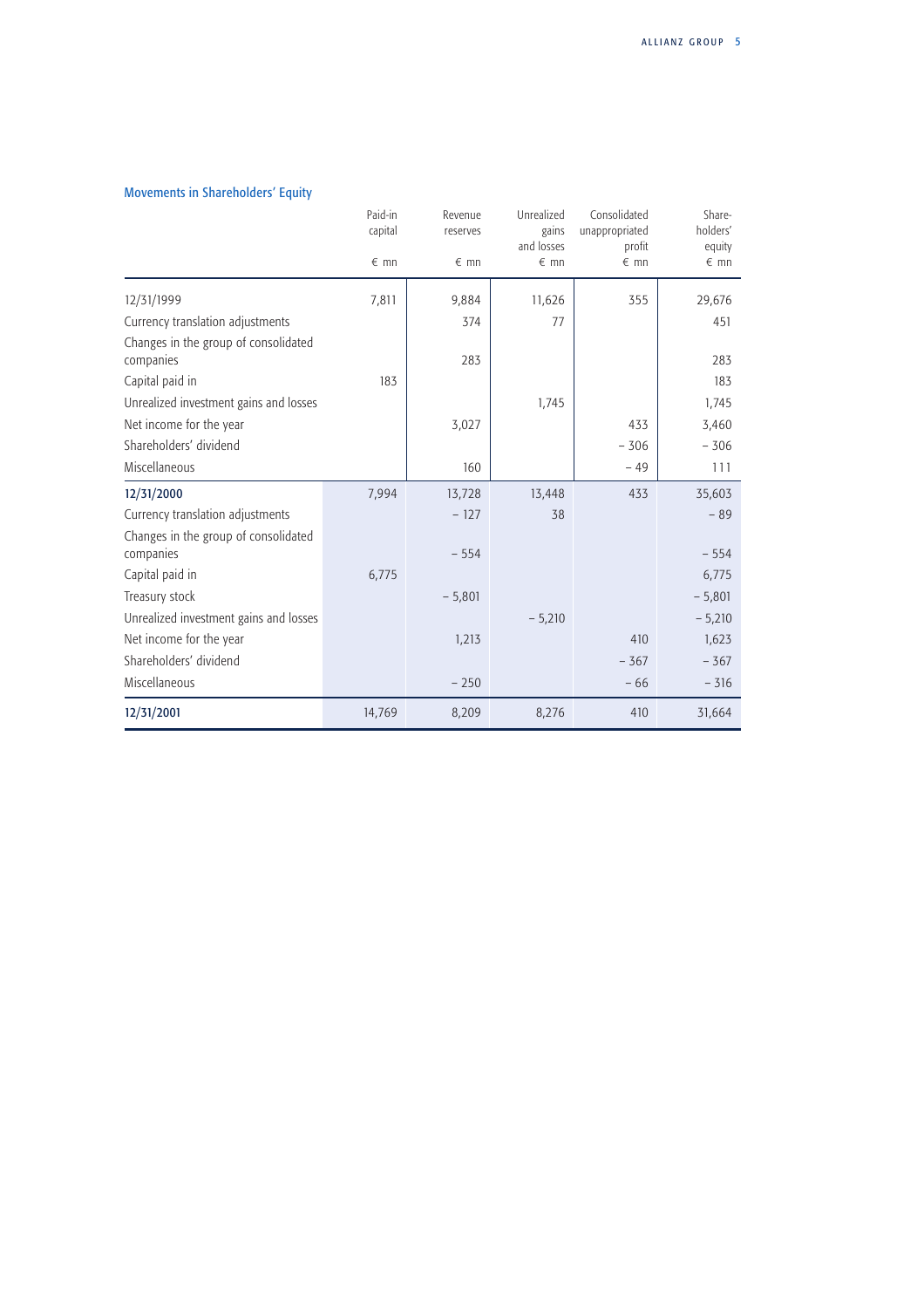# <span id="page-5-0"></span>Movements in Shareholders' Equity

|                                                   | Paid-in<br>capital<br>$\epsilon$ mn | Revenue<br>reserves<br>$\epsilon$ mn | Unrealized<br>gains<br>and losses<br>$\epsilon$ mn | Consolidated<br>unappropriated<br>profit<br>$\epsilon$ mn | Share-<br>holders'<br>equity<br>$\epsilon$ mn |
|---------------------------------------------------|-------------------------------------|--------------------------------------|----------------------------------------------------|-----------------------------------------------------------|-----------------------------------------------|
| 12/31/1999                                        | 7,811                               | 9,884                                | 11,626                                             | 355                                                       | 29,676                                        |
| Currency translation adjustments                  |                                     | 374                                  | 77                                                 |                                                           | 451                                           |
| Changes in the group of consolidated<br>companies |                                     | 283                                  |                                                    |                                                           | 283                                           |
| Capital paid in                                   | 183                                 |                                      |                                                    |                                                           | 183                                           |
| Unrealized investment gains and losses            |                                     |                                      | 1,745                                              |                                                           | 1,745                                         |
| Net income for the year                           |                                     | 3,027                                |                                                    | 433                                                       | 3,460                                         |
| Shareholders' dividend                            |                                     |                                      |                                                    | $-306$                                                    | $-306$                                        |
| Miscellaneous                                     |                                     | 160                                  |                                                    | $-49$                                                     | 111                                           |
| 12/31/2000                                        | 7,994                               | 13,728                               | 13,448                                             | 433                                                       | 35,603                                        |
| Currency translation adjustments                  |                                     | $-127$                               | 38                                                 |                                                           | $-89$                                         |
| Changes in the group of consolidated<br>companies |                                     | $-554$                               |                                                    |                                                           | $-554$                                        |
| Capital paid in                                   | 6,775                               |                                      |                                                    |                                                           | 6,775                                         |
| Treasury stock                                    |                                     | $-5,801$                             |                                                    |                                                           | $-5,801$                                      |
| Unrealized investment gains and losses            |                                     |                                      | $-5,210$                                           |                                                           | $-5,210$                                      |
| Net income for the year                           |                                     | 1,213                                |                                                    | 410                                                       | 1,623                                         |
| Shareholders' dividend                            |                                     |                                      |                                                    | $-367$                                                    | $-367$                                        |
| Miscellaneous                                     |                                     | $-250$                               |                                                    | $-66$                                                     | $-316$                                        |
| 12/31/2001                                        | 14,769                              | 8,209                                | 8,276                                              | 410                                                       | 31,664                                        |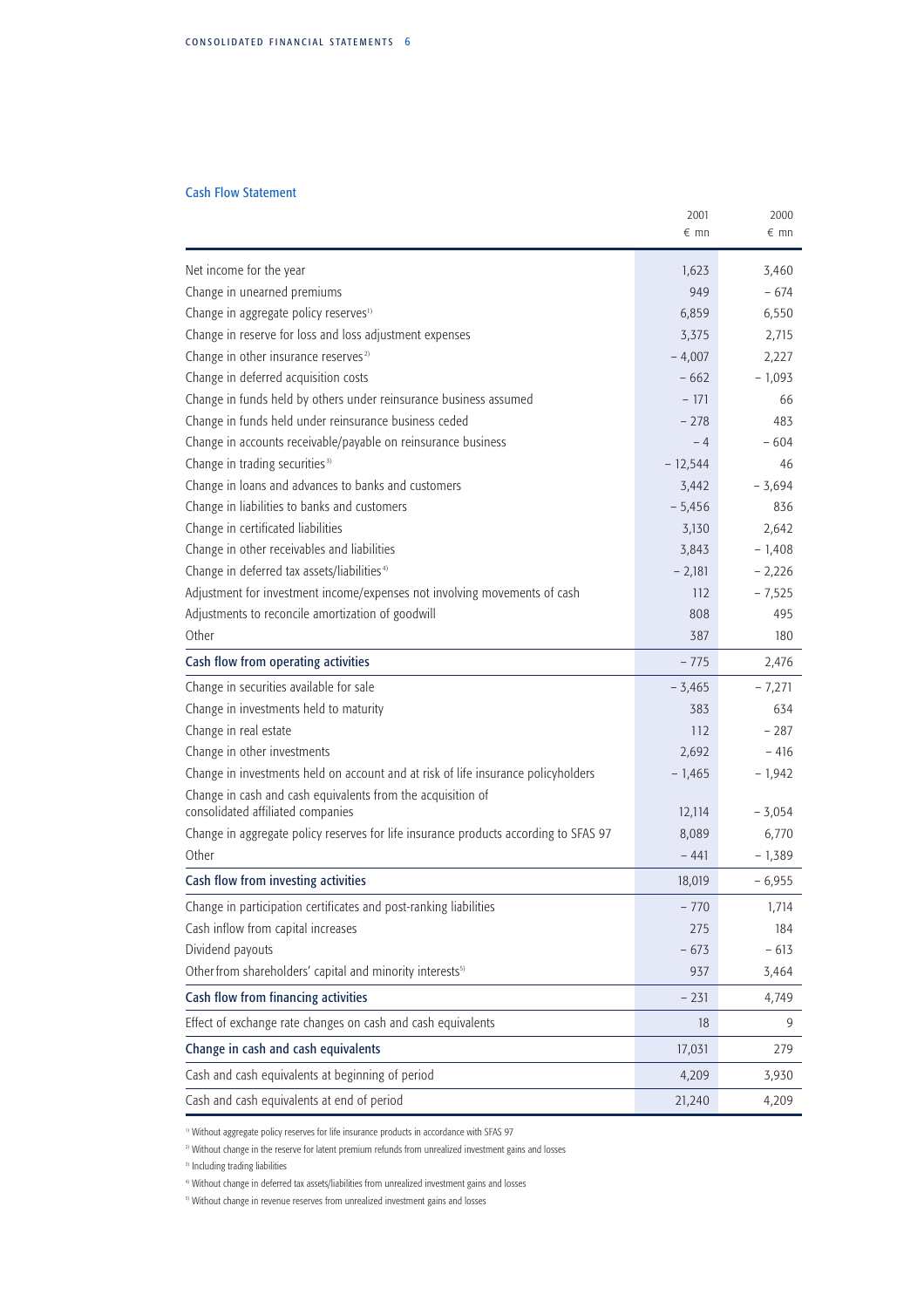#### <span id="page-6-0"></span>Cash Flow Statement

|                                                                                                  | 2001<br>$\epsilon$ mn | 2000<br>$\epsilon$ mn |
|--------------------------------------------------------------------------------------------------|-----------------------|-----------------------|
| Net income for the year                                                                          | 1,623                 | 3,460                 |
| Change in unearned premiums                                                                      | 949                   | $-674$                |
| Change in aggregate policy reserves <sup>1)</sup>                                                | 6,859                 | 6,550                 |
| Change in reserve for loss and loss adjustment expenses                                          | 3,375                 | 2,715                 |
| Change in other insurance reserves <sup>2)</sup>                                                 | $-4,007$              | 2,227                 |
| Change in deferred acquisition costs                                                             | $-662$                | $-1,093$              |
| Change in funds held by others under reinsurance business assumed                                | $-171$                | 66                    |
| Change in funds held under reinsurance business ceded                                            | $-278$                | 483                   |
| Change in accounts receivable/payable on reinsurance business                                    | $-4$                  | $-604$                |
| Change in trading securities <sup>3)</sup>                                                       | $-12,544$             | 46                    |
| Change in loans and advances to banks and customers                                              | 3,442                 | $-3,694$              |
| Change in liabilities to banks and customers                                                     | $-5,456$              | 836                   |
| Change in certificated liabilities                                                               | 3,130                 | 2,642                 |
| Change in other receivables and liabilities                                                      | 3,843                 | $-1,408$              |
| Change in deferred tax assets/liabilities <sup>4)</sup>                                          | $-2,181$              | $-2,226$              |
| Adjustment for investment income/expenses not involving movements of cash                        | 112                   | $-7,525$              |
| Adjustments to reconcile amortization of goodwill                                                | 808                   | 495                   |
| Other                                                                                            | 387                   | 180                   |
| Cash flow from operating activities                                                              | $-775$                | 2,476                 |
| Change in securities available for sale                                                          | $-3,465$              | $-7,271$              |
| Change in investments held to maturity                                                           | 383                   | 634                   |
| Change in real estate                                                                            | 112                   | $-287$                |
| Change in other investments                                                                      | 2,692                 | $-416$                |
| Change in investments held on account and at risk of life insurance policyholders                | $-1,465$              | $-1,942$              |
| Change in cash and cash equivalents from the acquisition of<br>consolidated affiliated companies | 12,114                | $-3,054$              |
| Change in aggregate policy reserves for life insurance products according to SFAS 97             | 8,089                 | 6,770                 |
| Other                                                                                            | $-441$                | $-1,389$              |
| Cash flow from investing activities                                                              | 18,019                | $-6,955$              |
| Change in participation certificates and post-ranking liabilities                                | $-770$                | 1,714                 |
| Cash inflow from capital increases                                                               | 275                   | 184                   |
| Dividend payouts                                                                                 | $-673$                | $-613$                |
| Other from shareholders' capital and minority interests <sup>5)</sup>                            | 937                   | 3,464                 |
| Cash flow from financing activities                                                              | $-231$                | 4,749                 |
| Effect of exchange rate changes on cash and cash equivalents                                     | 18                    | 9                     |
| Change in cash and cash equivalents                                                              | 17,031                | 279                   |
| Cash and cash equivalents at beginning of period                                                 | 4,209                 | 3,930                 |
| Cash and cash equivalents at end of period                                                       | 21,240                | 4,209                 |

1) Without aggregate policy reserves for life insurance products in accordance with SFAS 97

<sup>2)</sup> Without change in the reserve for latent premium refunds from unrealized investment gains and losses

3) Including trading liabilities

4) Without change in deferred tax assets/liabilities from unrealized investment gains and losses

5) Without change in revenue reserves from unrealized investment gains and losses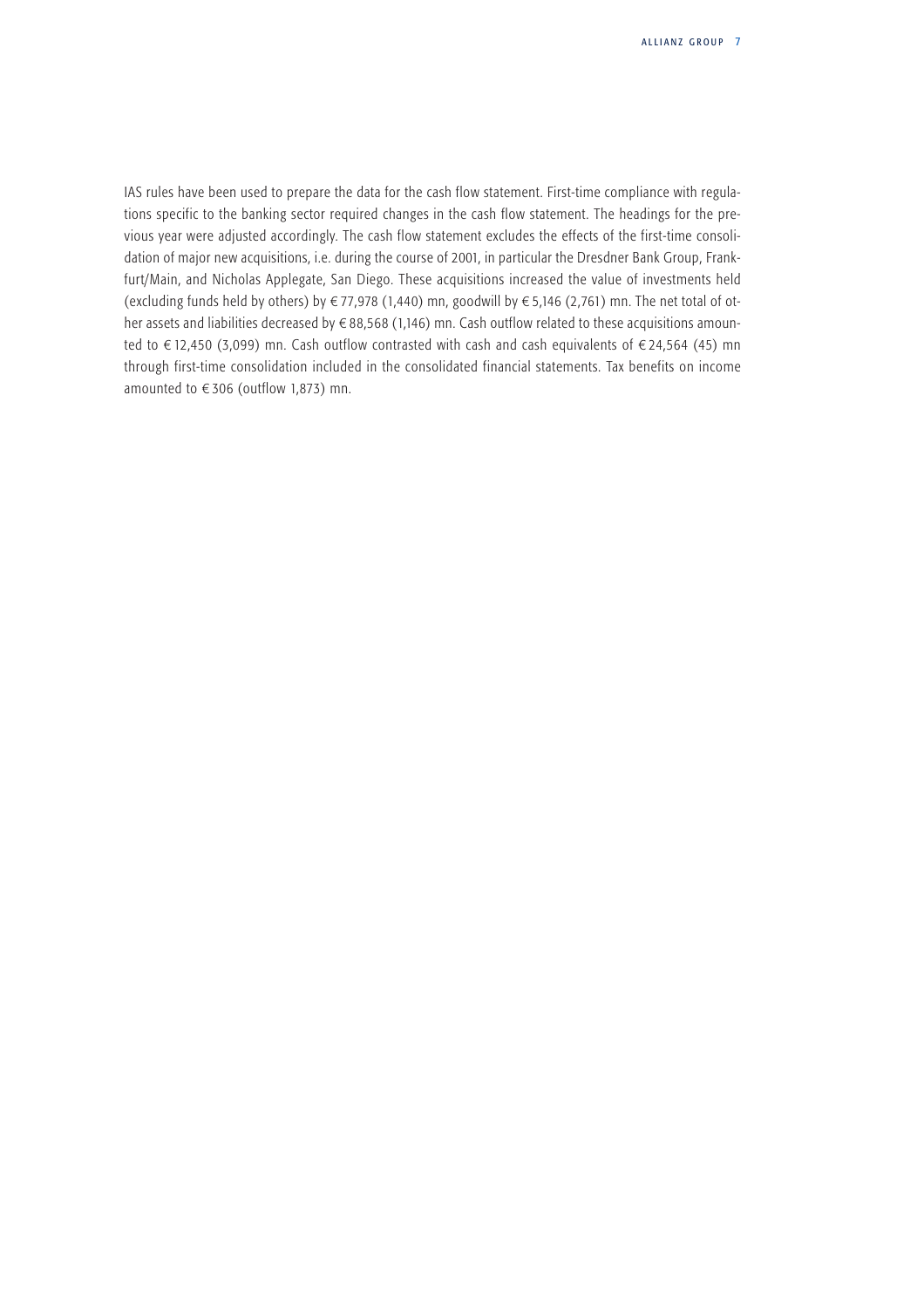IAS rules have been used to prepare the data for the cash flow statement. First-time compliance with regulations specific to the banking sector required changes in the cash flow statement. The headings for the previous year were adjusted accordingly. The cash flow statement excludes the effects of the first-time consolidation of major new acquisitions, i.e. during the course of 2001, in particular the Dresdner Bank Group, Frankfurt/Main, and Nicholas Applegate, San Diego. These acquisitions increased the value of investments held (excluding funds held by others) by  $\epsilon$  77,978 (1,440) mn, goodwill by  $\epsilon$  5,146 (2,761) mn. The net total of other assets and liabilities decreased by  $\epsilon$ 88,568 (1,146) mn. Cash outflow related to these acquisitions amounted to  $\in$  12,450 (3,099) mn. Cash outflow contrasted with cash and cash equivalents of  $\in$  24,564 (45) mn through first-time consolidation included in the consolidated financial statements. Tax benefits on income amounted to  $\in$  306 (outflow 1,873) mn.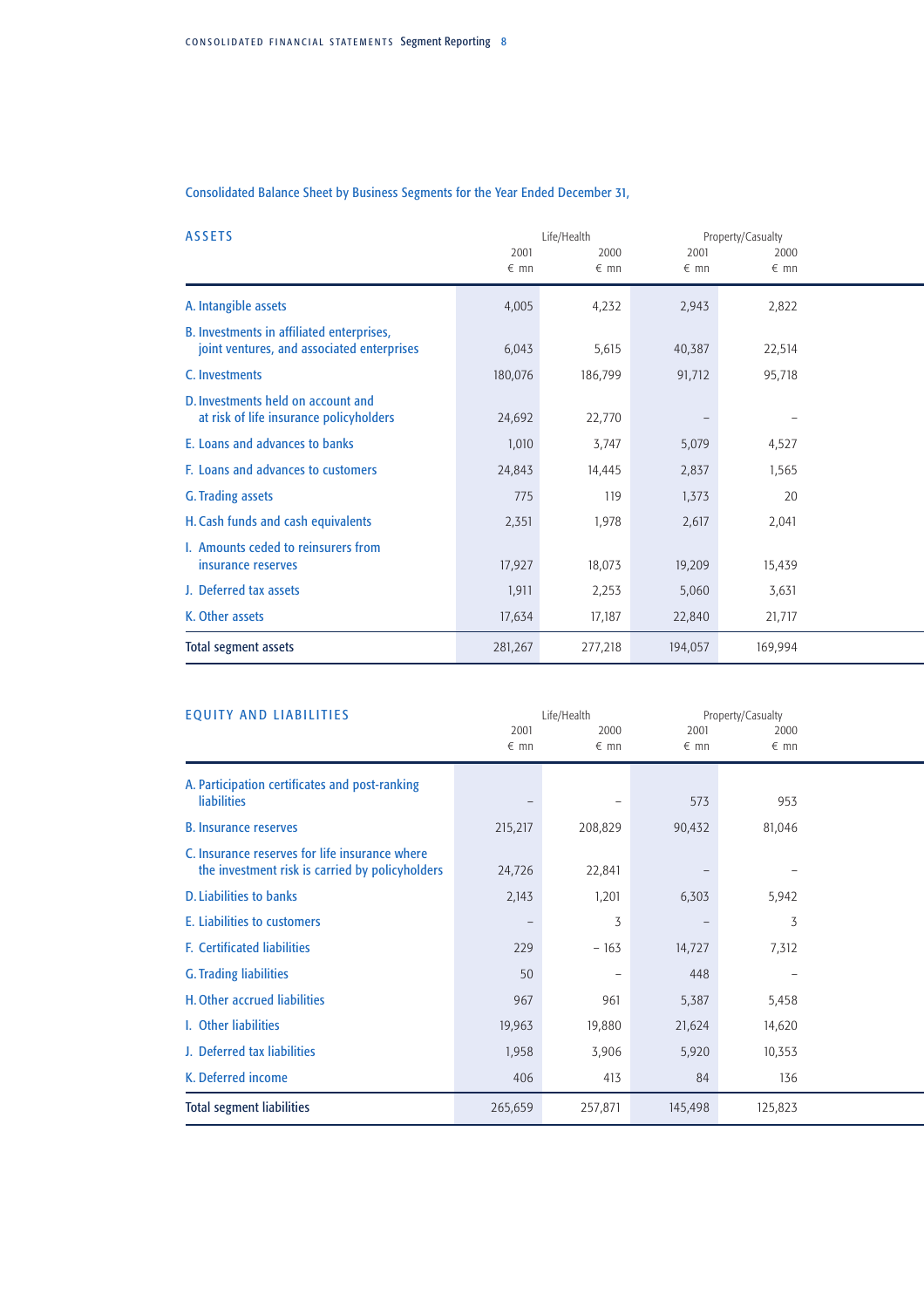# <span id="page-8-0"></span>Consolidated Balance Sheet by Business Segments for the Year Ended December 31,

| <b>ASSETS</b>                                                                           |                       | Life/Health           |                       | Property/Casualty     |  |
|-----------------------------------------------------------------------------------------|-----------------------|-----------------------|-----------------------|-----------------------|--|
|                                                                                         | 2001<br>$\epsilon$ mn | 2000<br>$\epsilon$ mn | 2001<br>$\epsilon$ mn | 2000<br>$\epsilon$ mn |  |
| A. Intangible assets                                                                    | 4,005                 | 4,232                 | 2,943                 | 2,822                 |  |
| B. Investments in affiliated enterprises,<br>joint ventures, and associated enterprises | 6,043                 | 5,615                 | 40,387                | 22,514                |  |
| C. Investments                                                                          | 180,076               | 186,799               | 91,712                | 95,718                |  |
| D. Investments held on account and<br>at risk of life insurance policyholders           | 24,692                | 22,770                |                       |                       |  |
| E. Loans and advances to banks                                                          | 1,010                 | 3,747                 | 5,079                 | 4,527                 |  |
| F. Loans and advances to customers                                                      | 24,843                | 14,445                | 2,837                 | 1,565                 |  |
| <b>G.</b> Trading assets                                                                | 775                   | 119                   | 1,373                 | 20                    |  |
| H. Cash funds and cash equivalents                                                      | 2,351                 | 1,978                 | 2,617                 | 2,041                 |  |
| I. Amounts ceded to reinsurers from<br>insurance reserves                               | 17,927                | 18,073                | 19,209                | 15,439                |  |
| J. Deferred tax assets                                                                  | 1,911                 | 2,253                 | 5,060                 | 3,631                 |  |
| K. Other assets                                                                         | 17,634                | 17,187                | 22,840                | 21,717                |  |
| Total segment assets                                                                    | 281,267               | 277,218               | 194,057               | 169,994               |  |

| <b>EQUITY AND LIABILITIES</b>                                                                     |                       | Life/Health              |                       | Property/Casualty |  |
|---------------------------------------------------------------------------------------------------|-----------------------|--------------------------|-----------------------|-------------------|--|
|                                                                                                   | 2001<br>$\epsilon$ mn | 2000<br>$\epsilon$ mn    | 2001<br>$\epsilon$ mn | 2000              |  |
|                                                                                                   |                       |                          |                       | $∈$ mn            |  |
| A. Participation certificates and post-ranking<br><b>liabilities</b>                              |                       |                          | 573                   | 953               |  |
| <b>B. Insurance reserves</b>                                                                      | 215,217               | 208,829                  | 90,432                | 81,046            |  |
| C. Insurance reserves for life insurance where<br>the investment risk is carried by policyholders | 24,726                | 22,841                   |                       |                   |  |
| <b>D. Liabilities to banks</b>                                                                    | 2,143                 | 1,201                    | 6,303                 | 5,942             |  |
| E. Liabilities to customers                                                                       |                       | 3                        |                       | 3                 |  |
| <b>F. Certificated liabilities</b>                                                                | 229                   | $-163$                   | 14,727                | 7,312             |  |
| <b>G.</b> Trading liabilities                                                                     | 50                    | $\overline{\phantom{m}}$ | 448                   |                   |  |
| H. Other accrued liabilities                                                                      | 967                   | 961                      | 5,387                 | 5,458             |  |
| I. Other liabilities                                                                              | 19,963                | 19,880                   | 21,624                | 14,620            |  |
| J. Deferred tax liabilities                                                                       | 1,958                 | 3,906                    | 5,920                 | 10,353            |  |
| K. Deferred income                                                                                | 406                   | 413                      | 84                    | 136               |  |
| <b>Total segment liabilities</b>                                                                  | 265,659               | 257,871                  | 145,498               | 125,823           |  |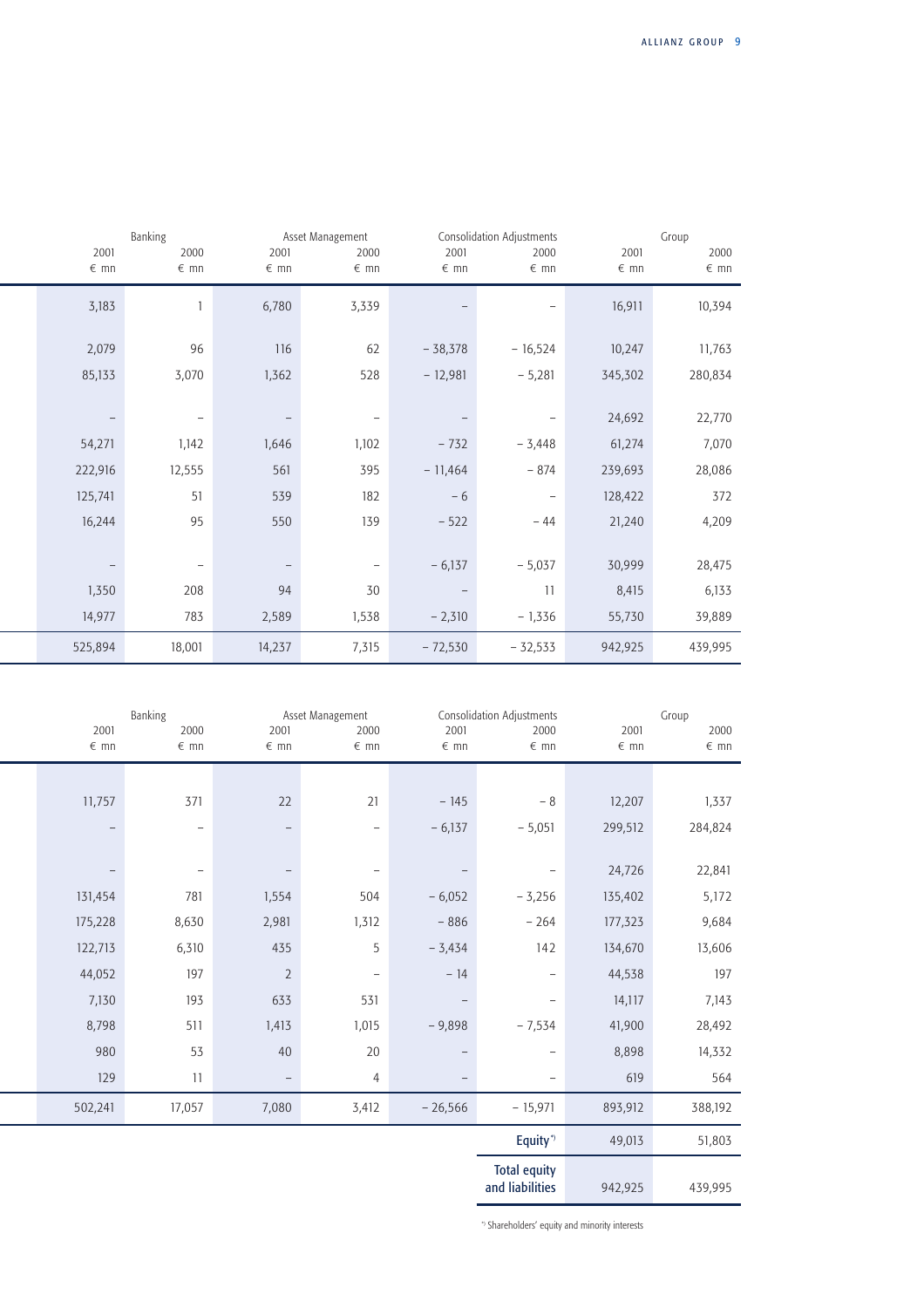|                       | <b>Banking</b>        |                       | Asset Management      |                       | Consolidation Adjustments |                       | Group                 |
|-----------------------|-----------------------|-----------------------|-----------------------|-----------------------|---------------------------|-----------------------|-----------------------|
| 2001<br>$\epsilon$ mn | 2000<br>$\epsilon$ mn | 2001<br>$\epsilon$ mn | 2000<br>$\epsilon$ mn | 2001<br>$\epsilon$ mn | 2000<br>$\epsilon$ mn     | 2001<br>$\epsilon$ mn | 2000<br>$\epsilon$ mn |
| 3,183                 | 1                     | 6,780                 | 3,339                 |                       |                           | 16,911                | 10,394                |
| 2,079                 | 96                    | 116                   | 62                    | $-38,378$             | $-16,524$                 | 10,247                | 11,763                |
| 85,133                | 3,070                 | 1,362                 | 528                   | $-12,981$             | $-5,281$                  | 345,302               | 280,834               |
|                       |                       |                       |                       |                       |                           | 24,692                | 22,770                |
| 54,271                | 1,142                 | 1,646                 | 1,102                 | $-732$                | $-3,448$                  | 61,274                | 7,070                 |
| 222,916               | 12,555                | 561                   | 395                   | $-11,464$             | $-874$                    | 239,693               | 28,086                |
| 125,741               | 51                    | 539                   | 182                   | $-6$                  |                           | 128,422               | 372                   |
| 16,244                | 95                    | 550                   | 139                   | $-522$                | $-44$                     | 21,240                | 4,209                 |
|                       |                       |                       |                       |                       |                           |                       |                       |
|                       | -                     |                       |                       | $-6,137$              | $-5,037$                  | 30,999                | 28,475                |
| 1,350                 | 208                   | 94                    | 30                    |                       | 11                        | 8,415                 | 6,133                 |
| 14,977                | 783                   | 2,589                 | 1,538                 | $-2,310$              | $-1,336$                  | 55,730                | 39,889                |
| 525,894               | 18,001                | 14,237                | 7,315                 | $-72,530$             | $-32,533$                 | 942,925               | 439,995               |

| 2001<br>$\epsilon$ mn | <b>Banking</b><br>2000<br>$\epsilon$ mn | 2001<br>$\epsilon$ mn    | Asset Management<br>2000<br>$\epsilon$ mn | 2001<br>$\epsilon$ mn | <b>Consolidation Adjustments</b><br>2000<br>$\epsilon$ mn | 2001<br>$\epsilon$ mn | Group<br>2000<br>$\epsilon$ mn |
|-----------------------|-----------------------------------------|--------------------------|-------------------------------------------|-----------------------|-----------------------------------------------------------|-----------------------|--------------------------------|
|                       |                                         |                          |                                           |                       |                                                           |                       |                                |
| 11,757                | 371                                     | 22                       | 21                                        | $-145$                | $-8$                                                      | 12,207                | 1,337                          |
|                       | $\qquad \qquad -$                       | $\overline{\phantom{m}}$ |                                           | $-6,137$              | $-5,051$                                                  | 299,512               | 284,824                        |
|                       |                                         |                          |                                           |                       |                                                           |                       |                                |
|                       |                                         |                          | $\qquad \qquad -$                         |                       |                                                           | 24,726                | 22,841                         |
| 131,454               | 781                                     | 1,554                    | 504                                       | $-6,052$              | $-3,256$                                                  | 135,402               | 5,172                          |
| 175,228               | 8,630                                   | 2,981                    | 1,312                                     | $-886$                | $-264$                                                    | 177,323               | 9,684                          |
| 122,713               | 6,310                                   | 435                      | 5                                         | $-3,434$              | 142                                                       | 134,670               | 13,606                         |
| 44,052                | 197                                     | $\overline{2}$           | $\overline{\phantom{0}}$                  | $-14$                 |                                                           | 44,538                | 197                            |
| 7,130                 | 193                                     | 633                      | 531                                       |                       |                                                           | 14,117                | 7,143                          |
| 8,798                 | 511                                     | 1,413                    | 1,015                                     | $-9,898$              | $-7,534$                                                  | 41,900                | 28,492                         |
| 980                   | 53                                      | 40                       | $20\,$                                    |                       |                                                           | 8,898                 | 14,332                         |
| 129                   | 11                                      | $\overline{\phantom{m}}$ | 4                                         |                       |                                                           | 619                   | 564                            |
| 502,241               | 17,057                                  | 7,080                    | 3,412                                     | $-26,566$             | $-15,971$                                                 | 893,912               | 388,192                        |
|                       |                                         |                          |                                           |                       | Equity <sup>*</sup>                                       | 49,013                | 51,803                         |
|                       |                                         |                          |                                           |                       | <b>Total equity</b><br>and liabilities                    | 942,925               | 439,995                        |

\*) Shareholders' equity and minority interests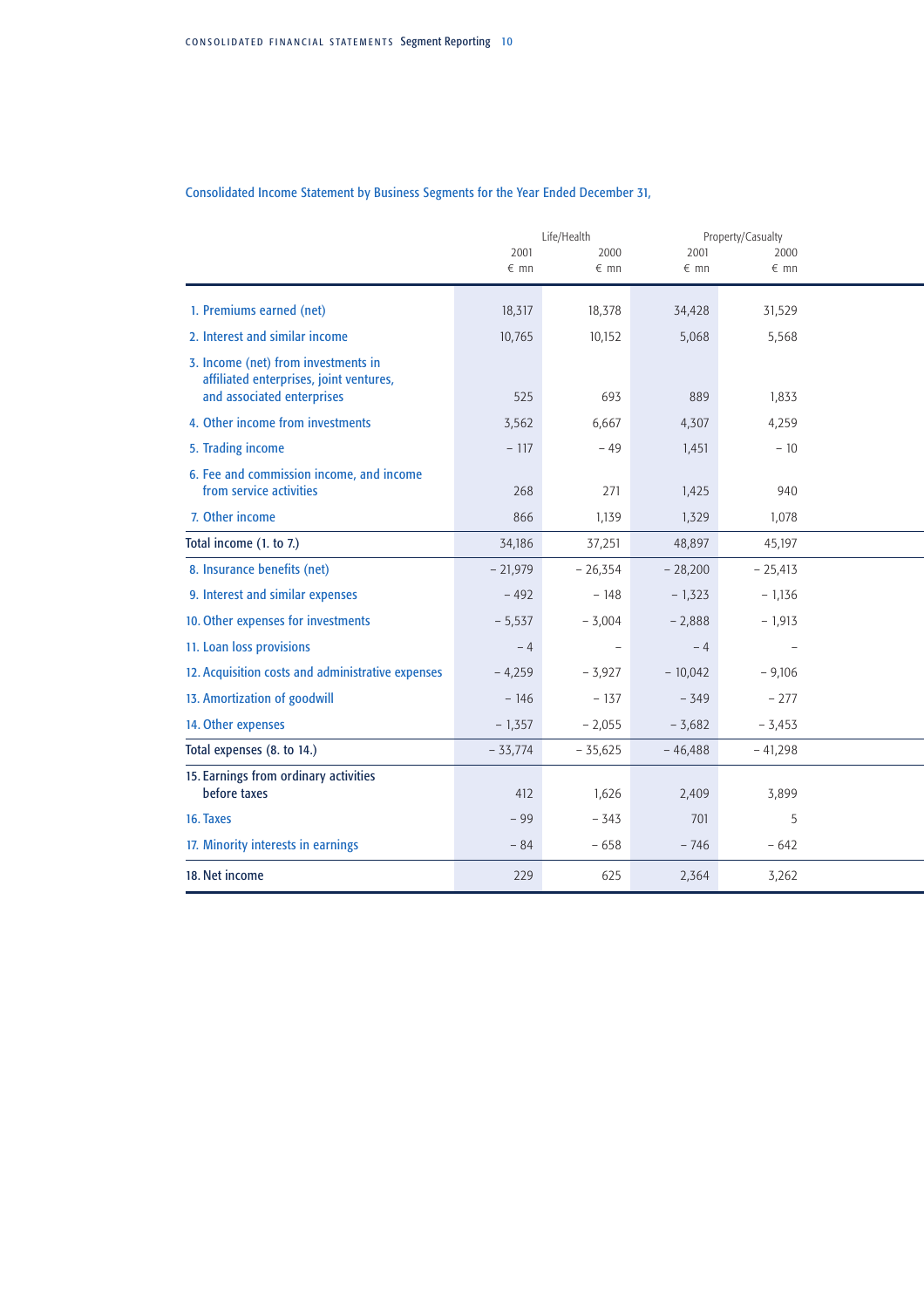# Consolidated Income Statement by Business Segments for the Year Ended December 31,

|                                                                                                              |                       | Life/Health           |                       | Property/Casualty     |  |
|--------------------------------------------------------------------------------------------------------------|-----------------------|-----------------------|-----------------------|-----------------------|--|
|                                                                                                              | 2001<br>$\epsilon$ mn | 2000<br>$\epsilon$ mn | 2001<br>$\epsilon$ mn | 2000<br>$\epsilon$ mn |  |
|                                                                                                              |                       |                       |                       |                       |  |
| 1. Premiums earned (net)                                                                                     | 18,317                | 18,378                | 34,428                | 31,529                |  |
| 2. Interest and similar income                                                                               | 10,765                | 10,152                | 5,068                 | 5,568                 |  |
| 3. Income (net) from investments in<br>affiliated enterprises, joint ventures,<br>and associated enterprises | 525                   | 693                   | 889                   | 1,833                 |  |
| 4. Other income from investments                                                                             | 3,562                 | 6,667                 | 4,307                 | 4,259                 |  |
| 5. Trading income                                                                                            | $-117$                | $-49$                 | 1,451                 | $-10$                 |  |
| 6. Fee and commission income, and income<br>from service activities                                          | 268                   | 271                   | 1,425                 | 940                   |  |
| 7. Other income                                                                                              | 866                   | 1,139                 | 1,329                 | 1,078                 |  |
| Total income (1. to 7.)                                                                                      | 34,186                | 37,251                | 48,897                | 45,197                |  |
| 8. Insurance benefits (net)                                                                                  | $-21,979$             | $-26,354$             | $-28,200$             | $-25,413$             |  |
| 9. Interest and similar expenses                                                                             | $-492$                | $-148$                | $-1,323$              | $-1,136$              |  |
| 10. Other expenses for investments                                                                           | $-5,537$              | $-3,004$              | $-2,888$              | $-1,913$              |  |
| 11. Loan loss provisions                                                                                     | $-4$                  |                       | $-4$                  |                       |  |
| 12. Acquisition costs and administrative expenses                                                            | $-4,259$              | $-3,927$              | $-10,042$             | $-9,106$              |  |
| 13. Amortization of goodwill                                                                                 | $-146$                | $-137$                | $-349$                | $-277$                |  |
| 14. Other expenses                                                                                           | $-1,357$              | $-2,055$              | $-3,682$              | $-3,453$              |  |
| Total expenses (8. to 14.)                                                                                   | $-33,774$             | $-35,625$             | $-46,488$             | $-41,298$             |  |
| 15. Earnings from ordinary activities<br>before taxes                                                        | 412                   | 1,626                 | 2,409                 | 3,899                 |  |
| 16. Taxes                                                                                                    | $-99$                 | $-343$                | 701                   | 5                     |  |
| 17. Minority interests in earnings                                                                           | $-84$                 | $-658$                | $-746$                | $-642$                |  |
| 18. Net income                                                                                               | 229                   | 625                   | 2,364                 | 3,262                 |  |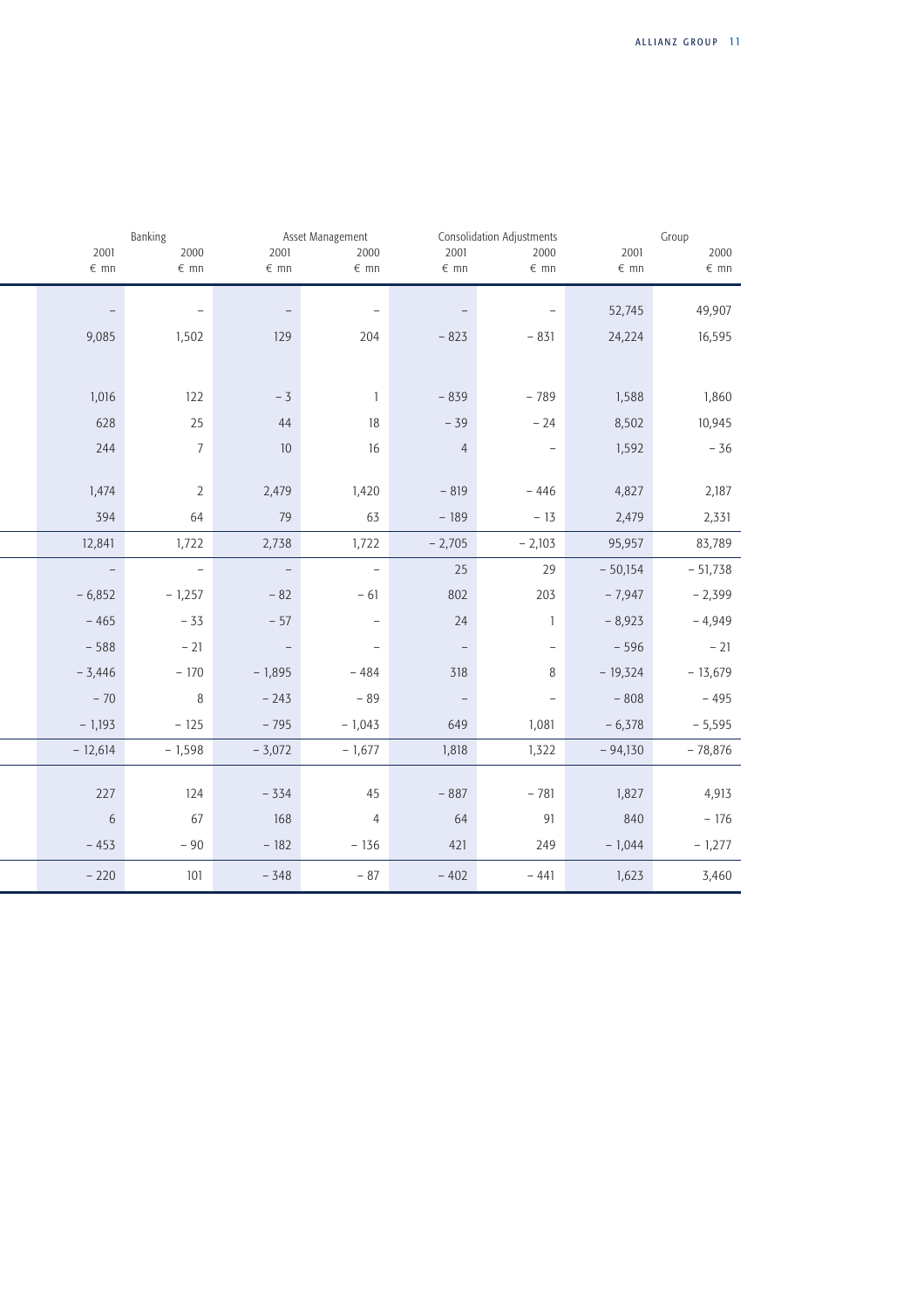| 2001<br>$\in$ mn | Banking<br>2000<br>$\in$ mn | 2001<br>$\epsilon$ mn    | Asset Management<br>2000<br>$\epsilon$ mn | 2001<br>$\epsilon$ mn | Consolidation Adjustments<br>2000<br>$\epsilon$ mn | 2001<br>$\epsilon$ mn | Group<br>2000<br>$\in$ mn |
|------------------|-----------------------------|--------------------------|-------------------------------------------|-----------------------|----------------------------------------------------|-----------------------|---------------------------|
|                  | $\qquad \qquad -$           | $\qquad \qquad -$        |                                           |                       |                                                    | 52,745                | 49,907                    |
|                  |                             |                          |                                           |                       |                                                    |                       |                           |
| 9,085            | 1,502                       | 129                      | 204                                       | $-823$                | $-831$                                             | 24,224                | 16,595                    |
|                  |                             |                          |                                           |                       |                                                    |                       |                           |
| 1,016            | 122                         | $-3$                     | $\mathbf{1}$                              | $-839$                | $-789$                                             | 1,588                 | 1,860                     |
| 628              | 25                          | 44                       | 18                                        | $-39$                 | $-24$                                              | 8,502                 | 10,945                    |
| 244              | $\overline{7}$              | $10$                     | 16                                        | $\overline{4}$        | $\overline{\phantom{a}}$                           | 1,592                 | $-36$                     |
|                  |                             |                          |                                           |                       |                                                    |                       |                           |
| 1,474            | $\overline{2}$              | 2,479                    | 1,420                                     | $-819$                | $-446$                                             | 4,827                 | 2,187                     |
| 394              | 64                          | 79                       | 63                                        | $-189$                | $-13$                                              | 2,479                 | 2,331                     |
| 12,841           | 1,722                       | 2,738                    | 1,722                                     | $-2,705$              | $-2,103$                                           | 95,957                | 83,789                    |
|                  | $\overline{\phantom{0}}$    | $\qquad \qquad -$        | $\overline{\phantom{0}}$                  | 25                    | 29                                                 | $-50,154$             | $-51,738$                 |
| $-6,852$         | $-1,257$                    | $-82$                    | $-61$                                     | 802                   | 203                                                | $-7,947$              | $-2,399$                  |
| $-465$           | $-33$                       | $-57$                    |                                           | 24                    | $\mathbf{1}$                                       | $-8,923$              | $-4,949$                  |
| $-588$           | $-21$                       | $\overline{\phantom{0}}$ | $\qquad \qquad -$                         | $\qquad \qquad -$     | $\overline{\phantom{a}}$                           | $-596$                | $-21$                     |
| $-3,446$         | $-170$                      | $-1,895$                 | $-484$                                    | 318                   | 8                                                  | $-19,324$             | $-13,679$                 |
| $-70$            | $\,8\,$                     | $-243$                   | $-89$                                     | $\mathcal{L}$         | $\overline{\phantom{0}}$                           | $-808$                | $-495$                    |
| $-1,193$         | $-125$                      | $-795$                   | $-1,043$                                  | 649                   | 1,081                                              | $-6,378$              | $-5,595$                  |
| $-12,614$        | $-1,598$                    | $-3,072$                 | $-1,677$                                  | 1,818                 | 1,322                                              | $-94,130$             | $-78,876$                 |
|                  |                             |                          |                                           |                       |                                                    |                       |                           |
| 227              | 124                         | $-334$                   | 45                                        | $-887$                | $-781$                                             | 1,827                 | 4,913                     |
| $6\,$            | 67                          | 168                      | $\overline{4}$                            | 64                    | 91                                                 | 840                   | $-176$                    |
| $-453$           | $-90$                       | $-182$                   | $-136$                                    | 421                   | 249                                                | $-1,044$              | $-1,277$                  |
| $-220$           | 101                         | $-348$                   | $-87$                                     | $-402$                | $-441$                                             | 1,623                 | 3,460                     |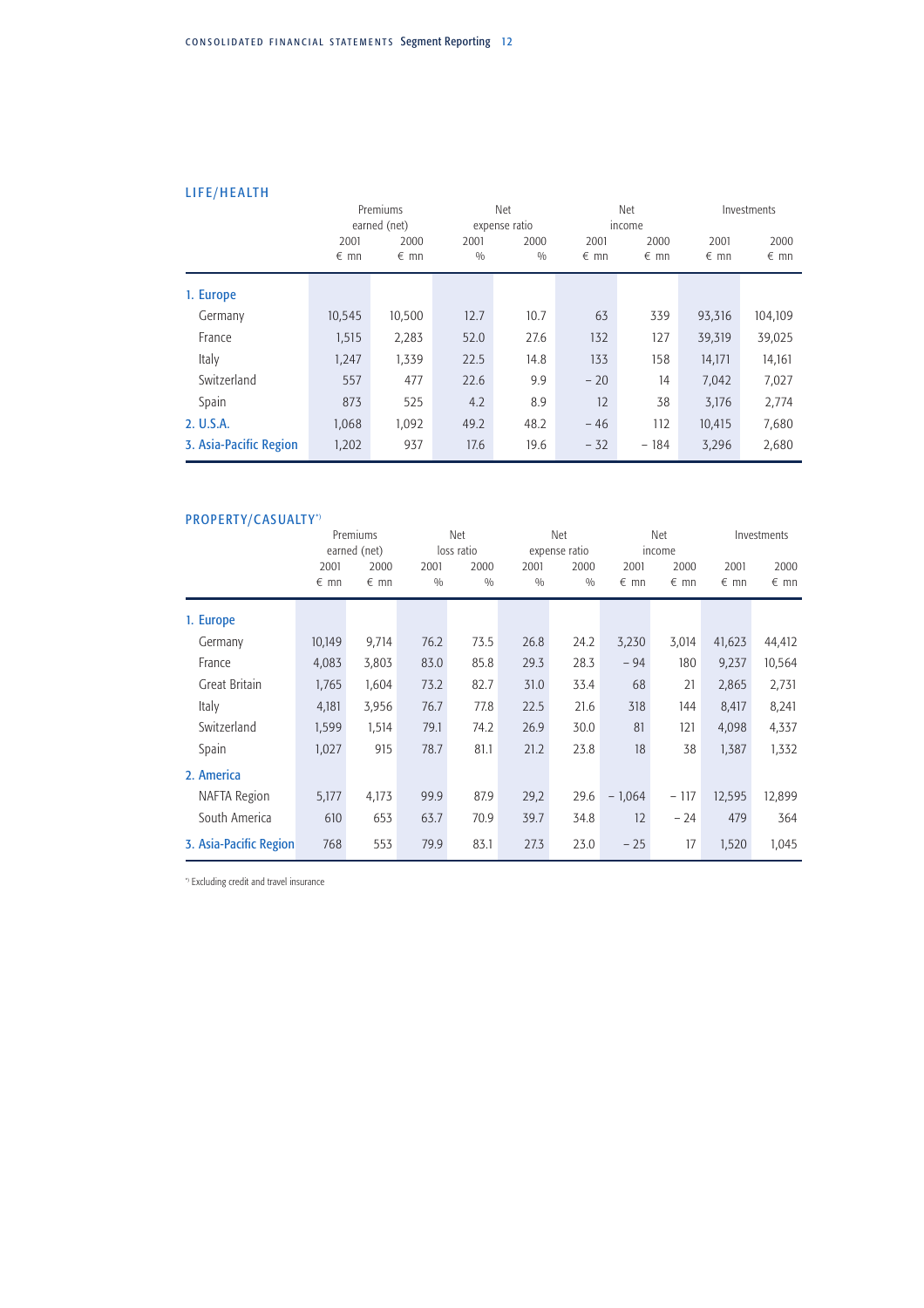|  | LIFE/HEALTH |  |
|--|-------------|--|
|  |             |  |

|                        | Premiums<br>earned (net) |                       |             | Net<br>expense ratio |                       | Net<br>income         |                       | Investments           |  |
|------------------------|--------------------------|-----------------------|-------------|----------------------|-----------------------|-----------------------|-----------------------|-----------------------|--|
|                        | 2001<br>$\epsilon$ mn    | 2000<br>$\epsilon$ mn | 2001<br>0/0 | 2000<br>0/0          | 2001<br>$\epsilon$ mn | 2000<br>$\epsilon$ mn | 2001<br>$\epsilon$ mn | 2000<br>$\epsilon$ mn |  |
| 1. Europe              |                          |                       |             |                      |                       |                       |                       |                       |  |
| Germany                | 10,545                   | 10,500                | 12.7        | 10.7                 | 63                    | 339                   | 93,316                | 104,109               |  |
| France                 | 1,515                    | 2,283                 | 52.0        | 27.6                 | 132                   | 127                   | 39,319                | 39,025                |  |
| Italy                  | 1,247                    | 1,339                 | 22.5        | 14.8                 | 133                   | 158                   | 14,171                | 14,161                |  |
| Switzerland            | 557                      | 477                   | 22.6        | 9.9                  | $-20$                 | 14                    | 7,042                 | 7,027                 |  |
| Spain                  | 873                      | 525                   | 4.2         | 8.9                  | 12                    | 38                    | 3,176                 | 2,774                 |  |
| 2. U.S.A.              | 1,068                    | 1,092                 | 49.2        | 48.2                 | $-46$                 | 112                   | 10,415                | 7,680                 |  |
| 3. Asia-Pacific Region | 1,202                    | 937                   | 17.6        | 19.6                 | $-32$                 | $-184$                | 3,296                 | 2,680                 |  |

# PROPERTY/CASUALTY\*)

|                        |               | Premiums             |      | Net                |      | Net                   |               | Net            |               | Investments   |
|------------------------|---------------|----------------------|------|--------------------|------|-----------------------|---------------|----------------|---------------|---------------|
|                        | 2001          | earned (net)<br>2000 | 2001 | loss ratio<br>2000 | 2001 | expense ratio<br>2000 | 2001          | income<br>2000 | 2001          | 2000          |
|                        | $\epsilon$ mn | $\epsilon$ mn        | 0/0  | 0/0                | 0/0  | 0/0                   | $\epsilon$ mn | $\epsilon$ mn  | $\epsilon$ mn | $\epsilon$ mn |
| 1. Europe              |               |                      |      |                    |      |                       |               |                |               |               |
| Germany                | 10,149        | 9,714                | 76.2 | 73.5               | 26.8 | 24.2                  | 3,230         | 3,014          | 41,623        | 44,412        |
| France                 | 4,083         | 3,803                | 83.0 | 85.8               | 29.3 | 28.3                  | $-94$         | 180            | 9,237         | 10,564        |
| Great Britain          | 1,765         | 1,604                | 73.2 | 82.7               | 31.0 | 33.4                  | 68            | 21             | 2,865         | 2,731         |
| Italy                  | 4,181         | 3,956                | 76.7 | 77.8               | 22.5 | 21.6                  | 318           | 144            | 8,417         | 8,241         |
| Switzerland            | 1,599         | 1,514                | 79.1 | 74.2               | 26.9 | 30.0                  | 81            | 121            | 4,098         | 4,337         |
| Spain                  | 1,027         | 915                  | 78.7 | 81.1               | 21.2 | 23.8                  | 18            | 38             | 1,387         | 1,332         |
| 2. America             |               |                      |      |                    |      |                       |               |                |               |               |
| NAFTA Region           | 5,177         | 4,173                | 99.9 | 87.9               | 29,2 | 29.6                  | $-1,064$      | $-117$         | 12,595        | 12,899        |
| South America          | 610           | 653                  | 63.7 | 70.9               | 39.7 | 34.8                  | 12            | $-24$          | 479           | 364           |
| 3. Asia-Pacific Region | 768           | 553                  | 79.9 | 83.1               | 27.3 | 23.0                  | $-25$         | 17             | 1,520         | 1,045         |

\*) Excluding credit and travel insurance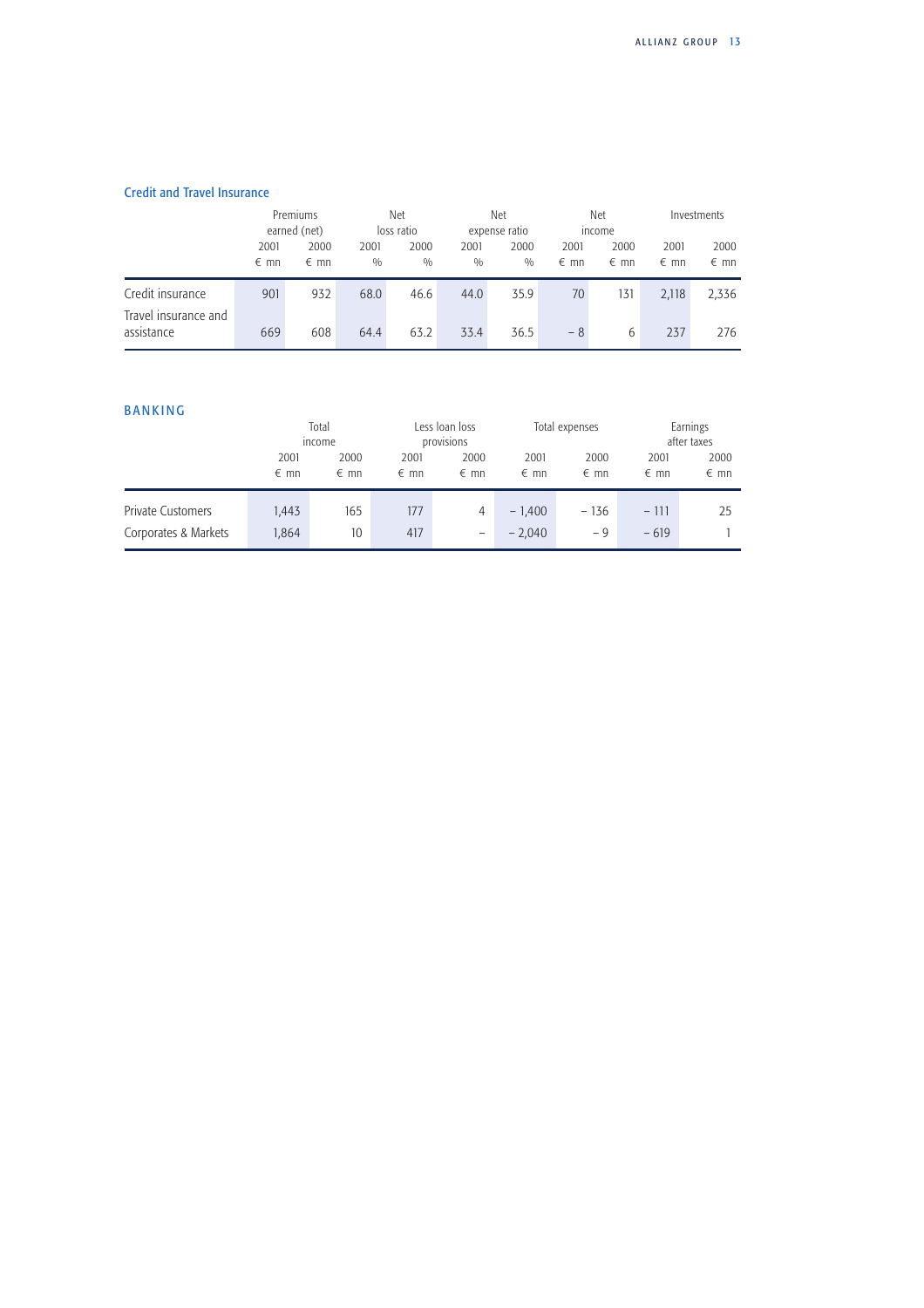# Credit and Travel Insurance

|                                    |                       | Premiums              |                       | Net         |             | Net           |                       | <b>Net</b>            |                       | Investments           |
|------------------------------------|-----------------------|-----------------------|-----------------------|-------------|-------------|---------------|-----------------------|-----------------------|-----------------------|-----------------------|
|                                    |                       | earned (net)          |                       | loss ratio  |             | expense ratio |                       | income                |                       |                       |
|                                    | 2001<br>$\epsilon$ mn | 2000<br>$\epsilon$ mn | 2001<br>$\frac{0}{0}$ | 2000<br>0/0 | 2001<br>0/0 | 2000<br>0/0   | 2001<br>$\epsilon$ mn | 2000<br>$\epsilon$ mn | 2001<br>$\epsilon$ mn | 2000<br>$\epsilon$ mn |
| Credit insurance                   | 901                   | 932                   | 68.0                  | 46.6        | 44.0        | 35.9          | 70                    | 131                   | 2,118                 | 2,336                 |
| Travel insurance and<br>assistance | 669                   | 608                   | 64.4                  | 63.2        | 33.4        | 36.5          | - 8                   | 6                     | 237                   | 276                   |

# BANKING

|                      | Total<br>income       |                       |                       | Less Ioan Ioss<br>provisions |                       | Total expenses        |                       | Earnings<br>after taxes |  |
|----------------------|-----------------------|-----------------------|-----------------------|------------------------------|-----------------------|-----------------------|-----------------------|-------------------------|--|
|                      | 2001<br>$\epsilon$ mn | 2000<br>$\epsilon$ mn | 2001<br>$\epsilon$ mn | 2000<br>$\epsilon$ mn        | 2001<br>$\epsilon$ mn | 2000<br>$\epsilon$ mn | 2001<br>$\epsilon$ mn | 2000<br>$\epsilon$ mn   |  |
| Private Customers    | 1,443                 | 165                   | 177                   | 4                            | $-1,400$              | $-136$                | $-111$                | 25                      |  |
| Corporates & Markets | 1,864                 | 10                    | 417                   |                              | $-2.040$              | $-9$                  | $-619$                |                         |  |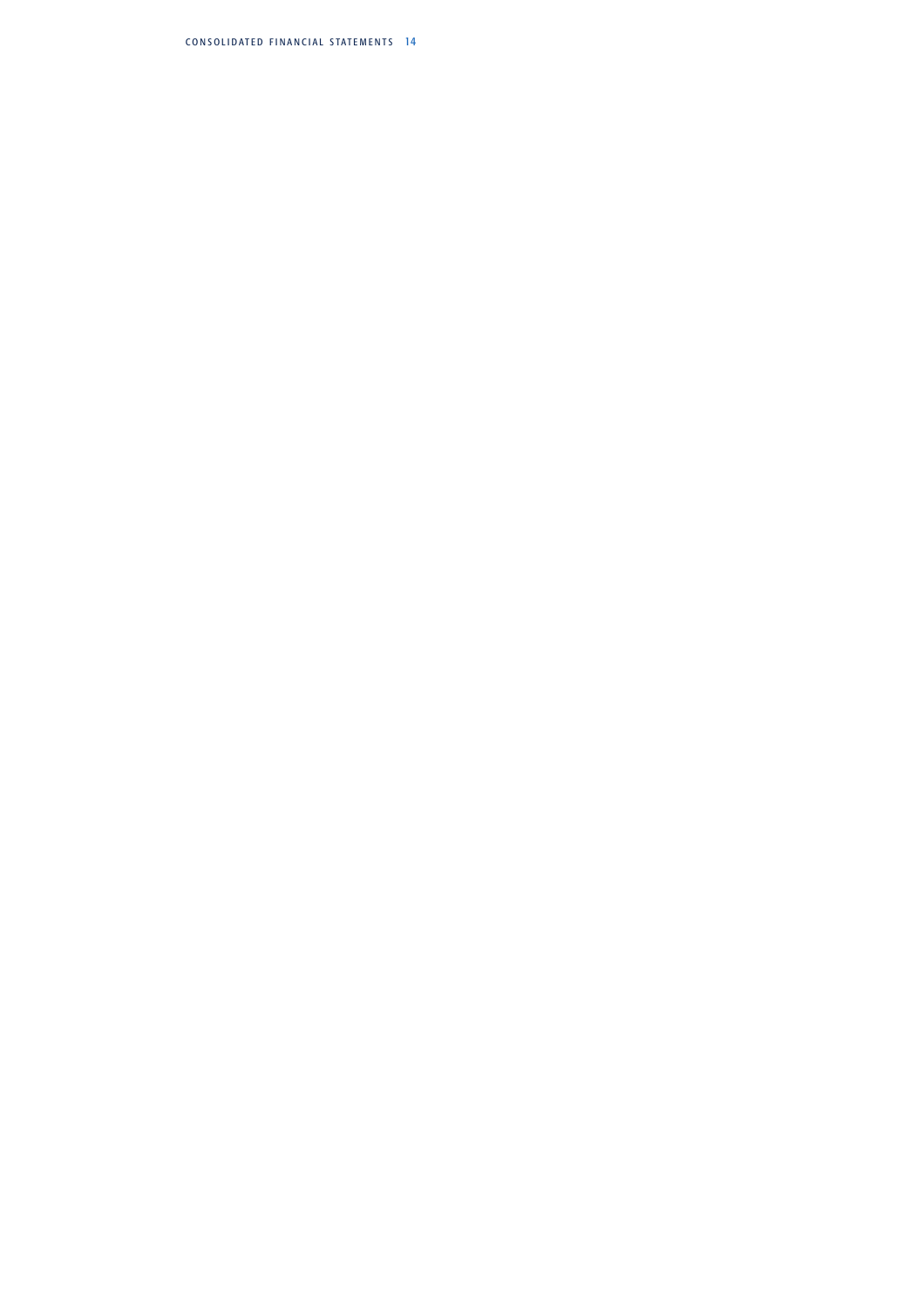CONSOLIDATED FINANCIAL STATEMENTS 14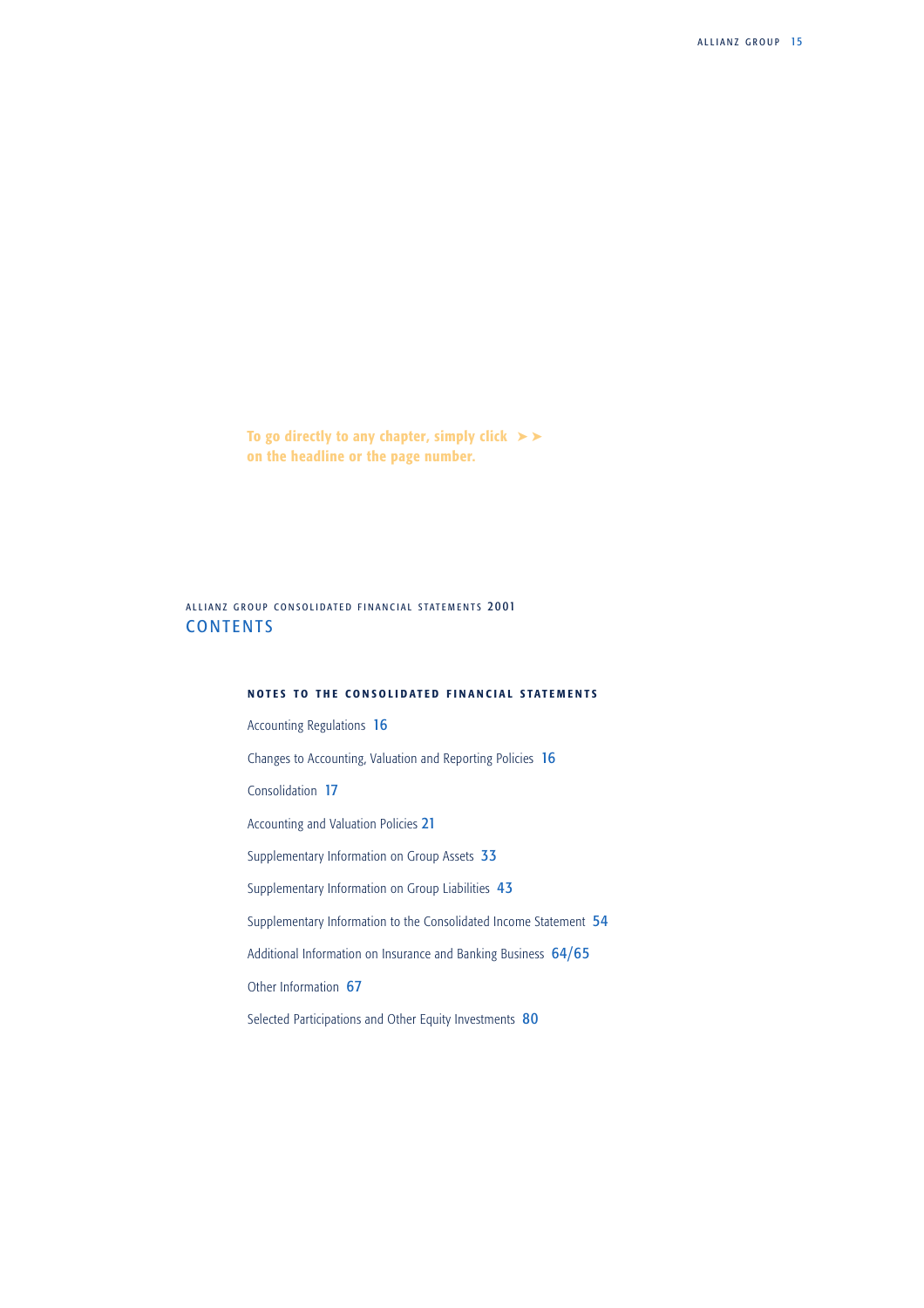<span id="page-15-0"></span>To go directly to any chapter, simply click  $\triangleright$ on the headline or the page number.

# **CONTENTS** ALLIANZ GROUP CONSOLIDATED FINANCIAL STATEMENTS 2001

#### NOTES TO THE CONSOLIDATED FINANCIAL STATEMENTS

[Accounting Regulations](#page-16-0) 16 [Changes to Accounting, Valuation and Reporting Policies](#page-16-0) 16 [Consolidation](#page-17-0) 17 [Accounting and Valuation Policies](#page-21-0) 21 [Supplementary Information on Group Assets](#page-33-0) 33 [Supplementary Information on Group Liabilities](#page-43-0) 43 [Supplementary Information to the Consolidated Income Statement](#page-54-0) 54 [Additional Information on Insurance and Banking Business](#page-64-0) 64/[65](#page-65-0) [Other Information](#page-67-0) 67

[Selected Participations and Other Equity Investments](#page-80-0) 80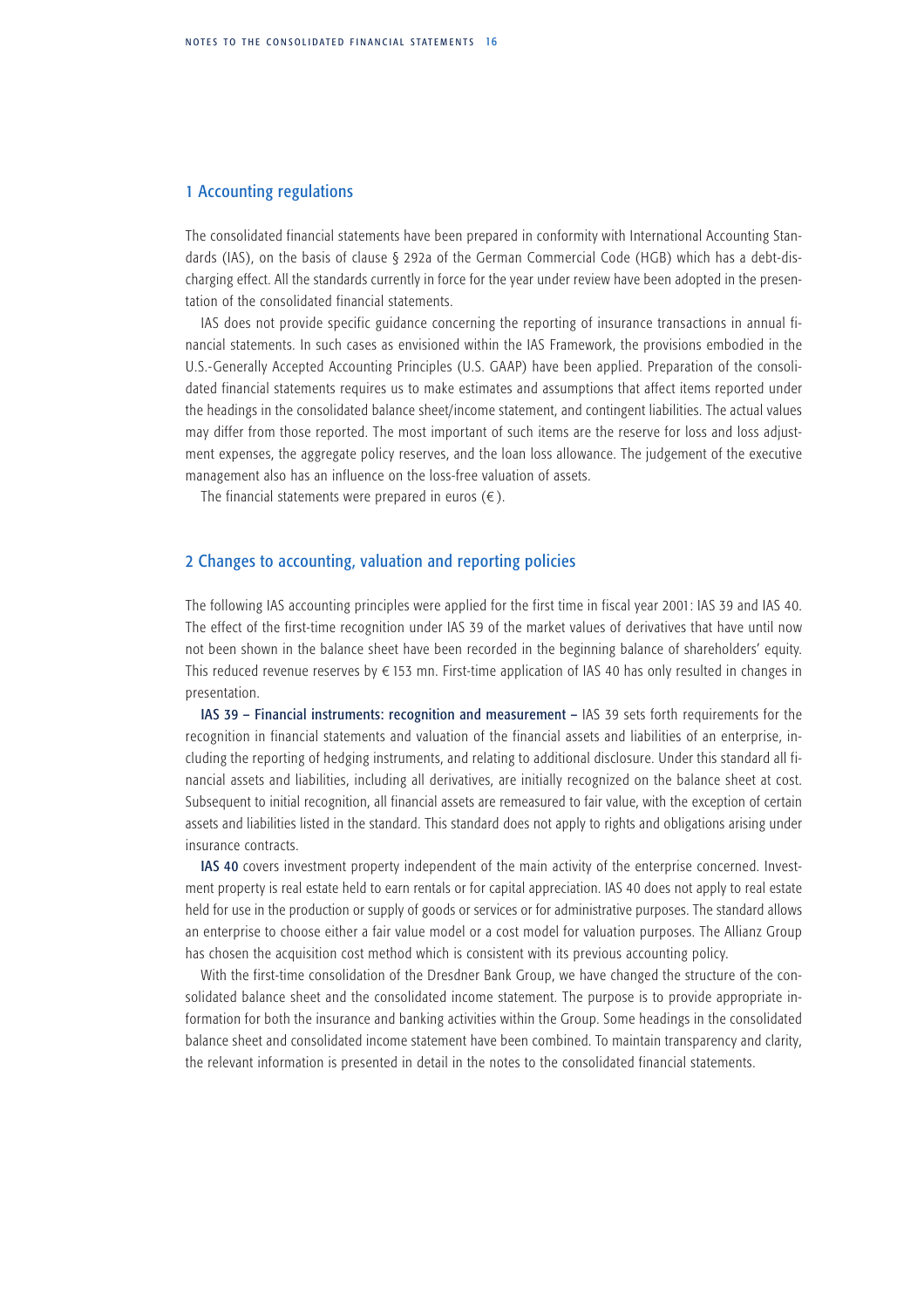### <span id="page-16-0"></span>1 Accounting regulations

The consolidated financial statements have been prepared in conformity with International Accounting Standards (IAS), on the basis of clause § 292a of the German Commercial Code (HGB) which has a debt-discharging effect. All the standards currently in force for the year under review have been adopted in the presentation of the consolidated financial statements.

IAS does not provide specific guidance concerning the reporting of insurance transactions in annual financial statements. In such cases as envisioned within the IAS Framework, the provisions embodied in the U.S.-Generally Accepted Accounting Principles (U.S. GAAP) have been applied. Preparation of the consolidated financial statements requires us to make estimates and assumptions that affect items reported under the headings in the consolidated balance sheet/income statement, and contingent liabilities. The actual values may differ from those reported. The most important of such items are the reserve for loss and loss adjustment expenses, the aggregate policy reserves, and the loan loss allowance. The judgement of the executive management also has an influence on the loss-free valuation of assets.

The financial statements were prepared in euros  $(\epsilon)$ .

#### 2 Changes to accounting, valuation and reporting policies

The following IAS accounting principles were applied for the first time in fiscal year 2001: IAS 39 and IAS 40. The effect of the first-time recognition under IAS 39 of the market values of derivatives that have until now not been shown in the balance sheet have been recorded in the beginning balance of shareholders' equity. This reduced revenue reserves by  $\epsilon$  153 mn. First-time application of IAS 40 has only resulted in changes in presentation.

IAS 39 – Financial instruments: recognition and measurement – IAS 39 sets forth requirements for the recognition in financial statements and valuation of the financial assets and liabilities of an enterprise, including the reporting of hedging instruments, and relating to additional disclosure. Under this standard all financial assets and liabilities, including all derivatives, are initially recognized on the balance sheet at cost. Subsequent to initial recognition, all financial assets are remeasured to fair value, with the exception of certain assets and liabilities listed in the standard. This standard does not apply to rights and obligations arising under insurance contracts.

IAS 40 covers investment property independent of the main activity of the enterprise concerned. Investment property is real estate held to earn rentals or for capital appreciation. IAS 40 does not apply to real estate held for use in the production or supply of goods or services or for administrative purposes. The standard allows an enterprise to choose either a fair value model or a cost model for valuation purposes. The Allianz Group has chosen the acquisition cost method which is consistent with its previous accounting policy.

With the first-time consolidation of the Dresdner Bank Group, we have changed the structure of the consolidated balance sheet and the consolidated income statement. The purpose is to provide appropriate information for both the insurance and banking activities within the Group. Some headings in the consolidated balance sheet and consolidated income statement have been combined. To maintain transparency and clarity, the relevant information is presented in detail in the notes to the consolidated financial statements.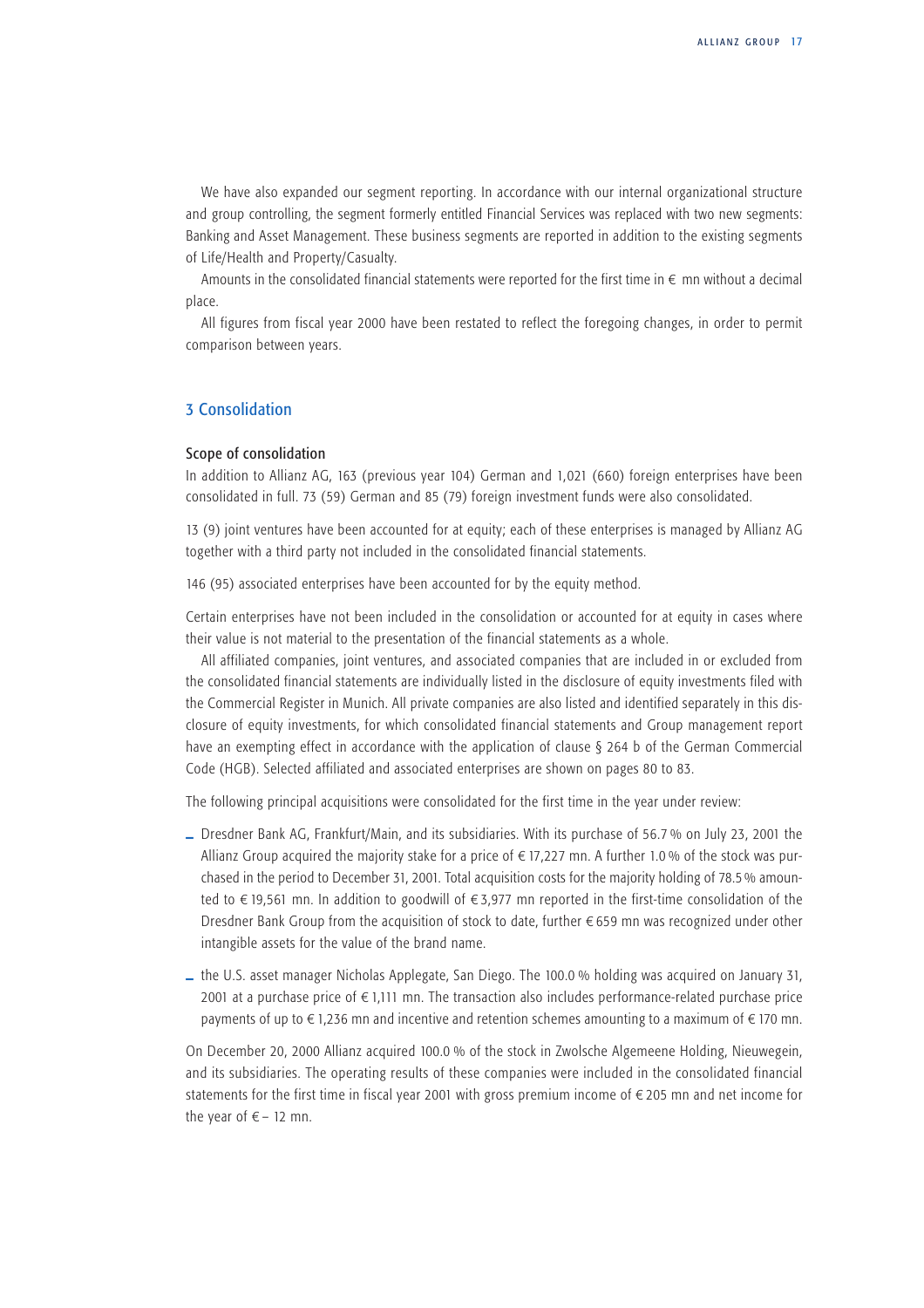<span id="page-17-0"></span>We have also expanded our segment reporting. In accordance with our internal organizational structure and group controlling, the segment formerly entitled Financial Services was replaced with two new segments: Banking and Asset Management. These business segments are reported in addition to the existing segments of Life/Health and Property/Casualty.

Amounts in the consolidated financial statements were reported for the first time in  $\epsilon$  mn without a decimal place.

All figures from fiscal year 2000 have been restated to reflect the foregoing changes, in order to permit comparison between years.

# 3 Consolidation

#### Scope of consolidation

In addition to Allianz AG, 163 (previous year 104) German and 1,021 (660) foreign enterprises have been consolidated in full. 73 (59) German and 85 (79) foreign investment funds were also consolidated.

13 (9) joint ventures have been accounted for at equity; each of these enterprises is managed by Allianz AG together with a third party not included in the consolidated financial statements.

146 (95) associated enterprises have been accounted for by the equity method.

Certain enterprises have not been included in the consolidation or accounted for at equity in cases where their value is not material to the presentation of the financial statements as a whole.

All affiliated companies, joint ventures, and associated companies that are included in or excluded from the consolidated financial statements are individually listed in the disclosure of equity investments filed with the Commercial Register in Munich. All private companies are also listed and identified separately in this disclosure of equity investments, for which consolidated financial statements and Group management report have an exempting effect in accordance with the application of clause § 264 b of the German Commercial Code (HGB). Selected affiliated and associated enterprises are shown on pages 80 to 83.

The following principal acquisitions were consolidated for the first time in the year under review:

- **\_** Dresdner Bank AG, Frankfurt/Main, and its subsidiaries. With its purchase of 56.7 % on July 23, 2001 the Allianz Group acquired the majority stake for a price of  $\epsilon$  17,227 mn. A further 1.0 % of the stock was purchased in the period to December 31, 2001. Total acquisition costs for the majority holding of 78.5 % amounted to  $\in$  19,561 mn. In addition to goodwill of  $\in$  3,977 mn reported in the first-time consolidation of the Dresdner Bank Group from the acquisition of stock to date, further  $\epsilon$  659 mn was recognized under other intangible assets for the value of the brand name.
- **\_** the U.S. asset manager Nicholas Applegate, San Diego. The 100.0 % holding was acquired on January 31, 2001 at a purchase price of  $\in$  1,111 mn. The transaction also includes performance-related purchase price payments of up to  $\epsilon$  1,236 mn and incentive and retention schemes amounting to a maximum of  $\epsilon$  170 mn.

On December 20, 2000 Allianz acquired 100.0 % of the stock in Zwolsche Algemeene Holding, Nieuwegein, and its subsidiaries. The operating results of these companies were included in the consolidated financial statements for the first time in fiscal year 2001 with gross premium income of €205 mn and net income for the year of  $\epsilon$  – 12 mn.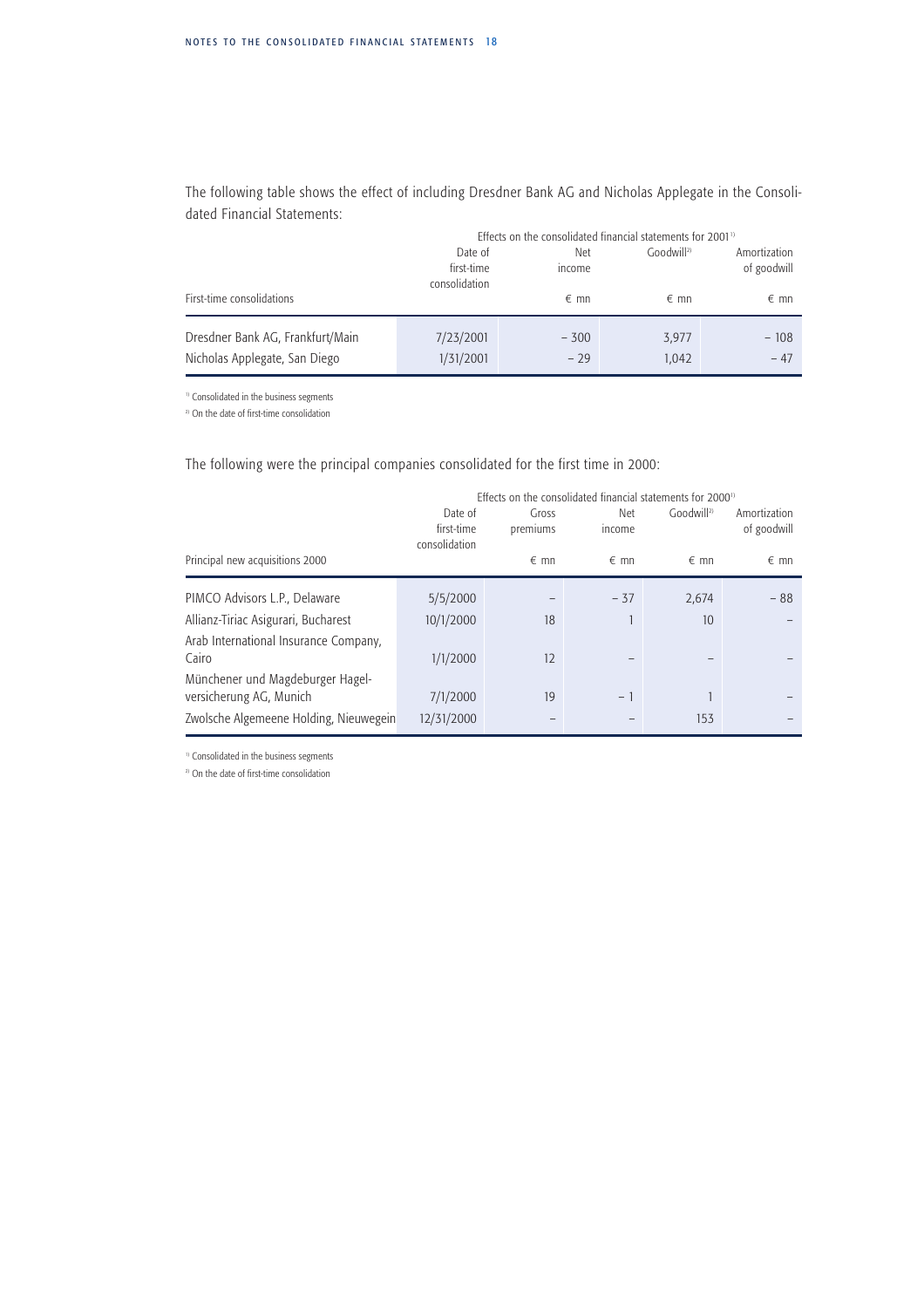The following table shows the effect of including Dresdner Bank AG and Nicholas Applegate in the Consolidated Financial Statements:

|                                                                   | Effects on the consolidated financial statements for 2001 <sup>1</sup> |                 |                        |                             |  |  |  |
|-------------------------------------------------------------------|------------------------------------------------------------------------|-----------------|------------------------|-----------------------------|--|--|--|
|                                                                   | Date of<br>first-time<br>consolidation                                 | Net<br>income   | Goodwill <sup>2)</sup> | Amortization<br>of goodwill |  |  |  |
| First-time consolidations                                         |                                                                        | $\epsilon$ mn   | $\epsilon$ mn          | $\epsilon$ mn               |  |  |  |
| Dresdner Bank AG, Frankfurt/Main<br>Nicholas Applegate, San Diego | 7/23/2001<br>1/31/2001                                                 | $-300$<br>$-29$ | 3.977<br>1.042         | $-108$<br>$-47$             |  |  |  |

<sup>1)</sup> Consolidated in the business segments

<sup>2)</sup> On the date of first-time consolidation

The following were the principal companies consolidated for the first time in 2000:

|                                                             | Effects on the consolidated financial statements for 2000 <sup>1)</sup> |                   |                      |                       |                             |  |
|-------------------------------------------------------------|-------------------------------------------------------------------------|-------------------|----------------------|-----------------------|-----------------------------|--|
|                                                             | Date of<br>first-time<br>consolidation                                  | Gross<br>premiums | <b>Net</b><br>income | Goodwill <sup>2</sup> | Amortization<br>of goodwill |  |
| Principal new acquisitions 2000                             |                                                                         | $\epsilon$ mn     | $\epsilon$ mn        | $\epsilon$ mn         | $\epsilon$ mn               |  |
| PIMCO Advisors L.P., Delaware                               | 5/5/2000                                                                |                   | $-37$                | 2,674                 | $-88$                       |  |
| Allianz-Tiriac Asigurari, Bucharest                         | 10/1/2000                                                               | 18                |                      | 10                    |                             |  |
| Arab International Insurance Company,<br>Cairo              | 1/1/2000                                                                | 12                |                      |                       |                             |  |
| Münchener und Magdeburger Hagel-<br>versicherung AG, Munich | 7/1/2000                                                                | 19                | $-1$                 |                       |                             |  |
| Zwolsche Algemeene Holding, Nieuwegein                      | 12/31/2000                                                              |                   |                      | 153                   |                             |  |

<sup>1)</sup> Consolidated in the business segments

2) On the date of first-time consolidation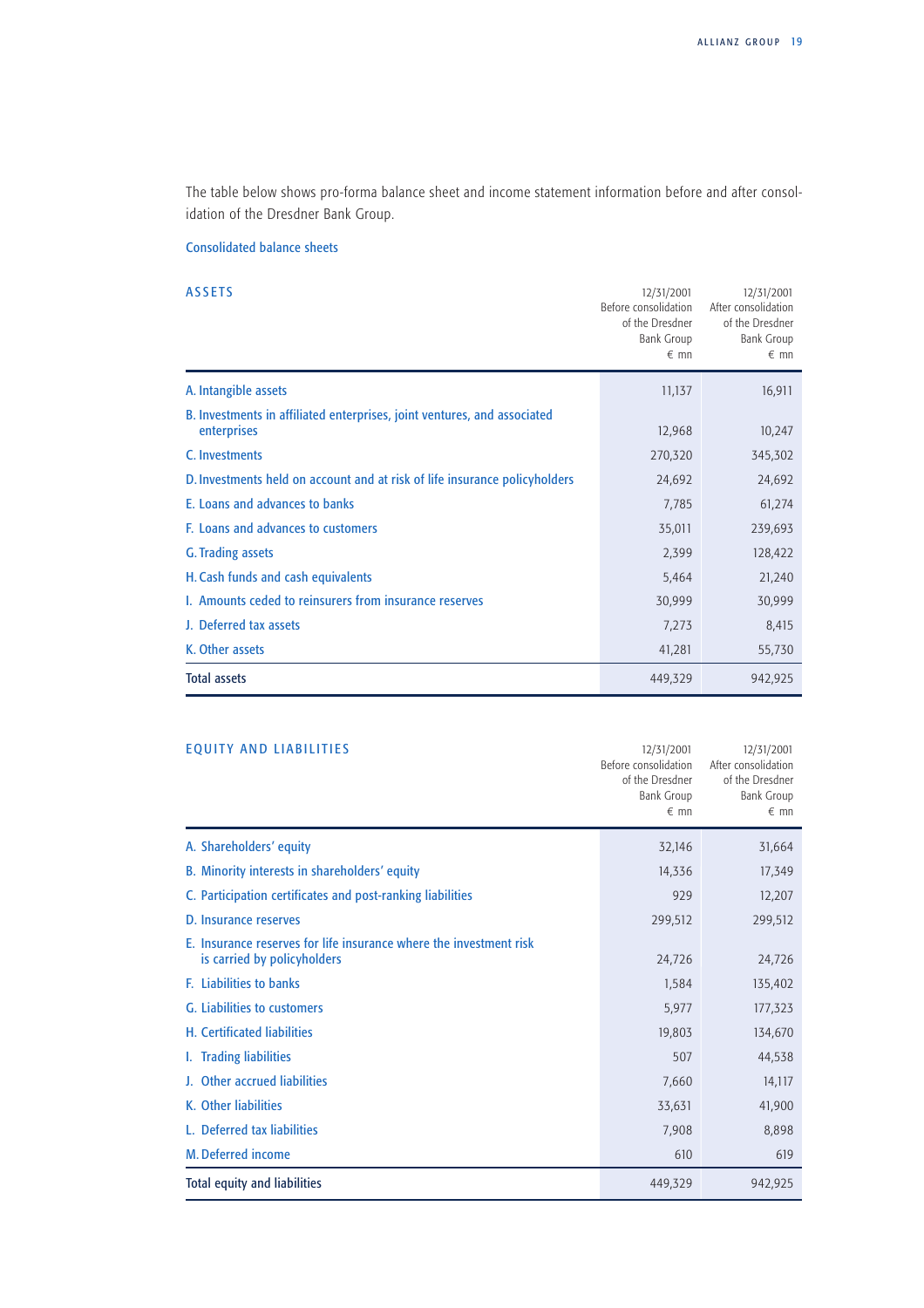The table below shows pro-forma balance sheet and income statement information before and after consolidation of the Dresdner Bank Group.

# Consolidated balance sheets

| <b>ASSETS</b>                                                                           | 12/31/2001<br>Before consolidation<br>of the Dresdner<br>Bank Group<br>$\epsilon$ mn | 12/31/2001<br>After consolidation<br>of the Dresdner<br><b>Bank Group</b><br>$\epsilon$ mn |
|-----------------------------------------------------------------------------------------|--------------------------------------------------------------------------------------|--------------------------------------------------------------------------------------------|
| A. Intangible assets                                                                    | 11,137                                                                               | 16,911                                                                                     |
| B. Investments in affiliated enterprises, joint ventures, and associated<br>enterprises | 12,968                                                                               | 10,247                                                                                     |
| <b>C.</b> Investments                                                                   | 270,320                                                                              | 345,302                                                                                    |
| D. Investments held on account and at risk of life insurance policyholders              | 24,692                                                                               | 24,692                                                                                     |
| E. Loans and advances to banks                                                          | 7,785                                                                                | 61,274                                                                                     |
| F. Loans and advances to customers                                                      | 35,011                                                                               | 239,693                                                                                    |
| <b>G. Trading assets</b>                                                                | 2,399                                                                                | 128,422                                                                                    |
| H. Cash funds and cash equivalents                                                      | 5,464                                                                                | 21,240                                                                                     |
| I. Amounts ceded to reinsurers from insurance reserves                                  | 30,999                                                                               | 30,999                                                                                     |
| J. Deferred tax assets                                                                  | 7,273                                                                                | 8,415                                                                                      |
| K. Other assets                                                                         | 41,281                                                                               | 55,730                                                                                     |
| <b>Total assets</b>                                                                     | 449,329                                                                              | 942,925                                                                                    |

| <b>EQUITY AND LIABILITIES</b>                                                                     | 12/31/2001<br>Before consolidation<br>of the Dresdner<br><b>Bank Group</b><br>$\epsilon$ mn | 12/31/2001<br>After consolidation<br>of the Dresdner<br><b>Bank Group</b><br>$\epsilon$ mn |
|---------------------------------------------------------------------------------------------------|---------------------------------------------------------------------------------------------|--------------------------------------------------------------------------------------------|
| A. Shareholders' equity                                                                           | 32,146                                                                                      | 31,664                                                                                     |
| B. Minority interests in shareholders' equity                                                     | 14,336                                                                                      | 17,349                                                                                     |
| C. Participation certificates and post-ranking liabilities                                        | 929                                                                                         | 12,207                                                                                     |
| D. Insurance reserves                                                                             | 299,512                                                                                     | 299,512                                                                                    |
| E. Insurance reserves for life insurance where the investment risk<br>is carried by policyholders | 24,726                                                                                      | 24,726                                                                                     |
| <b>F.</b> Liabilities to banks                                                                    | 1,584                                                                                       | 135,402                                                                                    |
| <b>G.</b> Liabilities to customers                                                                | 5,977                                                                                       | 177,323                                                                                    |
| <b>H. Certificated liabilities</b>                                                                | 19,803                                                                                      | 134,670                                                                                    |
| I. Trading liabilities                                                                            | 507                                                                                         | 44,538                                                                                     |
| <b>Other accrued liabilities</b>                                                                  | 7,660                                                                                       | 14,117                                                                                     |
| K. Other liabilities                                                                              | 33,631                                                                                      | 41,900                                                                                     |
| L. Deferred tax liabilities                                                                       | 7,908                                                                                       | 8,898                                                                                      |
| M. Deferred income                                                                                | 610                                                                                         | 619                                                                                        |
| <b>Total equity and liabilities</b>                                                               | 449,329                                                                                     | 942,925                                                                                    |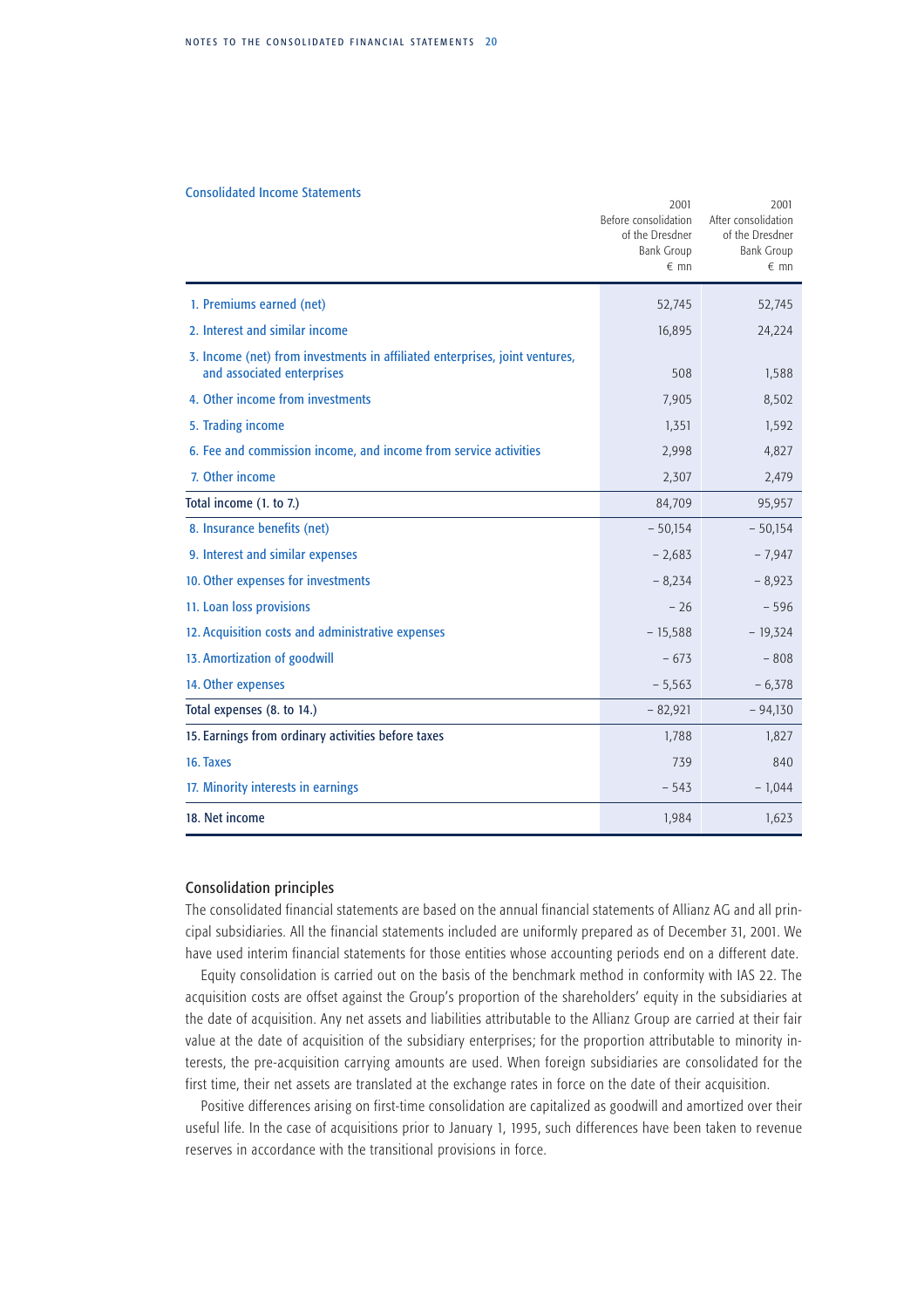#### Consolidated Income Statements

|                                                                                                           | 2001<br>Before consolidation<br>of the Dresdner<br><b>Bank Group</b><br>$\epsilon$ mn | 2001<br>After consolidation<br>of the Dresdner<br><b>Bank Group</b><br>$\epsilon$ mn |
|-----------------------------------------------------------------------------------------------------------|---------------------------------------------------------------------------------------|--------------------------------------------------------------------------------------|
| 1. Premiums earned (net)                                                                                  | 52,745                                                                                | 52,745                                                                               |
| 2. Interest and similar income                                                                            | 16,895                                                                                | 24,224                                                                               |
| 3. Income (net) from investments in affiliated enterprises, joint ventures,<br>and associated enterprises | 508                                                                                   | 1,588                                                                                |
| 4. Other income from investments                                                                          | 7,905                                                                                 | 8,502                                                                                |
| 5. Trading income                                                                                         | 1,351                                                                                 | 1,592                                                                                |
| 6. Fee and commission income, and income from service activities                                          | 2,998                                                                                 | 4,827                                                                                |
| 7. Other income                                                                                           | 2,307                                                                                 | 2,479                                                                                |
| Total income (1. to 7.)                                                                                   | 84,709                                                                                | 95,957                                                                               |
| 8. Insurance benefits (net)                                                                               | $-50,154$                                                                             | $-50,154$                                                                            |
| 9. Interest and similar expenses                                                                          | $-2,683$                                                                              | $-7,947$                                                                             |
| 10. Other expenses for investments                                                                        | $-8,234$                                                                              | $-8,923$                                                                             |
| 11. Loan loss provisions                                                                                  | $-26$                                                                                 | $-596$                                                                               |
| 12. Acquisition costs and administrative expenses                                                         | $-15,588$                                                                             | $-19,324$                                                                            |
| 13. Amortization of goodwill                                                                              | $-673$                                                                                | $-808$                                                                               |
| 14. Other expenses                                                                                        | $-5,563$                                                                              | $-6,378$                                                                             |
| Total expenses (8. to 14.)                                                                                | $-82,921$                                                                             | $-94,130$                                                                            |
| 15. Earnings from ordinary activities before taxes                                                        | 1,788                                                                                 | 1,827                                                                                |
| 16. Taxes                                                                                                 | 739                                                                                   | 840                                                                                  |
| 17. Minority interests in earnings                                                                        | $-543$                                                                                | $-1,044$                                                                             |
| 18. Net income                                                                                            | 1,984                                                                                 | 1,623                                                                                |

# Consolidation principles

The consolidated financial statements are based on the annual financial statements of Allianz AG and all principal subsidiaries. All the financial statements included are uniformly prepared as of December 31, 2001. We have used interim financial statements for those entities whose accounting periods end on a different date.

Equity consolidation is carried out on the basis of the benchmark method in conformity with IAS 22. The acquisition costs are offset against the Group's proportion of the shareholders' equity in the subsidiaries at the date of acquisition. Any net assets and liabilities attributable to the Allianz Group are carried at their fair value at the date of acquisition of the subsidiary enterprises; for the proportion attributable to minority interests, the pre-acquisition carrying amounts are used. When foreign subsidiaries are consolidated for the first time, their net assets are translated at the exchange rates in force on the date of their acquisition.

Positive differences arising on first-time consolidation are capitalized as goodwill and amortized over their useful life. In the case of acquisitions prior to January 1, 1995, such differences have been taken to revenue reserves in accordance with the transitional provisions in force.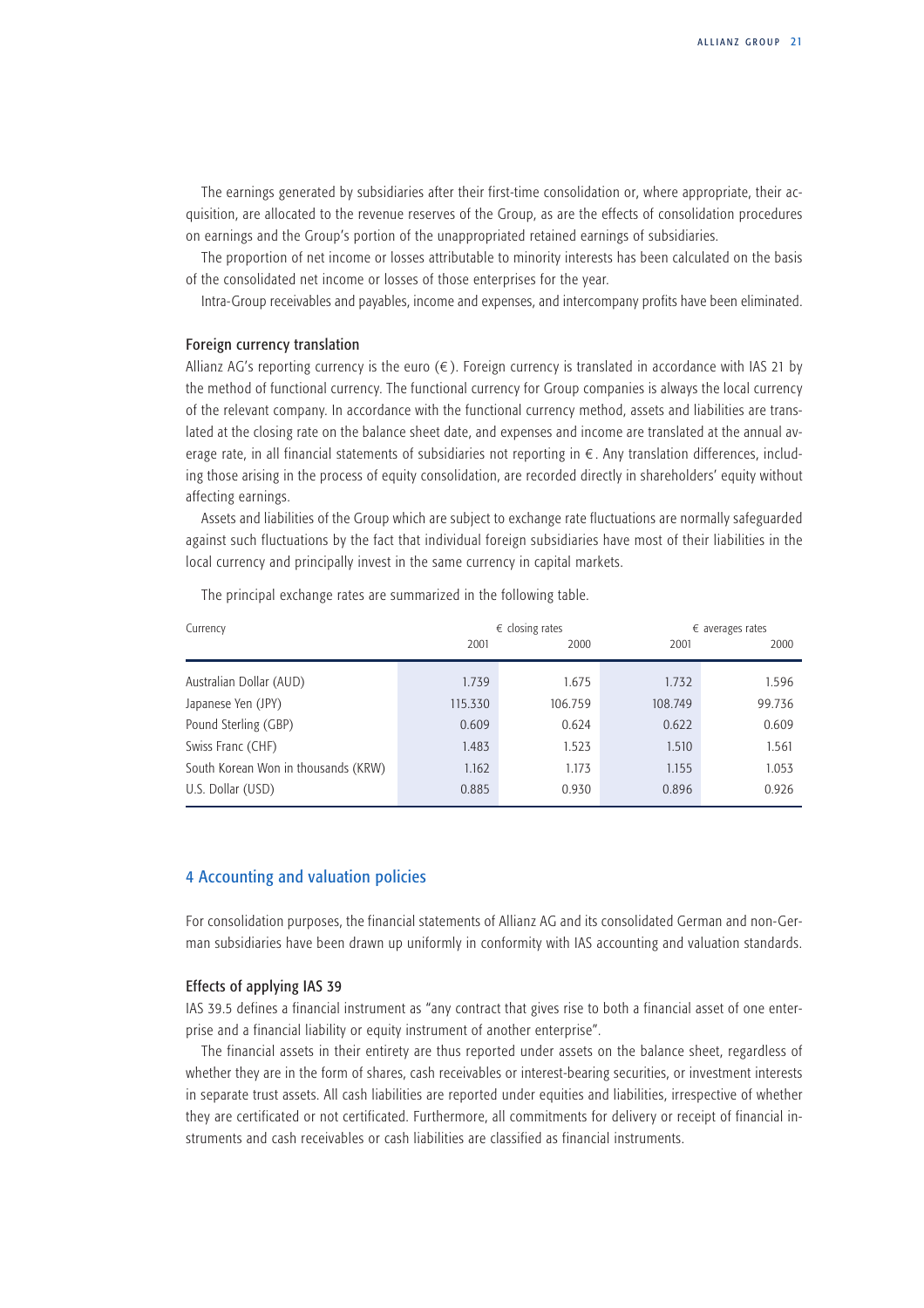<span id="page-21-0"></span>The earnings generated by subsidiaries after their first-time consolidation or, where appropriate, their acquisition, are allocated to the revenue reserves of the Group, as are the effects of consolidation procedures on earnings and the Group's portion of the unappropriated retained earnings of subsidiaries.

The proportion of net income or losses attributable to minority interests has been calculated on the basis of the consolidated net income or losses of those enterprises for the year.

Intra-Group receivables and payables, income and expenses, and intercompany profits have been eliminated.

#### Foreign currency translation

Allianz AG's reporting currency is the euro  $(\epsilon)$ . Foreign currency is translated in accordance with IAS 21 by the method of functional currency. The functional currency for Group companies is always the local currency of the relevant company. In accordance with the functional currency method, assets and liabilities are translated at the closing rate on the balance sheet date, and expenses and income are translated at the annual average rate, in all financial statements of subsidiaries not reporting in  $\epsilon$ . Any translation differences, including those arising in the process of equity consolidation, are recorded directly in shareholders' equity without affecting earnings.

Assets and liabilities of the Group which are subject to exchange rate fluctuations are normally safeguarded against such fluctuations by the fact that individual foreign subsidiaries have most of their liabilities in the local currency and principally invest in the same currency in capital markets.

| Currency                            |         | $\epsilon$ closing rates |         | $\epsilon$ averages rates |  |
|-------------------------------------|---------|--------------------------|---------|---------------------------|--|
|                                     | 2001    | 2000                     | 2001    | 2000                      |  |
| Australian Dollar (AUD)             | 1.739   | 1.675                    | 1.732   | 1.596                     |  |
| Japanese Yen (JPY)                  | 115.330 | 106.759                  | 108.749 | 99.736                    |  |
| Pound Sterling (GBP)                | 0.609   | 0.624                    | 0.622   | 0.609                     |  |
| Swiss Franc (CHF)                   | 1.483   | 1.523                    | 1.510   | 1.561                     |  |
| South Korean Won in thousands (KRW) | 1.162   | 1.173                    | 1.155   | 1.053                     |  |
| U.S. Dollar (USD)                   | 0.885   | 0.930                    | 0.896   | 0.926                     |  |

The principal exchange rates are summarized in the following table.

# 4 Accounting and valuation policies

For consolidation purposes, the financial statements of Allianz AG and its consolidated German and non-German subsidiaries have been drawn up uniformly in conformity with IAS accounting and valuation standards.

#### Effects of applying IAS 39

IAS 39.5 defines a financial instrument as "any contract that gives rise to both a financial asset of one enterprise and a financial liability or equity instrument of another enterprise".

The financial assets in their entirety are thus reported under assets on the balance sheet, regardless of whether they are in the form of shares, cash receivables or interest-bearing securities, or investment interests in separate trust assets. All cash liabilities are reported under equities and liabilities, irrespective of whether they are certificated or not certificated. Furthermore, all commitments for delivery or receipt of financial instruments and cash receivables or cash liabilities are classified as financial instruments.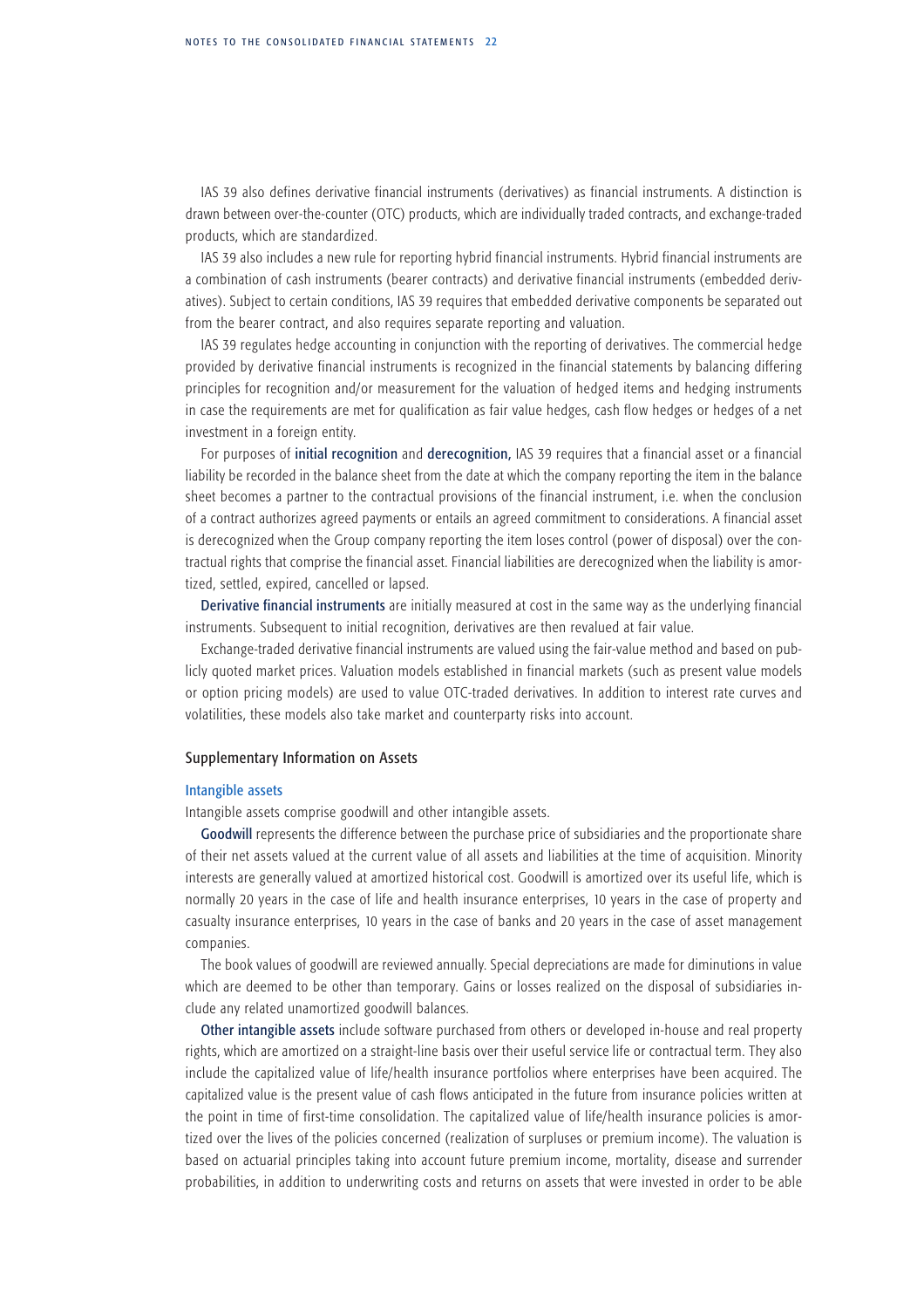IAS 39 also defines derivative financial instruments (derivatives) as financial instruments. A distinction is drawn between over-the-counter (OTC) products, which are individually traded contracts, and exchange-traded products, which are standardized.

IAS 39 also includes a new rule for reporting hybrid financial instruments. Hybrid financial instruments are a combination of cash instruments (bearer contracts) and derivative financial instruments (embedded derivatives). Subject to certain conditions, IAS 39 requires that embedded derivative components be separated out from the bearer contract, and also requires separate reporting and valuation.

IAS 39 regulates hedge accounting in conjunction with the reporting of derivatives. The commercial hedge provided by derivative financial instruments is recognized in the financial statements by balancing differing principles for recognition and/or measurement for the valuation of hedged items and hedging instruments in case the requirements are met for qualification as fair value hedges, cash flow hedges or hedges of a net investment in a foreign entity.

For purposes of initial recognition and derecognition, IAS 39 requires that a financial asset or a financial liability be recorded in the balance sheet from the date at which the company reporting the item in the balance sheet becomes a partner to the contractual provisions of the financial instrument, i.e. when the conclusion of a contract authorizes agreed payments or entails an agreed commitment to considerations. A financial asset is derecognized when the Group company reporting the item loses control (power of disposal) over the contractual rights that comprise the financial asset. Financial liabilities are derecognized when the liability is amortized, settled, expired, cancelled or lapsed.

Derivative financial instruments are initially measured at cost in the same way as the underlying financial instruments. Subsequent to initial recognition, derivatives are then revalued at fair value.

Exchange-traded derivative financial instruments are valued using the fair-value method and based on publicly quoted market prices. Valuation models established in financial markets (such as present value models or option pricing models) are used to value OTC-traded derivatives. In addition to interest rate curves and volatilities, these models also take market and counterparty risks into account.

#### Supplementary Information on Assets

#### Intangible assets

Intangible assets comprise goodwill and other intangible assets.

Goodwill represents the difference between the purchase price of subsidiaries and the proportionate share of their net assets valued at the current value of all assets and liabilities at the time of acquisition. Minority interests are generally valued at amortized historical cost. Goodwill is amortized over its useful life, which is normally 20 years in the case of life and health insurance enterprises, 10 years in the case of property and casualty insurance enterprises, 10 years in the case of banks and 20 years in the case of asset management companies.

The book values of goodwill are reviewed annually. Special depreciations are made for diminutions in value which are deemed to be other than temporary. Gains or losses realized on the disposal of subsidiaries include any related unamortized goodwill balances.

Other intangible assets include software purchased from others or developed in-house and real property rights, which are amortized on a straight-line basis over their useful service life or contractual term. They also include the capitalized value of life/health insurance portfolios where enterprises have been acquired. The capitalized value is the present value of cash flows anticipated in the future from insurance policies written at the point in time of first-time consolidation. The capitalized value of life/health insurance policies is amortized over the lives of the policies concerned (realization of surpluses or premium income). The valuation is based on actuarial principles taking into account future premium income, mortality, disease and surrender probabilities, in addition to underwriting costs and returns on assets that were invested in order to be able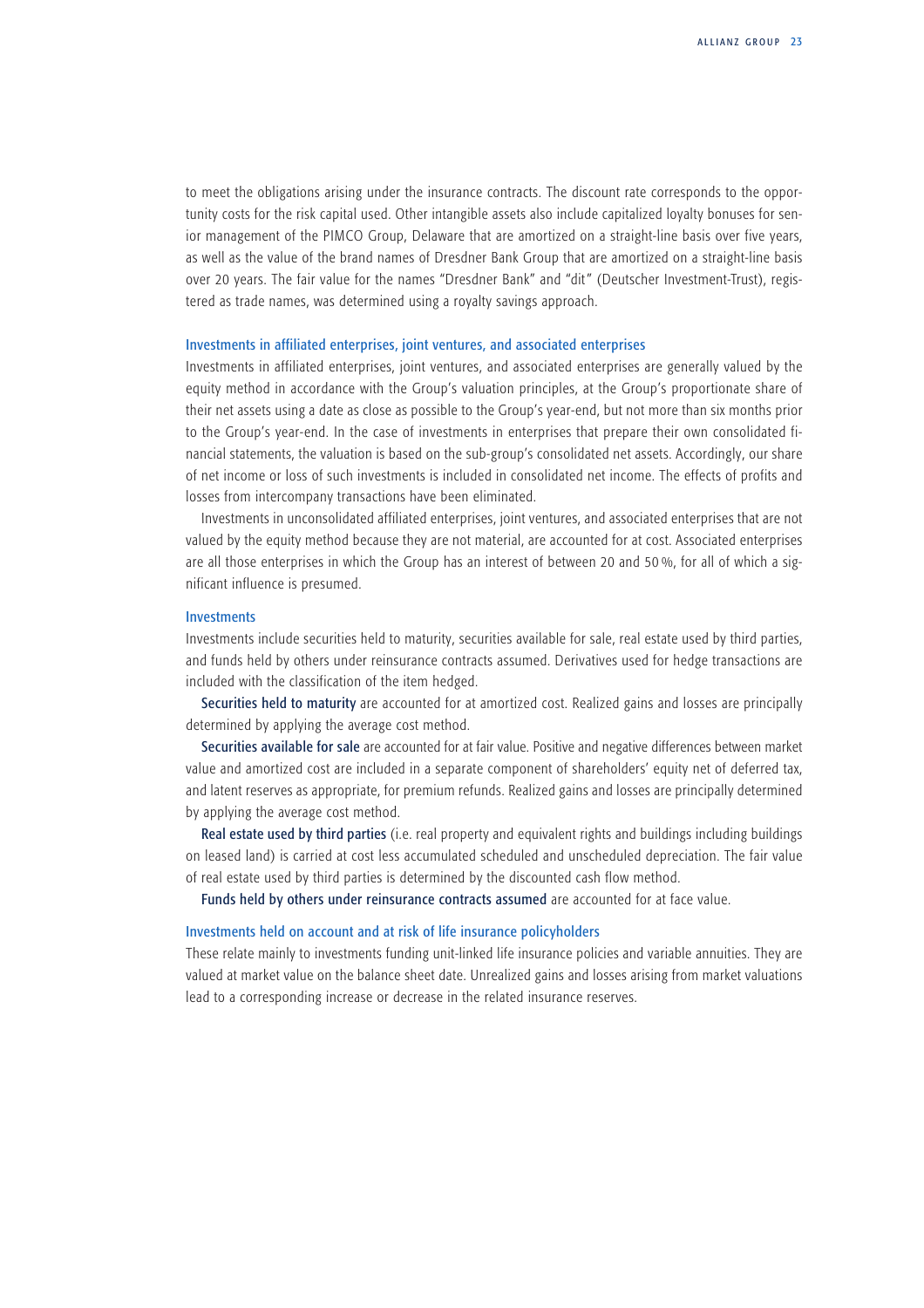to meet the obligations arising under the insurance contracts. The discount rate corresponds to the opportunity costs for the risk capital used. Other intangible assets also include capitalized loyalty bonuses for senior management of the PIMCO Group, Delaware that are amortized on a straight-line basis over five years, as well as the value of the brand names of Dresdner Bank Group that are amortized on a straight-line basis over 20 years. The fair value for the names "Dresdner Bank" and "dit" (Deutscher Investment-Trust), registered as trade names, was determined using a royalty savings approach.

#### Investments in affiliated enterprises, joint ventures, and associated enterprises

Investments in affiliated enterprises, joint ventures, and associated enterprises are generally valued by the equity method in accordance with the Group's valuation principles, at the Group's proportionate share of their net assets using a date as close as possible to the Group's year-end, but not more than six months prior to the Group's year-end. In the case of investments in enterprises that prepare their own consolidated financial statements, the valuation is based on the sub-group's consolidated net assets. Accordingly, our share of net income or loss of such investments is included in consolidated net income. The effects of profits and losses from intercompany transactions have been eliminated.

Investments in unconsolidated affiliated enterprises, joint ventures, and associated enterprises that are not valued by the equity method because they are not material, are accounted for at cost. Associated enterprises are all those enterprises in which the Group has an interest of between 20 and 50 %, for all of which a significant influence is presumed.

#### Investments

Investments include securities held to maturity, securities available for sale, real estate used by third parties, and funds held by others under reinsurance contracts assumed. Derivatives used for hedge transactions are included with the classification of the item hedged.

Securities held to maturity are accounted for at amortized cost. Realized gains and losses are principally determined by applying the average cost method.

Securities available for sale are accounted for at fair value. Positive and negative differences between market value and amortized cost are included in a separate component of shareholders' equity net of deferred tax, and latent reserves as appropriate, for premium refunds. Realized gains and losses are principally determined by applying the average cost method.

Real estate used by third parties (i.e. real property and equivalent rights and buildings including buildings on leased land) is carried at cost less accumulated scheduled and unscheduled depreciation. The fair value of real estate used by third parties is determined by the discounted cash flow method.

Funds held by others under reinsurance contracts assumed are accounted for at face value.

#### Investments held on account and at risk of life insurance policyholders

These relate mainly to investments funding unit-linked life insurance policies and variable annuities. They are valued at market value on the balance sheet date. Unrealized gains and losses arising from market valuations lead to a corresponding increase or decrease in the related insurance reserves.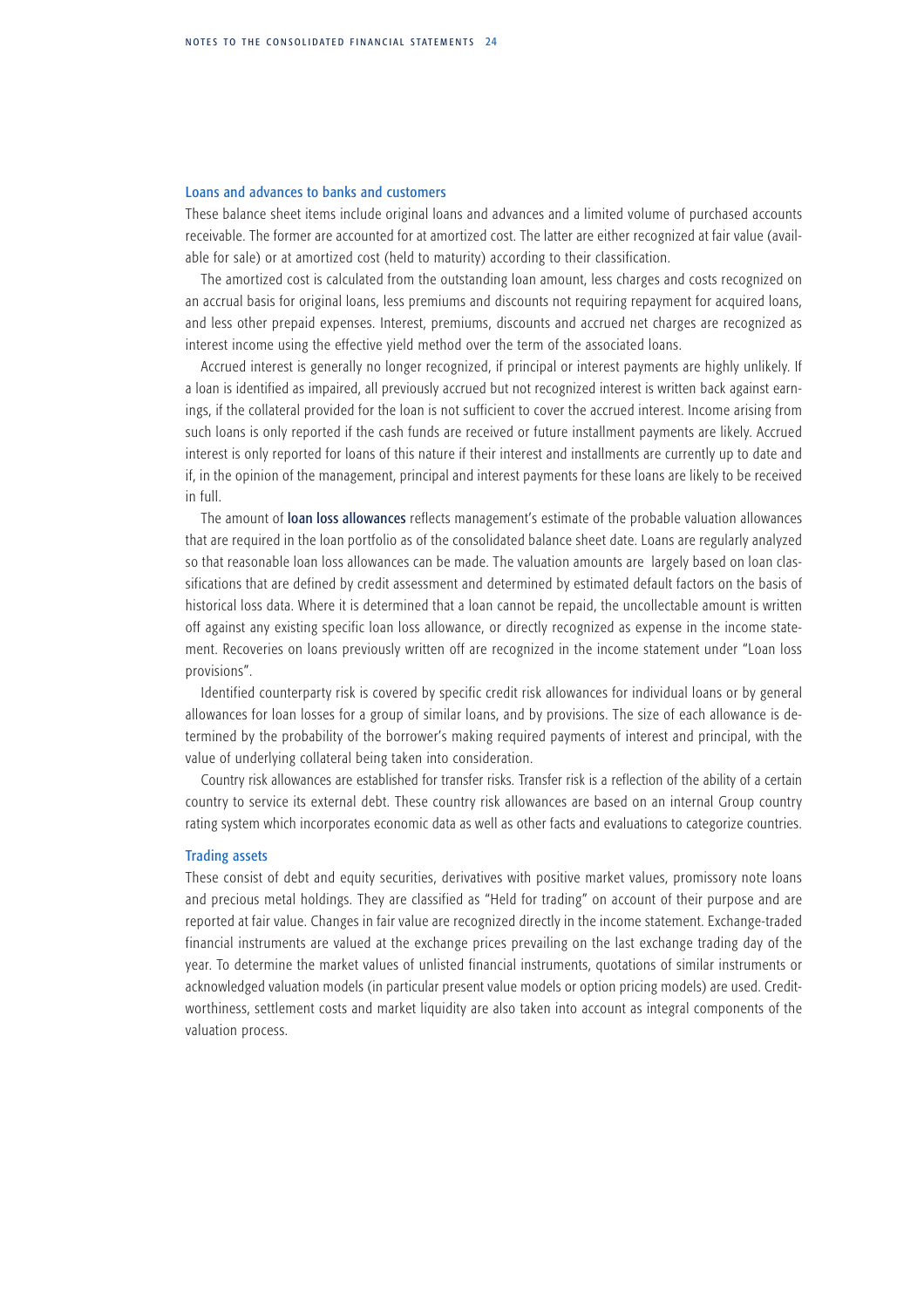## Loans and advances to banks and customers

These balance sheet items include original loans and advances and a limited volume of purchased accounts receivable. The former are accounted for at amortized cost. The latter are either recognized at fair value (available for sale) or at amortized cost (held to maturity) according to their classification.

The amortized cost is calculated from the outstanding loan amount, less charges and costs recognized on an accrual basis for original loans, less premiums and discounts not requiring repayment for acquired loans, and less other prepaid expenses. Interest, premiums, discounts and accrued net charges are recognized as interest income using the effective yield method over the term of the associated loans.

Accrued interest is generally no longer recognized, if principal or interest payments are highly unlikely. If a loan is identified as impaired, all previously accrued but not recognized interest is written back against earnings, if the collateral provided for the loan is not sufficient to cover the accrued interest. Income arising from such loans is only reported if the cash funds are received or future installment payments are likely. Accrued interest is only reported for loans of this nature if their interest and installments are currently up to date and if, in the opinion of the management, principal and interest payments for these loans are likely to be received in full.

The amount of loan loss allowances reflects management's estimate of the probable valuation allowances that are required in the loan portfolio as of the consolidated balance sheet date. Loans are regularly analyzed so that reasonable loan loss allowances can be made. The valuation amounts are largely based on loan classifications that are defined by credit assessment and determined by estimated default factors on the basis of historical loss data. Where it is determined that a loan cannot be repaid, the uncollectable amount is written off against any existing specific loan loss allowance, or directly recognized as expense in the income statement. Recoveries on loans previously written off are recognized in the income statement under "Loan loss provisions".

Identified counterparty risk is covered by specific credit risk allowances for individual loans or by general allowances for loan losses for a group of similar loans, and by provisions. The size of each allowance is determined by the probability of the borrower's making required payments of interest and principal, with the value of underlying collateral being taken into consideration.

Country risk allowances are established for transfer risks. Transfer risk is a reflection of the ability of a certain country to service its external debt. These country risk allowances are based on an internal Group country rating system which incorporates economic data as well as other facts and evaluations to categorize countries.

#### Trading assets

These consist of debt and equity securities, derivatives with positive market values, promissory note loans and precious metal holdings. They are classified as "Held for trading" on account of their purpose and are reported at fair value. Changes in fair value are recognized directly in the income statement. Exchange-traded financial instruments are valued at the exchange prices prevailing on the last exchange trading day of the year. To determine the market values of unlisted financial instruments, quotations of similar instruments or acknowledged valuation models (in particular present value models or option pricing models) are used. Creditworthiness, settlement costs and market liquidity are also taken into account as integral components of the valuation process.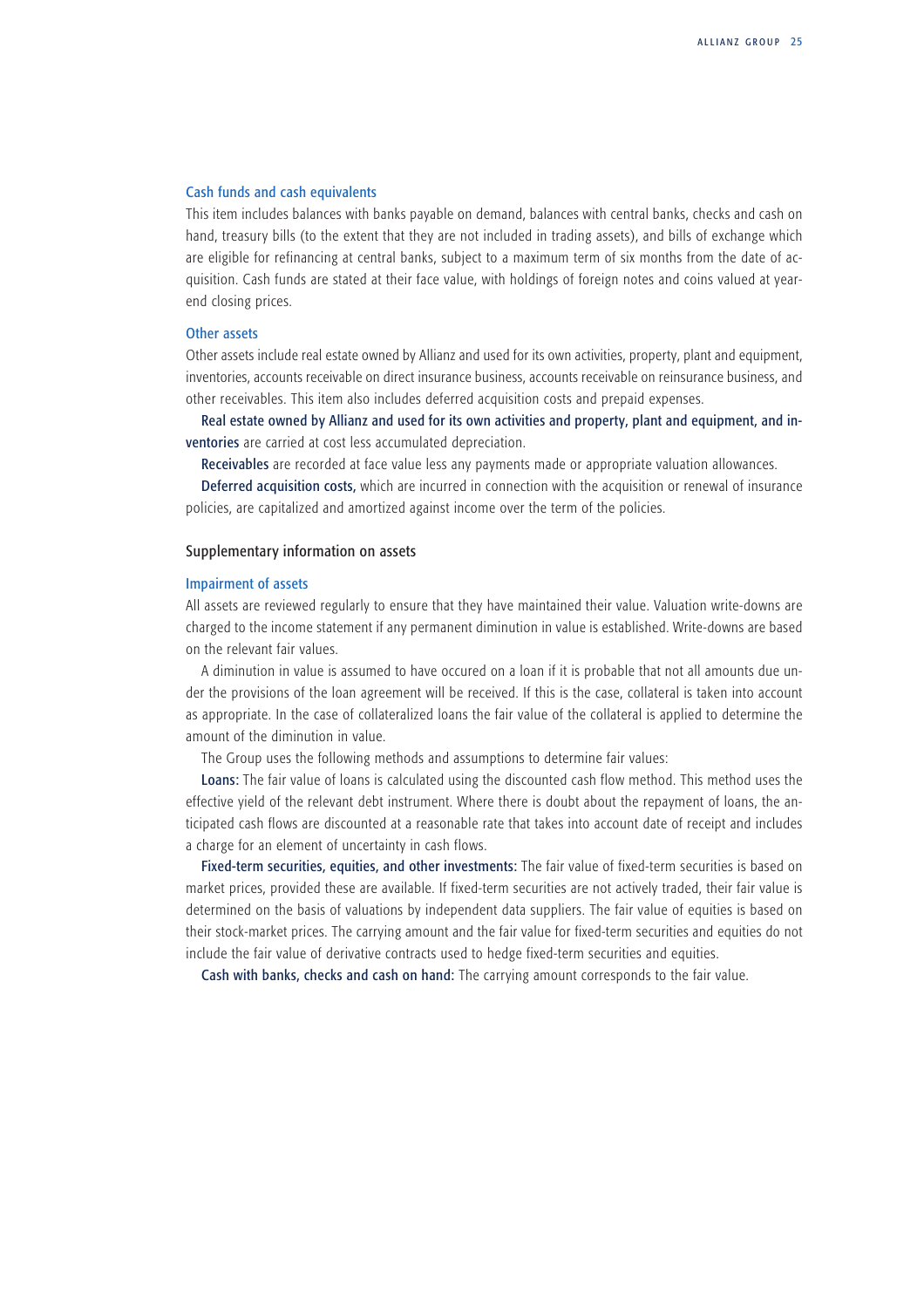#### Cash funds and cash equivalents

This item includes balances with banks payable on demand, balances with central banks, checks and cash on hand, treasury bills (to the extent that they are not included in trading assets), and bills of exchange which are eligible for refinancing at central banks, subject to a maximum term of six months from the date of acquisition. Cash funds are stated at their face value, with holdings of foreign notes and coins valued at yearend closing prices.

# Other assets

Other assets include real estate owned by Allianz and used for its own activities, property, plant and equipment, inventories, accounts receivable on direct insurance business, accounts receivable on reinsurance business, and other receivables. This item also includes deferred acquisition costs and prepaid expenses.

Real estate owned by Allianz and used for its own activities and property, plant and equipment, and inventories are carried at cost less accumulated depreciation.

Receivables are recorded at face value less any payments made or appropriate valuation allowances.

Deferred acquisition costs, which are incurred in connection with the acquisition or renewal of insurance policies, are capitalized and amortized against income over the term of the policies.

#### Supplementary information on assets

#### Impairment of assets

All assets are reviewed regularly to ensure that they have maintained their value. Valuation write-downs are charged to the income statement if any permanent diminution in value is established. Write-downs are based on the relevant fair values.

A diminution in value is assumed to have occured on a loan if it is probable that not all amounts due under the provisions of the loan agreement will be received. If this is the case, collateral is taken into account as appropriate. In the case of collateralized loans the fair value of the collateral is applied to determine the amount of the diminution in value.

The Group uses the following methods and assumptions to determine fair values:

Loans: The fair value of loans is calculated using the discounted cash flow method. This method uses the effective yield of the relevant debt instrument. Where there is doubt about the repayment of loans, the anticipated cash flows are discounted at a reasonable rate that takes into account date of receipt and includes a charge for an element of uncertainty in cash flows.

Fixed-term securities, equities, and other investments: The fair value of fixed-term securities is based on market prices, provided these are available. If fixed-term securities are not actively traded, their fair value is determined on the basis of valuations by independent data suppliers. The fair value of equities is based on their stock-market prices. The carrying amount and the fair value for fixed-term securities and equities do not include the fair value of derivative contracts used to hedge fixed-term securities and equities.

Cash with banks, checks and cash on hand: The carrying amount corresponds to the fair value.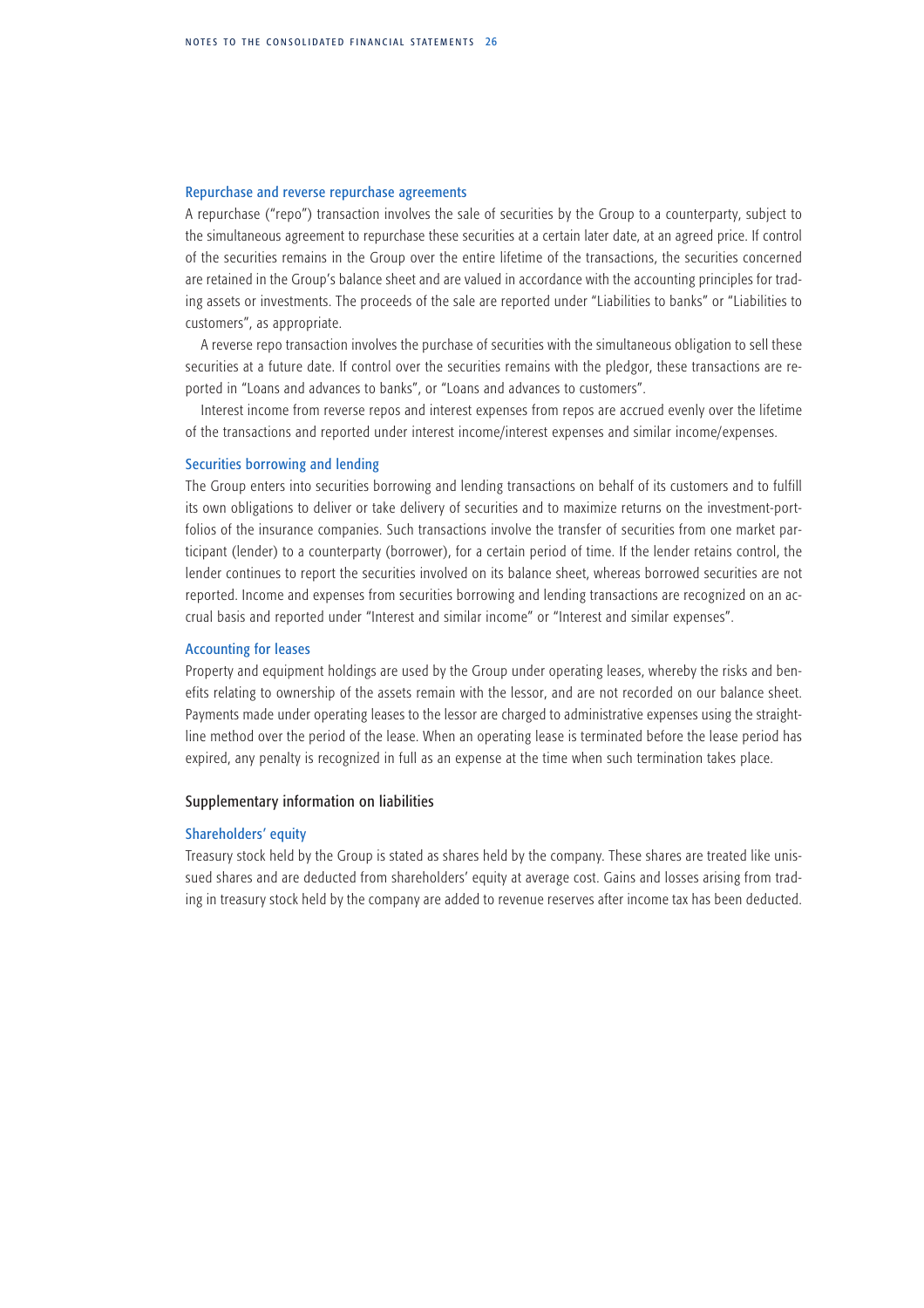### Repurchase and reverse repurchase agreements

A repurchase ("repo") transaction involves the sale of securities by the Group to a counterparty, subject to the simultaneous agreement to repurchase these securities at a certain later date, at an agreed price. If control of the securities remains in the Group over the entire lifetime of the transactions, the securities concerned are retained in the Group's balance sheet and are valued in accordance with the accounting principles for trading assets or investments. The proceeds of the sale are reported under "Liabilities to banks" or "Liabilities to customers", as appropriate.

A reverse repo transaction involves the purchase of securities with the simultaneous obligation to sell these securities at a future date. If control over the securities remains with the pledgor, these transactions are reported in "Loans and advances to banks", or "Loans and advances to customers".

Interest income from reverse repos and interest expenses from repos are accrued evenly over the lifetime of the transactions and reported under interest income/interest expenses and similar income/expenses.

#### Securities borrowing and lending

The Group enters into securities borrowing and lending transactions on behalf of its customers and to fulfill its own obligations to deliver or take delivery of securities and to maximize returns on the investment-portfolios of the insurance companies. Such transactions involve the transfer of securities from one market participant (lender) to a counterparty (borrower), for a certain period of time. If the lender retains control, the lender continues to report the securities involved on its balance sheet, whereas borrowed securities are not reported. Income and expenses from securities borrowing and lending transactions are recognized on an accrual basis and reported under "Interest and similar income" or "Interest and similar expenses".

#### Accounting for leases

Property and equipment holdings are used by the Group under operating leases, whereby the risks and benefits relating to ownership of the assets remain with the lessor, and are not recorded on our balance sheet. Payments made under operating leases to the lessor are charged to administrative expenses using the straightline method over the period of the lease. When an operating lease is terminated before the lease period has expired, any penalty is recognized in full as an expense at the time when such termination takes place.

#### Supplementary information on liabilities

#### Shareholders' equity

Treasury stock held by the Group is stated as shares held by the company. These shares are treated like unissued shares and are deducted from shareholders' equity at average cost. Gains and losses arising from trading in treasury stock held by the company are added to revenue reserves after income tax has been deducted.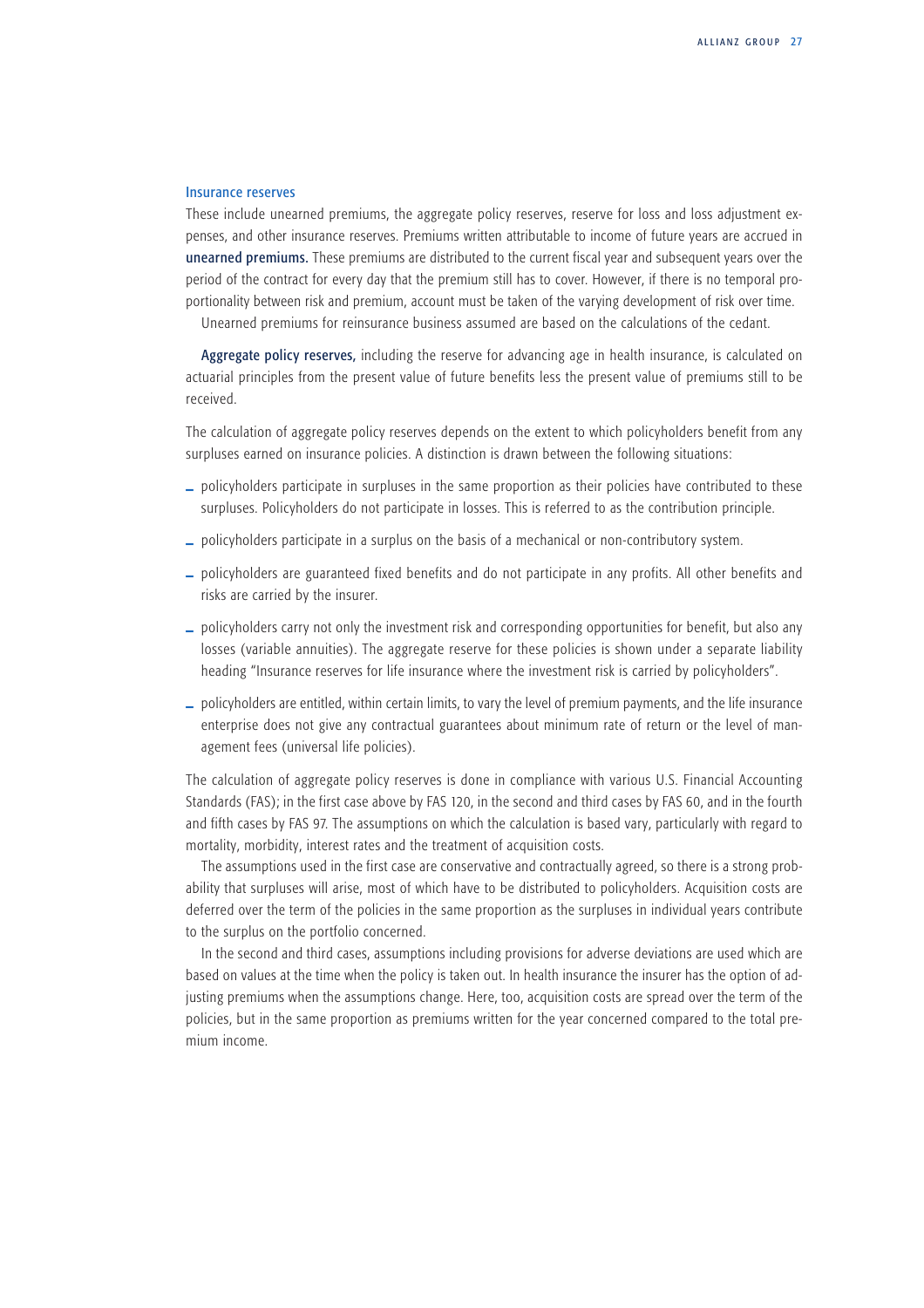#### Insurance reserves

These include unearned premiums, the aggregate policy reserves, reserve for loss and loss adjustment expenses, and other insurance reserves. Premiums written attributable to income of future years are accrued in unearned premiums. These premiums are distributed to the current fiscal year and subsequent years over the period of the contract for every day that the premium still has to cover. However, if there is no temporal proportionality between risk and premium, account must be taken of the varying development of risk over time.

Unearned premiums for reinsurance business assumed are based on the calculations of the cedant.

Aggregate policy reserves, including the reserve for advancing age in health insurance, is calculated on actuarial principles from the present value of future benefits less the present value of premiums still to be received.

The calculation of aggregate policy reserves depends on the extent to which policyholders benefit from any surpluses earned on insurance policies. A distinction is drawn between the following situations:

- **\_** policyholders participate in surpluses in the same proportion as their policies have contributed to these surpluses. Policyholders do not participate in losses. This is referred to as the contribution principle.
- **\_** policyholders participate in a surplus on the basis of a mechanical or non-contributory system.
- **\_** policyholders are guaranteed fixed benefits and do not participate in any profits. All other benefits and risks are carried by the insurer.
- **\_** policyholders carry not only the investment risk and corresponding opportunities for benefit, but also any losses (variable annuities). The aggregate reserve for these policies is shown under a separate liability heading "Insurance reserves for life insurance where the investment risk is carried by policyholders".
- **\_** policyholders are entitled, within certain limits, to vary the level of premium payments, and the life insurance enterprise does not give any contractual guarantees about minimum rate of return or the level of management fees (universal life policies).

The calculation of aggregate policy reserves is done in compliance with various U.S. Financial Accounting Standards (FAS); in the first case above by FAS 120, in the second and third cases by FAS 60, and in the fourth and fifth cases by FAS 97. The assumptions on which the calculation is based vary, particularly with regard to mortality, morbidity, interest rates and the treatment of acquisition costs.

The assumptions used in the first case are conservative and contractually agreed, so there is a strong probability that surpluses will arise, most of which have to be distributed to policyholders. Acquisition costs are deferred over the term of the policies in the same proportion as the surpluses in individual years contribute to the surplus on the portfolio concerned.

In the second and third cases, assumptions including provisions for adverse deviations are used which are based on values at the time when the policy is taken out. In health insurance the insurer has the option of adjusting premiums when the assumptions change. Here, too, acquisition costs are spread over the term of the policies, but in the same proportion as premiums written for the year concerned compared to the total premium income.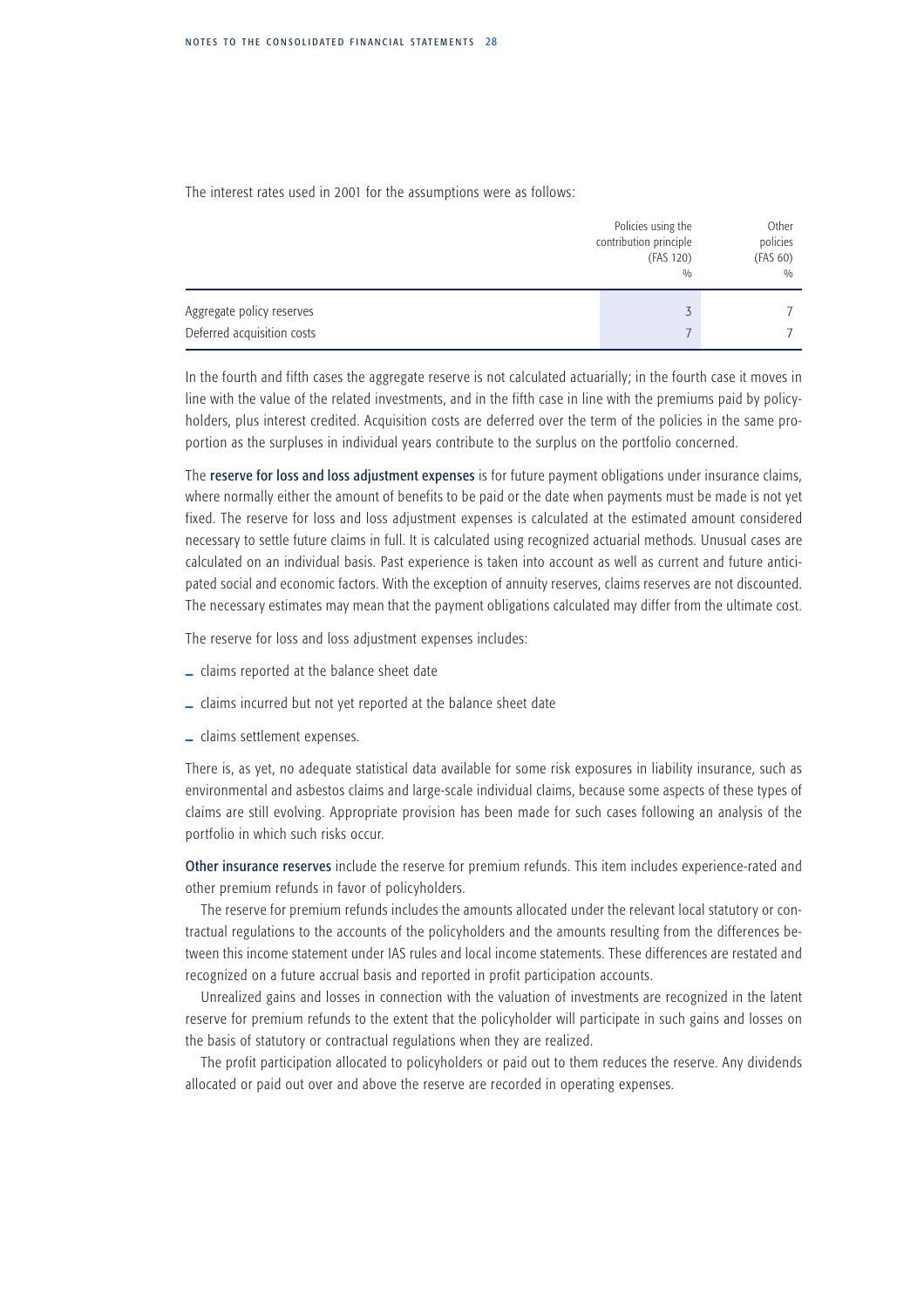The interest rates used in 2001 for the assumptions were as follows:

|                                                         | Policies using the<br>contribution principle<br>(FAS 120)<br>$\frac{0}{0}$ | Other<br>policies<br>(FAS 60)<br>$\frac{0}{0}$ |
|---------------------------------------------------------|----------------------------------------------------------------------------|------------------------------------------------|
| Aggregate policy reserves<br>Deferred acquisition costs |                                                                            |                                                |

In the fourth and fifth cases the aggregate reserve is not calculated actuarially; in the fourth case it moves in line with the value of the related investments, and in the fifth case in line with the premiums paid by policyholders, plus interest credited. Acquisition costs are deferred over the term of the policies in the same proportion as the surpluses in individual years contribute to the surplus on the portfolio concerned.

The reserve for loss and loss adjustment expenses is for future payment obligations under insurance claims, where normally either the amount of benefits to be paid or the date when payments must be made is not yet fixed. The reserve for loss and loss adjustment expenses is calculated at the estimated amount considered necessary to settle future claims in full. It is calculated using recognized actuarial methods. Unusual cases are calculated on an individual basis. Past experience is taken into account as well as current and future anticipated social and economic factors. With the exception of annuity reserves, claims reserves are not discounted. The necessary estimates may mean that the payment obligations calculated may differ from the ultimate cost.

The reserve for loss and loss adjustment expenses includes:

- **\_** claims reported at the balance sheet date
- **\_** claims incurred but not yet reported at the balance sheet date
- **\_** claims settlement expenses.

There is, as yet, no adequate statistical data available for some risk exposures in liability insurance, such as environmental and asbestos claims and large-scale individual claims, because some aspects of these types of claims are still evolving. Appropriate provision has been made for such cases following an analysis of the portfolio in which such risks occur.

Other insurance reserves include the reserve for premium refunds. This item includes experience-rated and other premium refunds in favor of policyholders.

The reserve for premium refunds includes the amounts allocated under the relevant local statutory or contractual regulations to the accounts of the policyholders and the amounts resulting from the differences between this income statement under IAS rules and local income statements. These differences are restated and recognized on a future accrual basis and reported in profit participation accounts.

Unrealized gains and losses in connection with the valuation of investments are recognized in the latent reserve for premium refunds to the extent that the policyholder will participate in such gains and losses on the basis of statutory or contractual regulations when they are realized.

The profit participation allocated to policyholders or paid out to them reduces the reserve. Any dividends allocated or paid out over and above the reserve are recorded in operating expenses.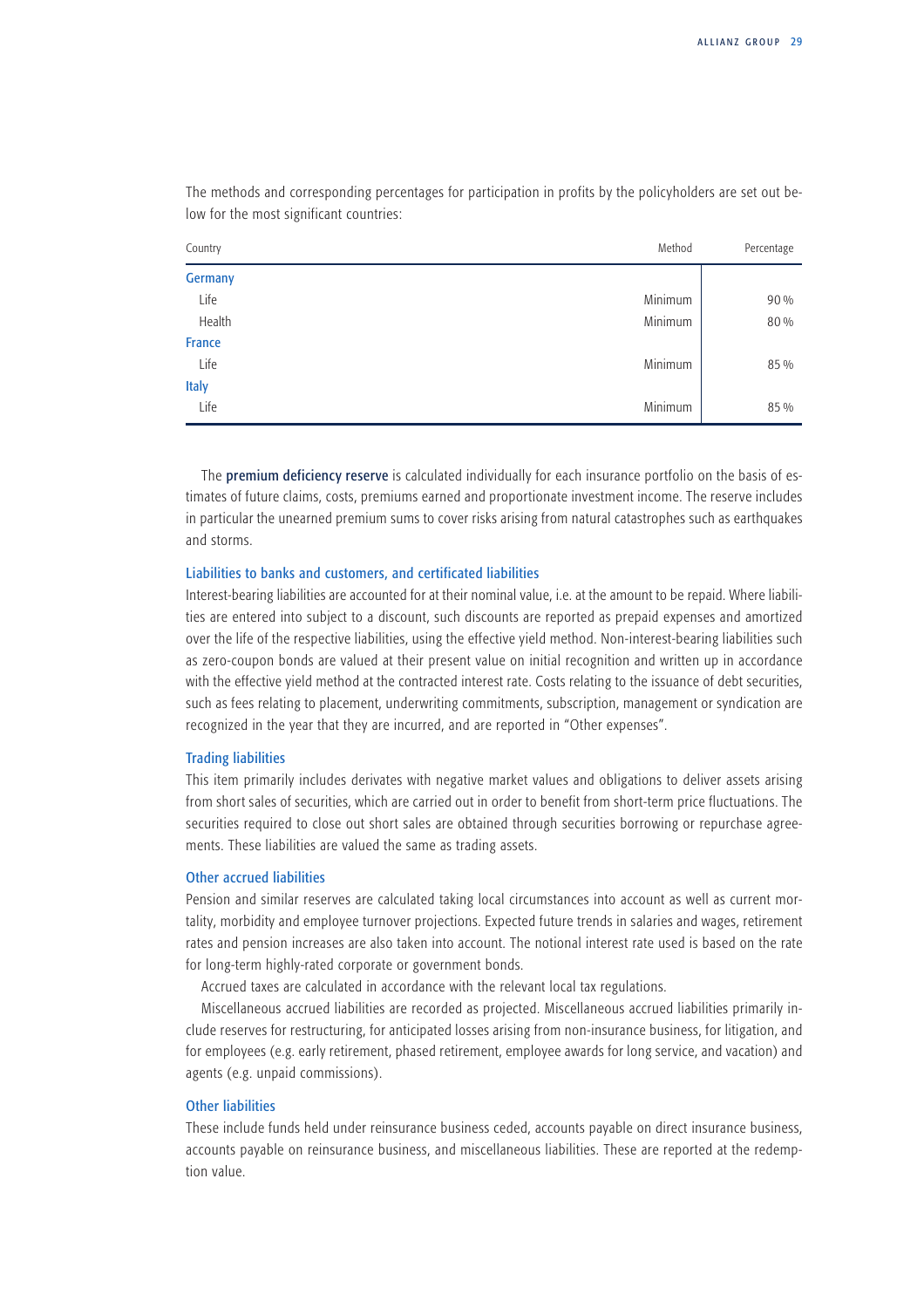| Country        | Method  | Percentage |
|----------------|---------|------------|
| <b>Germany</b> |         |            |
| Life           | Minimum | 90 %       |
| Health         | Minimum | 80 %       |
| <b>France</b>  |         |            |
| Life           | Minimum | 85 %       |
| Italy          |         |            |
| Life           | Minimum | 85 %       |

The methods and corresponding percentages for participation in profits by the policyholders are set out below for the most significant countries:

The premium deficiency reserve is calculated individually for each insurance portfolio on the basis of estimates of future claims, costs, premiums earned and proportionate investment income. The reserve includes in particular the unearned premium sums to cover risks arising from natural catastrophes such as earthquakes and storms.

#### Liabilities to banks and customers, and certificated liabilities

Interest-bearing liabilities are accounted for at their nominal value, i.e. at the amount to be repaid. Where liabilities are entered into subject to a discount, such discounts are reported as prepaid expenses and amortized over the life of the respective liabilities, using the effective yield method. Non-interest-bearing liabilities such as zero-coupon bonds are valued at their present value on initial recognition and written up in accordance with the effective yield method at the contracted interest rate. Costs relating to the issuance of debt securities, such as fees relating to placement, underwriting commitments, subscription, management or syndication are recognized in the year that they are incurred, and are reported in "Other expenses".

#### Trading liabilities

This item primarily includes derivates with negative market values and obligations to deliver assets arising from short sales of securities, which are carried out in order to benefit from short-term price fluctuations. The securities required to close out short sales are obtained through securities borrowing or repurchase agreements. These liabilities are valued the same as trading assets.

#### Other accrued liabilities

Pension and similar reserves are calculated taking local circumstances into account as well as current mortality, morbidity and employee turnover projections. Expected future trends in salaries and wages, retirement rates and pension increases are also taken into account. The notional interest rate used is based on the rate for long-term highly-rated corporate or government bonds.

Accrued taxes are calculated in accordance with the relevant local tax regulations.

Miscellaneous accrued liabilities are recorded as projected. Miscellaneous accrued liabilities primarily include reserves for restructuring, for anticipated losses arising from non-insurance business, for litigation, and for employees (e.g. early retirement, phased retirement, employee awards for long service, and vacation) and agents (e.g. unpaid commissions).

#### Other liabilities

These include funds held under reinsurance business ceded, accounts payable on direct insurance business, accounts payable on reinsurance business, and miscellaneous liabilities. These are reported at the redemption value.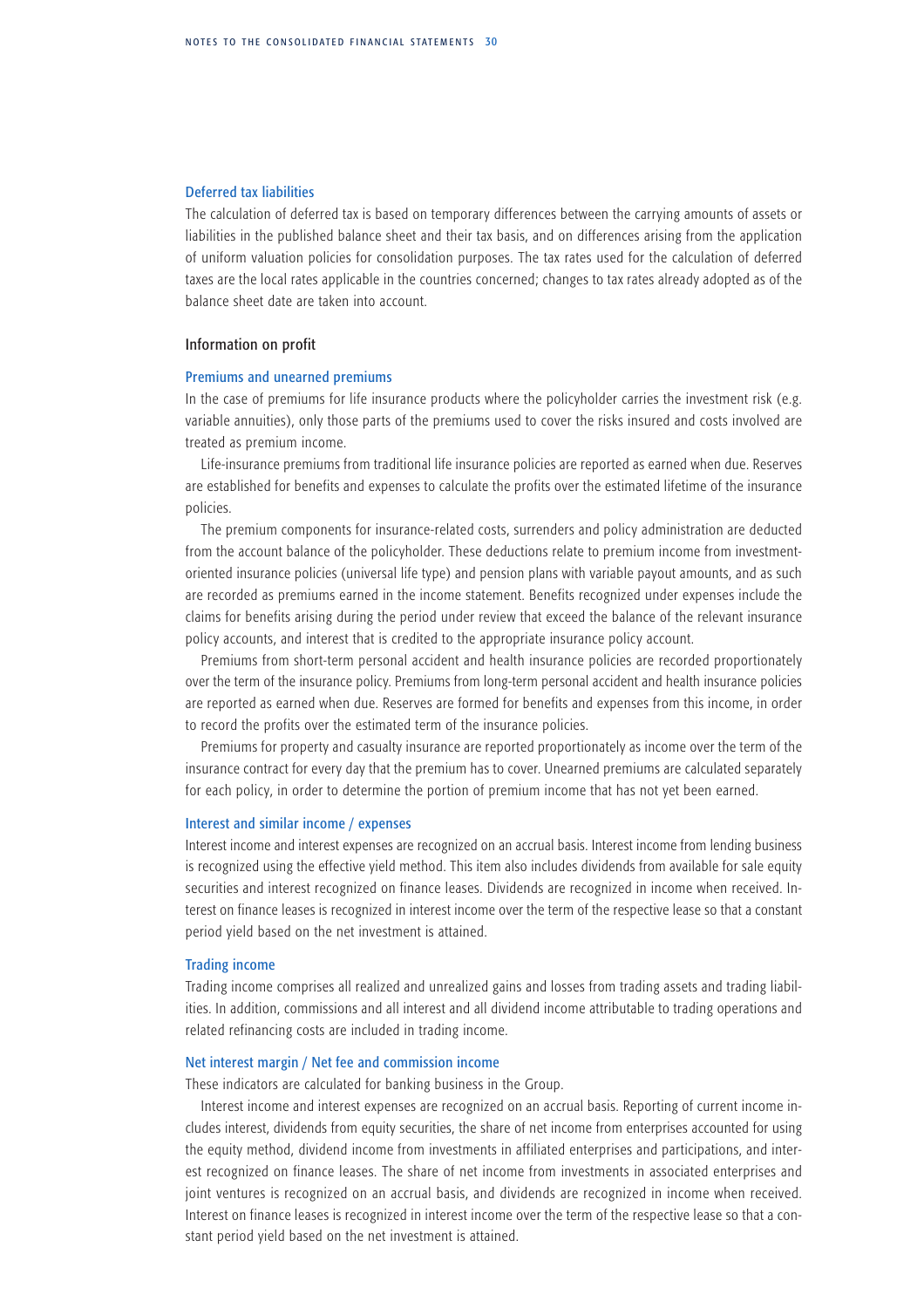#### Deferred tax liabilities

The calculation of deferred tax is based on temporary differences between the carrying amounts of assets or liabilities in the published balance sheet and their tax basis, and on differences arising from the application of uniform valuation policies for consolidation purposes. The tax rates used for the calculation of deferred taxes are the local rates applicable in the countries concerned; changes to tax rates already adopted as of the balance sheet date are taken into account.

#### Information on profit

#### Premiums and unearned premiums

In the case of premiums for life insurance products where the policyholder carries the investment risk (e.g. variable annuities), only those parts of the premiums used to cover the risks insured and costs involved are treated as premium income.

Life-insurance premiums from traditional life insurance policies are reported as earned when due. Reserves are established for benefits and expenses to calculate the profits over the estimated lifetime of the insurance policies.

The premium components for insurance-related costs, surrenders and policy administration are deducted from the account balance of the policyholder. These deductions relate to premium income from investmentoriented insurance policies (universal life type) and pension plans with variable payout amounts, and as such are recorded as premiums earned in the income statement. Benefits recognized under expenses include the claims for benefits arising during the period under review that exceed the balance of the relevant insurance policy accounts, and interest that is credited to the appropriate insurance policy account.

Premiums from short-term personal accident and health insurance policies are recorded proportionately over the term of the insurance policy. Premiums from long-term personal accident and health insurance policies are reported as earned when due. Reserves are formed for benefits and expenses from this income, in order to record the profits over the estimated term of the insurance policies.

Premiums for property and casualty insurance are reported proportionately as income over the term of the insurance contract for every day that the premium has to cover. Unearned premiums are calculated separately for each policy, in order to determine the portion of premium income that has not yet been earned.

#### Interest and similar income / expenses

Interest income and interest expenses are recognized on an accrual basis. Interest income from lending business is recognized using the effective yield method. This item also includes dividends from available for sale equity securities and interest recognized on finance leases. Dividends are recognized in income when received. Interest on finance leases is recognized in interest income over the term of the respective lease so that a constant period yield based on the net investment is attained.

#### Trading income

Trading income comprises all realized and unrealized gains and losses from trading assets and trading liabilities. In addition, commissions and all interest and all dividend income attributable to trading operations and related refinancing costs are included in trading income.

#### Net interest margin / Net fee and commission income

These indicators are calculated for banking business in the Group.

Interest income and interest expenses are recognized on an accrual basis. Reporting of current income includes interest, dividends from equity securities, the share of net income from enterprises accounted for using the equity method, dividend income from investments in affiliated enterprises and participations, and interest recognized on finance leases. The share of net income from investments in associated enterprises and joint ventures is recognized on an accrual basis, and dividends are recognized in income when received. Interest on finance leases is recognized in interest income over the term of the respective lease so that a constant period yield based on the net investment is attained.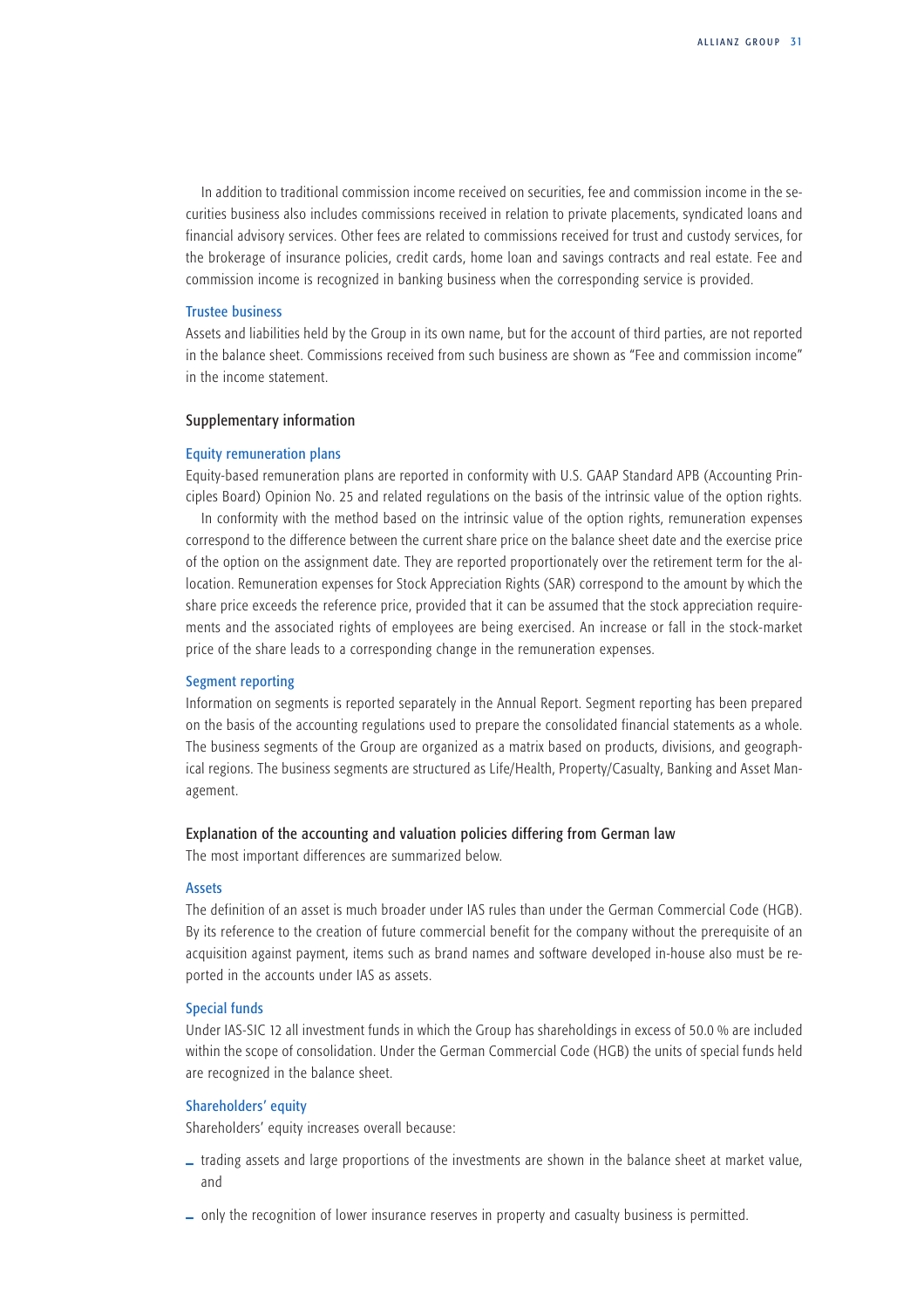In addition to traditional commission income received on securities, fee and commission income in the securities business also includes commissions received in relation to private placements, syndicated loans and financial advisory services. Other fees are related to commissions received for trust and custody services, for the brokerage of insurance policies, credit cards, home loan and savings contracts and real estate. Fee and commission income is recognized in banking business when the corresponding service is provided.

#### Trustee business

Assets and liabilities held by the Group in its own name, but for the account of third parties, are not reported in the balance sheet. Commissions received from such business are shown as "Fee and commission income" in the income statement.

#### Supplementary information

#### Equity remuneration plans

Equity-based remuneration plans are reported in conformity with U.S. GAAP Standard APB (Accounting Principles Board) Opinion No. 25 and related regulations on the basis of the intrinsic value of the option rights.

In conformity with the method based on the intrinsic value of the option rights, remuneration expenses correspond to the difference between the current share price on the balance sheet date and the exercise price of the option on the assignment date. They are reported proportionately over the retirement term for the allocation. Remuneration expenses for Stock Appreciation Rights (SAR) correspond to the amount by which the share price exceeds the reference price, provided that it can be assumed that the stock appreciation requirements and the associated rights of employees are being exercised. An increase or fall in the stock-market price of the share leads to a corresponding change in the remuneration expenses.

#### Segment reporting

Information on segments is reported separately in the Annual Report. Segment reporting has been prepared on the basis of the accounting regulations used to prepare the consolidated financial statements as a whole. The business segments of the Group are organized as a matrix based on products, divisions, and geographical regions. The business segments are structured as Life/Health, Property/Casualty, Banking and Asset Management.

#### Explanation of the accounting and valuation policies differing from German law

The most important differences are summarized below.

#### **Assets**

The definition of an asset is much broader under IAS rules than under the German Commercial Code (HGB). By its reference to the creation of future commercial benefit for the company without the prerequisite of an acquisition against payment, items such as brand names and software developed in-house also must be reported in the accounts under IAS as assets.

#### Special funds

Under IAS-SIC 12 all investment funds in which the Group has shareholdings in excess of 50.0 % are included within the scope of consolidation. Under the German Commercial Code (HGB) the units of special funds held are recognized in the balance sheet.

#### Shareholders' equity

Shareholders' equity increases overall because:

- **\_** trading assets and large proportions of the investments are shown in the balance sheet at market value, and
- **\_** only the recognition of lower insurance reserves in property and casualty business is permitted.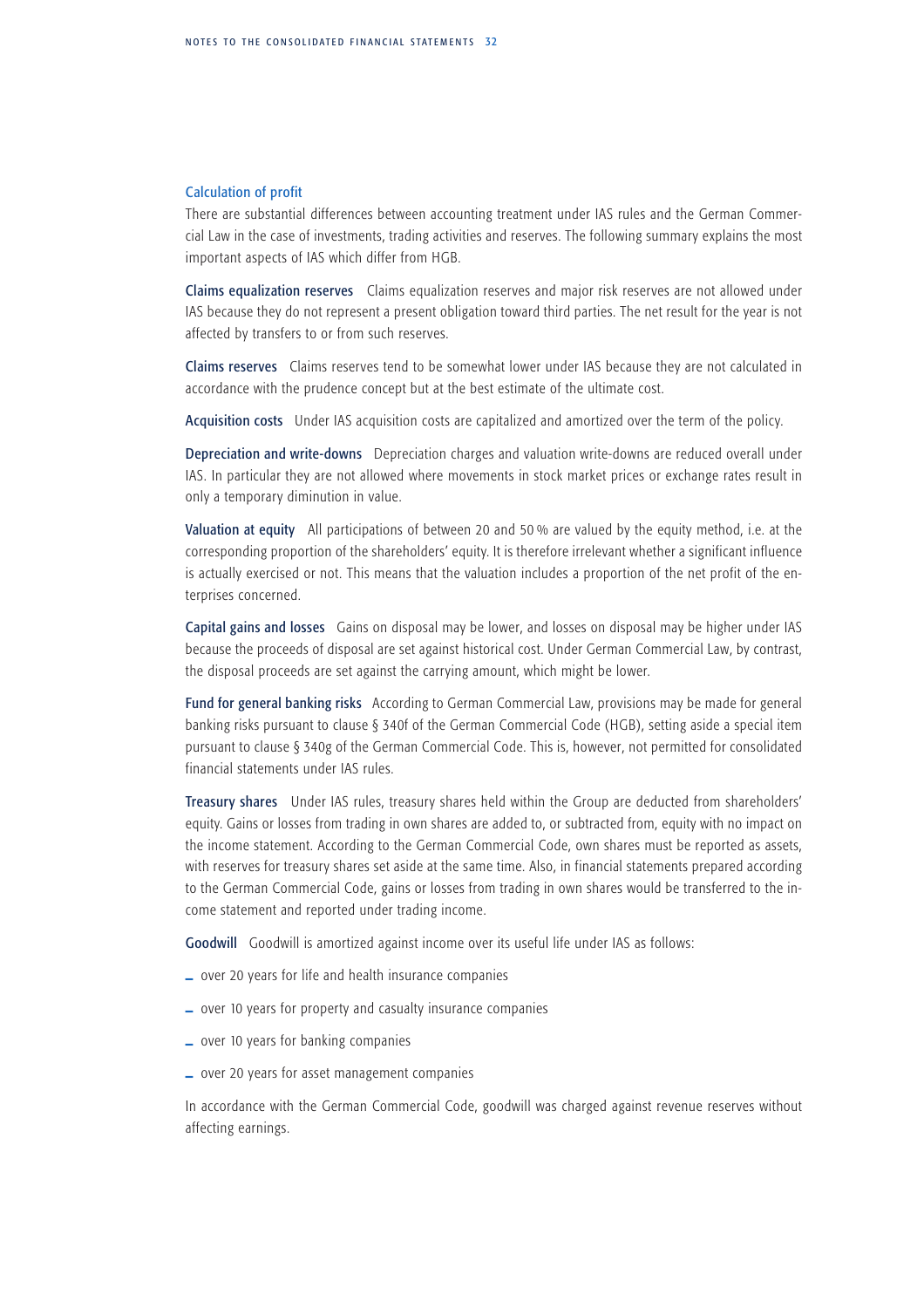#### Calculation of profit

There are substantial differences between accounting treatment under IAS rules and the German Commercial Law in the case of investments, trading activities and reserves. The following summary explains the most important aspects of IAS which differ from HGB.

Claims equalization reserves Claims equalization reserves and major risk reserves are not allowed under IAS because they do not represent a present obligation toward third parties. The net result for the year is not affected by transfers to or from such reserves.

Claims reserves Claims reserves tend to be somewhat lower under IAS because they are not calculated in accordance with the prudence concept but at the best estimate of the ultimate cost.

Acquisition costs Under IAS acquisition costs are capitalized and amortized over the term of the policy.

Depreciation and write-downs Depreciation charges and valuation write-downs are reduced overall under IAS. In particular they are not allowed where movements in stock market prices or exchange rates result in only a temporary diminution in value.

Valuation at equity All participations of between 20 and 50 % are valued by the equity method, i.e. at the corresponding proportion of the shareholders' equity. It is therefore irrelevant whether a significant influence is actually exercised or not. This means that the valuation includes a proportion of the net profit of the enterprises concerned.

Capital gains and losses Gains on disposal may be lower, and losses on disposal may be higher under IAS because the proceeds of disposal are set against historical cost. Under German Commercial Law, by contrast, the disposal proceeds are set against the carrying amount, which might be lower.

Fund for general banking risks According to German Commercial Law, provisions may be made for general banking risks pursuant to clause § 340f of the German Commercial Code (HGB), setting aside a special item pursuant to clause § 340g of the German Commercial Code. This is, however, not permitted for consolidated financial statements under IAS rules.

Treasury shares Under IAS rules, treasury shares held within the Group are deducted from shareholders' equity. Gains or losses from trading in own shares are added to, or subtracted from, equity with no impact on the income statement. According to the German Commercial Code, own shares must be reported as assets, with reserves for treasury shares set aside at the same time. Also, in financial statements prepared according to the German Commercial Code, gains or losses from trading in own shares would be transferred to the income statement and reported under trading income.

Goodwill Goodwill is amortized against income over its useful life under IAS as follows:

- **\_** over 20 years for life and health insurance companies
- **\_** over 10 years for property and casualty insurance companies
- **\_** over 10 years for banking companies
- **\_** over 20 years for asset management companies

In accordance with the German Commercial Code, goodwill was charged against revenue reserves without affecting earnings.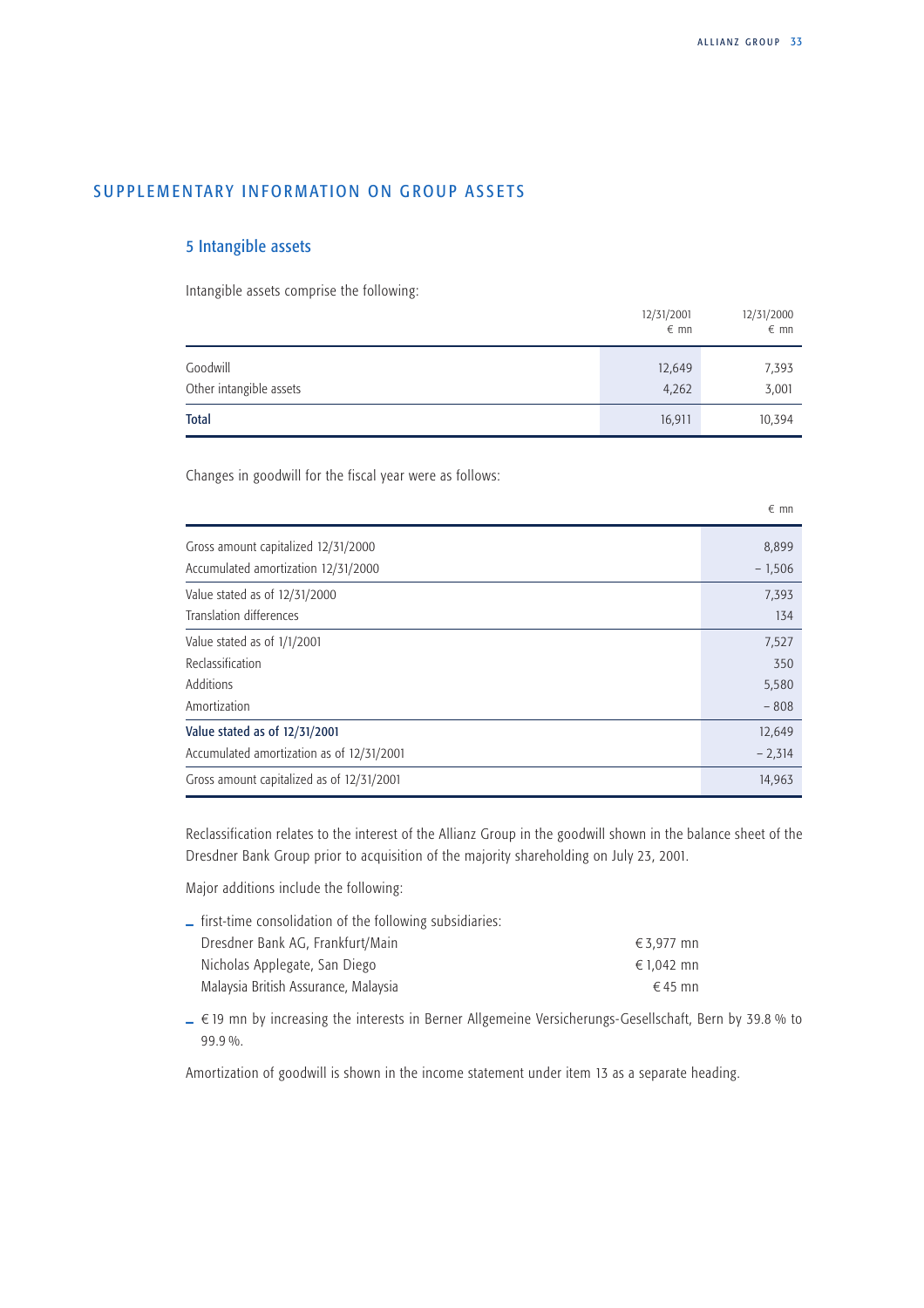# <span id="page-33-0"></span>SUPPLEMENTARY INFORMATION ON GROUP ASSETS

# 5 Intangible assets

Intangible assets comprise the following:

|                                     | 12/31/2001<br>$\epsilon$ mn | 12/31/2000<br>$\epsilon$ mn |
|-------------------------------------|-----------------------------|-----------------------------|
| Goodwill<br>Other intangible assets | 12,649<br>4,262             | 7,393<br>3,001              |
| <b>Total</b>                        | 16,911                      | 10,394                      |

Changes in goodwill for the fiscal year were as follows:

|                                           | $\epsilon$ mn |
|-------------------------------------------|---------------|
| Gross amount capitalized 12/31/2000       | 8,899         |
| Accumulated amortization 12/31/2000       | $-1,506$      |
| Value stated as of 12/31/2000             | 7,393         |
| Translation differences                   | 134           |
| Value stated as of 1/1/2001               | 7,527         |
| Reclassification                          | 350           |
| <b>Additions</b>                          | 5,580         |
| Amortization                              | $-808$        |
| Value stated as of 12/31/2001             | 12,649        |
| Accumulated amortization as of 12/31/2001 | $-2,314$      |
| Gross amount capitalized as of 12/31/2001 | 14,963        |

Reclassification relates to the interest of the Allianz Group in the goodwill shown in the balance sheet of the Dresdner Bank Group prior to acquisition of the majority shareholding on July 23, 2001.

Major additions include the following:

| - first-time consolidation of the following subsidiaries: |            |
|-----------------------------------------------------------|------------|
| Dresdner Bank AG, Frankfurt/Main                          | €3.977 mn  |
| Nicholas Applegate, San Diego                             | € 1,042 mn |
| Malaysia British Assurance, Malaysia                      | $∈ 45$ mn  |

**\_** ¤19 mn by increasing the interests in Berner Allgemeine Versicherungs-Gesellschaft, Bern by 39.8 % to 99.9 %.

Amortization of goodwill is shown in the income statement under item 13 as a separate heading.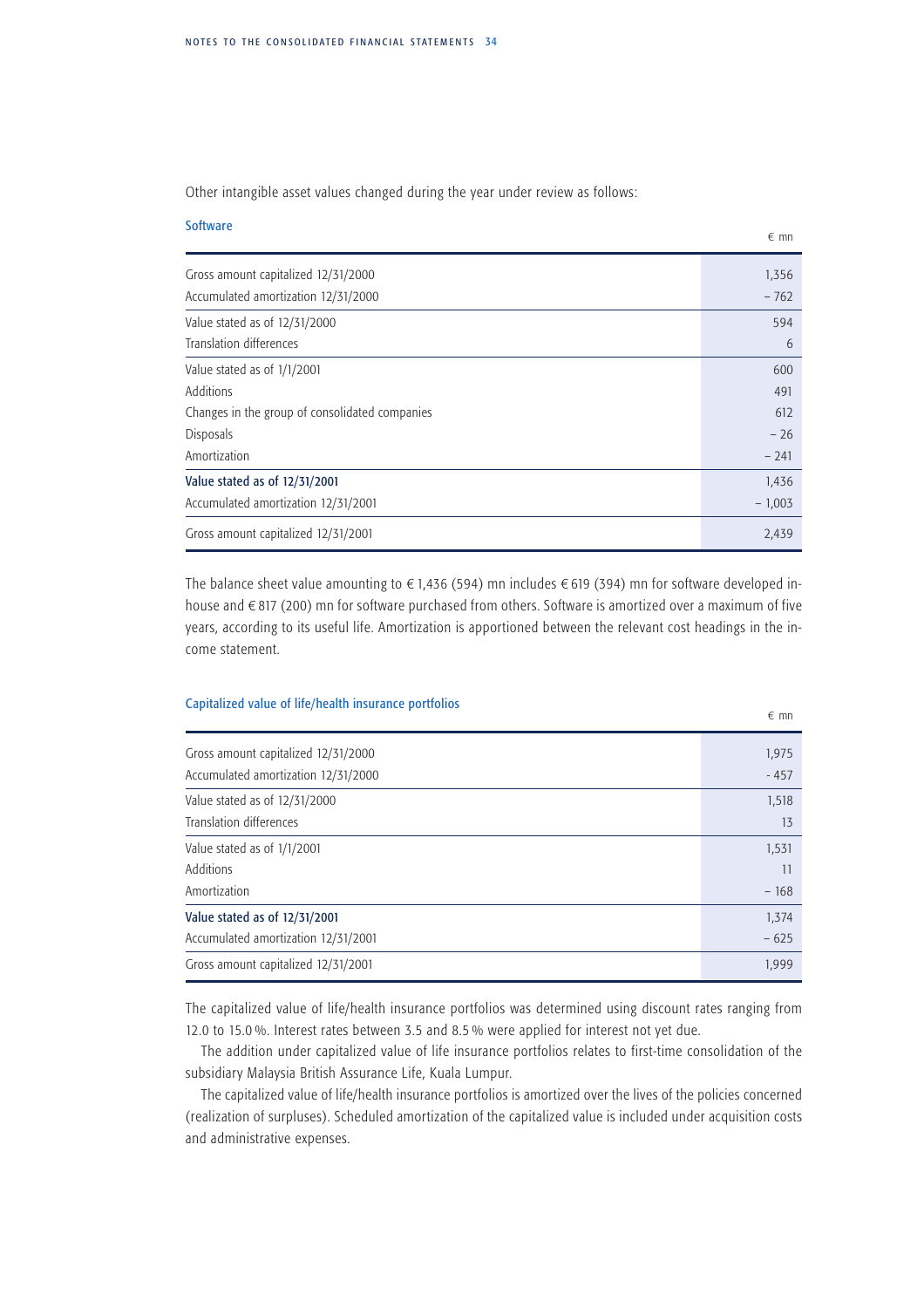Other intangible asset values changed during the year under review as follows:

#### **Software**

| <b>JUILWAIC</b>                                | $\epsilon$ mn |
|------------------------------------------------|---------------|
| Gross amount capitalized 12/31/2000            | 1,356         |
| Accumulated amortization 12/31/2000            | $-762$        |
| Value stated as of 12/31/2000                  | 594           |
| Translation differences                        | 6             |
| Value stated as of 1/1/2001                    | 600           |
| Additions                                      | 491           |
| Changes in the group of consolidated companies | 612           |
| <b>Disposals</b>                               | $-26$         |
| Amortization                                   | $-241$        |
| Value stated as of 12/31/2001                  | 1,436         |
| Accumulated amortization 12/31/2001            | $-1,003$      |
| Gross amount capitalized 12/31/2001            | 2,439         |

The balance sheet value amounting to  $\in$  1,436 (594) mn includes  $\in$  619 (394) mn for software developed inhouse and  $\epsilon$ 817 (200) mn for software purchased from others. Software is amortized over a maximum of five years, according to its useful life. Amortization is apportioned between the relevant cost headings in the income statement.

| Capitalized value of life/health insurance portfolios |        |
|-------------------------------------------------------|--------|
| Gross amount capitalized 12/31/2000                   | 1,975  |
| Accumulated amortization 12/31/2000                   | $-457$ |
| Value stated as of 12/31/2000                         | 1,518  |
| Translation differences                               | 13     |
| Value stated as of 1/1/2001                           | 1,531  |
| <b>Additions</b>                                      | 11     |
| Amortization                                          | $-168$ |
| Value stated as of 12/31/2001                         | 1,374  |
| Accumulated amortization 12/31/2001                   | $-625$ |
| Gross amount capitalized 12/31/2001                   | 1,999  |

The capitalized value of life/health insurance portfolios was determined using discount rates ranging from 12.0 to 15.0 %. Interest rates between 3.5 and 8.5 % were applied for interest not yet due.

The addition under capitalized value of life insurance portfolios relates to first-time consolidation of the subsidiary Malaysia British Assurance Life, Kuala Lumpur.

The capitalized value of life/health insurance portfolios is amortized over the lives of the policies concerned (realization of surpluses). Scheduled amortization of the capitalized value is included under acquisition costs and administrative expenses.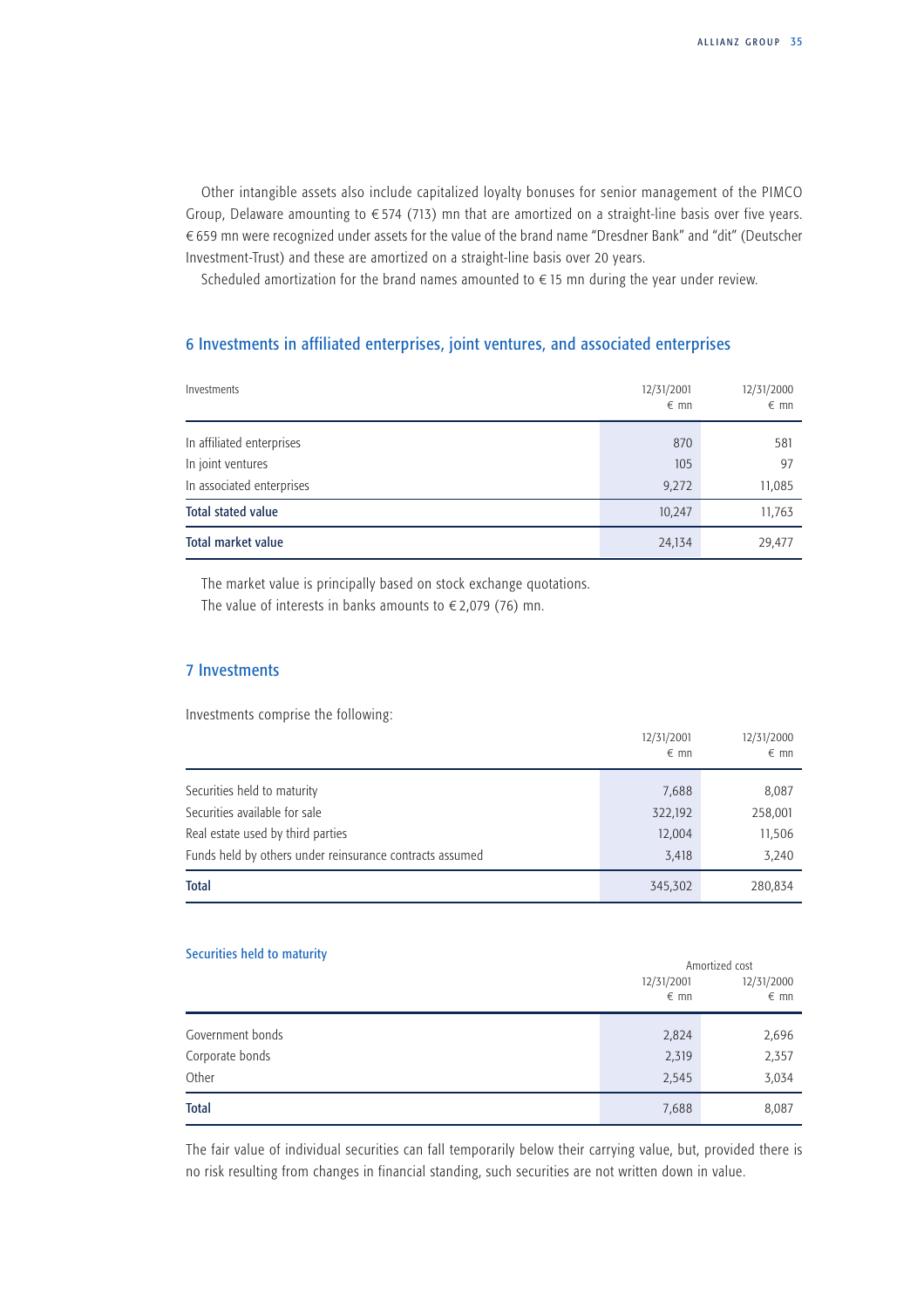<span id="page-35-0"></span>Other intangible assets also include capitalized loyalty bonuses for senior management of the PIMCO Group, Delaware amounting to  $\epsilon$  574 (713) mn that are amortized on a straight-line basis over five years. €659 mn were recognized under assets for the value of the brand name "Dresdner Bank" and "dit" (Deutscher Investment-Trust) and these are amortized on a straight-line basis over 20 years.

Scheduled amortization for the brand names amounted to  $\epsilon$  15 mn during the year under review.

# 6 Investments in affiliated enterprises, joint ventures, and associated enterprises

| Investments               | 12/31/2001<br>$\epsilon$ mn | 12/31/2000<br>$\epsilon$ mn |
|---------------------------|-----------------------------|-----------------------------|
| In affiliated enterprises | 870                         | 581                         |
| In joint ventures         | 105                         | 97                          |
| In associated enterprises | 9,272                       | 11,085                      |
| <b>Total stated value</b> | 10,247                      | 11,763                      |
| <b>Total market value</b> | 24,134                      | 29,477                      |

The market value is principally based on stock exchange quotations.

The value of interests in banks amounts to  $\epsilon$  2,079 (76) mn.

# 7 Investments

Investments comprise the following:

|                                                          | 12/31/2001<br>$\epsilon$ mn | 12/31/2000<br>$\epsilon$ mn |
|----------------------------------------------------------|-----------------------------|-----------------------------|
| Securities held to maturity                              | 7,688                       | 8,087                       |
| Securities available for sale                            | 322,192                     | 258,001                     |
| Real estate used by third parties                        | 12,004                      | 11,506                      |
| Funds held by others under reinsurance contracts assumed | 3,418                       | 3,240                       |
| <b>Total</b>                                             | 345,302                     | 280,834                     |

# Securities held to maturity Amortization Amortization Amortization Amortization Amortization

|                  |                             | Amortized cost              |  |
|------------------|-----------------------------|-----------------------------|--|
|                  | 12/31/2001<br>$\epsilon$ mn | 12/31/2000<br>$\epsilon$ mn |  |
|                  |                             |                             |  |
| Government bonds | 2,824                       | 2,696                       |  |
| Corporate bonds  | 2,319                       | 2,357                       |  |
| Other            | 2,545                       | 3,034                       |  |
| <b>Total</b>     | 7,688                       | 8,087                       |  |

The fair value of individual securities can fall temporarily below their carrying value, but, provided there is no risk resulting from changes in financial standing, such securities are not written down in value.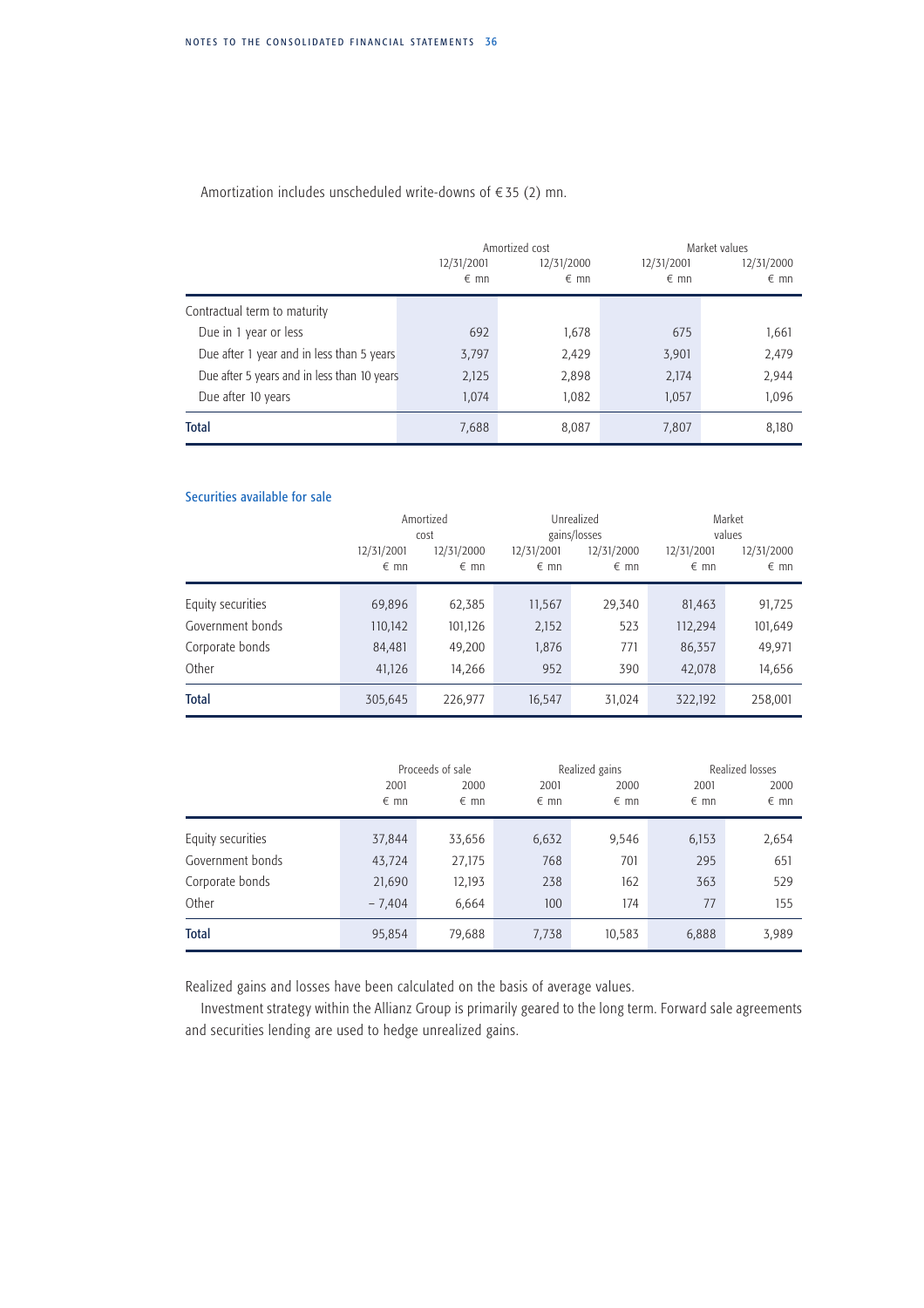## Amortization includes unscheduled write-downs of  $\epsilon$ 35 (2) mn.

|                                             | Amortized cost              |                             |                             | Market values               |
|---------------------------------------------|-----------------------------|-----------------------------|-----------------------------|-----------------------------|
|                                             | 12/31/2001<br>$\epsilon$ mn | 12/31/2000<br>$\epsilon$ mn | 12/31/2001<br>$\epsilon$ mn | 12/31/2000<br>$\epsilon$ mn |
| Contractual term to maturity                |                             |                             |                             |                             |
| Due in 1 year or less                       | 692                         | 1,678                       | 675                         | 1,661                       |
| Due after 1 year and in less than 5 years   | 3,797                       | 2,429                       | 3,901                       | 2,479                       |
| Due after 5 years and in less than 10 years | 2,125                       | 2,898                       | 2,174                       | 2,944                       |
| Due after 10 years                          | 1,074                       | 1,082                       | 1,057                       | 1,096                       |
| <b>Total</b>                                | 7,688                       | 8,087                       | 7,807                       | 8,180                       |

## Securities available for sale

|                   | Amortized<br>cost           |                             |                             | Unrealized<br>gains/losses  |                             | Market<br>values            |  |
|-------------------|-----------------------------|-----------------------------|-----------------------------|-----------------------------|-----------------------------|-----------------------------|--|
|                   | 12/31/2001<br>$\epsilon$ mn | 12/31/2000<br>$\epsilon$ mn | 12/31/2001<br>$\epsilon$ mn | 12/31/2000<br>$\epsilon$ mn | 12/31/2001<br>$\epsilon$ mn | 12/31/2000<br>$\epsilon$ mn |  |
| Equity securities | 69,896                      | 62,385                      | 11,567                      | 29,340                      | 81,463                      | 91,725                      |  |
| Government bonds  | 110,142                     | 101,126                     | 2,152                       | 523                         | 112,294                     | 101,649                     |  |
| Corporate bonds   | 84,481                      | 49,200                      | 1,876                       | 771                         | 86,357                      | 49,971                      |  |
| Other             | 41,126                      | 14,266                      | 952                         | 390                         | 42,078                      | 14,656                      |  |
| <b>Total</b>      | 305,645                     | 226,977                     | 16,547                      | 31,024                      | 322,192                     | 258,001                     |  |

|                   | Proceeds of sale      |                       |                       | Realized gains        | Realized losses       |                       |
|-------------------|-----------------------|-----------------------|-----------------------|-----------------------|-----------------------|-----------------------|
|                   | 2001<br>$\epsilon$ mn | 2000<br>$\epsilon$ mn | 2001<br>$\epsilon$ mn | 2000<br>$\epsilon$ mn | 2001<br>$\epsilon$ mn | 2000<br>$\epsilon$ mn |
| Equity securities | 37,844                | 33,656                | 6,632                 | 9,546                 | 6,153                 | 2,654                 |
| Government bonds  | 43,724                | 27,175                | 768                   | 701                   | 295                   | 651                   |
| Corporate bonds   | 21,690                | 12,193                | 238                   | 162                   | 363                   | 529                   |
| Other             | $-7,404$              | 6,664                 | 100                   | 174                   | 77                    | 155                   |
| <b>Total</b>      | 95,854                | 79,688                | 7,738                 | 10,583                | 6,888                 | 3,989                 |

Realized gains and losses have been calculated on the basis of average values.

Investment strategy within the Allianz Group is primarily geared to the long term. Forward sale agreements and securities lending are used to hedge unrealized gains.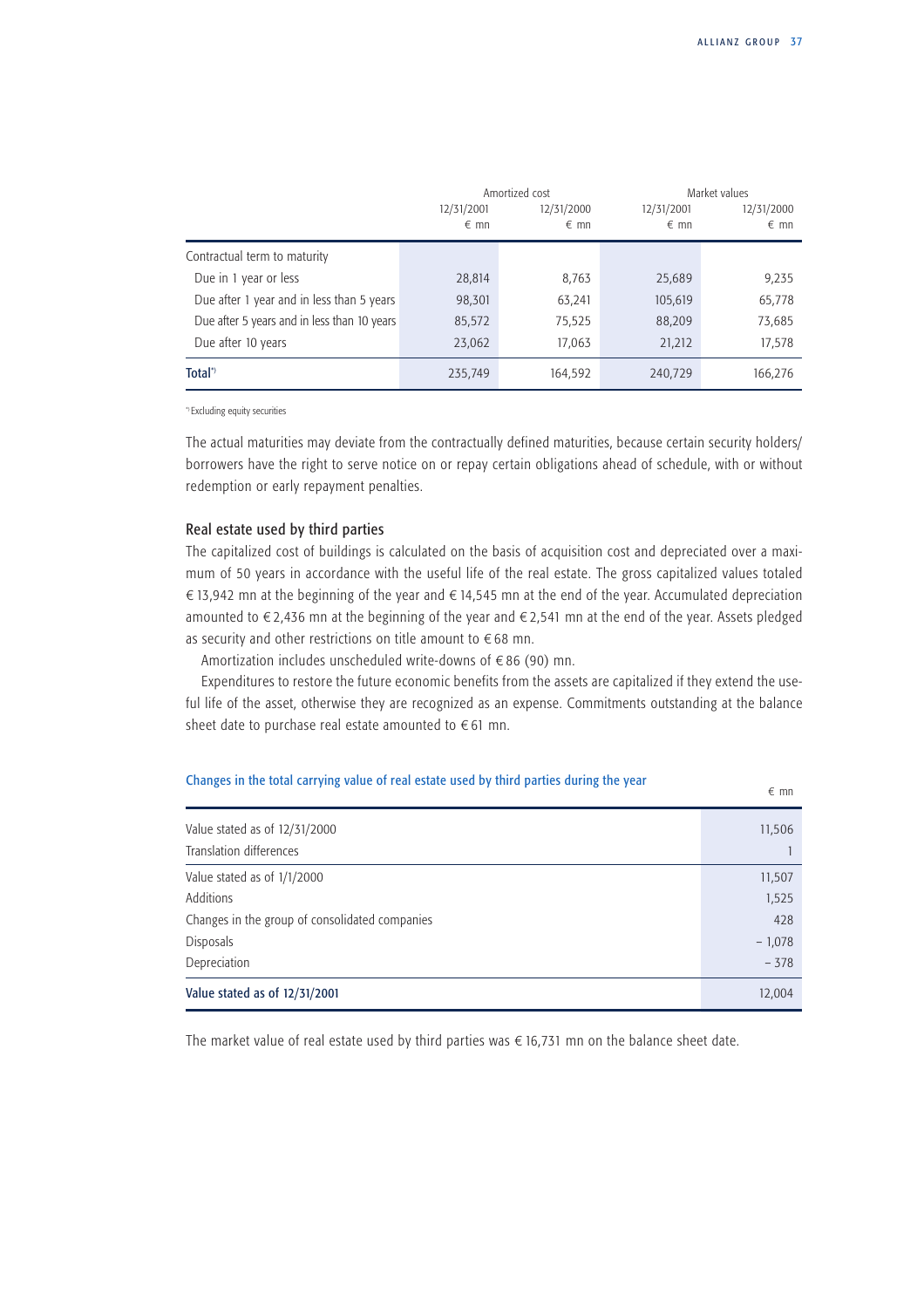$∈$  mn

|                                             | Amortized cost |               |               | Market values |
|---------------------------------------------|----------------|---------------|---------------|---------------|
|                                             | 12/31/2001     | 12/31/2000    | 12/31/2001    | 12/31/2000    |
|                                             | $\epsilon$ mn  | $\epsilon$ mn | $\epsilon$ mn | $\epsilon$ mn |
| Contractual term to maturity                |                |               |               |               |
| Due in 1 year or less                       | 28,814         | 8,763         | 25,689        | 9,235         |
| Due after 1 year and in less than 5 years   | 98,301         | 63,241        | 105,619       | 65,778        |
| Due after 5 years and in less than 10 years | 85,572         | 75,525        | 88,209        | 73,685        |
| Due after 10 years                          | 23,062         | 17.063        | 21,212        | 17,578        |
| Total <sup>*</sup>                          | 235,749        | 164,592       | 240,729       | 166,276       |

\*) Excluding equity securities

The actual maturities may deviate from the contractually defined maturities, because certain security holders/ borrowers have the right to serve notice on or repay certain obligations ahead of schedule, with or without redemption or early repayment penalties.

#### Real estate used by third parties

The capitalized cost of buildings is calculated on the basis of acquisition cost and depreciated over a maximum of 50 years in accordance with the useful life of the real estate. The gross capitalized values totaled € 13,942 mn at the beginning of the year and € 14,545 mn at the end of the year. Accumulated depreciation amounted to  $\epsilon$  2,436 mn at the beginning of the year and  $\epsilon$  2,541 mn at the end of the year. Assets pledged as security and other restrictions on title amount to  $\epsilon$  68 mn.

Amortization includes unscheduled write-downs of  $\epsilon$ 86 (90) mn.

Expenditures to restore the future economic benefits from the assets are capitalized if they extend the useful life of the asset, otherwise they are recognized as an expense. Commitments outstanding at the balance sheet date to purchase real estate amounted to  $\epsilon$  61 mn.

| Value stated as of 12/31/2000                  | 11,506   |
|------------------------------------------------|----------|
| Translation differences                        |          |
| Value stated as of 1/1/2000                    | 11,507   |
| <b>Additions</b>                               | 1,525    |
| Changes in the group of consolidated companies | 428      |
| Disposals                                      | $-1,078$ |
| Depreciation                                   | $-378$   |
| Value stated as of 12/31/2001                  | 12.004   |

#### Changes in the total carrying value of real estate used by third parties during the year

The market value of real estate used by third parties was  $\epsilon$  16,731 mn on the balance sheet date.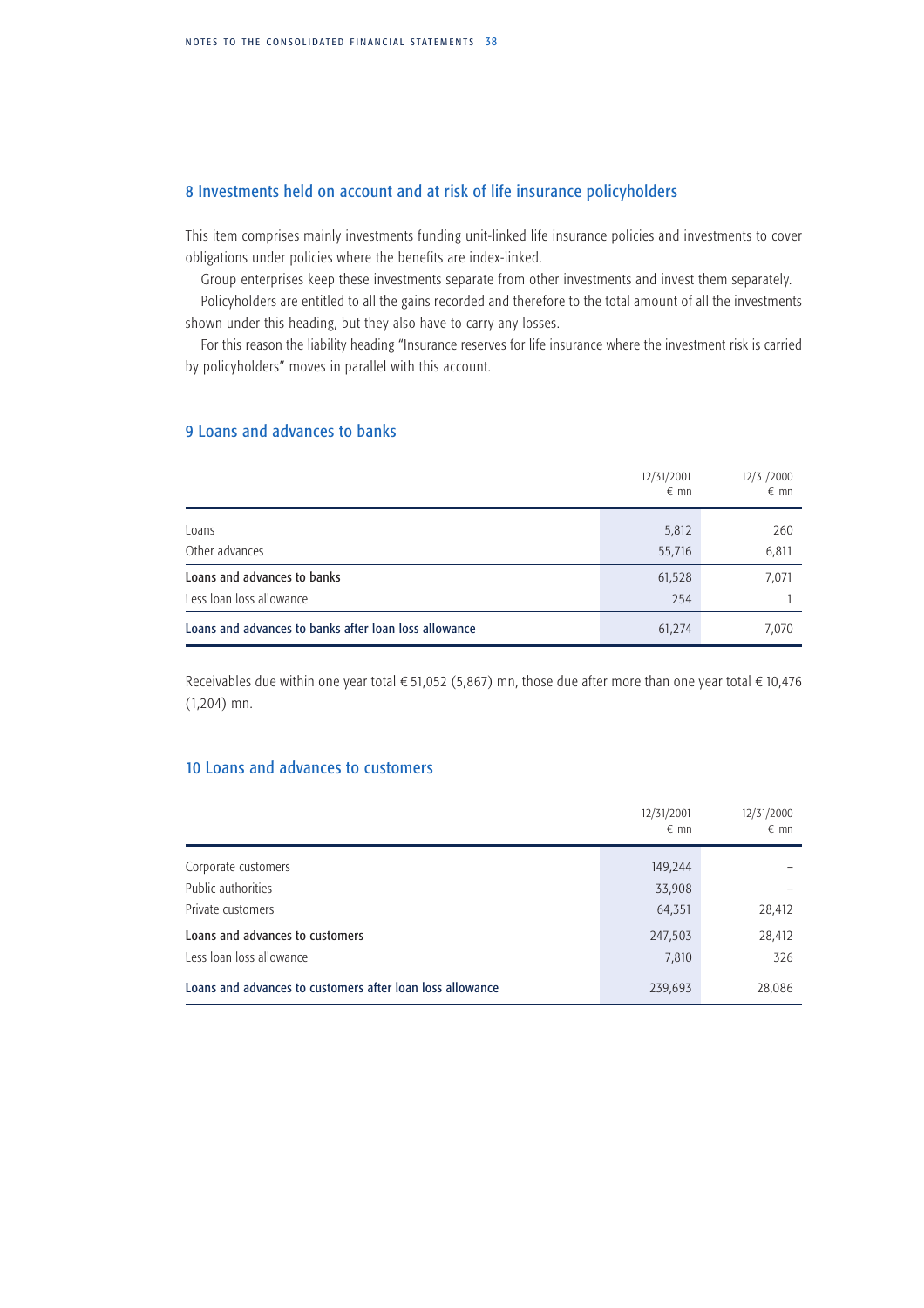## 8 Investments held on account and at risk of life insurance policyholders

This item comprises mainly investments funding unit-linked life insurance policies and investments to cover obligations under policies where the benefits are index-linked.

Group enterprises keep these investments separate from other investments and invest them separately.

Policyholders are entitled to all the gains recorded and therefore to the total amount of all the investments shown under this heading, but they also have to carry any losses.

For this reason the liability heading "Insurance reserves for life insurance where the investment risk is carried by policyholders" moves in parallel with this account.

|                                                       | $127 - 172001$<br>$\epsilon$ mn | $127 - 172000$<br>$\epsilon$ mn |
|-------------------------------------------------------|---------------------------------|---------------------------------|
| Loans                                                 | 5,812                           | 260                             |
| Other advances                                        | 55,716                          | 6,811                           |
| Loans and advances to banks                           | 61,528                          | 7,071                           |
| Less Joan Joss allowance                              | 254                             |                                 |
| Loans and advances to banks after loan loss allowance | 61,274                          | 7,070                           |

12/31/2001 12/31/2000

## 9 Loans and advances to banks

Receivables due within one year total  $\in$  51,052 (5,867) mn, those due after more than one year total  $\in$  10,476 (1,204) mn.

## 10 Loans and advances to customers

|                                                           | 12/31/2001<br>$\epsilon$ mn | 12/31/2000<br>$\epsilon$ mn |
|-----------------------------------------------------------|-----------------------------|-----------------------------|
| Corporate customers                                       | 149,244                     |                             |
| Public authorities                                        | 33,908                      |                             |
| Private customers                                         | 64,351                      | 28,412                      |
| Loans and advances to customers                           | 247,503                     | 28,412                      |
| Less Joan Joss allowance                                  | 7,810                       | 326                         |
| Loans and advances to customers after loan loss allowance | 239,693                     | 28,086                      |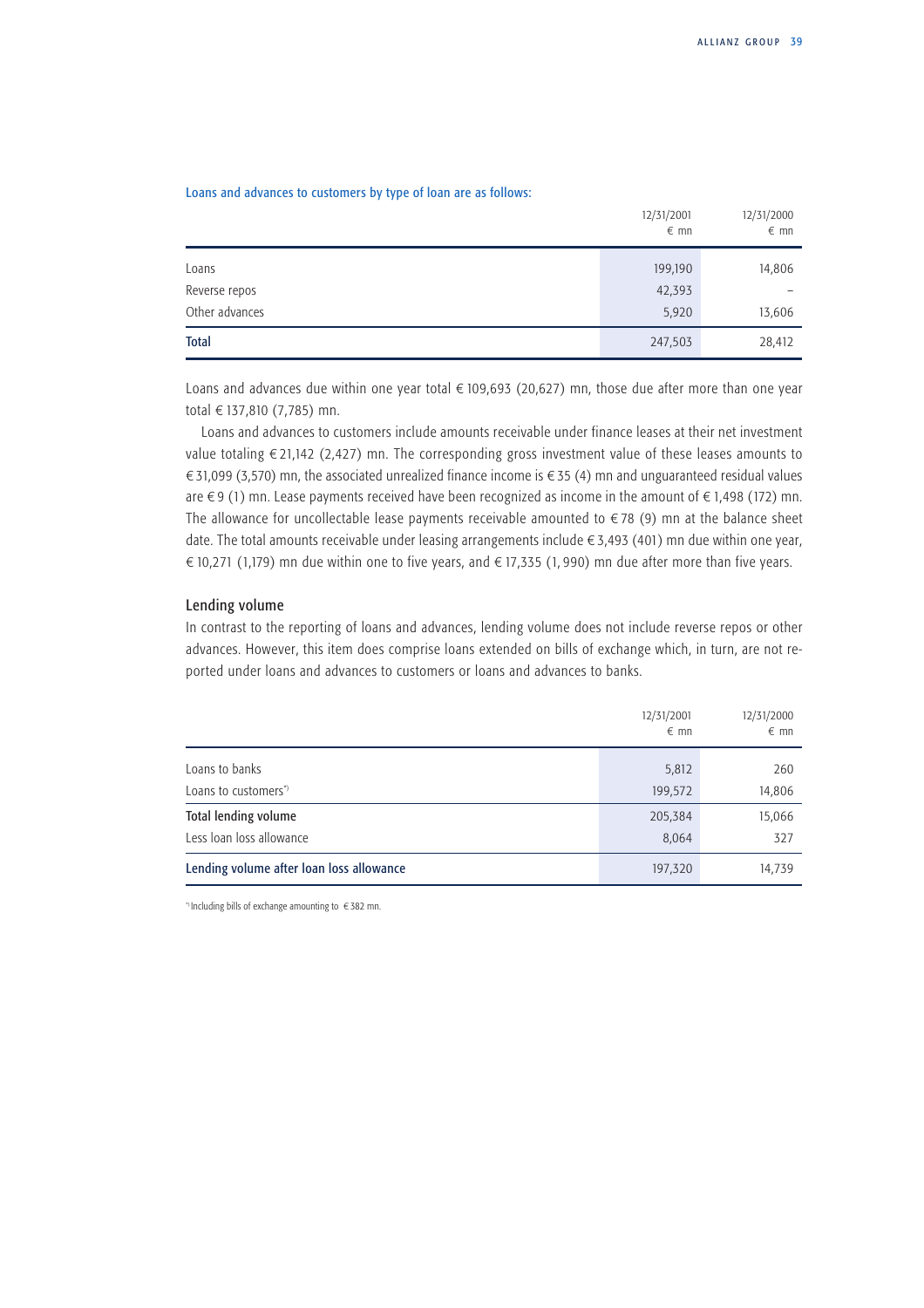Loans and advances to customers by type of loan are as follows:

|                | 12/31/2001<br>$\epsilon$ mn | 12/31/2000<br>$\epsilon$ mn |
|----------------|-----------------------------|-----------------------------|
| Loans          | 199,190                     | 14,806                      |
| Reverse repos  | 42,393                      |                             |
| Other advances | 5,920                       | 13,606                      |
| <b>Total</b>   | 247,503                     | 28,412                      |

Loans and advances due within one year total  $\in$  109,693 (20,627) mn, those due after more than one year total €137,810 (7,785) mn.

Loans and advances to customers include amounts receivable under finance leases at their net investment value totaling  $\epsilon$ 21,142 (2,427) mn. The corresponding gross investment value of these leases amounts to €31,099 (3,570) mn, the associated unrealized finance income is €35 (4) mn and unguaranteed residual values are  $\in$  9 (1) mn. Lease payments received have been recognized as income in the amount of  $\in$  1,498 (172) mn. The allowance for uncollectable lease payments receivable amounted to  $\epsilon$  78 (9) mn at the balance sheet date. The total amounts receivable under leasing arrangements include  $\epsilon$  3,493 (401) mn due within one year, € 10,271 (1,179) mn due within one to five years, and € 17,335 (1,990) mn due after more than five years.

#### Lending volume

In contrast to the reporting of loans and advances, lending volume does not include reverse repos or other advances. However, this item does comprise loans extended on bills of exchange which, in turn, are not reported under loans and advances to customers or loans and advances to banks.

|                                          | 12/31/2001<br>$\epsilon$ mn | 12/31/2000<br>$\epsilon$ mn |
|------------------------------------------|-----------------------------|-----------------------------|
| Loans to banks                           | 5,812                       | 260                         |
| Loans to customers <sup>*</sup>          | 199,572                     | 14,806                      |
| Total lending volume                     | 205,384                     | 15,066                      |
| Less Joan Joss allowance                 | 8,064                       | 327                         |
| Lending volume after loan loss allowance | 197,320                     | 14,739                      |

 $^{\circ}$  Including bills of exchange amounting to  $\epsilon$ 382 mn.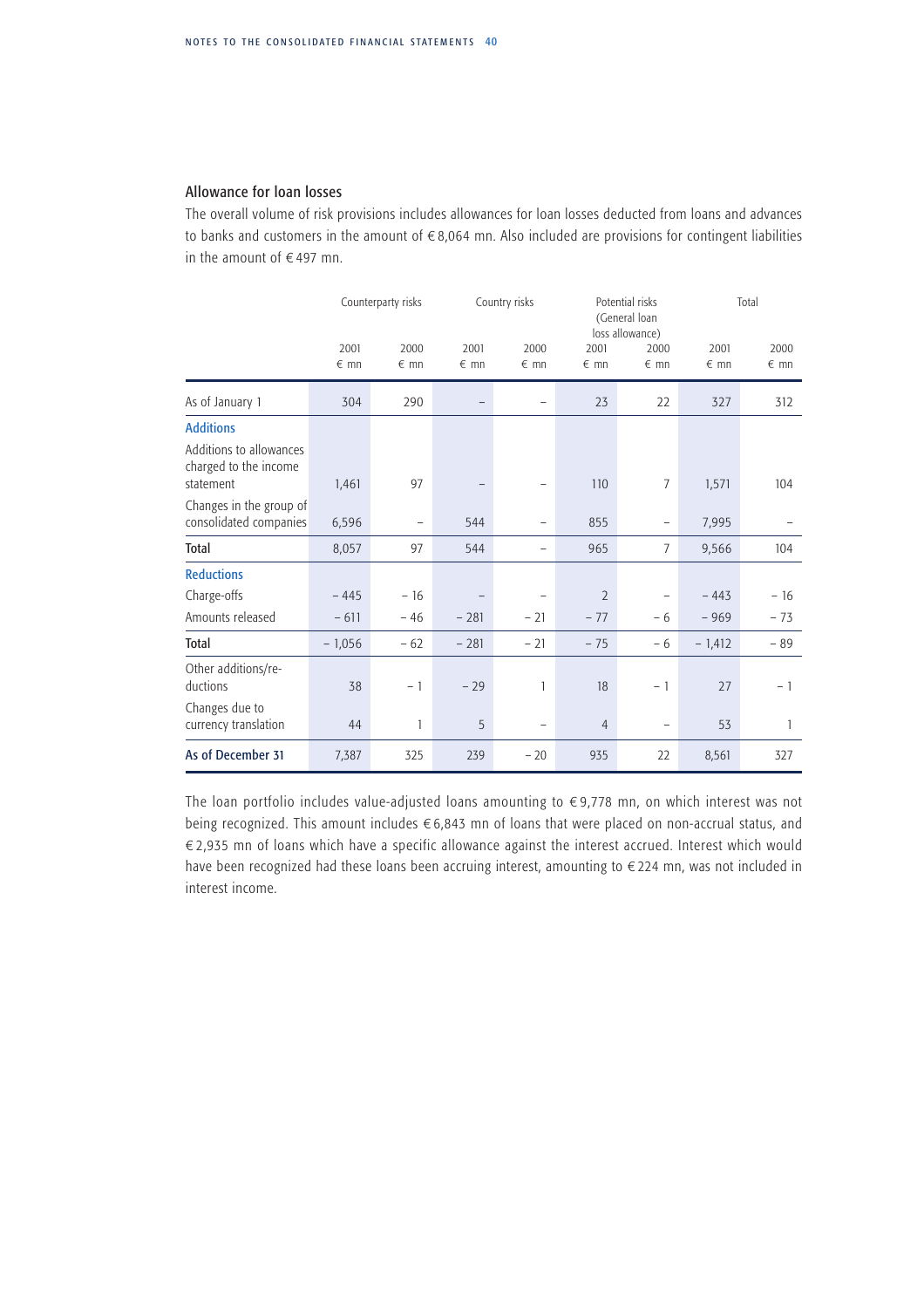## Allowance for loan losses

The overall volume of risk provisions includes allowances for loan losses deducted from loans and advances to banks and customers in the amount of  $\epsilon$ 8,064 mn. Also included are provisions for contingent liabilities in the amount of  $\epsilon$  497 mn.

|                                                  |               | Counterparty risks<br>Country risks |               |                          | Potential risks<br>(General loan<br>loss allowance) | Total                    |               |               |
|--------------------------------------------------|---------------|-------------------------------------|---------------|--------------------------|-----------------------------------------------------|--------------------------|---------------|---------------|
|                                                  | 2001          | 2000                                | 2001          | 2000                     | 2001                                                | 2000                     | 2001          | 2000          |
|                                                  | $\epsilon$ mn | $\epsilon$ mn                       | $\epsilon$ mn | $\epsilon$ mn            | $\epsilon$ mn                                       | $\epsilon$ mn            | $\epsilon$ mn | $\epsilon$ mn |
| As of January 1                                  | 304           | 290                                 |               |                          | 23                                                  | 22                       | 327           | 312           |
| <b>Additions</b>                                 |               |                                     |               |                          |                                                     |                          |               |               |
| Additions to allowances<br>charged to the income |               |                                     |               |                          |                                                     |                          |               |               |
| statement                                        | 1,461         | 97                                  |               |                          | 110                                                 | 7                        | 1,571         | 104           |
| Changes in the group of                          |               |                                     |               |                          |                                                     |                          |               |               |
| consolidated companies                           | 6,596         | $\overline{\phantom{0}}$            | 544           | $\overline{\phantom{0}}$ | 855                                                 | $\qquad \qquad -$        | 7,995         |               |
| <b>Total</b>                                     | 8,057         | 97                                  | 544           |                          | 965                                                 | $\overline{7}$           | 9,566         | 104           |
| <b>Reductions</b>                                |               |                                     |               |                          |                                                     |                          |               |               |
| Charge-offs                                      | $-445$        | $-16$                               |               |                          | $\overline{2}$                                      |                          | $-443$        | $-16$         |
| Amounts released                                 | $-611$        | $-46$                               | $-281$        | $-21$                    | $-77$                                               | $-6$                     | $-969$        | $-73$         |
| <b>Total</b>                                     | $-1,056$      | $-62$                               | $-281$        | $-21$                    | $-75$                                               | - 6                      | $-1,412$      | $-89$         |
| Other additions/re-<br>ductions                  | 38            | $-1$                                | $-29$         | 1                        | 18                                                  | $-1$                     | 27            | $-1$          |
|                                                  |               |                                     |               |                          |                                                     |                          |               |               |
| Changes due to<br>currency translation           | 44            | 1                                   | 5             |                          | $\overline{4}$                                      | $\overline{\phantom{0}}$ | 53            | 1             |
| As of December 31                                | 7,387         | 325                                 | 239           | $-20$                    | 935                                                 | 22                       | 8,561         | 327           |

The loan portfolio includes value-adjusted loans amounting to  $\epsilon$ 9,778 mn, on which interest was not being recognized. This amount includes  $\epsilon$  6,843 mn of loans that were placed on non-accrual status, and  $\epsilon$ 2,935 mn of loans which have a specific allowance against the interest accrued. Interest which would have been recognized had these loans been accruing interest, amounting to  $\epsilon$  224 mn, was not included in interest income.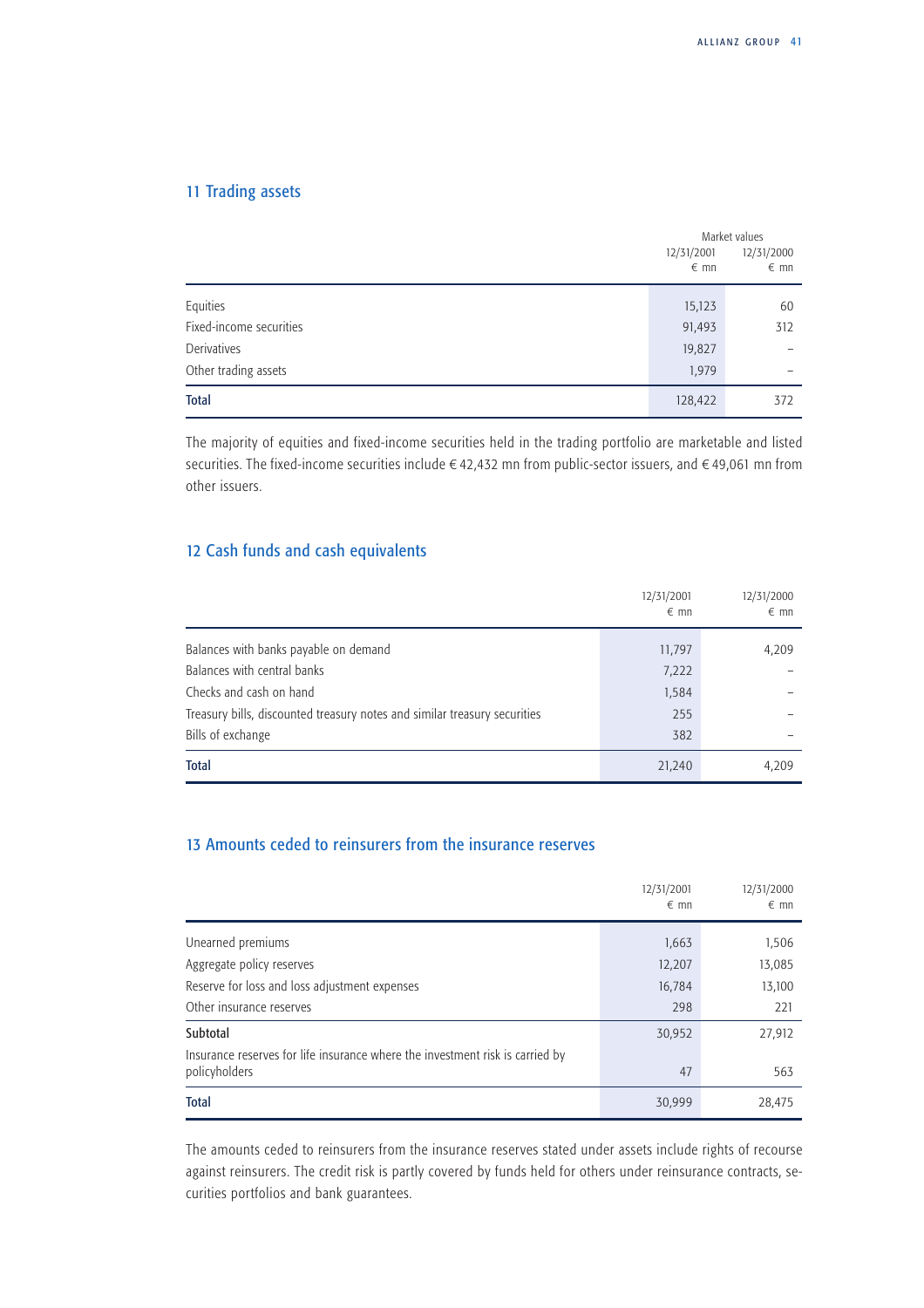## 11 Trading assets

|                         | Market values               |                             |  |
|-------------------------|-----------------------------|-----------------------------|--|
|                         | 12/31/2001<br>$\epsilon$ mn | 12/31/2000<br>$\epsilon$ mn |  |
| Equities                | 15,123                      | 60                          |  |
| Fixed-income securities | 91,493                      | 312                         |  |
| Derivatives             | 19,827                      |                             |  |
| Other trading assets    | 1,979                       | -                           |  |
| <b>Total</b>            | 128,422                     | 372                         |  |

The majority of equities and fixed-income securities held in the trading portfolio are marketable and listed securities. The fixed-income securities include  $\in$  42,432 mn from public-sector issuers, and  $\in$  49,061 mn from other issuers.

## 12 Cash funds and cash equivalents

|                                                                           | 12/31/2001<br>$\epsilon$ mn | 12/31/2000<br>$\epsilon$ mn |
|---------------------------------------------------------------------------|-----------------------------|-----------------------------|
| Balances with banks payable on demand                                     | 11,797                      | 4,209                       |
| Balances with central banks                                               | 7,222                       |                             |
| Checks and cash on hand                                                   | 1,584                       |                             |
| Treasury bills, discounted treasury notes and similar treasury securities | 255                         |                             |
| Bills of exchange                                                         | 382                         |                             |
| <b>Total</b>                                                              | 21,240                      | 4,209                       |

# 13 Amounts ceded to reinsurers from the insurance reserves

|                                                                                                | 12/31/2001<br>$\epsilon$ mn | 12/31/2000<br>$\epsilon$ mn |
|------------------------------------------------------------------------------------------------|-----------------------------|-----------------------------|
| Unearned premiums                                                                              | 1,663                       | 1,506                       |
| Aggregate policy reserves                                                                      | 12,207                      | 13,085                      |
| Reserve for loss and loss adjustment expenses                                                  | 16,784                      | 13,100                      |
| Other insurance reserves                                                                       | 298                         | 221                         |
| Subtotal                                                                                       | 30,952                      | 27,912                      |
| Insurance reserves for life insurance where the investment risk is carried by<br>policyholders | 47                          | 563                         |
| <b>Total</b>                                                                                   | 30,999                      | 28,475                      |

The amounts ceded to reinsurers from the insurance reserves stated under assets include rights of recourse against reinsurers. The credit risk is partly covered by funds held for others under reinsurance contracts, securities portfolios and bank guarantees.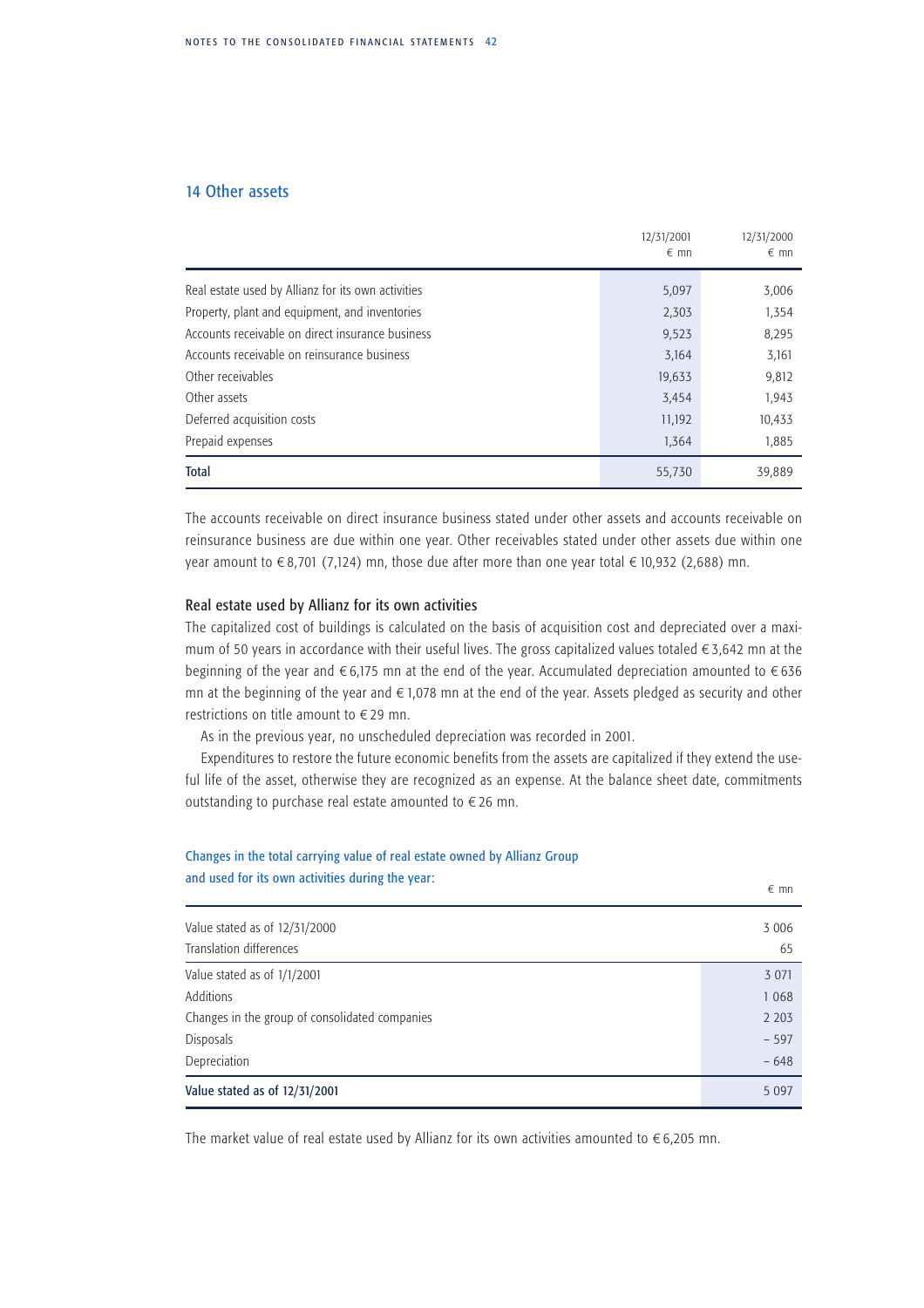### 14 Other assets

|                                                    | 12/31/2001<br>$\epsilon$ mn | 12/31/2000<br>$\epsilon$ mn |
|----------------------------------------------------|-----------------------------|-----------------------------|
| Real estate used by Allianz for its own activities | 5,097                       | 3,006                       |
| Property, plant and equipment, and inventories     | 2,303                       | 1,354                       |
| Accounts receivable on direct insurance business   | 9,523                       | 8,295                       |
| Accounts receivable on reinsurance business        | 3,164                       | 3,161                       |
| Other receivables                                  | 19,633                      | 9,812                       |
| Other assets                                       | 3,454                       | 1,943                       |
| Deferred acquisition costs                         | 11,192                      | 10,433                      |
| Prepaid expenses                                   | 1,364                       | 1,885                       |
| <b>Total</b>                                       | 55,730                      | 39,889                      |

The accounts receivable on direct insurance business stated under other assets and accounts receivable on reinsurance business are due within one year. Other receivables stated under other assets due within one year amount to  $\in$  8,701 (7,124) mn, those due after more than one year total  $\in$  10,932 (2,688) mn.

#### Real estate used by Allianz for its own activities

The capitalized cost of buildings is calculated on the basis of acquisition cost and depreciated over a maximum of 50 years in accordance with their useful lives. The gross capitalized values totaled  $\epsilon$  3,642 mn at the beginning of the year and  $\epsilon$  6,175 mn at the end of the year. Accumulated depreciation amounted to  $\epsilon$  636 mn at the beginning of the year and  $\epsilon$  1,078 mn at the end of the year. Assets pledged as security and other restrictions on title amount to  $\epsilon$  29 mn.

As in the previous year, no unscheduled depreciation was recorded in 2001.

Expenditures to restore the future economic benefits from the assets are capitalized if they extend the useful life of the asset, otherwise they are recognized as an expense. At the balance sheet date, commitments outstanding to purchase real estate amounted to  $\epsilon$  26 mn.

 $\epsilon$  mn

| Value stated as of 12/31/2000                  | 3 0 0 6 |
|------------------------------------------------|---------|
| Translation differences                        | 65      |
| Value stated as of 1/1/2001                    | 3 0 7 1 |
| <b>Additions</b>                               | 1068    |
| Changes in the group of consolidated companies | 2 2 0 3 |
| <b>Disposals</b>                               | $-597$  |
| Depreciation                                   | $-648$  |
| Value stated as of 12/31/2001                  | 5 0 9 7 |

## Changes in the total carrying value of real estate owned by Allianz Group and used for its own activities during the year:

The market value of real estate used by Allianz for its own activities amounted to  $\epsilon$  6,205 mn.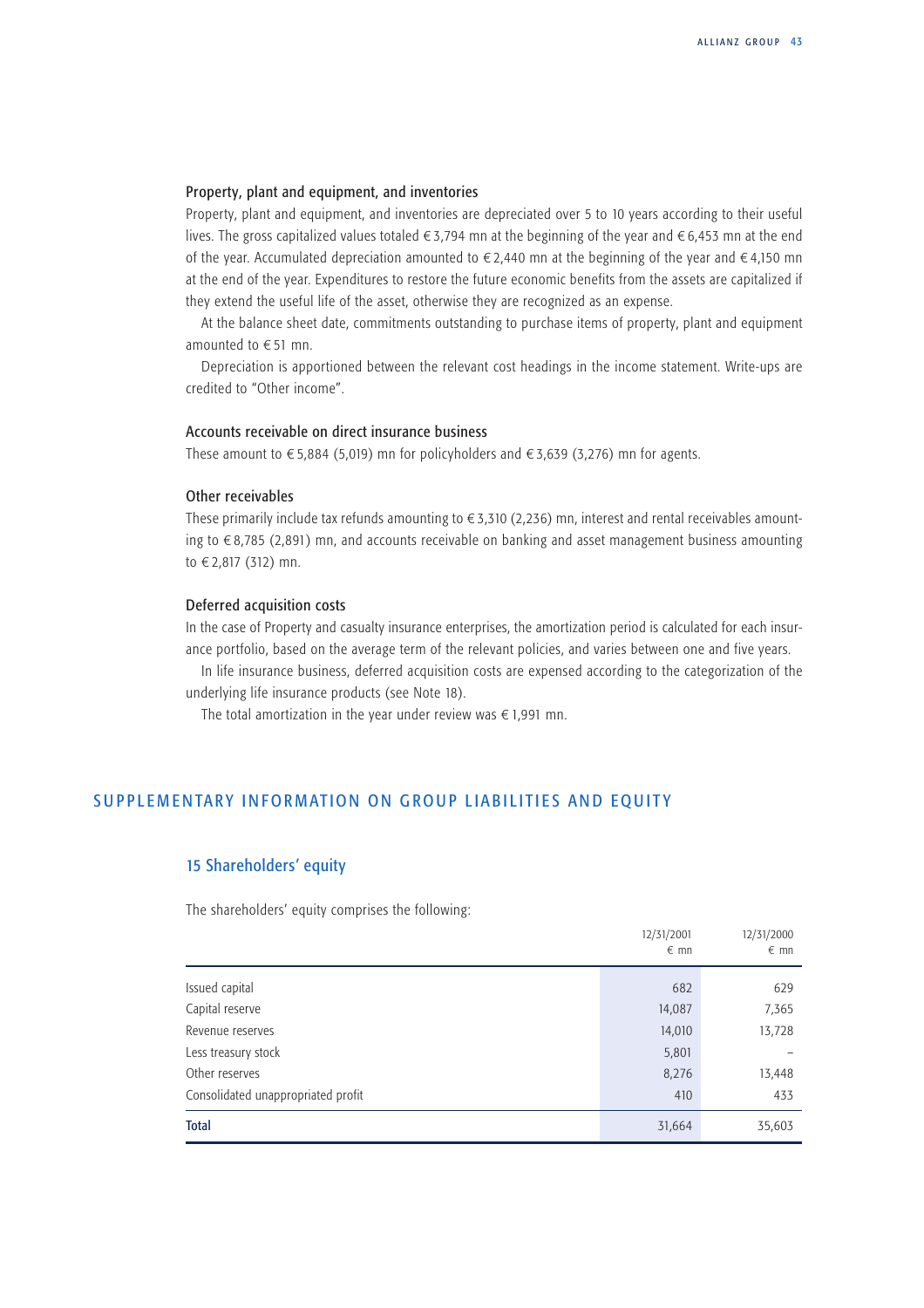## Property, plant and equipment, and inventories

Property, plant and equipment, and inventories are depreciated over 5 to 10 years according to their useful lives. The gross capitalized values totaled  $\epsilon$  3,794 mn at the beginning of the year and  $\epsilon$  6,453 mn at the end of the year. Accumulated depreciation amounted to  $\epsilon$  2,440 mn at the beginning of the year and  $\epsilon$  4,150 mn at the end of the year. Expenditures to restore the future economic benefits from the assets are capitalized if they extend the useful life of the asset, otherwise they are recognized as an expense.

At the balance sheet date, commitments outstanding to purchase items of property, plant and equipment amounted to  $\epsilon$  51 mn.

Depreciation is apportioned between the relevant cost headings in the income statement. Write-ups are credited to "Other income".

#### Accounts receivable on direct insurance business

These amount to  $\epsilon$  5,884 (5,019) mn for policyholders and  $\epsilon$  3,639 (3,276) mn for agents.

#### Other receivables

These primarily include tax refunds amounting to  $\epsilon$  3,310 (2,236) mn, interest and rental receivables amounting to  $\epsilon$  8,785 (2,891) mn, and accounts receivable on banking and asset management business amounting to €2,817 (312) mn.

#### Deferred acquisition costs

In the case of Property and casualty insurance enterprises, the amortization period is calculated for each insurance portfolio, based on the average term of the relevant policies, and varies between one and five years.

In life insurance business, deferred acquisition costs are expensed according to the categorization of the underlying life insurance products (see Note 18).

The total amortization in the year under review was  $\epsilon$  1,991 mn.

## SUPPLEMENTARY INFORMATION ON GROUP LIABILITIES AND EQUITY

### 15 Shareholders' equity

The shareholders' equity comprises the following:

|                                    | 12/31/2001<br>$\epsilon$ mn | 12/31/2000<br>$\epsilon$ mn |
|------------------------------------|-----------------------------|-----------------------------|
| Issued capital                     | 682                         | 629                         |
| Capital reserve                    | 14,087                      | 7,365                       |
| Revenue reserves                   | 14,010                      | 13,728                      |
| Less treasury stock                | 5,801                       |                             |
| Other reserves                     | 8,276                       | 13,448                      |
| Consolidated unappropriated profit | 410                         | 433                         |
| <b>Total</b>                       | 31,664                      | 35,603                      |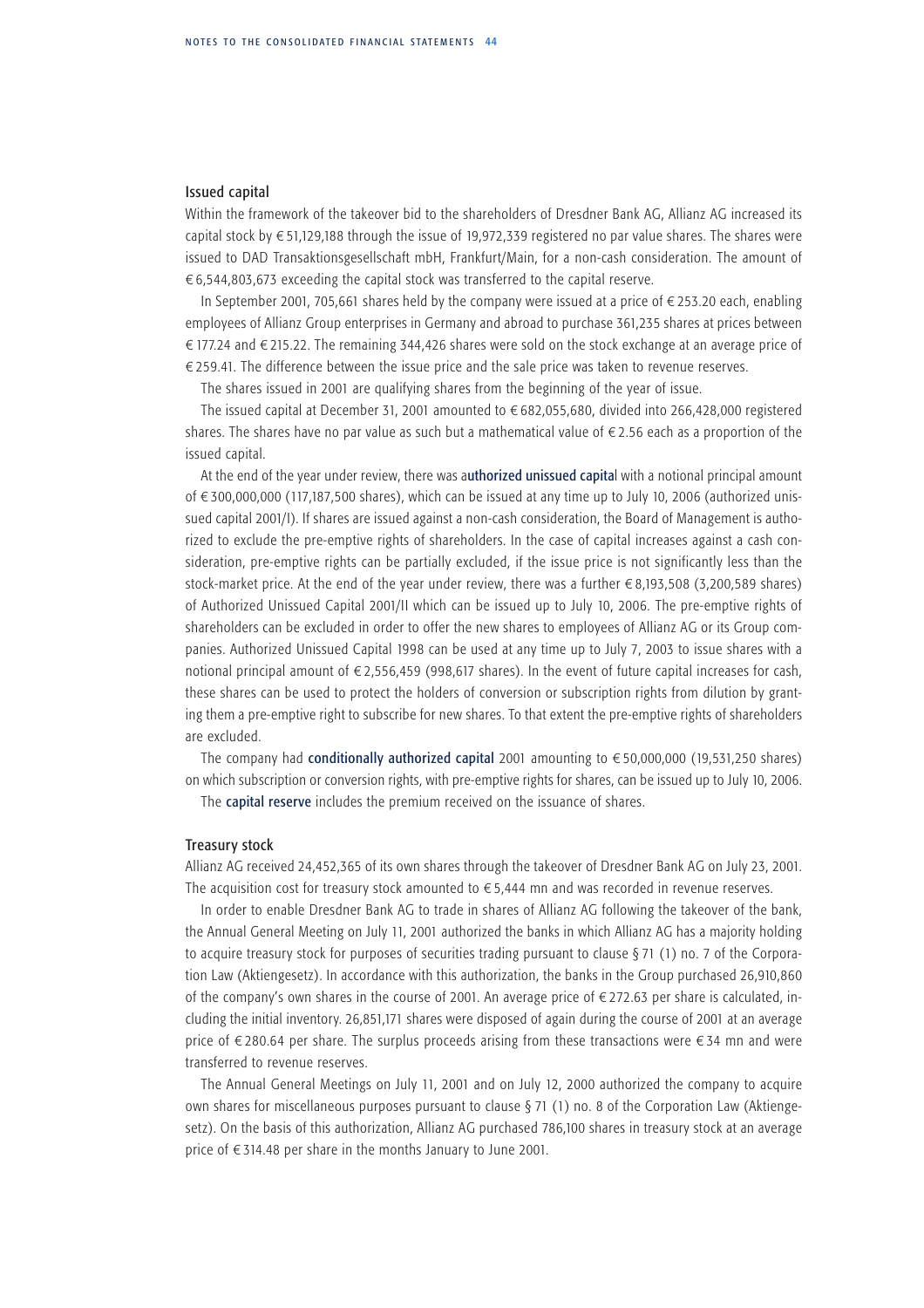#### Issued capital

Within the framework of the takeover bid to the shareholders of Dresdner Bank AG, Allianz AG increased its capital stock by  $\epsilon$  51,129,188 through the issue of 19,972,339 registered no par value shares. The shares were issued to DAD Transaktionsgesellschaft mbH, Frankfurt/Main, for a non-cash consideration. The amount of  $\epsilon$  6,544,803,673 exceeding the capital stock was transferred to the capital reserve.

In September 2001, 705,661 shares held by the company were issued at a price of  $\epsilon$  253.20 each, enabling employees of Allianz Group enterprises in Germany and abroad to purchase 361,235 shares at prices between  $\in$  177.24 and  $\in$  215.22. The remaining 344.426 shares were sold on the stock exchange at an average price of  $\epsilon$ 259.41. The difference between the issue price and the sale price was taken to revenue reserves.

The shares issued in 2001 are qualifying shares from the beginning of the year of issue.

The issued capital at December 31, 2001 amounted to  $\epsilon$  682,055,680, divided into 266,428,000 registered shares. The shares have no par value as such but a mathematical value of  $\epsilon$  2.56 each as a proportion of the issued capital.

At the end of the year under review, there was authorized unissued capital with a notional principal amount of  $\epsilon$  300,000,000 (117,187,500 shares), which can be issued at any time up to July 10, 2006 (authorized unissued capital 2001/I). If shares are issued against a non-cash consideration, the Board of Management is authorized to exclude the pre-emptive rights of shareholders. In the case of capital increases against a cash consideration, pre-emptive rights can be partially excluded, if the issue price is not significantly less than the stock-market price. At the end of the year under review, there was a further  $\epsilon$  8,193,508 (3,200,589 shares) of Authorized Unissued Capital 2001/II which can be issued up to July 10, 2006. The pre-emptive rights of shareholders can be excluded in order to offer the new shares to employees of Allianz AG or its Group companies. Authorized Unissued Capital 1998 can be used at any time up to July 7, 2003 to issue shares with a notional principal amount of  $\epsilon$  2,556,459 (998,617 shares). In the event of future capital increases for cash, these shares can be used to protect the holders of conversion or subscription rights from dilution by granting them a pre-emptive right to subscribe for new shares. To that extent the pre-emptive rights of shareholders are excluded.

The company had conditionally authorized capital 2001 amounting to  $\epsilon$  50,000,000 (19,531,250 shares) on which subscription or conversion rights, with pre-emptive rights for shares, can be issued up to July 10, 2006.

The **capital reserve** includes the premium received on the issuance of shares.

#### Treasury stock

Allianz AG received 24,452,365 of its own shares through the takeover of Dresdner Bank AG on July 23, 2001. The acquisition cost for treasury stock amounted to  $\epsilon$  5,444 mn and was recorded in revenue reserves.

In order to enable Dresdner Bank AG to trade in shares of Allianz AG following the takeover of the bank, the Annual General Meeting on July 11, 2001 authorized the banks in which Allianz AG has a majority holding to acquire treasury stock for purposes of securities trading pursuant to clause § 71 (1) no. 7 of the Corporation Law (Aktiengesetz). In accordance with this authorization, the banks in the Group purchased 26,910,860 of the company's own shares in the course of 2001. An average price of  $\in$  272.63 per share is calculated, including the initial inventory. 26,851,171 shares were disposed of again during the course of 2001 at an average price of  $E$ 280.64 per share. The surplus proceeds arising from these transactions were  $E$ 34 mn and were transferred to revenue reserves.

The Annual General Meetings on July 11, 2001 and on July 12, 2000 authorized the company to acquire own shares for miscellaneous purposes pursuant to clause § 71 (1) no. 8 of the Corporation Law (Aktiengesetz). On the basis of this authorization, Allianz AG purchased 786,100 shares in treasury stock at an average price of  $\epsilon$ 314.48 per share in the months January to June 2001.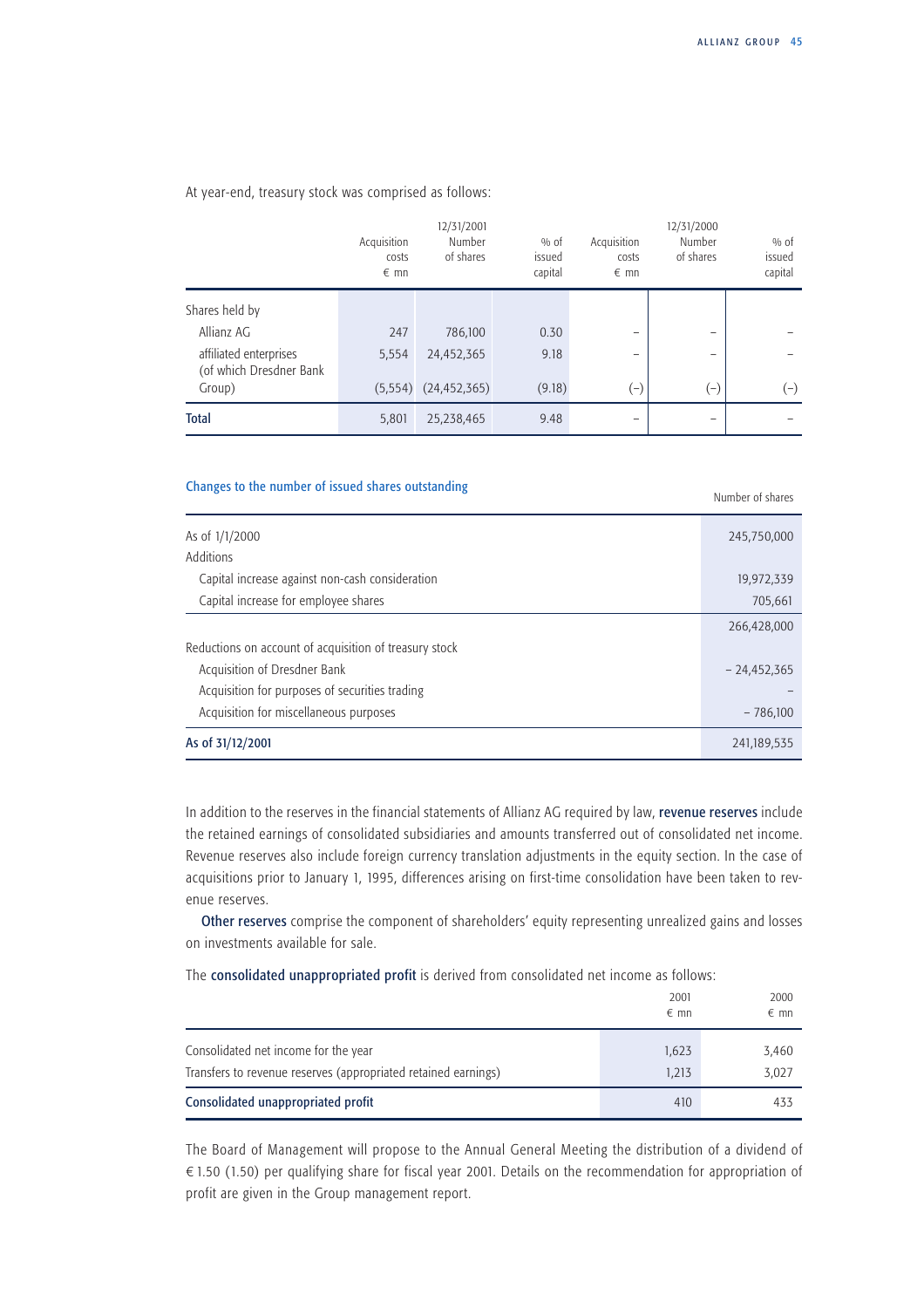#### At year-end, treasury stock was comprised as follows:

|                                                   | Acquisition<br>costs<br>$\epsilon$ mn | 12/31/2001<br>Number<br>of shares | $%$ of<br>issued<br>capital | Acquisition<br>costs<br>$\epsilon$ mn | 12/31/2000<br>Number<br>of shares | $%$ of<br>issued<br>capital |
|---------------------------------------------------|---------------------------------------|-----------------------------------|-----------------------------|---------------------------------------|-----------------------------------|-----------------------------|
| Shares held by                                    |                                       |                                   |                             |                                       |                                   |                             |
| Allianz AG                                        | 247                                   | 786,100                           | 0.30                        | $\overline{\phantom{0}}$              | -                                 |                             |
| affiliated enterprises<br>(of which Dresdner Bank | 5,554                                 | 24,452,365                        | 9.18                        | $\overline{\phantom{m}}$              | -                                 |                             |
| Group)                                            |                                       | $(5,554)$ $(24,452,365)$          | (9.18)                      | $(-)$                                 | (-)                               | $(-)$                       |
| <b>Total</b>                                      | 5,801                                 | 25,238,465                        | 9.48                        | $\overline{\phantom{0}}$              |                                   |                             |

# Changes to the number of issued shares outstanding Number of shares Number of shares

| As of 1/1/2000                                         | 245,750,000   |
|--------------------------------------------------------|---------------|
| <b>Additions</b>                                       |               |
| Capital increase against non-cash consideration        | 19,972,339    |
| Capital increase for employee shares                   | 705,661       |
|                                                        | 266,428,000   |
| Reductions on account of acquisition of treasury stock |               |
| Acquisition of Dresdner Bank                           | $-24,452,365$ |
| Acquisition for purposes of securities trading         |               |
| Acquisition for miscellaneous purposes                 | $-786.100$    |
| As of 31/12/2001                                       | 241,189,535   |

In addition to the reserves in the financial statements of Allianz AG required by law, revenue reserves include the retained earnings of consolidated subsidiaries and amounts transferred out of consolidated net income. Revenue reserves also include foreign currency translation adjustments in the equity section. In the case of acquisitions prior to January 1, 1995, differences arising on first-time consolidation have been taken to revenue reserves.

Other reserves comprise the component of shareholders' equity representing unrealized gains and losses on investments available for sale.

The consolidated unappropriated profit is derived from consolidated net income as follows:

|                                                                                                        | 2001<br>$\epsilon$ mn | 2000<br>$\epsilon$ mn |
|--------------------------------------------------------------------------------------------------------|-----------------------|-----------------------|
| Consolidated net income for the year<br>Transfers to revenue reserves (appropriated retained earnings) | 1,623<br>1,213        | 3,460<br>3,027        |
| Consolidated unappropriated profit                                                                     | 410                   | 433                   |

The Board of Management will propose to the Annual General Meeting the distribution of a dividend of  $\epsilon$ 1.50 (1.50) per qualifying share for fiscal year 2001. Details on the recommendation for appropriation of profit are given in the Group management report.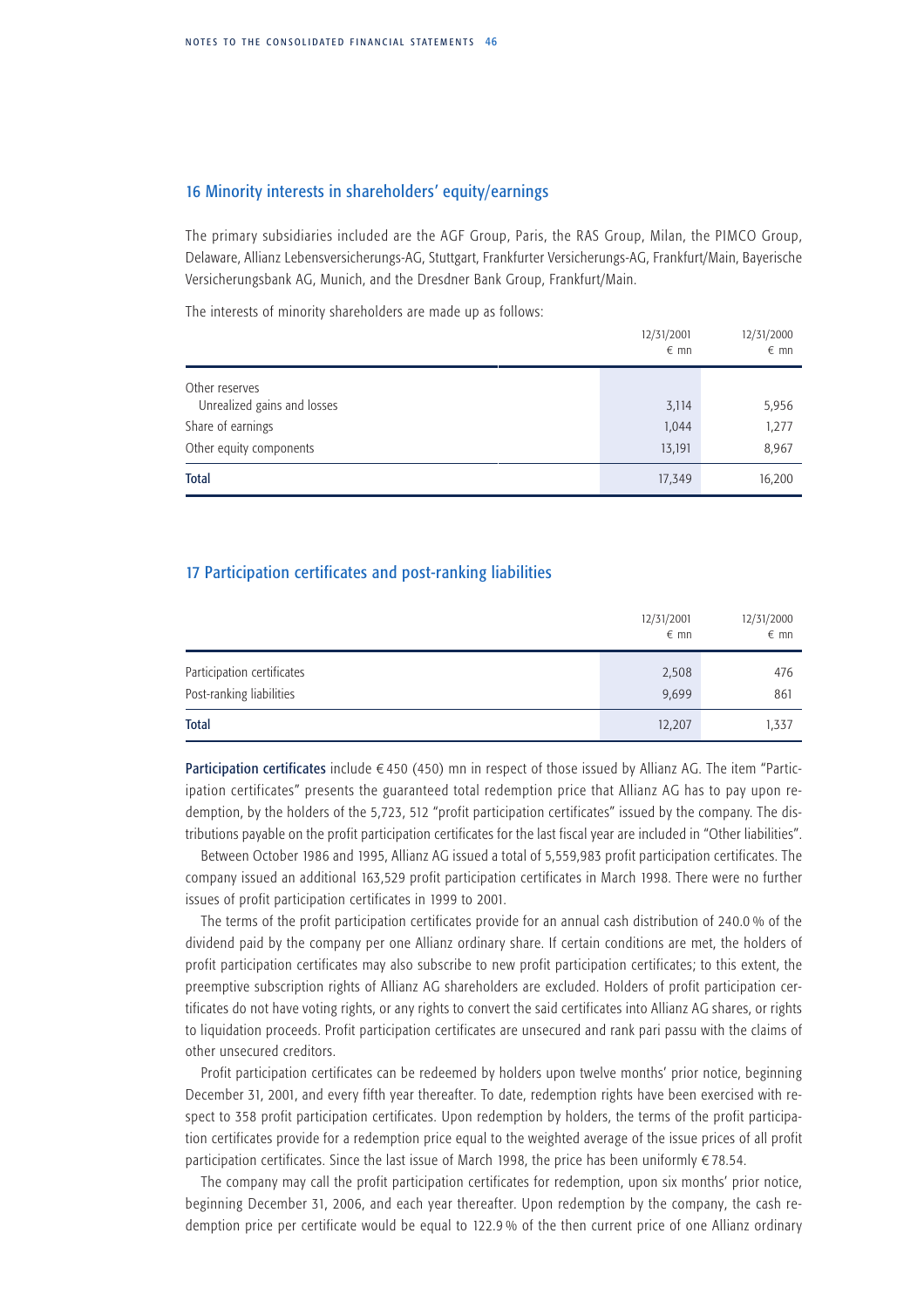#### 16 Minority interests in shareholders' equity/earnings

The primary subsidiaries included are the AGF Group, Paris, the RAS Group, Milan, the PIMCO Group, Delaware, Allianz Lebensversicherungs-AG, Stuttgart, Frankfurter Versicherungs-AG, Frankfurt/Main, Bayerische Versicherungsbank AG, Munich, and the Dresdner Bank Group, Frankfurt/Main.

The interests of minority shareholders are made up as follows:

|                                               | 12/31/2001<br>$\epsilon$ mn | 12/31/2000<br>$\epsilon$ mn |
|-----------------------------------------------|-----------------------------|-----------------------------|
| Other reserves<br>Unrealized gains and losses | 3,114                       | 5,956                       |
| Share of earnings                             | 1,044                       | 1,277                       |
| Other equity components                       | 13,191                      | 8,967                       |
| <b>Total</b>                                  | 17,349                      | 16,200                      |

## 17 Participation certificates and post-ranking liabilities

|                                                        | 12/31/2001<br>$\epsilon$ mn | 12/31/2000<br>$\epsilon$ mn |
|--------------------------------------------------------|-----------------------------|-----------------------------|
| Participation certificates<br>Post-ranking liabilities | 2,508<br>9,699              | 476<br>861                  |
| <b>Total</b>                                           | 12,207                      | 1,337                       |

Participation certificates include  $\in$  450 (450) mn in respect of those issued by Allianz AG. The item "Participation certificates" presents the guaranteed total redemption price that Allianz AG has to pay upon redemption, by the holders of the 5,723, 512 "profit participation certificates" issued by the company. The distributions payable on the profit participation certificates for the last fiscal year are included in "Other liabilities".

Between October 1986 and 1995, Allianz AG issued a total of 5,559,983 profit participation certificates. The company issued an additional 163,529 profit participation certificates in March 1998. There were no further issues of profit participation certificates in 1999 to 2001.

The terms of the profit participation certificates provide for an annual cash distribution of 240.0 % of the dividend paid by the company per one Allianz ordinary share. If certain conditions are met, the holders of profit participation certificates may also subscribe to new profit participation certificates; to this extent, the preemptive subscription rights of Allianz AG shareholders are excluded. Holders of profit participation certificates do not have voting rights, or any rights to convert the said certificates into Allianz AG shares, or rights to liquidation proceeds. Profit participation certificates are unsecured and rank pari passu with the claims of other unsecured creditors.

Profit participation certificates can be redeemed by holders upon twelve months' prior notice, beginning December 31, 2001, and every fifth year thereafter. To date, redemption rights have been exercised with respect to 358 profit participation certificates. Upon redemption by holders, the terms of the profit participation certificates provide for a redemption price equal to the weighted average of the issue prices of all profit participation certificates. Since the last issue of March 1998, the price has been uniformly  $\epsilon$  78.54.

The company may call the profit participation certificates for redemption, upon six months' prior notice, beginning December 31, 2006, and each year thereafter. Upon redemption by the company, the cash redemption price per certificate would be equal to 122.9 % of the then current price of one Allianz ordinary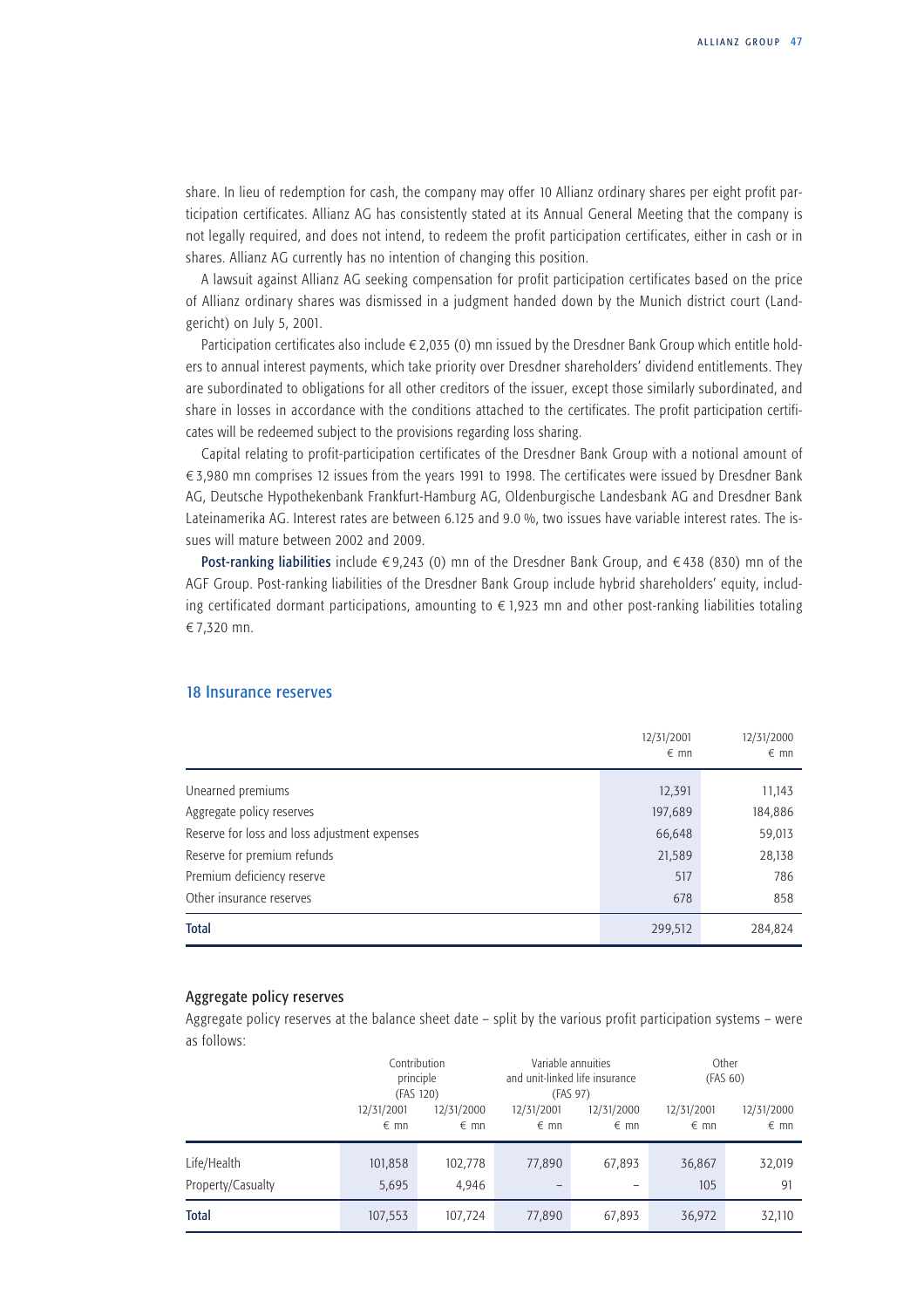share. In lieu of redemption for cash, the company may offer 10 Allianz ordinary shares per eight profit participation certificates. Allianz AG has consistently stated at its Annual General Meeting that the company is not legally required, and does not intend, to redeem the profit participation certificates, either in cash or in shares. Allianz AG currently has no intention of changing this position.

A lawsuit against Allianz AG seeking compensation for profit participation certificates based on the price of Allianz ordinary shares was dismissed in a judgment handed down by the Munich district court (Landgericht) on July 5, 2001.

Participation certificates also include  $\epsilon$  2,035 (0) mn issued by the Dresdner Bank Group which entitle holders to annual interest payments, which take priority over Dresdner shareholders' dividend entitlements. They are subordinated to obligations for all other creditors of the issuer, except those similarly subordinated, and share in losses in accordance with the conditions attached to the certificates. The profit participation certificates will be redeemed subject to the provisions regarding loss sharing.

Capital relating to profit-participation certificates of the Dresdner Bank Group with a notional amount of  $\epsilon$ 3,980 mn comprises 12 issues from the years 1991 to 1998. The certificates were issued by Dresdner Bank AG, Deutsche Hypothekenbank Frankfurt-Hamburg AG, Oldenburgische Landesbank AG and Dresdner Bank Lateinamerika AG. Interest rates are between 6.125 and 9.0 %, two issues have variable interest rates. The issues will mature between 2002 and 2009.

Post-ranking liabilities include  $\epsilon$ 9,243 (0) mn of the Dresdner Bank Group, and  $\epsilon$ 438 (830) mn of the AGF Group. Post-ranking liabilities of the Dresdner Bank Group include hybrid shareholders' equity, including certificated dormant participations, amounting to  $\epsilon$  1,923 mn and other post-ranking liabilities totaling ¤7,320 mn.

|                                               | 12/31/2001<br>$\epsilon$ mn | 12/31/2000<br>$\epsilon$ mn |
|-----------------------------------------------|-----------------------------|-----------------------------|
| Unearned premiums                             | 12,391                      | 11,143                      |
| Aggregate policy reserves                     | 197,689                     | 184,886                     |
| Reserve for loss and loss adjustment expenses | 66,648                      | 59,013                      |
| Reserve for premium refunds                   | 21,589                      | 28,138                      |
| Premium deficiency reserve                    | 517                         | 786                         |
| Other insurance reserves                      | 678                         | 858                         |
| <b>Total</b>                                  | 299,512                     | 284,824                     |

#### 18 Insurance reserves

#### Aggregate policy reserves

Aggregate policy reserves at the balance sheet date – split by the various profit participation systems – were as follows:

|                   | Contribution<br>principle<br>(FAS 120) |               | Variable annuities<br>and unit-linked life insurance<br>(FAS 97) |               |               | Other<br>(FAS 60) |
|-------------------|----------------------------------------|---------------|------------------------------------------------------------------|---------------|---------------|-------------------|
|                   | 12/31/2001                             | 12/31/2000    | 12/31/2001                                                       | 12/31/2000    | 12/31/2001    | 12/31/2000        |
|                   | $\epsilon$ mn                          | $\epsilon$ mn | $\epsilon$ mn                                                    | $\epsilon$ mn | $\epsilon$ mn | $\epsilon$ mn     |
| Life/Health       | 101,858                                | 102,778       | 77,890                                                           | 67,893        | 36,867        | 32,019            |
| Property/Casualty | 5,695                                  | 4.946         | $\overline{\phantom{0}}$                                         |               | 105           | 91                |
| <b>Total</b>      | 107,553                                | 107,724       | 77,890                                                           | 67,893        | 36,972        | 32,110            |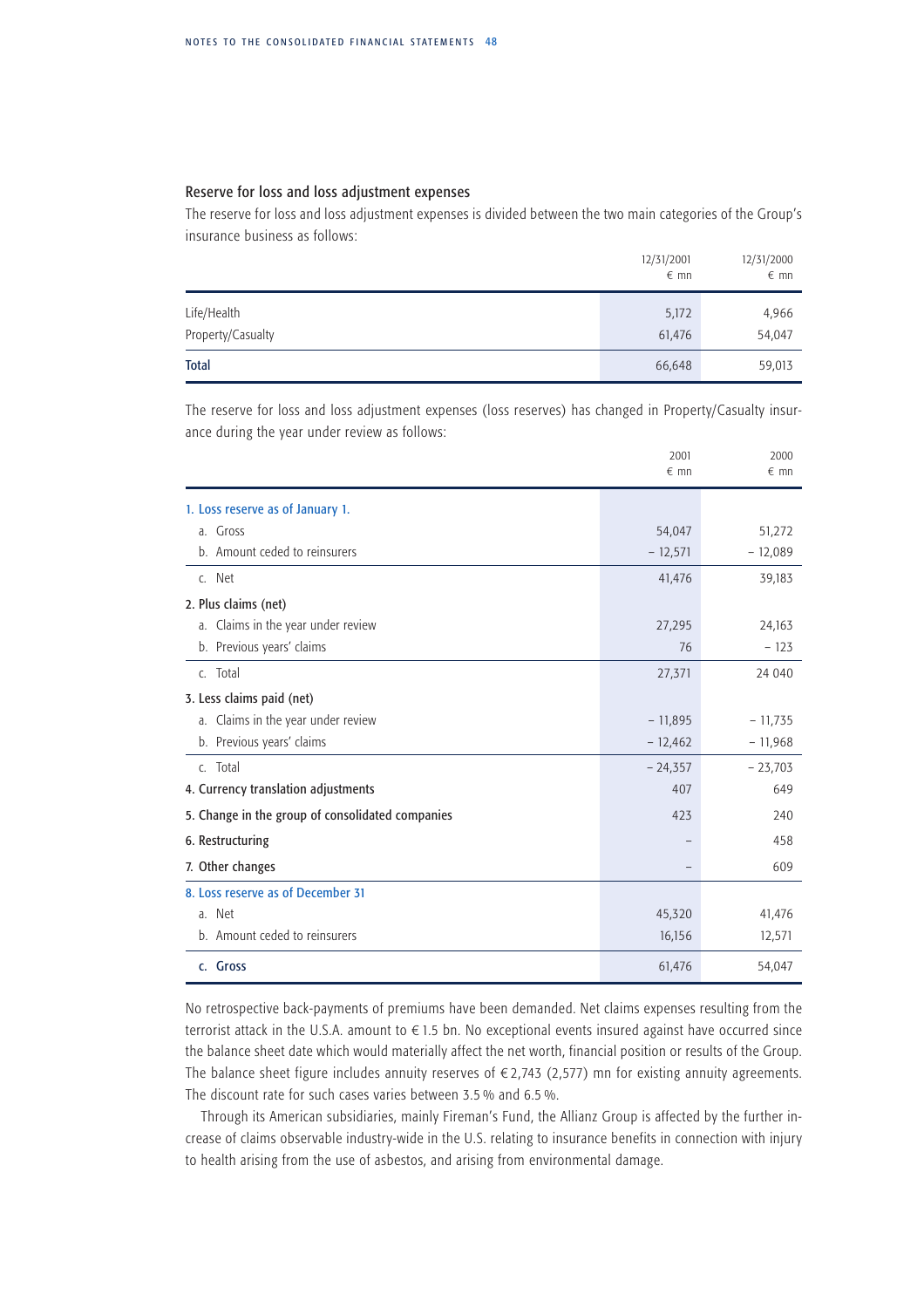#### Reserve for loss and loss adjustment expenses

The reserve for loss and loss adjustment expenses is divided between the two main categories of the Group's insurance business as follows:

|                                  | 12/31/2001<br>$\epsilon$ mn | 12/31/2000<br>$\epsilon$ mn |
|----------------------------------|-----------------------------|-----------------------------|
| Life/Health<br>Property/Casualty | 5,172<br>61,476             | 4,966<br>54,047             |
| <b>Total</b>                     | 66,648                      | 59,013                      |

The reserve for loss and loss adjustment expenses (loss reserves) has changed in Property/Casualty insurance during the year under review as follows:

|                                                  | 2001<br>$\epsilon$ mn | 2000<br>$\epsilon$ mn |
|--------------------------------------------------|-----------------------|-----------------------|
| 1. Loss reserve as of January 1.                 |                       |                       |
| a. Gross                                         | 54,047                | 51,272                |
| b. Amount ceded to reinsurers                    | $-12,571$             | $-12,089$             |
| c. Net                                           | 41,476                | 39,183                |
| 2. Plus claims (net)                             |                       |                       |
| Claims in the year under review<br>a.            | 27,295                | 24,163                |
| b. Previous years' claims                        | 76                    | $-123$                |
| c. Total                                         | 27,371                | 24 040                |
| 3. Less claims paid (net)                        |                       |                       |
| a. Claims in the year under review               | $-11,895$             | $-11,735$             |
| b. Previous years' claims                        | $-12,462$             | $-11,968$             |
| c. Total                                         | $-24,357$             | $-23,703$             |
| 4. Currency translation adjustments              | 407                   | 649                   |
| 5. Change in the group of consolidated companies | 423                   | 240                   |
| 6. Restructuring                                 |                       | 458                   |
| 7. Other changes                                 |                       | 609                   |
| 8. Loss reserve as of December 31                |                       |                       |
| a. Net                                           | 45,320                | 41,476                |
| b. Amount ceded to reinsurers                    | 16,156                | 12,571                |
| c. Gross                                         | 61,476                | 54,047                |

No retrospective back-payments of premiums have been demanded. Net claims expenses resulting from the terrorist attack in the U.S.A. amount to  $\epsilon$  1.5 bn. No exceptional events insured against have occurred since the balance sheet date which would materially affect the net worth, financial position or results of the Group. The balance sheet figure includes annuity reserves of  $\epsilon$ 2,743 (2,577) mn for existing annuity agreements. The discount rate for such cases varies between 3.5 % and 6.5 %.

Through its American subsidiaries, mainly Fireman's Fund, the Allianz Group is affected by the further increase of claims observable industry-wide in the U.S. relating to insurance benefits in connection with injury to health arising from the use of asbestos, and arising from environmental damage.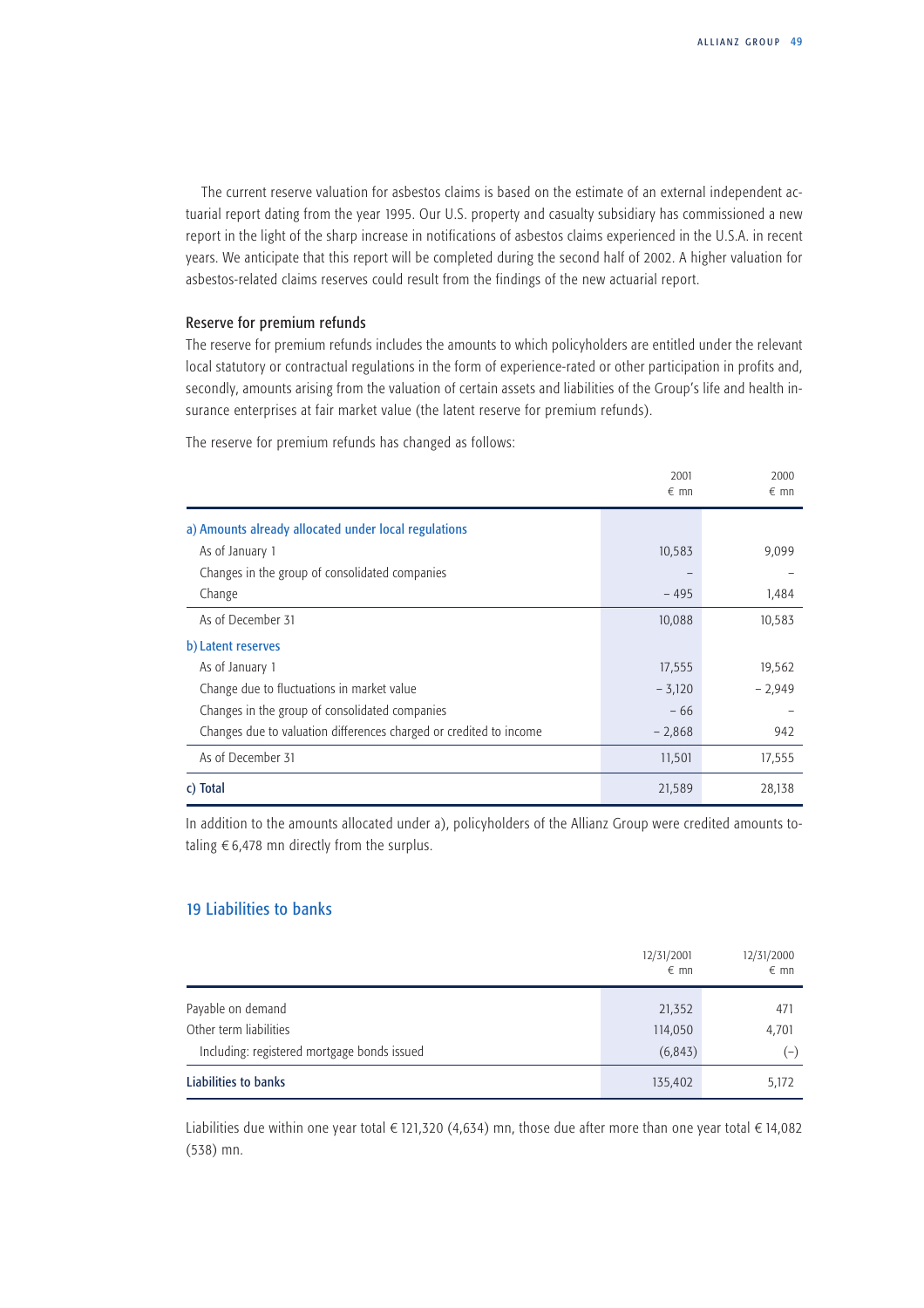The current reserve valuation for asbestos claims is based on the estimate of an external independent actuarial report dating from the year 1995. Our U.S. property and casualty subsidiary has commissioned a new report in the light of the sharp increase in notifications of asbestos claims experienced in the U.S.A. in recent years. We anticipate that this report will be completed during the second half of 2002. A higher valuation for asbestos-related claims reserves could result from the findings of the new actuarial report.

#### Reserve for premium refunds

The reserve for premium refunds includes the amounts to which policyholders are entitled under the relevant local statutory or contractual regulations in the form of experience-rated or other participation in profits and, secondly, amounts arising from the valuation of certain assets and liabilities of the Group's life and health insurance enterprises at fair market value (the latent reserve for premium refunds).

The reserve for premium refunds has changed as follows:

|                                                                    | 2001<br>$\epsilon$ mn | 2000<br>$\epsilon$ mn |
|--------------------------------------------------------------------|-----------------------|-----------------------|
| a) Amounts already allocated under local regulations               |                       |                       |
| As of January 1                                                    | 10,583                | 9,099                 |
| Changes in the group of consolidated companies                     |                       |                       |
| Change                                                             | $-495$                | 1,484                 |
| As of December 31                                                  | 10,088                | 10,583                |
| b) Latent reserves                                                 |                       |                       |
| As of January 1                                                    | 17,555                | 19,562                |
| Change due to fluctuations in market value                         | $-3,120$              | $-2,949$              |
| Changes in the group of consolidated companies                     | $-66$                 |                       |
| Changes due to valuation differences charged or credited to income | $-2,868$              | 942                   |
| As of December 31                                                  | 11,501                | 17,555                |
| c) Total                                                           | 21,589                | 28,138                |

In addition to the amounts allocated under a), policyholders of the Allianz Group were credited amounts totaling  $\epsilon$  6,478 mn directly from the surplus.

## 19 Liabilities to banks

|                                             | 12/31/2001<br>$\epsilon$ mn | 12/31/2000<br>$\epsilon$ mn |
|---------------------------------------------|-----------------------------|-----------------------------|
| Payable on demand                           | 21,352                      | 471                         |
| Other term liabilities                      | 114,050                     | 4,701                       |
| Including: registered mortgage bonds issued | (6, 843)                    | $(-)$                       |
| Liabilities to banks                        | 135,402                     | 5,172                       |

Liabilities due within one year total  $\in$  121,320 (4,634) mn, those due after more than one year total  $\in$  14,082 (538) mn.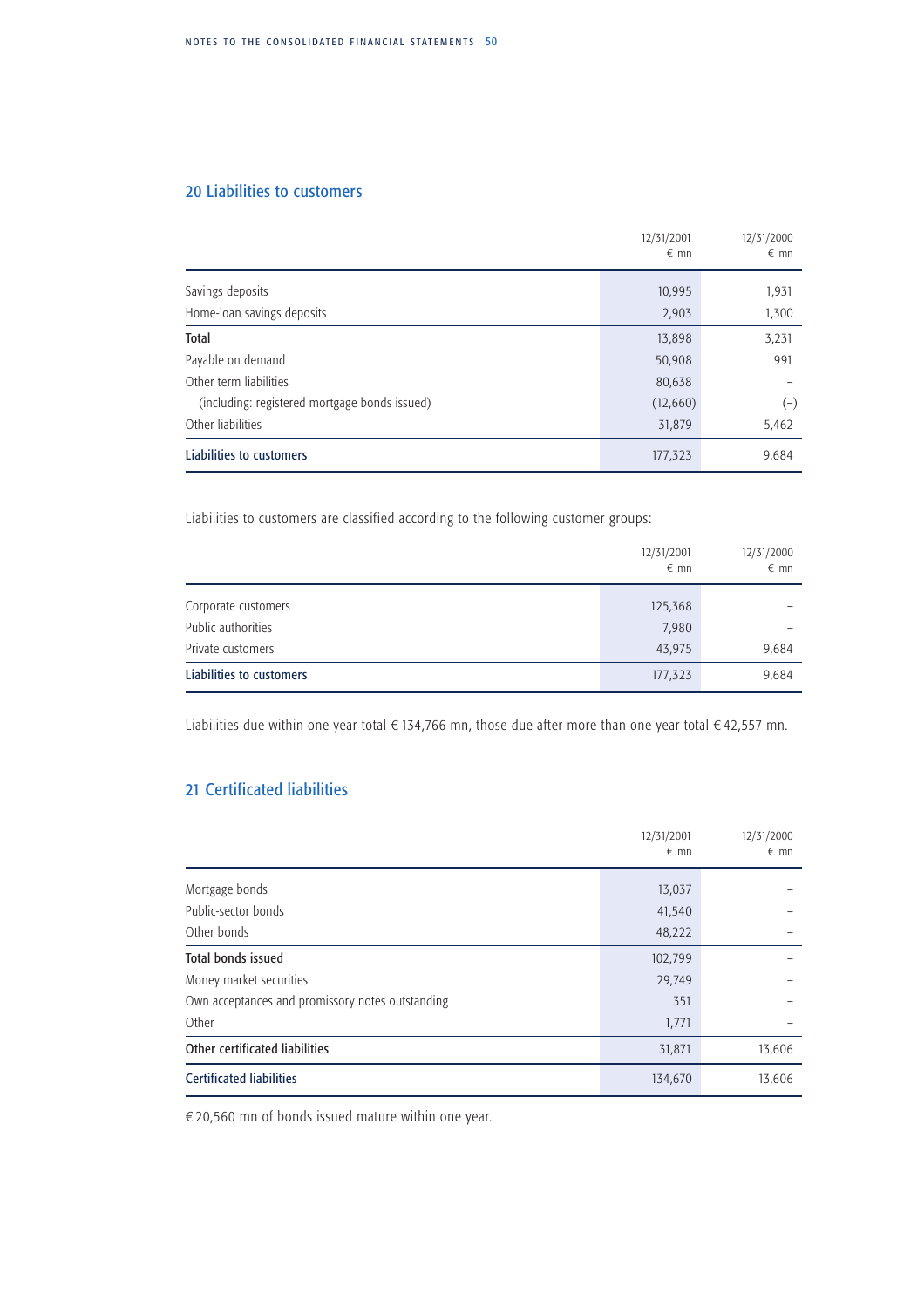## 20 Liabilities to customers

|                                               | 12/31/2001<br>$\epsilon$ mn | 12/31/2000<br>$\epsilon$ mn |
|-----------------------------------------------|-----------------------------|-----------------------------|
| Savings deposits                              | 10,995                      | 1,931                       |
| Home-loan savings deposits                    | 2,903                       | 1,300                       |
| Total                                         | 13,898                      | 3,231                       |
| Payable on demand                             | 50,908                      | 991                         |
| Other term liabilities                        | 80,638                      |                             |
| (including: registered mortgage bonds issued) | (12,660)                    | $(-)$                       |
| Other liabilities                             | 31,879                      | 5,462                       |
| Liabilities to customers                      | 177,323                     | 9,684                       |

Liabilities to customers are classified according to the following customer groups:

|                          | 12/31/2001<br>$\epsilon$ mn | 12/31/2000<br>$\epsilon$ mn |
|--------------------------|-----------------------------|-----------------------------|
| Corporate customers      | 125,368                     |                             |
| Public authorities       | 7,980                       |                             |
| Private customers        | 43,975                      | 9,684                       |
| Liabilities to customers | 177,323                     | 9,684                       |

Liabilities due within one year total  $\in$  134,766 mn, those due after more than one year total  $\in$  42,557 mn.

# 21 Certificated liabilities

|                                                  | 12/31/2001<br>$\epsilon$ mn | 12/31/2000<br>$\epsilon$ mn |
|--------------------------------------------------|-----------------------------|-----------------------------|
| Mortgage bonds                                   | 13,037                      |                             |
| Public-sector bonds                              | 41,540                      |                             |
| Other bonds                                      | 48,222                      |                             |
| Total bonds issued                               | 102,799                     |                             |
| Money market securities                          | 29,749                      |                             |
| Own acceptances and promissory notes outstanding | 351                         |                             |
| Other                                            | 1,771                       |                             |
| Other certificated liabilities                   | 31,871                      | 13,606                      |
| <b>Certificated liabilities</b>                  | 134,670                     | 13,606                      |

 $\epsilon$  20,560 mn of bonds issued mature within one year.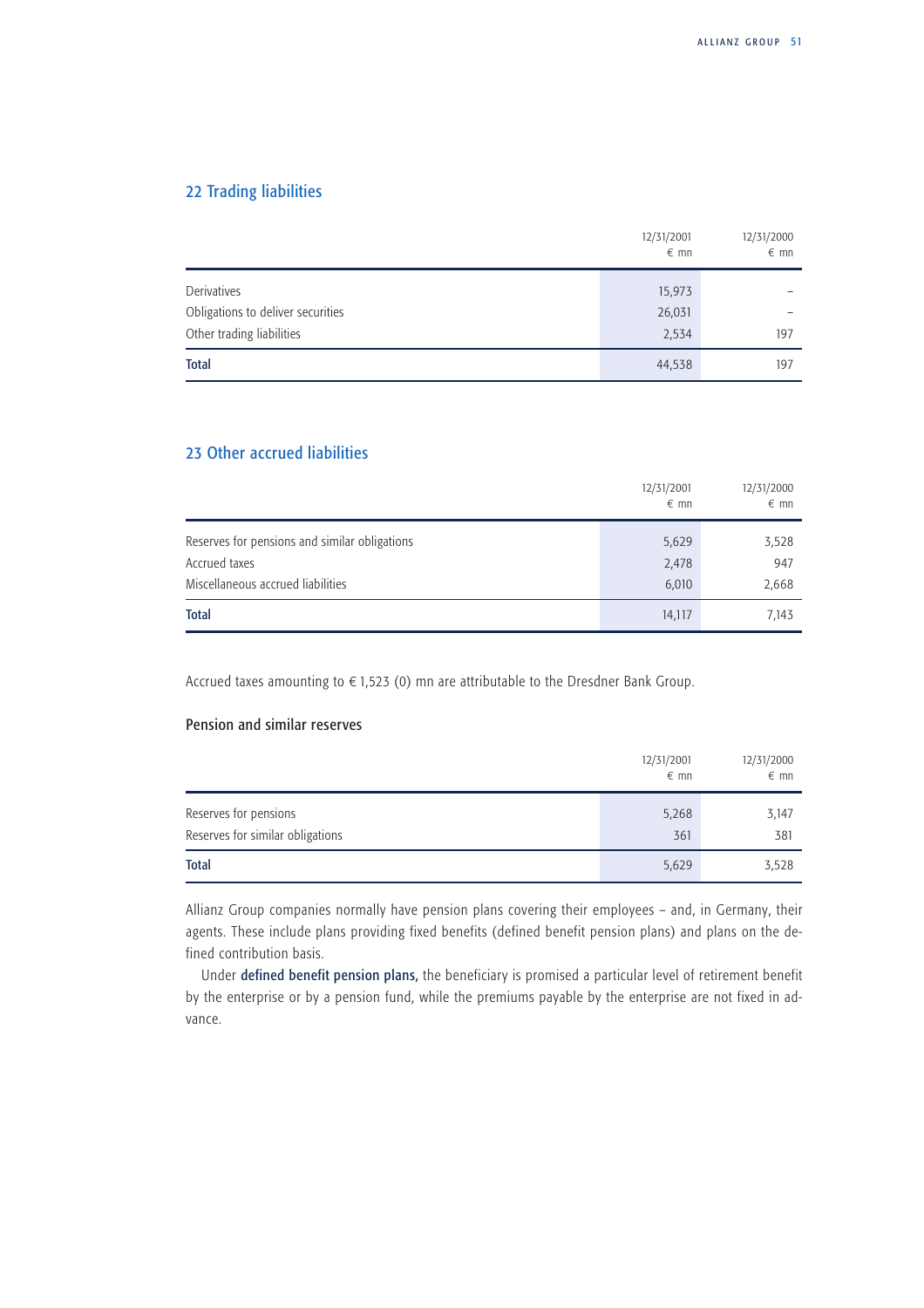## 22 Trading liabilities

|                                   | 12/31/2001<br>$\epsilon$ mn | 12/31/2000<br>$\epsilon$ mn |
|-----------------------------------|-----------------------------|-----------------------------|
| Derivatives                       | 15,973                      |                             |
| Obligations to deliver securities | 26,031                      |                             |
| Other trading liabilities         | 2,534                       | 197                         |
| <b>Total</b>                      | 44,538                      | 197                         |

# 23 Other accrued liabilities

|                                               | 12/31/2001<br>$\epsilon$ mn | 12/31/2000<br>$\epsilon$ mn |
|-----------------------------------------------|-----------------------------|-----------------------------|
| Reserves for pensions and similar obligations | 5,629                       | 3,528                       |
| Accrued taxes                                 | 2,478                       | 947                         |
| Miscellaneous accrued liabilities             | 6,010                       | 2,668                       |
| <b>Total</b>                                  | 14,117                      | 7,143                       |

Accrued taxes amounting to  $\epsilon$  1,523 (0) mn are attributable to the Dresdner Bank Group.

## Pension and similar reserves

|                                                           | 12/31/2001<br>$\epsilon$ mn | 12/31/2000<br>$\epsilon$ mn |
|-----------------------------------------------------------|-----------------------------|-----------------------------|
| Reserves for pensions<br>Reserves for similar obligations | 5,268<br>361                | 3,147<br>381                |
| <b>Total</b>                                              | 5,629                       | 3,528                       |

Allianz Group companies normally have pension plans covering their employees – and, in Germany, their agents. These include plans providing fixed benefits (defined benefit pension plans) and plans on the defined contribution basis.

Under defined benefit pension plans, the beneficiary is promised a particular level of retirement benefit by the enterprise or by a pension fund, while the premiums payable by the enterprise are not fixed in advance.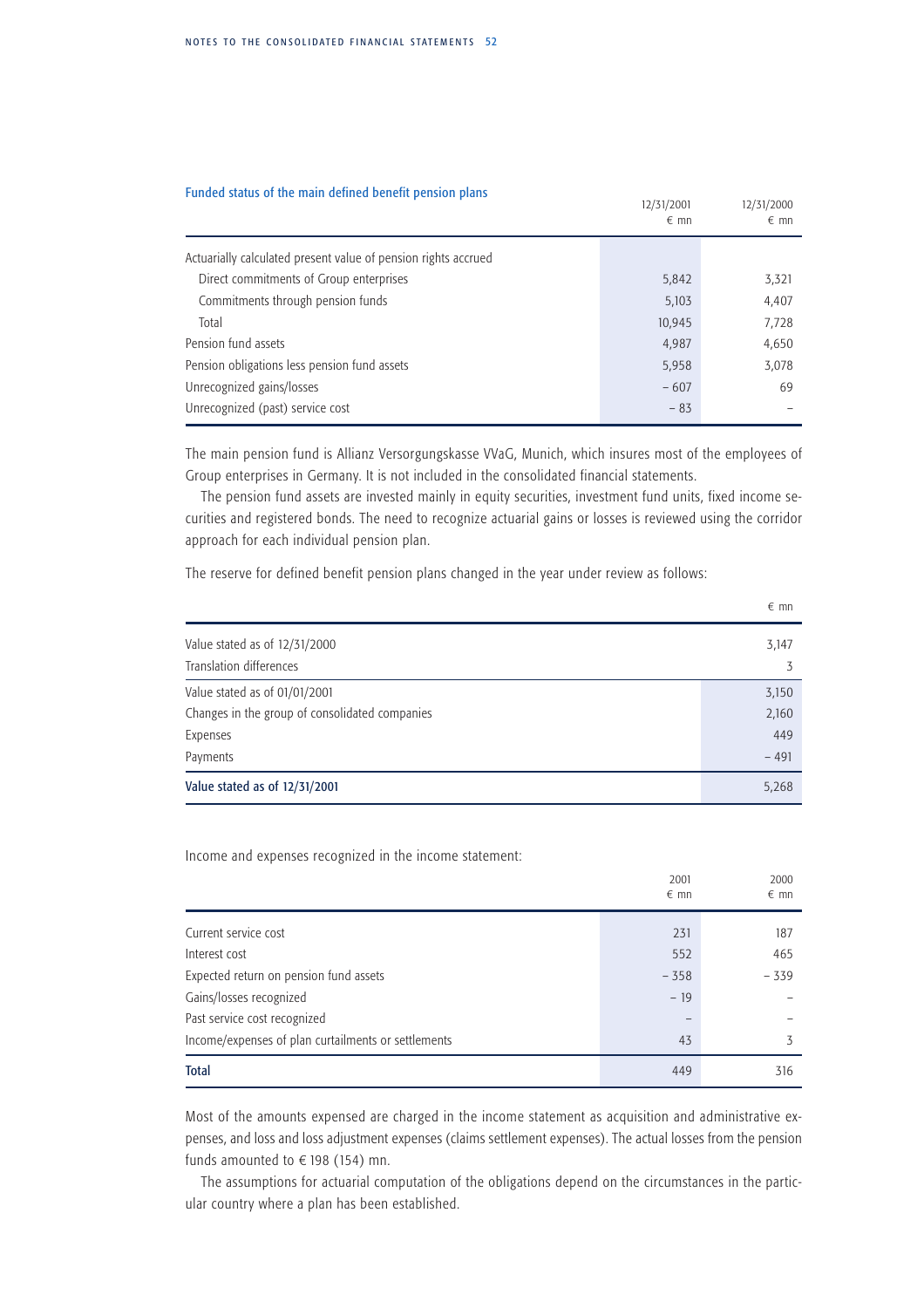#### Funded status of the main defined benefit pension plans 12/31/31/31/31/31/31/321/3221

|                                                                | 12/51/2001<br>$\epsilon$ mn | 12/51/2000<br>$\epsilon$ mn |
|----------------------------------------------------------------|-----------------------------|-----------------------------|
| Actuarially calculated present value of pension rights accrued |                             |                             |
| Direct commitments of Group enterprises                        | 5,842                       | 3,321                       |
| Commitments through pension funds                              | 5,103                       | 4,407                       |
| Total                                                          | 10,945                      | 7,728                       |
| Pension fund assets                                            | 4,987                       | 4,650                       |
| Pension obligations less pension fund assets                   | 5,958                       | 3,078                       |
| Unrecognized gains/losses                                      | $-607$                      | 69                          |
| Unrecognized (past) service cost                               | $-83$                       |                             |
|                                                                |                             |                             |

The main pension fund is Allianz Versorgungskasse VVaG, Munich, which insures most of the employees of Group enterprises in Germany. It is not included in the consolidated financial statements.

The pension fund assets are invested mainly in equity securities, investment fund units, fixed income securities and registered bonds. The need to recognize actuarial gains or losses is reviewed using the corridor approach for each individual pension plan.

The reserve for defined benefit pension plans changed in the year under review as follows:

| Value stated as of 12/31/2001                  | 5,268         |
|------------------------------------------------|---------------|
| Payments                                       | $-491$        |
| Expenses                                       | 449           |
| Changes in the group of consolidated companies | 2,160         |
| Value stated as of 01/01/2001                  | 3,150         |
| Translation differences                        | 3             |
| Value stated as of 12/31/2000                  | 3,147         |
|                                                | $\epsilon$ mn |

Income and expenses recognized in the income statement:

|                                                     | 2001<br>$\epsilon$ mn | 2000<br>$\epsilon$ mn |
|-----------------------------------------------------|-----------------------|-----------------------|
| Current service cost                                | 231                   | 187                   |
| Interest cost                                       | 552                   | 465                   |
| Expected return on pension fund assets              | $-358$                | $-339$                |
| Gains/losses recognized                             | $-19$                 |                       |
| Past service cost recognized                        |                       |                       |
| Income/expenses of plan curtailments or settlements | 43                    | 3                     |
| <b>Total</b>                                        | 449                   | 316                   |

Most of the amounts expensed are charged in the income statement as acquisition and administrative expenses, and loss and loss adjustment expenses (claims settlement expenses). The actual losses from the pension funds amounted to  $\in$  198 (154) mn.

The assumptions for actuarial computation of the obligations depend on the circumstances in the particular country where a plan has been established.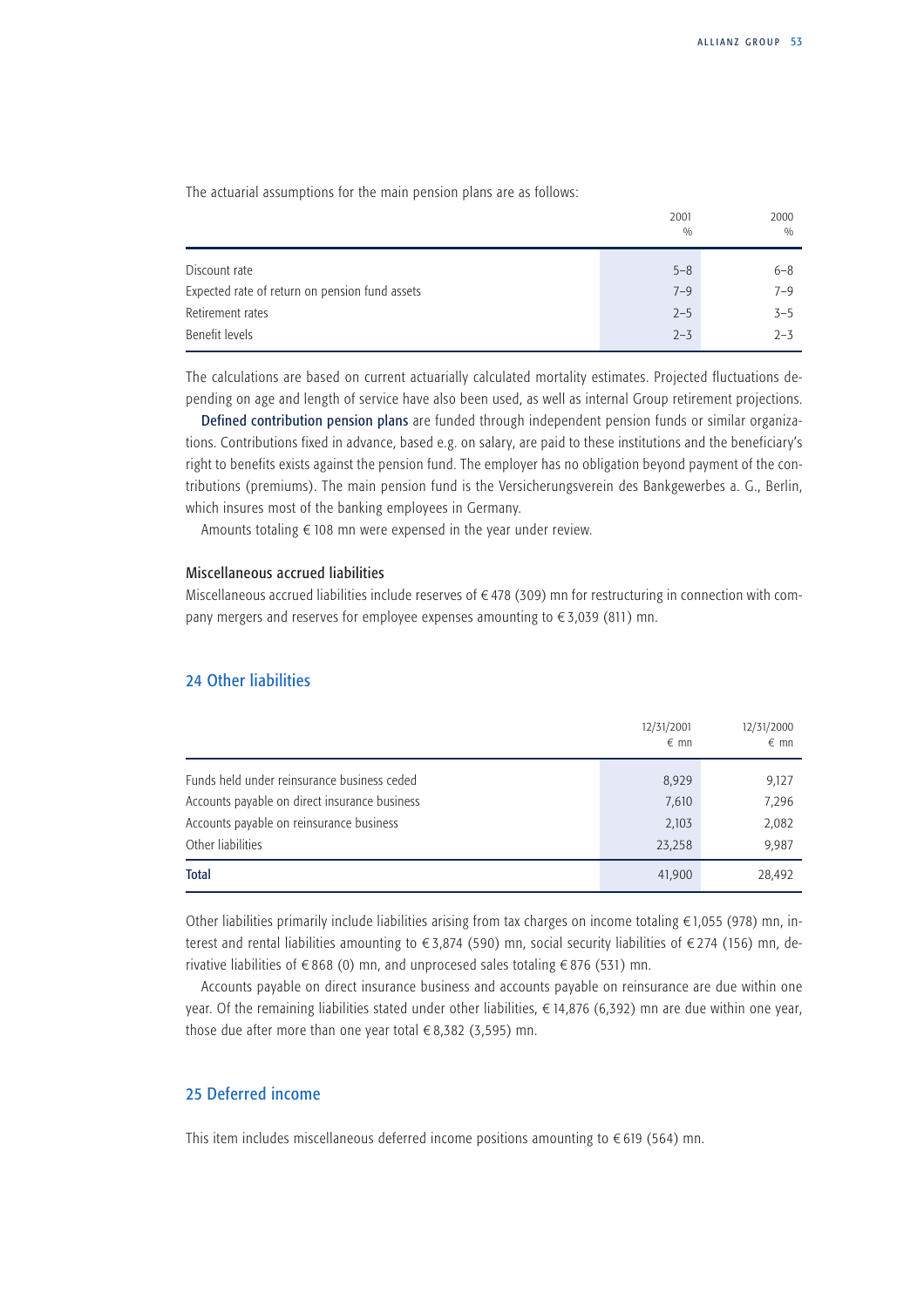The actuarial assumptions for the main pension plans are as follows:

|                                                | 2001<br>0/0 | 2000<br>0/0 |
|------------------------------------------------|-------------|-------------|
| Discount rate                                  | $5 - 8$     | $6 - 8$     |
| Expected rate of return on pension fund assets | $7 - 9$     | $7 - 9$     |
| Retirement rates                               | $2 - 5$     | $3 - 5$     |
| Benefit levels                                 | $2 - 3$     | $2 - 3$     |

The calculations are based on current actuarially calculated mortality estimates. Projected fluctuations depending on age and length of service have also been used, as well as internal Group retirement projections.

Defined contribution pension plans are funded through independent pension funds or similar organizations. Contributions fixed in advance, based e.g. on salary, are paid to these institutions and the beneficiary's right to benefits exists against the pension fund. The employer has no obligation beyond payment of the contributions (premiums). The main pension fund is the Versicherungsverein des Bankgewerbes a. G., Berlin, which insures most of the banking employees in Germany.

Amounts totaling  $\epsilon$  108 mn were expensed in the year under review.

### Miscellaneous accrued liabilities

Miscellaneous accrued liabilities include reserves of  $\epsilon$  478 (309) mn for restructuring in connection with company mergers and reserves for employee expenses amounting to  $\epsilon$  3,039 (811) mn.

### 24 Other liabilities

|                                               | 12/31/2001<br>$\epsilon$ mn | 12/31/2000<br>$\epsilon$ mn |
|-----------------------------------------------|-----------------------------|-----------------------------|
| Funds held under reinsurance business ceded   | 8,929                       | 9,127                       |
| Accounts payable on direct insurance business | 7,610                       | 7,296                       |
| Accounts payable on reinsurance business      | 2,103                       | 2,082                       |
| Other liabilities                             | 23,258                      | 9,987                       |
| <b>Total</b>                                  | 41,900                      | 28,492                      |

Other liabilities primarily include liabilities arising from tax charges on income totaling  $\epsilon$ 1,055 (978) mn, interest and rental liabilities amounting to  $\in$  3,874 (590) mn, social security liabilities of  $\in$  274 (156) mn, derivative liabilities of  $\in$  868 (0) mn, and unprocesed sales totaling  $\in$  876 (531) mn.

Accounts payable on direct insurance business and accounts payable on reinsurance are due within one year. Of the remaining liabilities stated under other liabilities,  $\epsilon$  14,876 (6,392) mn are due within one year, those due after more than one year total  $\in$  8,382 (3,595) mn.

## 25 Deferred income

This item includes miscellaneous deferred income positions amounting to  $\epsilon$  619 (564) mn.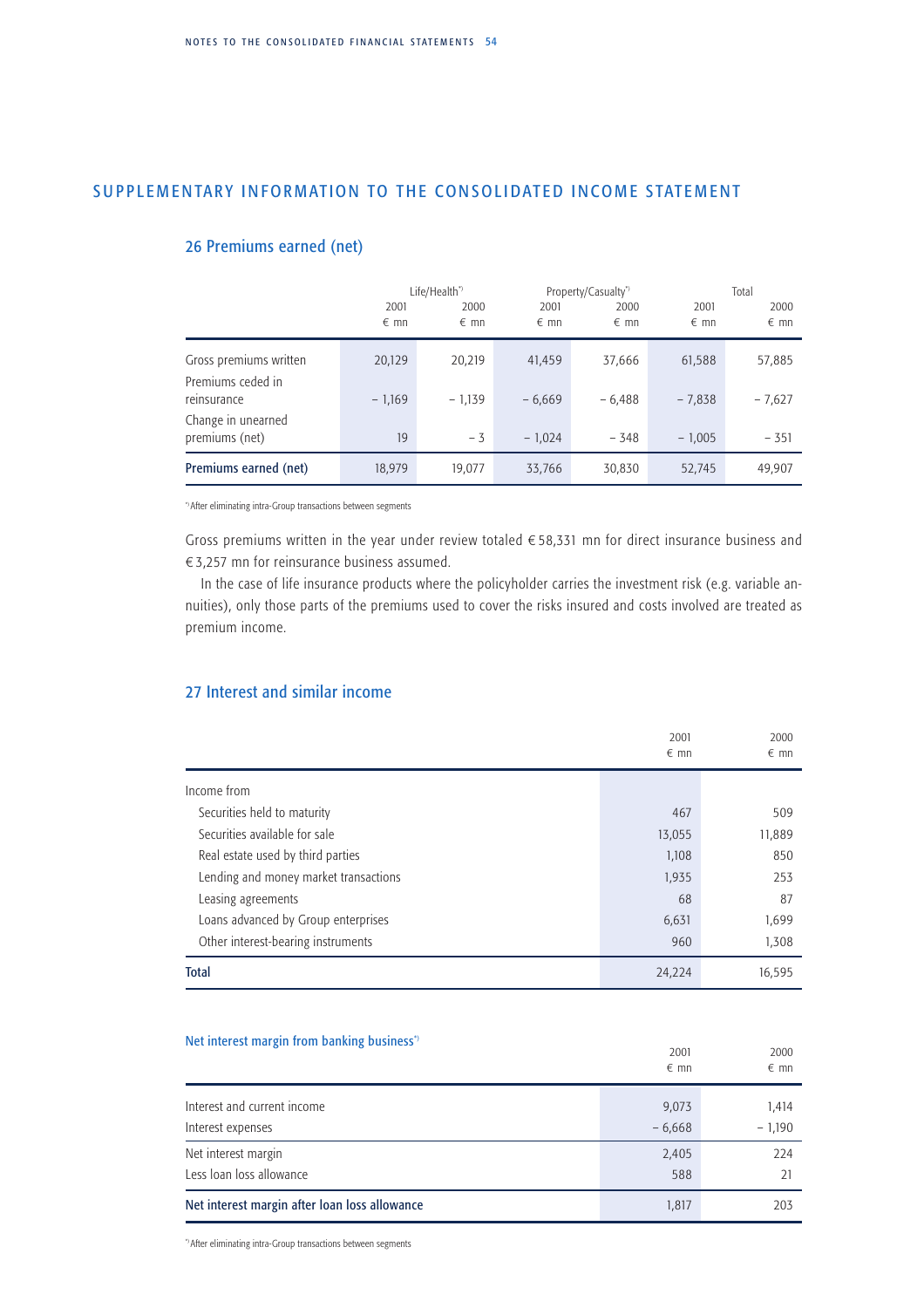## SUPPLEMENTARY INFORMATION TO THE CONSOLIDATED INCOME STATEMENT

|                                      |               | Life/Health*) |               | Property/Casualty*) |               | Total         |  |
|--------------------------------------|---------------|---------------|---------------|---------------------|---------------|---------------|--|
|                                      | 2001          | 2000          | 2001          | 2000                | 2001          | 2000          |  |
|                                      | $\epsilon$ mn | $\epsilon$ mn | $\epsilon$ mn | $\epsilon$ mn       | $\epsilon$ mn | $\epsilon$ mn |  |
| Gross premiums written               | 20,129        | 20,219        | 41,459        | 37,666              | 61,588        | 57,885        |  |
| Premiums ceded in<br>reinsurance     | $-1,169$      | $-1.139$      | $-6,669$      | $-6.488$            | $-7,838$      | $-7,627$      |  |
| Change in unearned<br>premiums (net) | 19            | $-3$          | $-1.024$      | $-348$              | $-1,005$      | $-351$        |  |
| Premiums earned (net)                | 18,979        | 19,077        | 33,766        | 30,830              | 52,745        | 49,907        |  |

# 26 Premiums earned (net)

\*) After eliminating intra-Group transactions between segments

Gross premiums written in the year under review totaled  $\epsilon$  58,331 mn for direct insurance business and  $\epsilon$ 3,257 mn for reinsurance business assumed.

In the case of life insurance products where the policyholder carries the investment risk (e.g. variable annuities), only those parts of the premiums used to cover the risks insured and costs involved are treated as premium income.

# 27 Interest and similar income

|                                       | 2001<br>$\epsilon$ mn | 2000<br>$\epsilon$ mn |
|---------------------------------------|-----------------------|-----------------------|
| Income from                           |                       |                       |
| Securities held to maturity           | 467                   | 509                   |
| Securities available for sale         | 13,055                | 11,889                |
| Real estate used by third parties     | 1,108                 | 850                   |
| Lending and money market transactions | 1,935                 | 253                   |
| Leasing agreements                    | 68                    | 87                    |
| Loans advanced by Group enterprises   | 6,631                 | 1,699                 |
| Other interest-bearing instruments    | 960                   | 1,308                 |
| <b>Total</b>                          | 24,224                | 16,595                |

#### Net interest margin from banking business\*)

|                                               | 2001<br>$\epsilon$ mn | 2000<br>$\epsilon$ mn |  |
|-----------------------------------------------|-----------------------|-----------------------|--|
| Interest and current income                   | 9,073                 | 1,414                 |  |
| Interest expenses                             | $-6,668$              | $-1,190$              |  |
| Net interest margin                           | 2,405                 | 224                   |  |
| Less Joan Joss allowance                      | 588                   | 21                    |  |
| Net interest margin after loan loss allowance | 1,817                 | 203                   |  |

\*) After eliminating intra-Group transactions between segments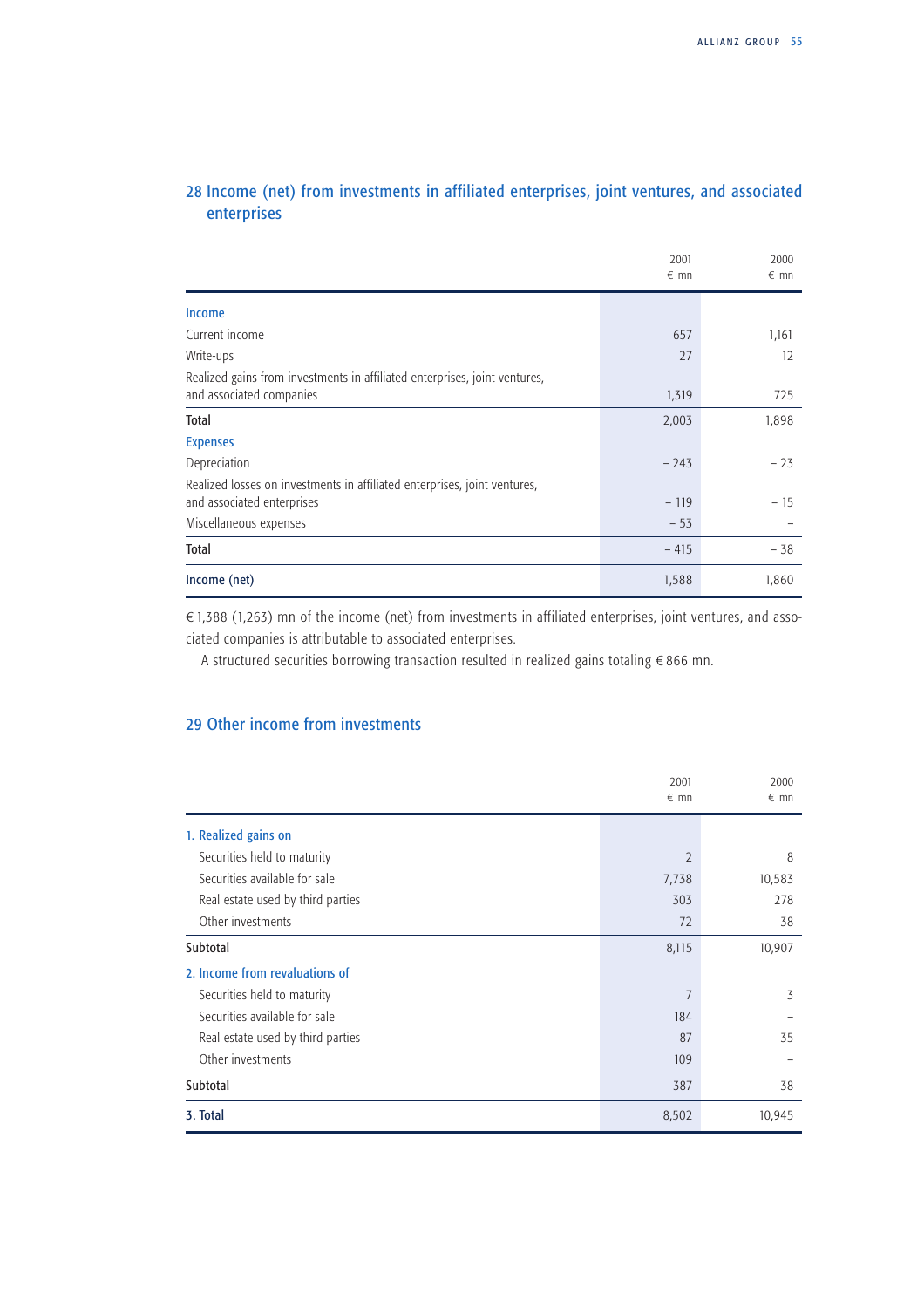|                                                                                                         | 2001<br>$\epsilon$ mn | 2000<br>$\epsilon$ mn |
|---------------------------------------------------------------------------------------------------------|-----------------------|-----------------------|
| <b>Income</b>                                                                                           |                       |                       |
| Current income                                                                                          | 657                   | 1,161                 |
| Write-ups                                                                                               | 27                    | 12                    |
| Realized gains from investments in affiliated enterprises, joint ventures,<br>and associated companies  | 1,319                 | 725                   |
| <b>Total</b>                                                                                            | 2,003                 | 1,898                 |
| <b>Expenses</b>                                                                                         |                       |                       |
| Depreciation                                                                                            | $-243$                | $-23$                 |
| Realized losses on investments in affiliated enterprises, joint ventures,<br>and associated enterprises | $-119$                | $-15$                 |
| Miscellaneous expenses                                                                                  | $-53$                 |                       |
| <b>Total</b>                                                                                            | $-415$                | $-38$                 |
| Income (net)                                                                                            | 1,588                 | 1,860                 |

# 28 Income (net) from investments in affiliated enterprises, joint ventures, and associated enterprises

 $\epsilon$  1,388 (1,263) mn of the income (net) from investments in affiliated enterprises, joint ventures, and associated companies is attributable to associated enterprises.

A structured securities borrowing transaction resulted in realized gains totaling  $\epsilon$ 866 mn.

# 29 Other income from investments

|                                   | 2001<br>$\epsilon$ mn | 2000<br>$\epsilon$ mn |
|-----------------------------------|-----------------------|-----------------------|
| 1. Realized gains on              |                       |                       |
| Securities held to maturity       | $\overline{2}$        | 8                     |
| Securities available for sale     | 7,738                 | 10,583                |
| Real estate used by third parties | 303                   | 278                   |
| Other investments                 | 72                    | 38                    |
| Subtotal                          | 8,115                 | 10,907                |
| 2. Income from revaluations of    |                       |                       |
| Securities held to maturity       | $\overline{7}$        | 3                     |
| Securities available for sale     | 184                   |                       |
| Real estate used by third parties | 87                    | 35                    |
| Other investments                 | 109                   |                       |
| Subtotal                          | 387                   | 38                    |
| 3. Total                          | 8,502                 | 10,945                |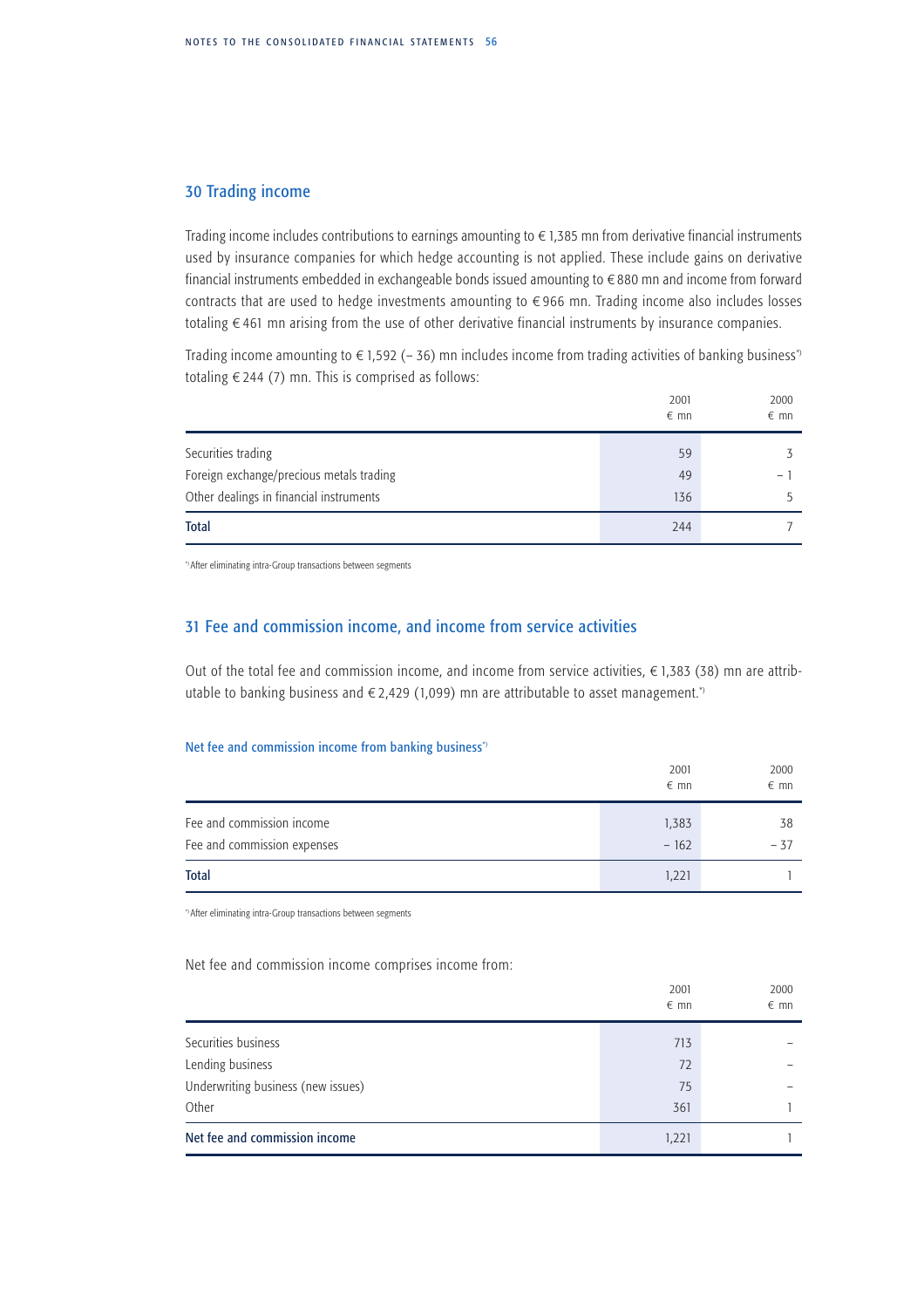#### 30 Trading income

Trading income includes contributions to earnings amounting to  $\epsilon$  1,385 mn from derivative financial instruments used by insurance companies for which hedge accounting is not applied. These include gains on derivative financial instruments embedded in exchangeable bonds issued amounting to  $\epsilon$ 880 mn and income from forward contracts that are used to hedge investments amounting to  $\epsilon$ 966 mn. Trading income also includes losses totaling  $\epsilon$  461 mn arising from the use of other derivative financial instruments by insurance companies.

Trading income amounting to  $\in$  1,592 (-36) mn includes income from trading activities of banking business<sup>\*</sup>) totaling  $\epsilon$  244 (7) mn. This is comprised as follows:

|                                          | 2001<br>$\epsilon$ mn | 2000<br>$\epsilon$ mn |
|------------------------------------------|-----------------------|-----------------------|
| Securities trading                       | 59                    |                       |
| Foreign exchange/precious metals trading | 49                    |                       |
| Other dealings in financial instruments  | 136                   |                       |
| <b>Total</b>                             | 244                   |                       |

\*) After eliminating intra-Group transactions between segments

## 31 Fee and commission income, and income from service activities

Out of the total fee and commission income, and income from service activities,  $\epsilon$  1,383 (38) mn are attributable to banking business and  $\epsilon$  2,429 (1,099) mn are attributable to asset management.<sup>\*</sup>)

#### Net fee and commission income from banking business<sup>\*</sup>)

|                             | 2001<br>$\epsilon$ mn | 2000<br>$\epsilon$ mn |
|-----------------------------|-----------------------|-----------------------|
| Fee and commission income   | 1,383                 | 38                    |
| Fee and commission expenses | $-162$                | $-37$                 |
| <b>Total</b>                | 1,221                 |                       |

\*) After eliminating intra-Group transactions between segments

Net fee and commission income comprises income from:

|                                    | 2001<br>$\epsilon$ mn | 2000<br>$\epsilon$ mn |
|------------------------------------|-----------------------|-----------------------|
| Securities business                | 713                   |                       |
| Lending business                   | 72                    |                       |
| Underwriting business (new issues) | 75                    |                       |
| Other                              | 361                   |                       |
| Net fee and commission income      | 1,221                 |                       |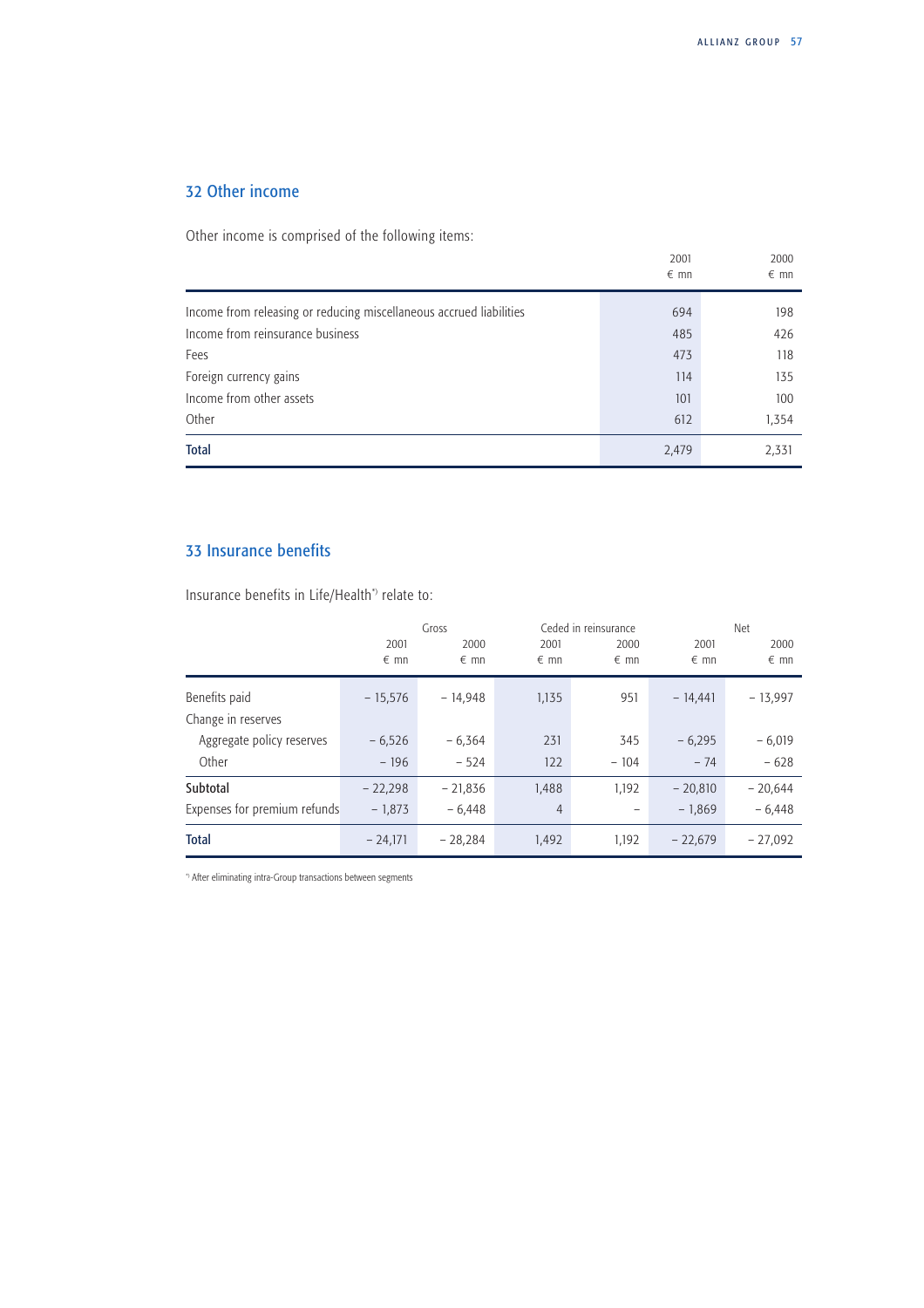# 32 Other income

Other income is comprised of the following items:

|                                                                     | 2001<br>$\epsilon$ mn | 2000<br>$\epsilon$ mn |
|---------------------------------------------------------------------|-----------------------|-----------------------|
| Income from releasing or reducing miscellaneous accrued liabilities | 694                   | 198                   |
| Income from reinsurance business                                    | 485                   | 426                   |
| Fees                                                                | 473                   | 118                   |
| Foreign currency gains                                              | 114                   | 135                   |
| Income from other assets                                            | 101                   | 100                   |
| Other                                                               | 612                   | 1,354                 |
| <b>Total</b>                                                        | 2,479                 | 2,331                 |

## 33 Insurance benefits

Insurance benefits in Life/Health<sup>\*</sup> relate to:

|                              | Gross         |               | Ceded in reinsurance | Net           |               |               |
|------------------------------|---------------|---------------|----------------------|---------------|---------------|---------------|
|                              | 2001          | 2000          | 2001                 | 2000          | 2001          | 2000          |
|                              | $\epsilon$ mn | $\epsilon$ mn | $\epsilon$ mn        | $\epsilon$ mn | $\epsilon$ mn | $\epsilon$ mn |
| Benefits paid                | $-15,576$     | $-14.948$     | 1,135                | 951           | $-14.441$     | $-13.997$     |
| Change in reserves           |               |               |                      |               |               |               |
| Aggregate policy reserves    | $-6,526$      | $-6,364$      | 231                  | 345           | $-6,295$      | $-6,019$      |
| Other                        | $-196$        | $-524$        | 122                  | $-104$        | $-74$         | $-628$        |
| Subtotal                     | $-22,298$     | $-21,836$     | 1,488                | 1,192         | $-20,810$     | $-20.644$     |
| Expenses for premium refunds | $-1,873$      | $-6.448$      | $\overline{4}$       |               | $-1.869$      | $-6,448$      |
| <b>Total</b>                 | $-24,171$     | $-28.284$     | 1,492                | 1,192         | $-22,679$     | $-27.092$     |

\*) After eliminating intra-Group transactions between segments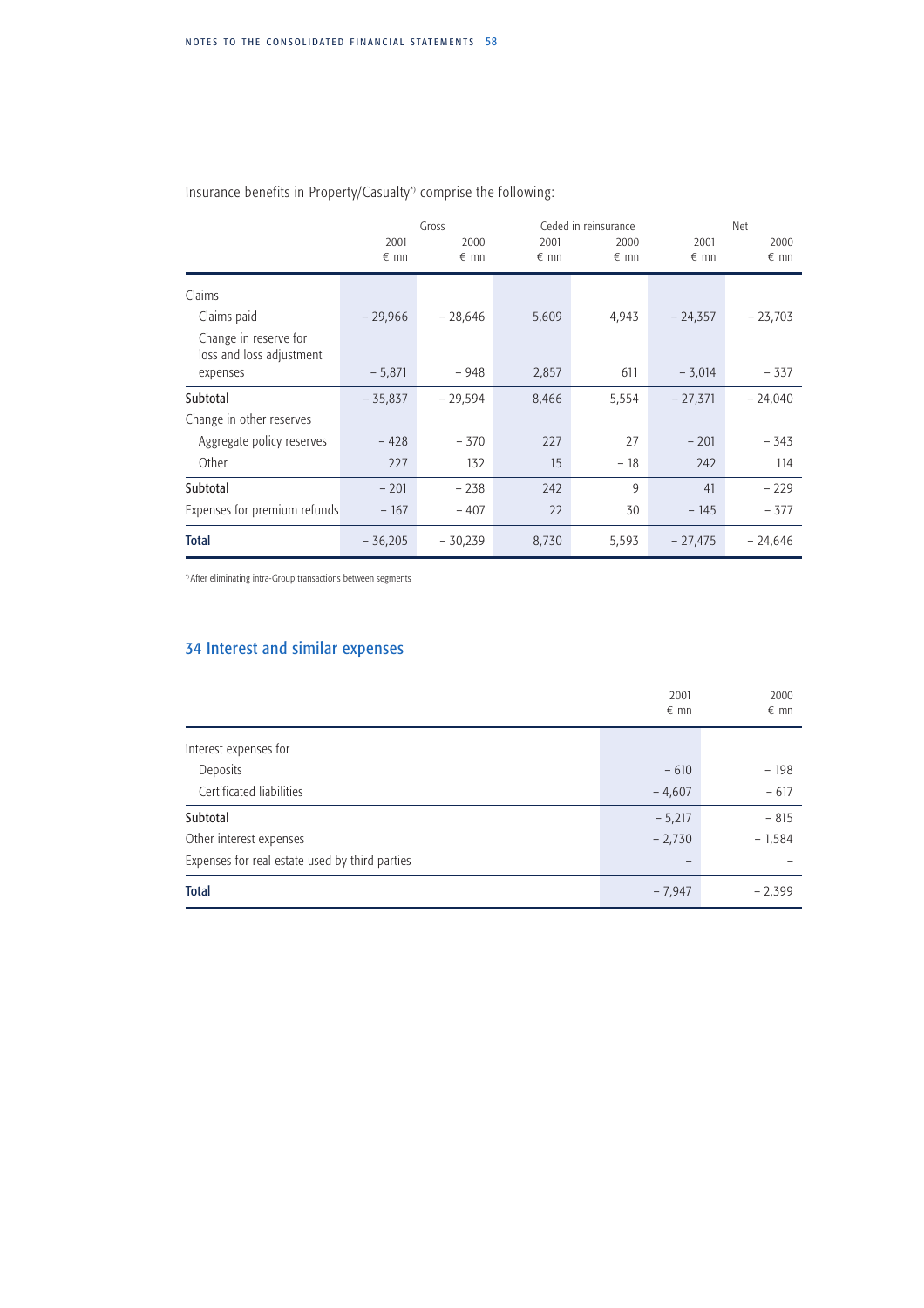# Insurance benefits in Property/Casualty\*) comprise the following:

|                                                   |                       | Gross                 |                       | Ceded in reinsurance  | Net                   |                       |  |
|---------------------------------------------------|-----------------------|-----------------------|-----------------------|-----------------------|-----------------------|-----------------------|--|
|                                                   | 2001<br>$\epsilon$ mn | 2000<br>$\epsilon$ mn | 2001<br>$\epsilon$ mn | 2000<br>$\epsilon$ mn | 2001<br>$\epsilon$ mn | 2000<br>$\epsilon$ mn |  |
| Claims                                            |                       |                       |                       |                       |                       |                       |  |
| Claims paid                                       | $-29,966$             | $-28,646$             | 5,609                 | 4,943                 | $-24,357$             | $-23,703$             |  |
| Change in reserve for<br>loss and loss adjustment |                       |                       |                       |                       |                       |                       |  |
| expenses                                          | $-5,871$              | $-948$                | 2,857                 | 611                   | $-3,014$              | $-337$                |  |
| Subtotal                                          | $-35,837$             | $-29,594$             | 8,466                 | 5,554                 | $-27,371$             | $-24,040$             |  |
| Change in other reserves                          |                       |                       |                       |                       |                       |                       |  |
| Aggregate policy reserves                         | $-428$                | $-370$                | 227                   | 27                    | $-201$                | $-343$                |  |
| Other                                             | 227                   | 132                   | 15                    | $-18$                 | 242                   | 114                   |  |
| Subtotal                                          | $-201$                | $-238$                | 242                   | 9                     | 41                    | $-229$                |  |
| Expenses for premium refunds                      | $-167$                | $-407$                | 22                    | 30                    | $-145$                | $-377$                |  |
| <b>Total</b>                                      | $-36,205$             | $-30,239$             | 8,730                 | 5,593                 | $-27,475$             | $-24,646$             |  |

\*) After eliminating intra-Group transactions between segments

# 34 Interest and similar expenses

|                                                | 2001<br>$\epsilon$ mn | 2000<br>$\epsilon$ mn |
|------------------------------------------------|-----------------------|-----------------------|
| Interest expenses for                          |                       |                       |
| Deposits                                       | $-610$                | $-198$                |
| Certificated liabilities                       | $-4,607$              | $-617$                |
| Subtotal                                       | $-5,217$              | $-815$                |
| Other interest expenses                        | $-2,730$              | $-1,584$              |
| Expenses for real estate used by third parties |                       |                       |
| <b>Total</b>                                   | $-7,947$              | $-2,399$              |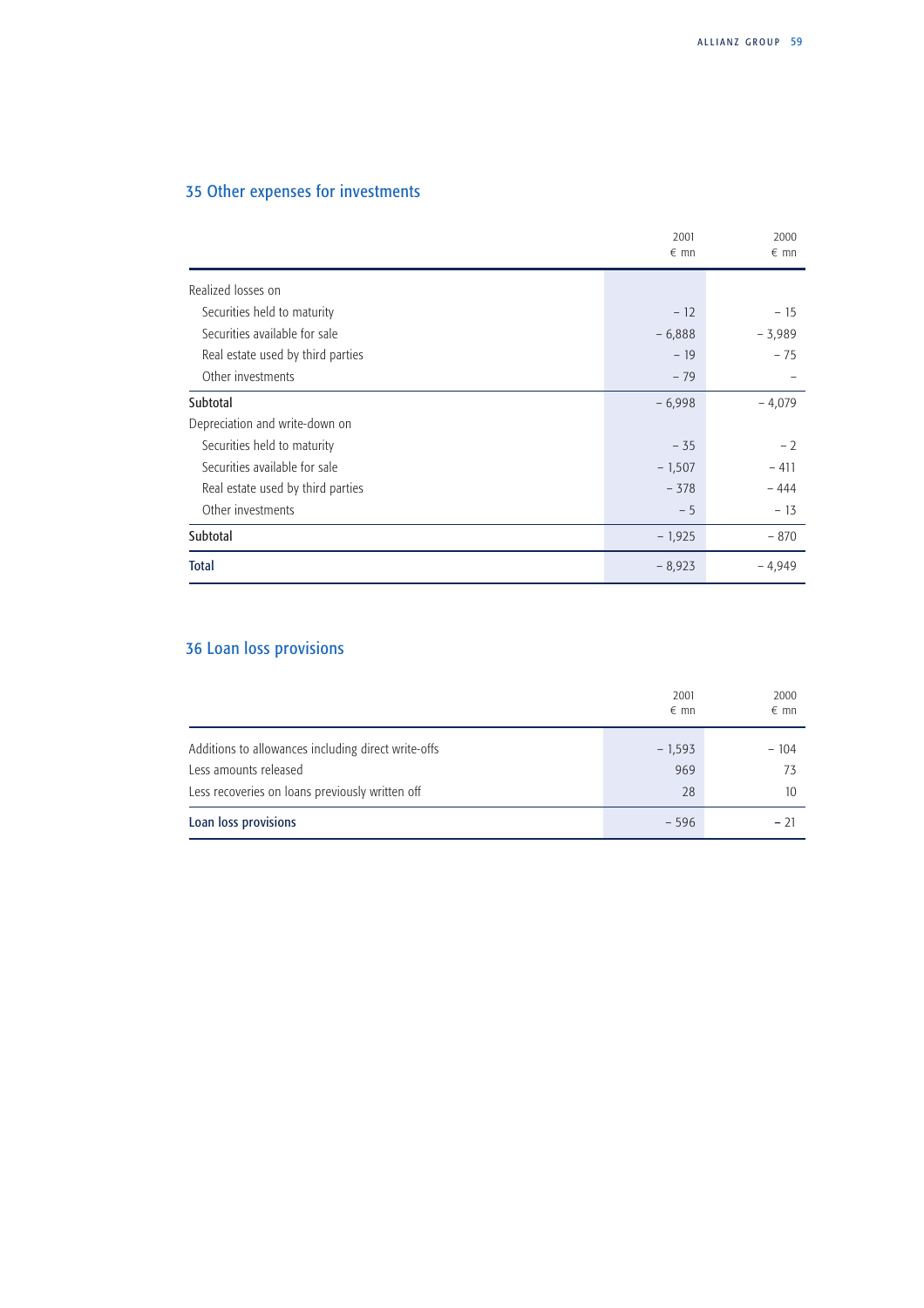# 35 Other expenses for investments

|                                   | 2001<br>$\epsilon$ mn | 2000<br>$\epsilon$ mn |
|-----------------------------------|-----------------------|-----------------------|
| Realized losses on                |                       |                       |
| Securities held to maturity       | $-12$                 | $-15$                 |
| Securities available for sale     | $-6,888$              | $-3,989$              |
| Real estate used by third parties | $-19$                 | $-75$                 |
| Other investments                 | $-79$                 |                       |
| Subtotal                          | $-6,998$              | $-4,079$              |
| Depreciation and write-down on    |                       |                       |
| Securities held to maturity       | $-35$                 | $-2$                  |
| Securities available for sale     | $-1,507$              | $-411$                |
| Real estate used by third parties | $-378$                | $-444$                |
| Other investments                 | $-5$                  | $-13$                 |
| Subtotal                          | $-1,925$              | $-870$                |
| <b>Total</b>                      | $-8,923$              | $-4,949$              |

# 36 Loan loss provisions

|                                                     | 2001<br>$\epsilon$ mn | 2000<br>$\epsilon$ mn |
|-----------------------------------------------------|-----------------------|-----------------------|
| Additions to allowances including direct write-offs | $-1,593$              | $-104$                |
| Less amounts released                               | 969                   | 73                    |
| Less recoveries on loans previously written off     | 28                    | 10                    |
| Loan loss provisions                                | $-596$                | - 21                  |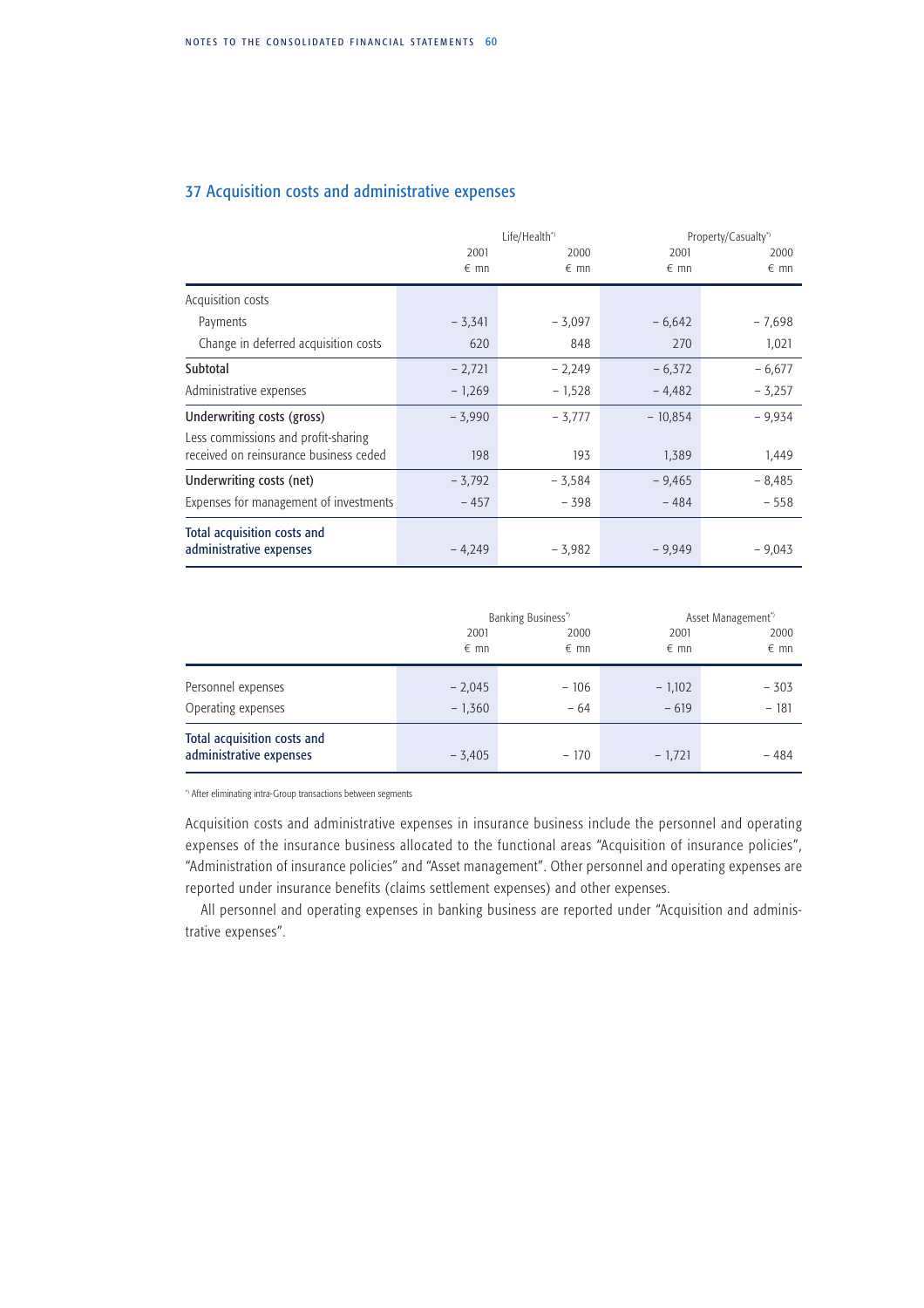## 37 Acquisition costs and administrative expenses

|                                        |               | Life/Health*) |               | Property/Casualty*) |  |  |
|----------------------------------------|---------------|---------------|---------------|---------------------|--|--|
|                                        | 2001          | 2000          | 2001          | 2000                |  |  |
|                                        | $\epsilon$ mn | $\epsilon$ mn | $\epsilon$ mn | $\epsilon$ mn       |  |  |
| Acquisition costs                      |               |               |               |                     |  |  |
| Payments                               | $-3,341$      | $-3,097$      | $-6,642$      | $-7,698$            |  |  |
| Change in deferred acquisition costs   | 620           | 848           | 270           | 1,021               |  |  |
| Subtotal                               | $-2,721$      | $-2,249$      | $-6,372$      | $-6,677$            |  |  |
| Administrative expenses                | $-1,269$      | $-1,528$      | $-4,482$      | $-3,257$            |  |  |
| Underwriting costs (gross)             | $-3,990$      | $-3,777$      | $-10,854$     | $-9,934$            |  |  |
| Less commissions and profit-sharing    |               |               |               |                     |  |  |
| received on reinsurance business ceded | 198           | 193           | 1,389         | 1,449               |  |  |
| Underwriting costs (net)               | $-3,792$      | $-3,584$      | $-9,465$      | $-8,485$            |  |  |
| Expenses for management of investments | $-457$        | $-398$        | $-484$        | $-558$              |  |  |
| Total acquisition costs and            |               |               |               |                     |  |  |
| administrative expenses                | $-4,249$      | $-3,982$      | $-9,949$      | $-9,043$            |  |  |

|                                                        | 2001                 | Banking Business*)<br>2000 | 2001               | Asset Management <sup>*</sup><br>2000 |  |  |
|--------------------------------------------------------|----------------------|----------------------------|--------------------|---------------------------------------|--|--|
|                                                        | $\epsilon$ mn        | $\epsilon$ mn              | $\epsilon$ mn      | $\epsilon$ mn                         |  |  |
| Personnel expenses<br>Operating expenses               | $-2,045$<br>$-1,360$ | $-106$<br>$-64$            | $-1,102$<br>$-619$ | $-303$<br>$-181$                      |  |  |
| Total acquisition costs and<br>administrative expenses | $-3,405$             | $-170$                     | $-1.721$           | $-484$                                |  |  |

\*) After eliminating intra-Group transactions between segments

Acquisition costs and administrative expenses in insurance business include the personnel and operating expenses of the insurance business allocated to the functional areas "Acquisition of insurance policies", "Administration of insurance policies" and "Asset management". Other personnel and operating expenses are reported under insurance benefits (claims settlement expenses) and other expenses.

All personnel and operating expenses in banking business are reported under "Acquisition and administrative expenses".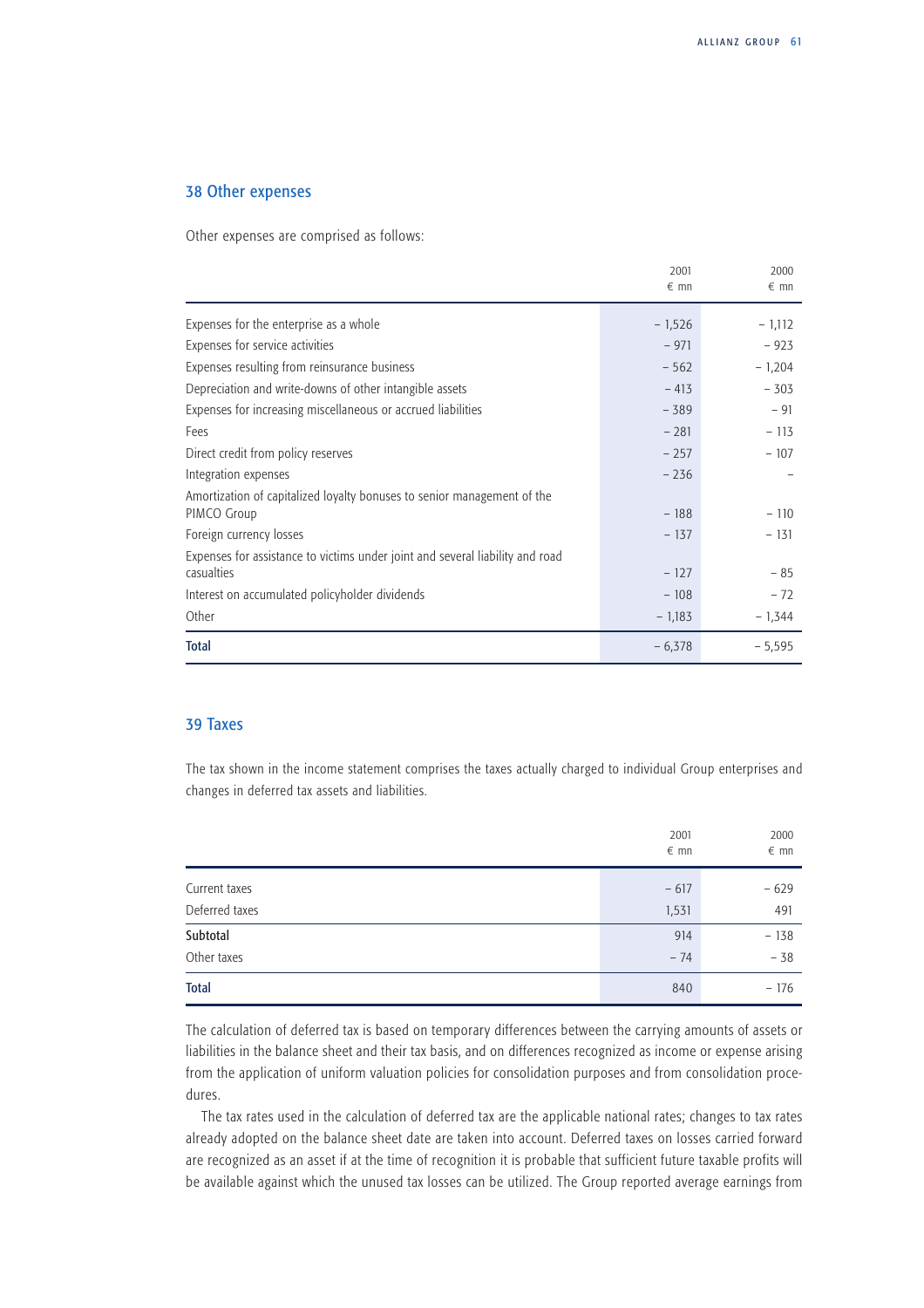#### 38 Other expenses

Other expenses are comprised as follows:

|                                                                               | 2001<br>$\epsilon$ mn | 2000<br>$\epsilon$ mn |
|-------------------------------------------------------------------------------|-----------------------|-----------------------|
|                                                                               |                       |                       |
| Expenses for the enterprise as a whole                                        | $-1,526$              | $-1,112$              |
| Expenses for service activities                                               | $-971$                | $-923$                |
| Expenses resulting from reinsurance business                                  | $-562$                | $-1,204$              |
| Depreciation and write-downs of other intangible assets                       | $-413$                | $-303$                |
| Expenses for increasing miscellaneous or accrued liabilities                  | $-389$                | $-91$                 |
| Fees                                                                          | $-281$                | $-113$                |
| Direct credit from policy reserves                                            | $-257$                | $-107$                |
| Integration expenses                                                          | $-236$                |                       |
| Amortization of capitalized loyalty bonuses to senior management of the       |                       |                       |
| PIMCO Group                                                                   | $-188$                | $-110$                |
| Foreign currency losses                                                       | $-137$                | $-131$                |
| Expenses for assistance to victims under joint and several liability and road |                       |                       |
| casualties                                                                    | $-127$                | $-85$                 |
| Interest on accumulated policyholder dividends                                | $-108$                | $-72$                 |
| Other                                                                         | $-1,183$              | $-1,344$              |
| <b>Total</b>                                                                  | $-6,378$              | $-5,595$              |

## 39 Taxes

The tax shown in the income statement comprises the taxes actually charged to individual Group enterprises and changes in deferred tax assets and liabilities.

|                | 2001<br>$\epsilon$ mn | 2000<br>$\epsilon$ mn |
|----------------|-----------------------|-----------------------|
| Current taxes  | $-617$                | $-629$                |
| Deferred taxes | 1,531                 | 491                   |
| Subtotal       | 914                   | $-138$                |
| Other taxes    | $-74$                 | $-38$                 |
| <b>Total</b>   | 840                   | $-176$                |

The calculation of deferred tax is based on temporary differences between the carrying amounts of assets or liabilities in the balance sheet and their tax basis, and on differences recognized as income or expense arising from the application of uniform valuation policies for consolidation purposes and from consolidation procedures.

The tax rates used in the calculation of deferred tax are the applicable national rates; changes to tax rates already adopted on the balance sheet date are taken into account. Deferred taxes on losses carried forward are recognized as an asset if at the time of recognition it is probable that sufficient future taxable profits will be available against which the unused tax losses can be utilized. The Group reported average earnings from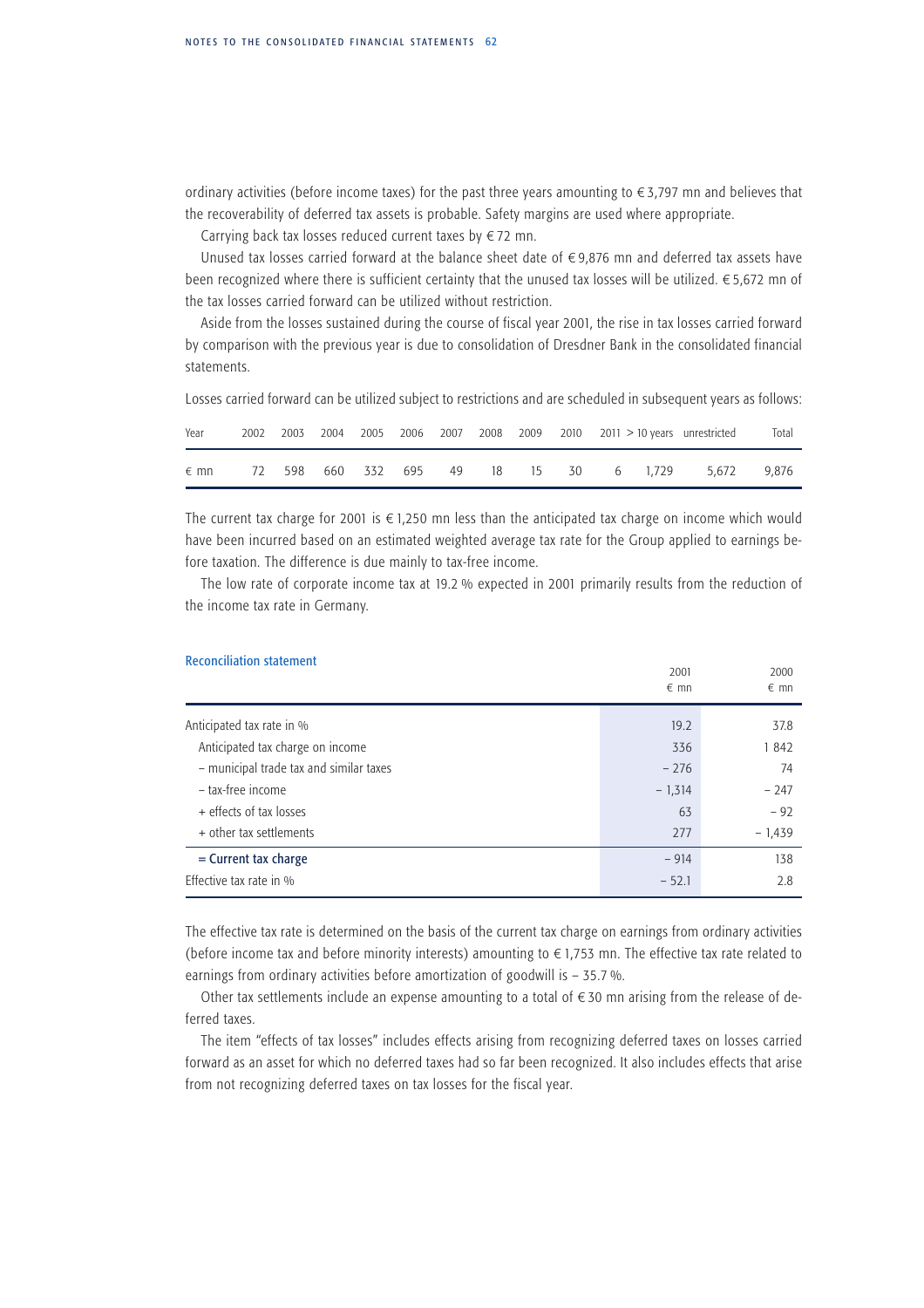ordinary activities (before income taxes) for the past three years amounting to  $\epsilon$  3,797 mn and believes that the recoverability of deferred tax assets is probable. Safety margins are used where appropriate.

Carrying back tax losses reduced current taxes by  $\epsilon$  72 mn.

Reconciliation statement

Unused tax losses carried forward at the balance sheet date of  $\epsilon$ 9,876 mn and deferred tax assets have been recognized where there is sufficient certainty that the unused tax losses will be utilized.  $\epsilon$  5,672 mn of the tax losses carried forward can be utilized without restriction.

Aside from the losses sustained during the course of fiscal year 2001, the rise in tax losses carried forward by comparison with the previous year is due to consolidation of Dresdner Bank in the consolidated financial statements.

Losses carried forward can be utilized subject to restrictions and are scheduled in subsequent years as follows:

| Year          | 2002 |  |  |  |  |                                        | 2003 2004 2005 2006 2007 2008 2009 2010 2011 > 10 years unrestricted | Total |
|---------------|------|--|--|--|--|----------------------------------------|----------------------------------------------------------------------|-------|
| $\epsilon$ mn |      |  |  |  |  | 72 598 660 332 695 49 18 15 30 6 1.729 | 5.672                                                                | 9.876 |

The current tax charge for 2001 is  $\epsilon$  1,250 mn less than the anticipated tax charge on income which would have been incurred based on an estimated weighted average tax rate for the Group applied to earnings before taxation. The difference is due mainly to tax-free income.

The low rate of corporate income tax at 19.2 % expected in 2001 primarily results from the reduction of the income tax rate in Germany.

|                                         | 2001<br>$\epsilon$ mn | 2000<br>$\epsilon$ mn |
|-----------------------------------------|-----------------------|-----------------------|
| Anticipated tax rate in %               | 19.2                  | 37.8                  |
| Anticipated tax charge on income        | 336                   | 1842                  |
| - municipal trade tax and similar taxes | $-276$                | 74                    |
| - tax-free income                       | $-1,314$              | $-247$                |
| + effects of tax losses                 | 63                    | $-92$                 |
| + other tax settlements                 | 277                   | $-1,439$              |
| $=$ Current tax charge                  | $-914$                | 138                   |
| Effective tax rate in %                 | $-52.1$               | 2.8                   |

## The effective tax rate is determined on the basis of the current tax charge on earnings from ordinary activities (before income tax and before minority interests) amounting to  $\epsilon$  1,753 mn. The effective tax rate related to earnings from ordinary activities before amortization of goodwill is – 35.7 %.

Other tax settlements include an expense amounting to a total of  $\epsilon$  30 mn arising from the release of deferred taxes.

The item "effects of tax losses" includes effects arising from recognizing deferred taxes on losses carried forward as an asset for which no deferred taxes had so far been recognized. It also includes effects that arise from not recognizing deferred taxes on tax losses for the fiscal year.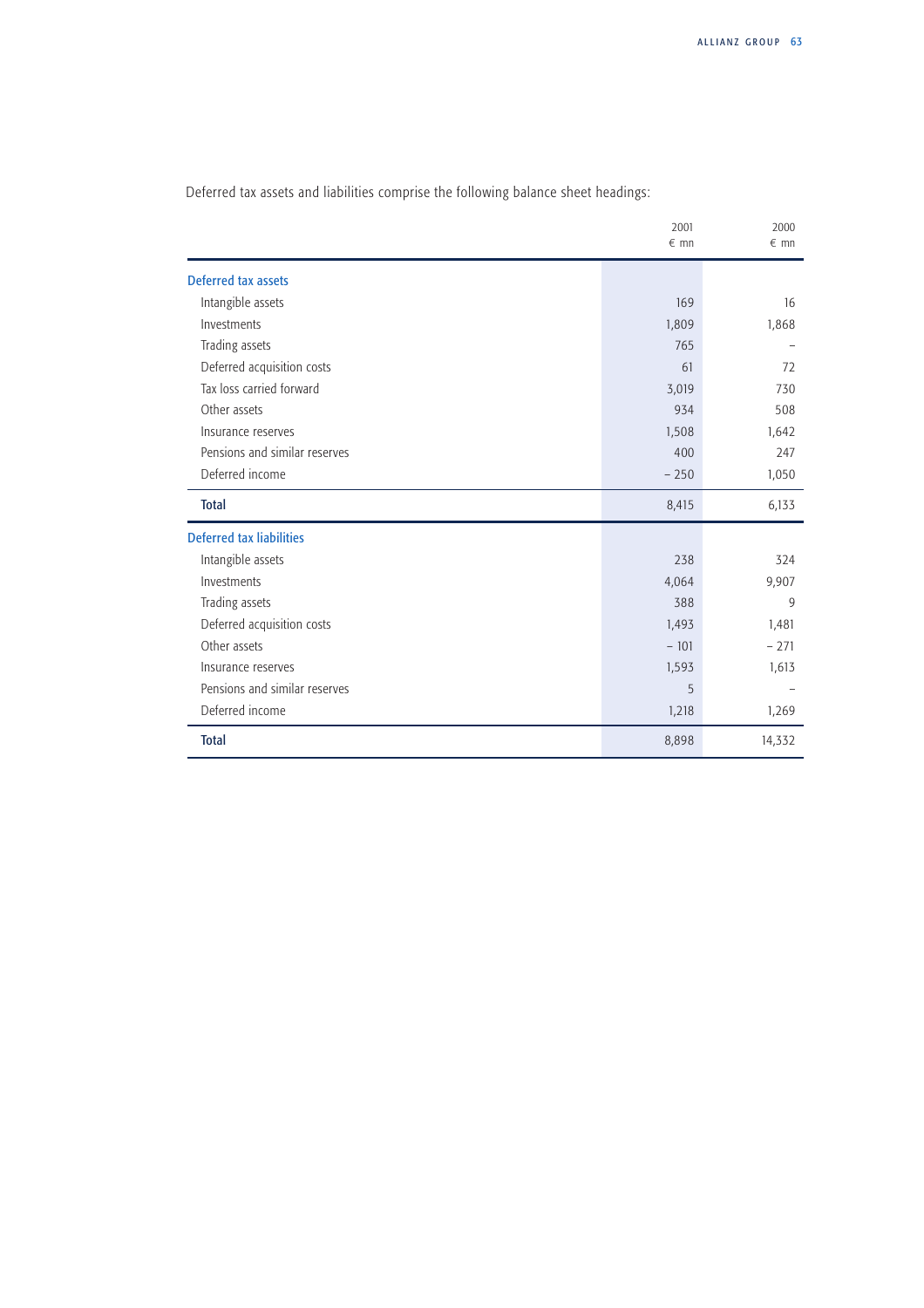|                                 | 2001          | 2000          |
|---------------------------------|---------------|---------------|
|                                 | $\epsilon$ mn | $\epsilon$ mn |
| <b>Deferred tax assets</b>      |               |               |
| Intangible assets               | 169           | 16            |
| Investments                     | 1,809         | 1,868         |
| Trading assets                  | 765           |               |
| Deferred acquisition costs      | 61            | 72            |
| Tax loss carried forward        | 3,019         | 730           |
| Other assets                    | 934           | 508           |
| Insurance reserves              | 1,508         | 1,642         |
| Pensions and similar reserves   | 400           | 247           |
| Deferred income                 | $-250$        | 1,050         |
| <b>Total</b>                    | 8,415         | 6,133         |
| <b>Deferred tax liabilities</b> |               |               |
| Intangible assets               | 238           | 324           |
| Investments                     | 4,064         | 9,907         |
| Trading assets                  | 388           | 9             |
| Deferred acquisition costs      | 1,493         | 1,481         |
| Other assets                    | $-101$        | $-271$        |
| Insurance reserves              | 1,593         | 1,613         |
| Pensions and similar reserves   | 5             |               |
| Deferred income                 | 1,218         | 1,269         |
| <b>Total</b>                    | 8,898         | 14,332        |

Deferred tax assets and liabilities comprise the following balance sheet headings: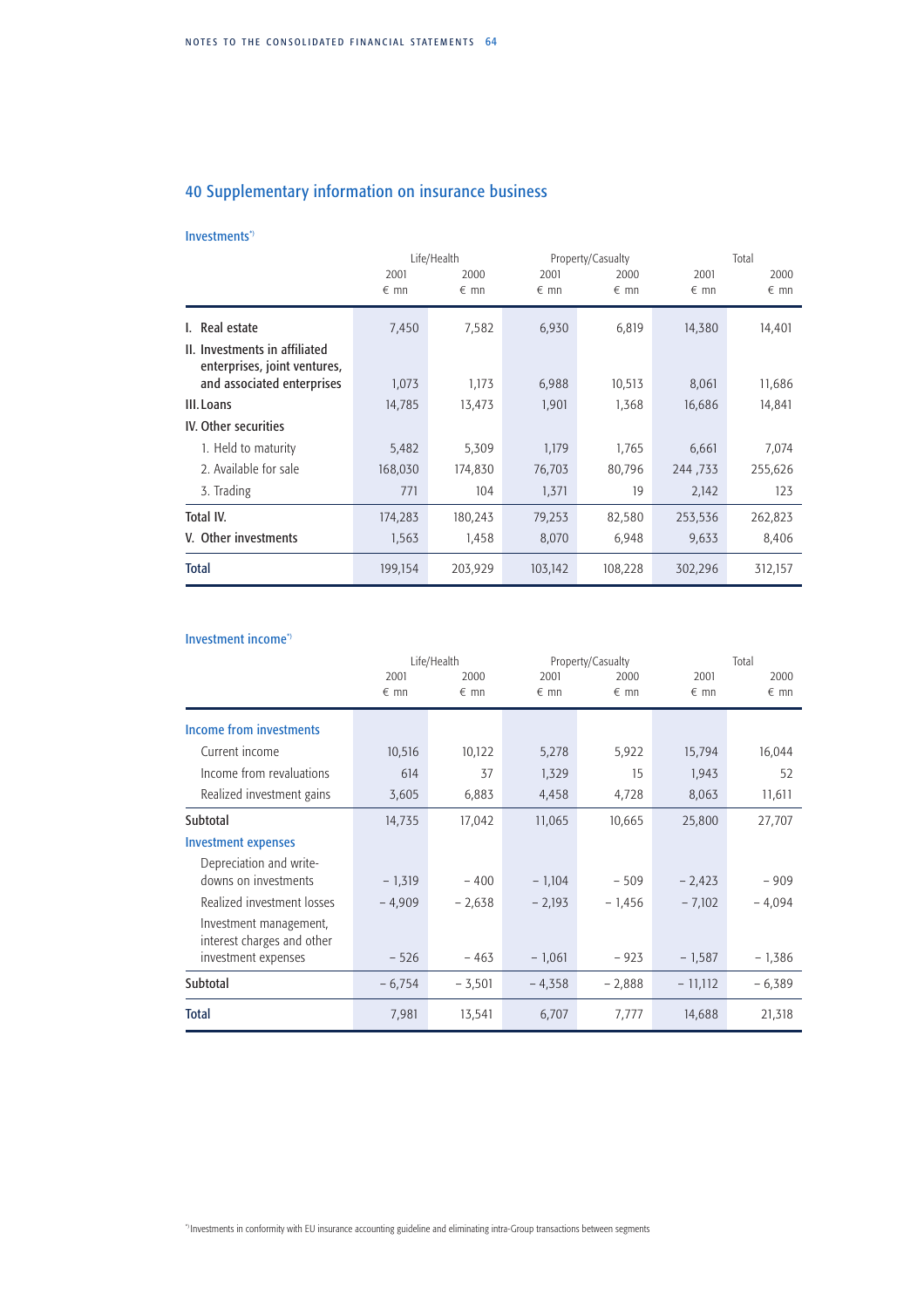# 40 Supplementary information on insurance business

Investments\*)

|                                                               |               | Life/Health   |               | Property/Casualty | Total         |               |  |
|---------------------------------------------------------------|---------------|---------------|---------------|-------------------|---------------|---------------|--|
|                                                               | 2001          | 2000          | 2001          | 2000              | 2001          | 2000          |  |
|                                                               | $\epsilon$ mn | $\epsilon$ mn | $\epsilon$ mn | $\epsilon$ mn     | $\epsilon$ mn | $\epsilon$ mn |  |
| I. Real estate                                                | 7,450         | 7,582         | 6,930         | 6,819             | 14,380        | 14,401        |  |
| II. Investments in affiliated<br>enterprises, joint ventures, |               |               |               |                   |               |               |  |
| and associated enterprises                                    | 1,073         | 1,173         | 6,988         | 10,513            | 8,061         | 11,686        |  |
| III. Loans                                                    | 14,785        | 13,473        | 1,901         | 1,368             | 16,686        | 14,841        |  |
| IV. Other securities                                          |               |               |               |                   |               |               |  |
| 1. Held to maturity                                           | 5,482         | 5,309         | 1,179         | 1,765             | 6,661         | 7,074         |  |
| 2. Available for sale                                         | 168,030       | 174,830       | 76,703        | 80,796            | 244,733       | 255,626       |  |
| 3. Trading                                                    | 771           | 104           | 1,371         | 19                | 2,142         | 123           |  |
| Total IV.                                                     | 174,283       | 180,243       | 79,253        | 82,580            | 253,536       | 262,823       |  |
| V. Other investments                                          | 1,563         | 1,458         | 8,070         | 6,948             | 9,633         | 8,406         |  |
| <b>Total</b>                                                  | 199,154       | 203,929       | 103,142       | 108,228           | 302,296       | 312,157       |  |

## Investment income\*

|                                                                                                           |                       | Life/Health           |                       | Property/Casualty     | Total                |                       |
|-----------------------------------------------------------------------------------------------------------|-----------------------|-----------------------|-----------------------|-----------------------|----------------------|-----------------------|
|                                                                                                           | 2001<br>$\epsilon$ mn | 2000<br>$\epsilon$ mn | 2001<br>$\epsilon$ mn | 2000<br>$\epsilon$ mn | 2001<br>$\notin$ mn  | 2000<br>$\epsilon$ mn |
| Income from investments                                                                                   |                       |                       |                       |                       |                      |                       |
| Current income                                                                                            | 10,516                | 10,122                | 5,278                 | 5,922                 | 15,794               | 16,044                |
| Income from revaluations                                                                                  | 614                   | 37                    | 1,329                 | 15                    | 1,943                | 52                    |
| Realized investment gains                                                                                 | 3,605                 | 6,883                 | 4,458                 | 4,728                 | 8,063                | 11,611                |
| Subtotal                                                                                                  | 14,735                | 17,042                | 11,065                | 10,665                | 25,800               | 27,707                |
| <b>Investment expenses</b>                                                                                |                       |                       |                       |                       |                      |                       |
| Depreciation and write-<br>downs on investments                                                           | $-1,319$              | $-400$                | $-1,104$              | $-509$                | $-2,423$             | $-909$                |
| Realized investment losses<br>Investment management,<br>interest charges and other<br>investment expenses | $-4,909$<br>$-526$    | $-2,638$<br>$-463$    | $-2,193$<br>$-1,061$  | $-1,456$<br>$-923$    | $-7,102$<br>$-1,587$ | $-4,094$<br>$-1,386$  |
| Subtotal                                                                                                  | $-6,754$              | $-3,501$              | $-4,358$              | $-2,888$              | $-11,112$            | $-6,389$              |
| <b>Total</b>                                                                                              | 7,981                 | 13,541                | 6,707                 | 7,777                 | 14,688               | 21,318                |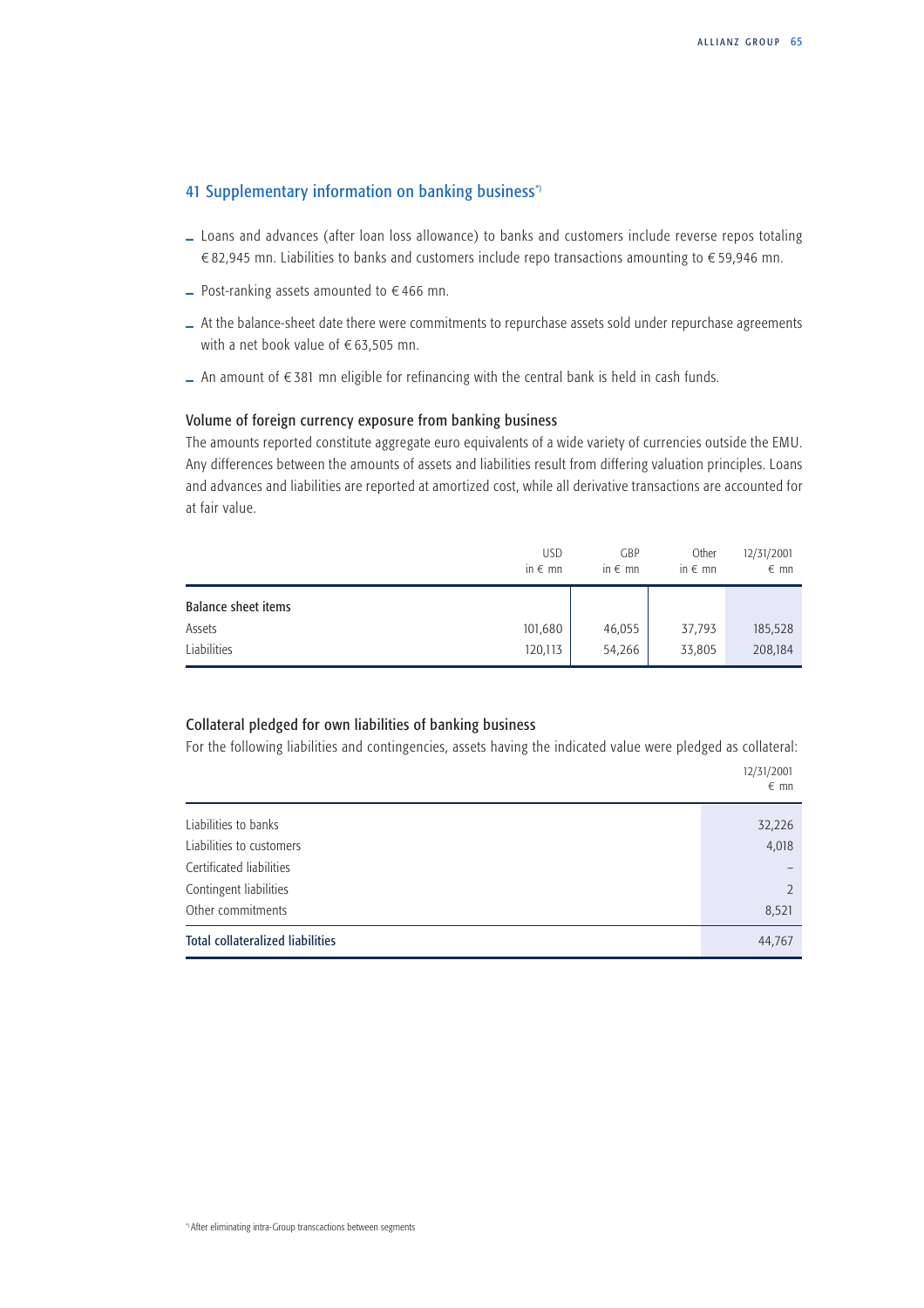12/31/2001

## 41 Supplementary information on banking business<sup>\*</sup>)

- **\_** Loans and advances (after loan loss allowance) to banks and customers include reverse repos totaling  $\epsilon$ 82,945 mn. Liabilities to banks and customers include repo transactions amounting to  $\epsilon$ 59,946 mn.
- $\overline{\phantom{a}}$  Post-ranking assets amounted to  $\epsilon$  466 mn.
- **\_** At the balance-sheet date there were commitments to repurchase assets sold under repurchase agreements with a net book value of  $\epsilon$  63.505 mn.
- $□$  An amount of €381 mn eligible for refinancing with the central bank is held in cash funds.

#### Volume of foreign currency exposure from banking business

The amounts reported constitute aggregate euro equivalents of a wide variety of currencies outside the EMU. Any differences between the amounts of assets and liabilities result from differing valuation principles. Loans and advances and liabilities are reported at amortized cost, while all derivative transactions are accounted for at fair value.

|                            | <b>USD</b><br>in $\epsilon$ mn | <b>GBP</b><br>in $\epsilon$ mn | Other<br>in $\epsilon$ mn | 12/31/2001<br>$\epsilon$ mn |
|----------------------------|--------------------------------|--------------------------------|---------------------------|-----------------------------|
| <b>Balance sheet items</b> |                                |                                |                           |                             |
| Assets                     | 101,680                        | 46,055                         | 37,793                    | 185,528                     |
| Liabilities                | 120,113                        | 54,266                         | 33,805                    | 208,184                     |

## Collateral pledged for own liabilities of banking business

For the following liabilities and contingencies, assets having the indicated value were pledged as collateral:

| <b>Total collateralized liabilities</b> | 44,767         |
|-----------------------------------------|----------------|
| Other commitments                       | 8,521          |
| Contingent liabilities                  | $\overline{2}$ |
| Certificated liabilities                |                |
| Liabilities to customers                | 4,018          |
| Liabilities to banks                    | 32,226         |
|                                         |                |
|                                         | $\epsilon$ mn  |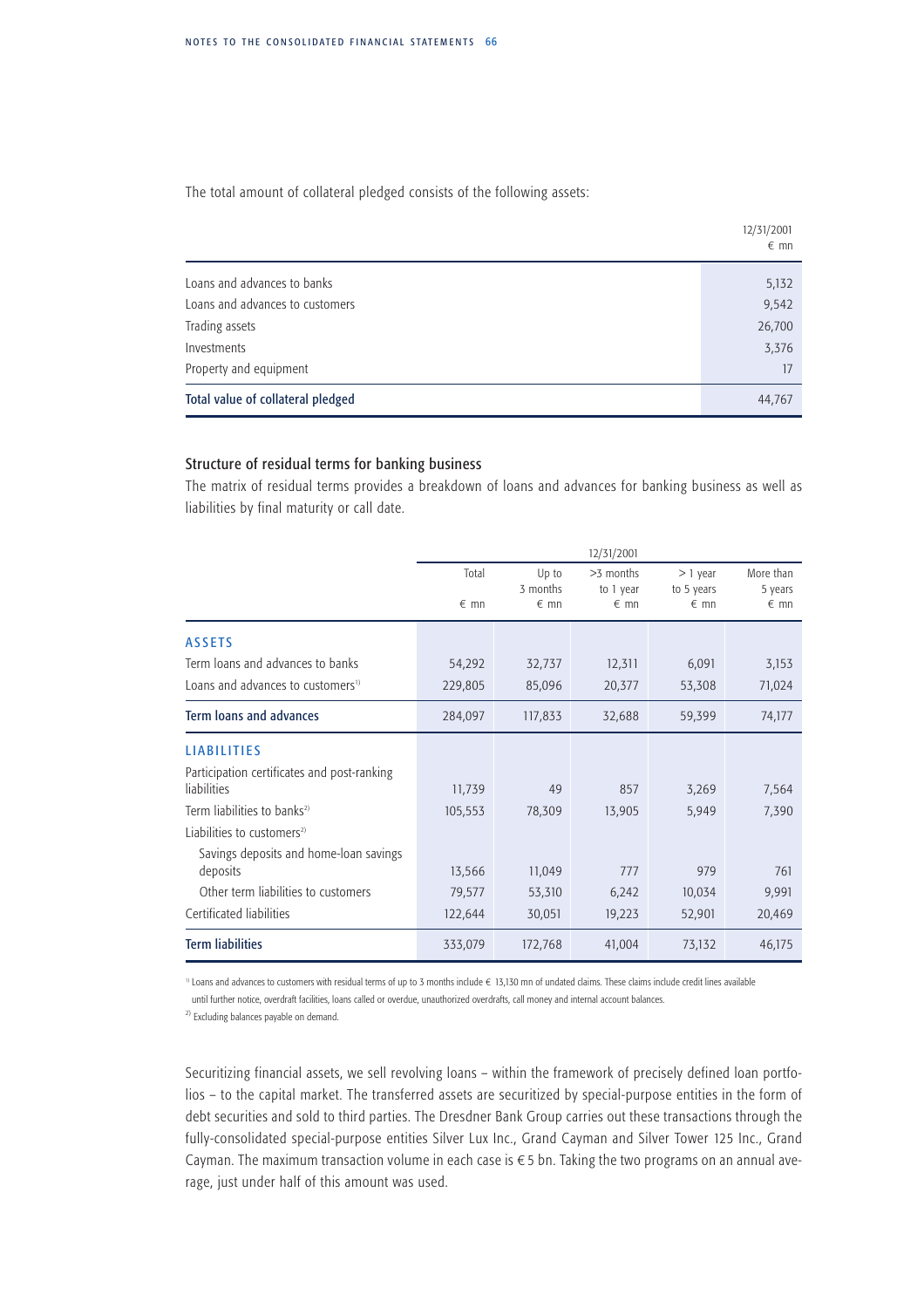The total amount of collateral pledged consists of the following assets:

|                                   | 12/31/2001<br>$\epsilon$ mn |
|-----------------------------------|-----------------------------|
| Loans and advances to banks       | 5,132                       |
| Loans and advances to customers   | 9,542                       |
| Trading assets                    | 26,700                      |
| Investments                       | 3,376                       |
| Property and equipment            | 17                          |
| Total value of collateral pledged | 44,767                      |

#### Structure of residual terms for banking business

The matrix of residual terms provides a breakdown of loans and advances for banking business as well as liabilities by final maturity or call date.

|                                                            |                        |                                    | 12/31/2001                                |                                           |                                       |
|------------------------------------------------------------|------------------------|------------------------------------|-------------------------------------------|-------------------------------------------|---------------------------------------|
|                                                            | Total<br>$\epsilon$ mn | Up to<br>3 months<br>$\epsilon$ mn | $>3$ months<br>to 1 year<br>$\epsilon$ mn | $> 1$ year<br>to 5 years<br>$\epsilon$ mn | More than<br>5 years<br>$\epsilon$ mn |
| <b>ASSETS</b>                                              |                        |                                    |                                           |                                           |                                       |
| Term loans and advances to banks                           | 54,292                 | 32,737                             | 12,311                                    | 6,091                                     | 3,153                                 |
| Loans and advances to customers <sup>1)</sup>              | 229,805                | 85,096                             | 20,377                                    | 53,308                                    | 71,024                                |
| <b>Term loans and advances</b>                             | 284,097                | 117,833                            | 32,688                                    | 59,399                                    | 74,177                                |
| <b>LIABILITIES</b>                                         |                        |                                    |                                           |                                           |                                       |
| Participation certificates and post-ranking<br>liabilities | 11,739                 | 49                                 | 857                                       | 3,269                                     | 7,564                                 |
| Term liabilities to banks <sup>2)</sup>                    | 105,553                | 78,309                             | 13,905                                    | 5,949                                     | 7,390                                 |
| Liabilities to customers <sup>2)</sup>                     |                        |                                    |                                           |                                           |                                       |
| Savings deposits and home-loan savings<br>deposits         | 13,566                 | 11,049                             | 777                                       | 979                                       | 761                                   |
| Other term liabilities to customers                        | 79,577                 | 53,310                             | 6,242                                     | 10,034                                    | 9,991                                 |
| Certificated liabilities                                   | 122,644                | 30,051                             | 19,223                                    | 52,901                                    | 20,469                                |
| <b>Term liabilities</b>                                    | 333,079                | 172,768                            | 41,004                                    | 73,132                                    | 46,175                                |

 $9$  Loans and advances to customers with residual terms of up to 3 months include  $\epsilon$  13,130 mn of undated claims. These claims include credit lines available until further notice, overdraft facilities, loans called or overdue, unauthorized overdrafts, call money and internal account balances.

2) Excluding balances payable on demand.

Securitizing financial assets, we sell revolving loans – within the framework of precisely defined loan portfolios – to the capital market. The transferred assets are securitized by special-purpose entities in the form of debt securities and sold to third parties. The Dresdner Bank Group carries out these transactions through the fully-consolidated special-purpose entities Silver Lux Inc., Grand Cayman and Silver Tower 125 Inc., Grand Cayman. The maximum transaction volume in each case is  $\epsilon$  5 bn. Taking the two programs on an annual average, just under half of this amount was used.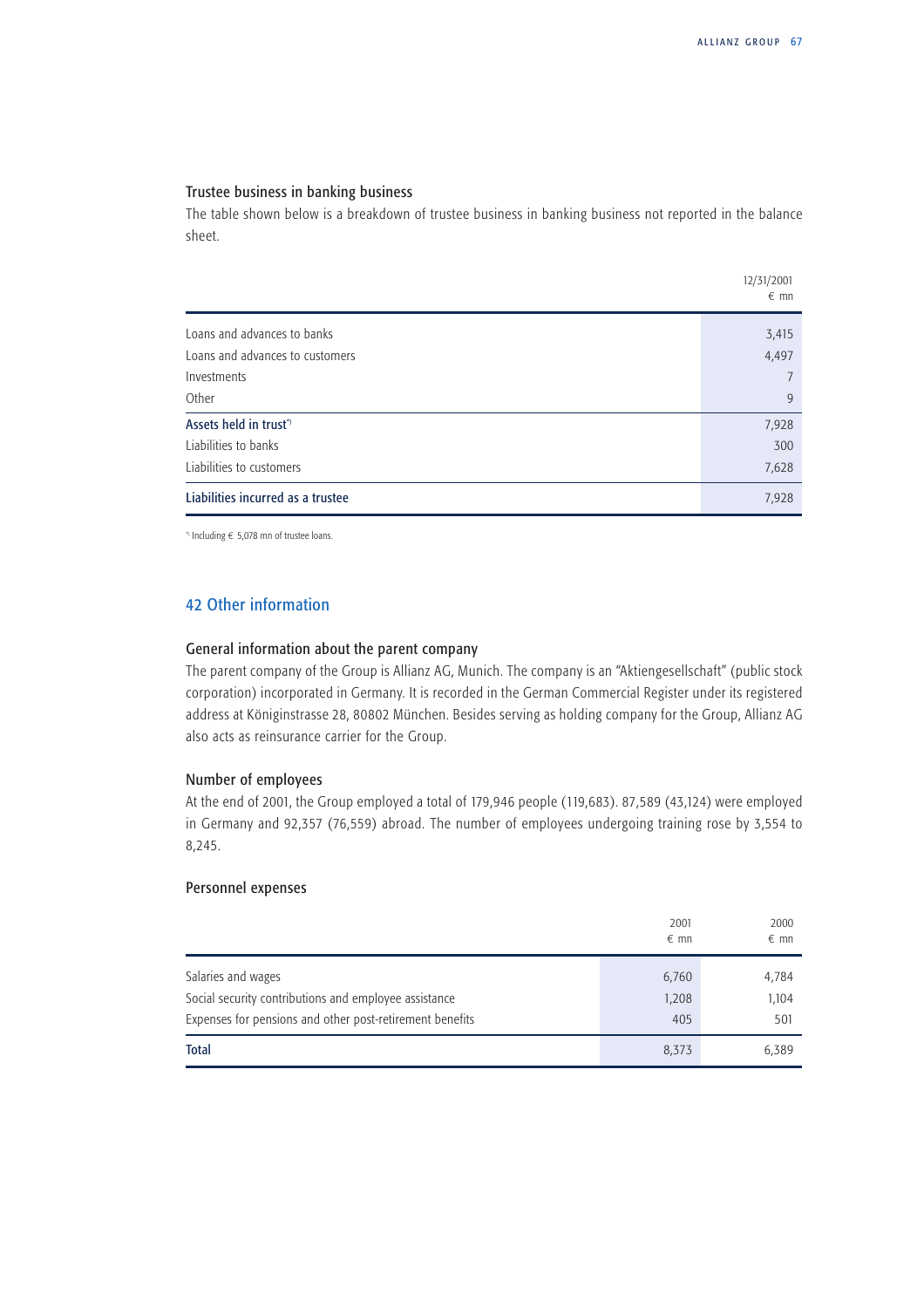#### Trustee business in banking business

The table shown below is a breakdown of trustee business in banking business not reported in the balance sheet.

|                                   | 12/31/2001<br>$\epsilon$ mn |
|-----------------------------------|-----------------------------|
| Loans and advances to banks       | 3,415                       |
| Loans and advances to customers   | 4,497                       |
| Investments                       |                             |
| Other                             | 9                           |
| Assets held in trust*)            | 7,928                       |
| Liabilities to banks              | 300                         |
| Liabilities to customers          | 7,628                       |
| Liabilities incurred as a trustee | 7,928                       |

 $*$  Including  $\epsilon$  5,078 mn of trustee loans.

## 42 Other information

#### General information about the parent company

The parent company of the Group is Allianz AG, Munich. The company is an "Aktiengesellschaft" (public stock corporation) incorporated in Germany. It is recorded in the German Commercial Register under its registered address at Königinstrasse 28, 80802 München. Besides serving as holding company for the Group, Allianz AG also acts as reinsurance carrier for the Group.

#### Number of employees

At the end of 2001, the Group employed a total of 179,946 people (119,683). 87,589 (43,124) were employed in Germany and 92,357 (76,559) abroad. The number of employees undergoing training rose by 3,554 to 8,245.

#### Personnel expenses

|                                                          | 2001<br>$\epsilon$ mn | 2000<br>$\epsilon$ mn |
|----------------------------------------------------------|-----------------------|-----------------------|
| Salaries and wages                                       | 6,760                 | 4,784                 |
| Social security contributions and employee assistance    | 1,208                 | 1,104                 |
| Expenses for pensions and other post-retirement benefits | 405                   | 501                   |
| <b>Total</b>                                             | 8,373                 | 6,389                 |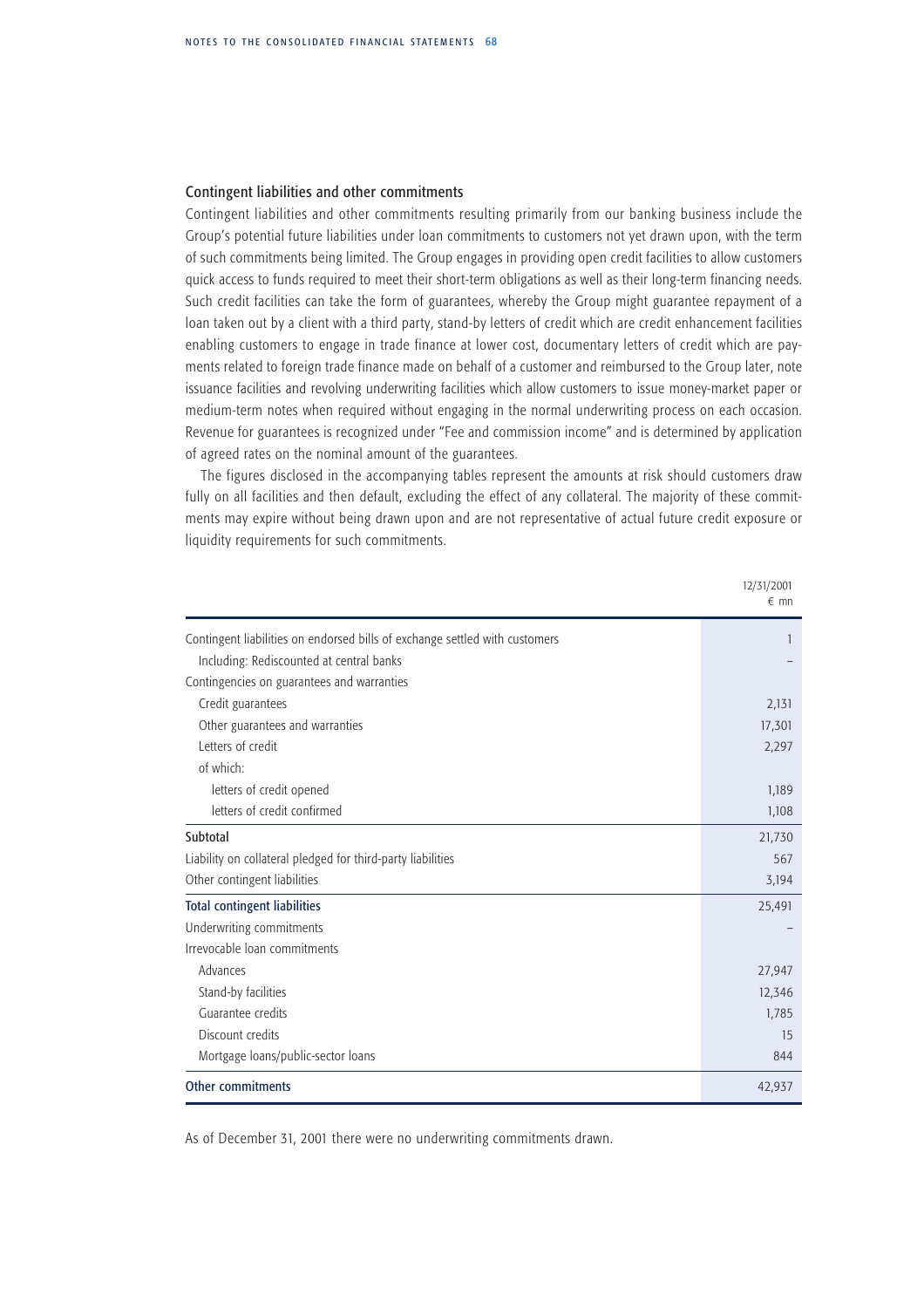#### Contingent liabilities and other commitments

Contingent liabilities and other commitments resulting primarily from our banking business include the Group's potential future liabilities under loan commitments to customers not yet drawn upon, with the term of such commitments being limited. The Group engages in providing open credit facilities to allow customers quick access to funds required to meet their short-term obligations as well as their long-term financing needs. Such credit facilities can take the form of guarantees, whereby the Group might guarantee repayment of a loan taken out by a client with a third party, stand-by letters of credit which are credit enhancement facilities enabling customers to engage in trade finance at lower cost, documentary letters of credit which are payments related to foreign trade finance made on behalf of a customer and reimbursed to the Group later, note issuance facilities and revolving underwriting facilities which allow customers to issue money-market paper or medium-term notes when required without engaging in the normal underwriting process on each occasion. Revenue for guarantees is recognized under "Fee and commission income" and is determined by application of agreed rates on the nominal amount of the guarantees.

The figures disclosed in the accompanying tables represent the amounts at risk should customers draw fully on all facilities and then default, excluding the effect of any collateral. The majority of these commitments may expire without being drawn upon and are not representative of actual future credit exposure or liquidity requirements for such commitments.

|                                                                             | 12/31/2001<br>$\epsilon$ mn |
|-----------------------------------------------------------------------------|-----------------------------|
| Contingent liabilities on endorsed bills of exchange settled with customers |                             |
| Including: Rediscounted at central banks                                    |                             |
| Contingencies on guarantees and warranties                                  |                             |
| Credit guarantees                                                           | 2,131                       |
| Other guarantees and warranties                                             | 17,301                      |
| Letters of credit                                                           | 2,297                       |
| of which:                                                                   |                             |
| letters of credit opened                                                    | 1,189                       |
| letters of credit confirmed                                                 | 1,108                       |
| Subtotal                                                                    | 21,730                      |
| Liability on collateral pledged for third-party liabilities                 | 567                         |
| Other contingent liabilities                                                | 3,194                       |
| <b>Total contingent liabilities</b>                                         | 25,491                      |
| Underwriting commitments                                                    |                             |
| Irrevocable loan commitments                                                |                             |
| Advances                                                                    | 27,947                      |
| Stand-by facilities                                                         | 12,346                      |
| Guarantee credits                                                           | 1,785                       |
| Discount credits                                                            | 15                          |
| Mortgage loans/public-sector loans                                          | 844                         |
| Other commitments                                                           | 42,937                      |

As of December 31, 2001 there were no underwriting commitments drawn.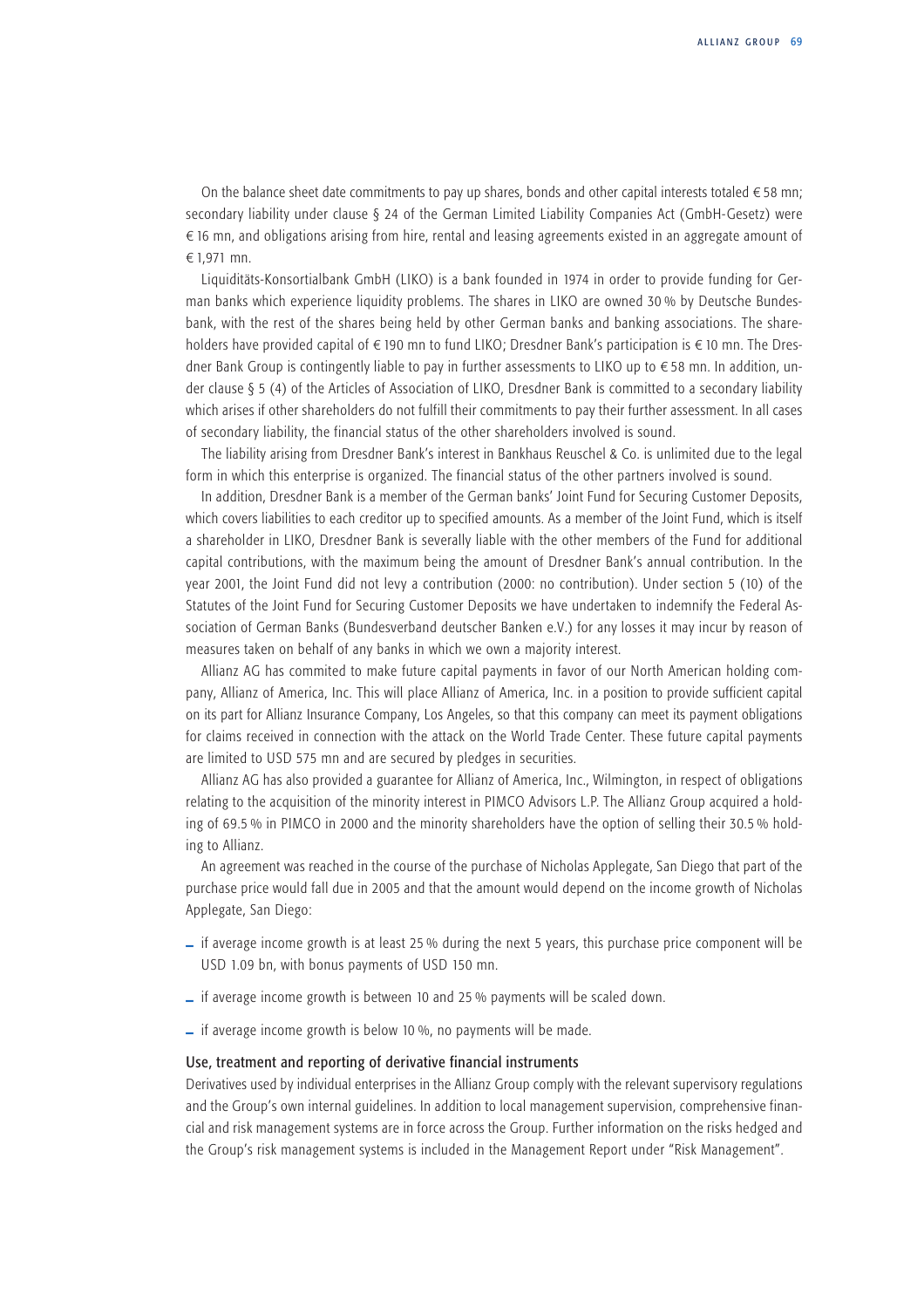On the balance sheet date commitments to pay up shares, bonds and other capital interests totaled  $\in$  58 mn; secondary liability under clause § 24 of the German Limited Liability Companies Act (GmbH-Gesetz) were  $\epsilon$  16 mn, and obligations arising from hire, rental and leasing agreements existed in an aggregate amount of ¤1,971 mn.

Liquiditäts-Konsortialbank GmbH (LIKO) is a bank founded in 1974 in order to provide funding for German banks which experience liquidity problems. The shares in LIKO are owned 30 % by Deutsche Bundesbank, with the rest of the shares being held by other German banks and banking associations. The shareholders have provided capital of  $\epsilon$  190 mn to fund LIKO; Dresdner Bank's participation is  $\epsilon$  10 mn. The Dresdner Bank Group is contingently liable to pay in further assessments to LIKO up to  $\epsilon$  58 mn. In addition, under clause § 5 (4) of the Articles of Association of LIKO, Dresdner Bank is committed to a secondary liability which arises if other shareholders do not fulfill their commitments to pay their further assessment. In all cases of secondary liability, the financial status of the other shareholders involved is sound.

The liability arising from Dresdner Bank's interest in Bankhaus Reuschel & Co. is unlimited due to the legal form in which this enterprise is organized. The financial status of the other partners involved is sound.

In addition, Dresdner Bank is a member of the German banks' Joint Fund for Securing Customer Deposits, which covers liabilities to each creditor up to specified amounts. As a member of the Joint Fund, which is itself a shareholder in LIKO, Dresdner Bank is severally liable with the other members of the Fund for additional capital contributions, with the maximum being the amount of Dresdner Bank's annual contribution. In the year 2001, the Joint Fund did not levy a contribution (2000: no contribution). Under section 5 (10) of the Statutes of the Joint Fund for Securing Customer Deposits we have undertaken to indemnify the Federal Association of German Banks (Bundesverband deutscher Banken e.V.) for any losses it may incur by reason of measures taken on behalf of any banks in which we own a majority interest.

Allianz AG has commited to make future capital payments in favor of our North American holding company, Allianz of America, Inc. This will place Allianz of America, Inc. in a position to provide sufficient capital on its part for Allianz Insurance Company, Los Angeles, so that this company can meet its payment obligations for claims received in connection with the attack on the World Trade Center. These future capital payments are limited to USD 575 mn and are secured by pledges in securities.

Allianz AG has also provided a guarantee for Allianz of America, Inc., Wilmington, in respect of obligations relating to the acquisition of the minority interest in PIMCO Advisors L.P. The Allianz Group acquired a holding of 69.5 % in PIMCO in 2000 and the minority shareholders have the option of selling their 30.5 % holding to Allianz.

An agreement was reached in the course of the purchase of Nicholas Applegate, San Diego that part of the purchase price would fall due in 2005 and that the amount would depend on the income growth of Nicholas Applegate, San Diego:

- **\_** if average income growth is at least 25 % during the next 5 years, this purchase price component will be USD 1.09 bn, with bonus payments of USD 150 mn.
- **\_** if average income growth is between 10 and 25 % payments will be scaled down.
- **\_** if average income growth is below 10 %, no payments will be made.

#### Use, treatment and reporting of derivative financial instruments

Derivatives used by individual enterprises in the Allianz Group comply with the relevant supervisory regulations and the Group's own internal guidelines. In addition to local management supervision, comprehensive financial and risk management systems are in force across the Group. Further information on the risks hedged and the Group's risk management systems is included in the Management Report under "Risk Management".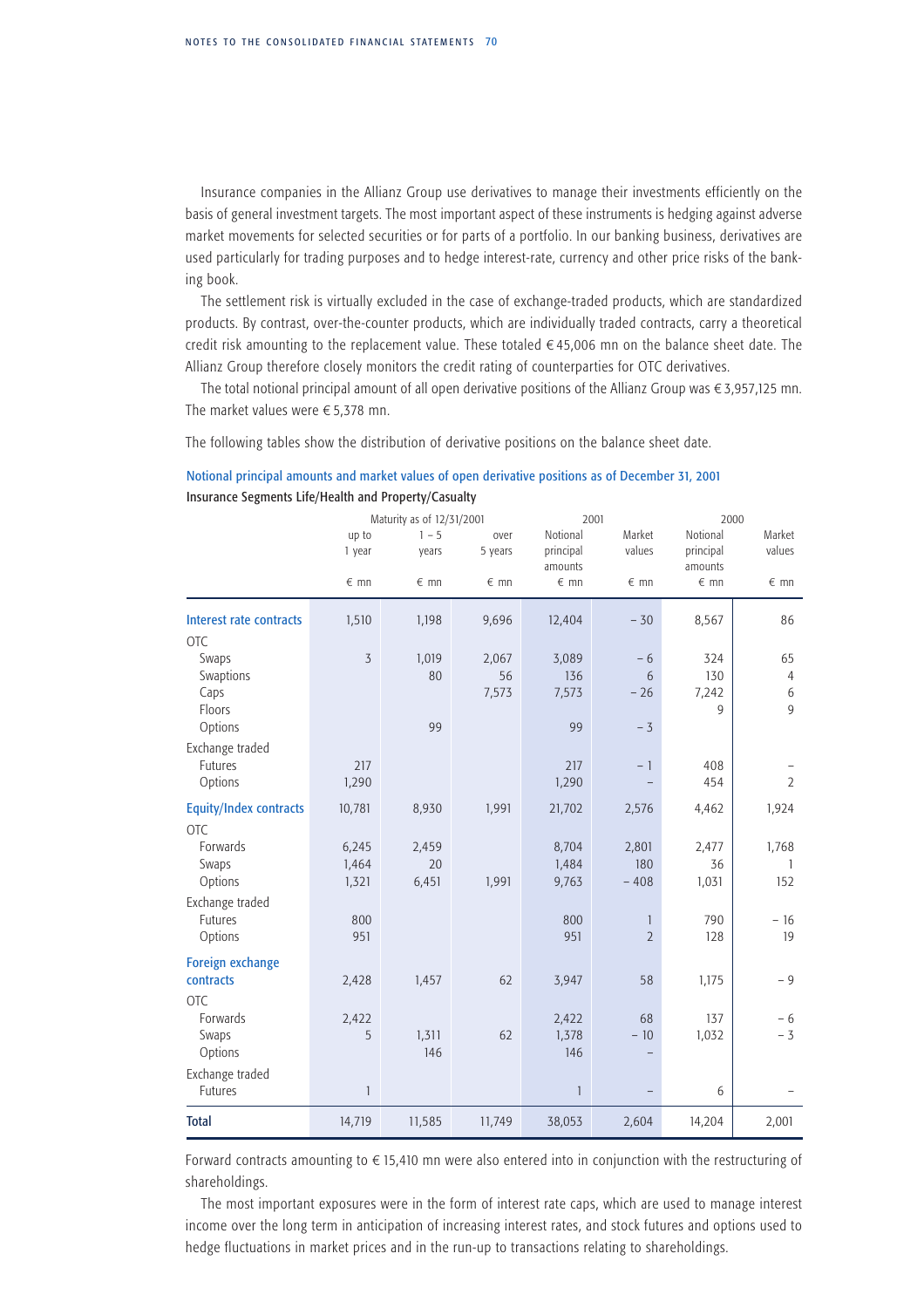Insurance companies in the Allianz Group use derivatives to manage their investments efficiently on the basis of general investment targets. The most important aspect of these instruments is hedging against adverse market movements for selected securities or for parts of a portfolio. In our banking business, derivatives are used particularly for trading purposes and to hedge interest-rate, currency and other price risks of the banking book.

The settlement risk is virtually excluded in the case of exchange-traded products, which are standardized products. By contrast, over-the-counter products, which are individually traded contracts, carry a theoretical credit risk amounting to the replacement value. These totaled  $\epsilon$  45,006 mn on the balance sheet date. The Allianz Group therefore closely monitors the credit rating of counterparties for OTC derivatives.

The total notional principal amount of all open derivative positions of the Allianz Group was  $\epsilon$  3,957,125 mn. The market values were  $\epsilon$  5,378 mn.

The following tables show the distribution of derivative positions on the balance sheet date.

#### Notional principal amounts and market values of open derivative positions as of December 31, 2001 Insurance Segments Life/Health and Property/Casualty

|                                | Maturity as of 12/31/2001 |                  |                 |                                  | 2001                           | 2000                             |                  |
|--------------------------------|---------------------------|------------------|-----------------|----------------------------------|--------------------------------|----------------------------------|------------------|
|                                | up to<br>1 year           | $1 - 5$<br>years | over<br>5 years | Notional<br>principal<br>amounts | Market<br>values               | Notional<br>principal<br>amounts | Market<br>values |
|                                | $\epsilon$ mn             | $\epsilon$ mn    | $\epsilon$ mn   | $\epsilon$ mn                    | $\epsilon$ mn                  | $\epsilon$ mn                    | $\epsilon$ mn    |
| <b>Interest rate contracts</b> | 1,510                     | 1,198            | 9,696           | 12,404                           | $-30$                          | 8,567                            | 86               |
| <b>OTC</b>                     |                           |                  |                 |                                  |                                |                                  |                  |
| Swaps                          | $\overline{\mathcal{S}}$  | 1,019            | 2,067           | 3,089                            | $-6$                           | 324                              | 65               |
| Swaptions                      |                           | 80               | 56              | 136                              | 6                              | 130                              | $\overline{4}$   |
| Caps                           |                           |                  | 7,573           | 7,573                            | $-26$                          | 7,242                            | 6                |
| Floors                         |                           |                  |                 |                                  |                                | 9                                | 9                |
| Options                        |                           | 99               |                 | 99                               | $-3$                           |                                  |                  |
| Exchange traded                |                           |                  |                 |                                  |                                |                                  |                  |
| Futures<br>Options             | 217<br>1,290              |                  |                 | 217<br>1,290                     | $-1$                           | 408<br>454                       | $\overline{2}$   |
|                                |                           |                  |                 |                                  |                                |                                  |                  |
| <b>Equity/Index contracts</b>  | 10,781                    | 8,930            | 1,991           | 21,702                           | 2,576                          | 4,462                            | 1,924            |
| <b>OTC</b>                     |                           |                  |                 |                                  |                                |                                  |                  |
| Forwards                       | 6,245                     | 2,459            |                 | 8,704                            | 2,801                          | 2,477                            | 1,768            |
| Swaps                          | 1,464                     | 20               |                 | 1,484                            | 180                            | 36                               | 1                |
| Options                        | 1,321                     | 6,451            | 1,991           | 9,763                            | $-408$                         | 1,031                            | 152              |
| Exchange traded                |                           |                  |                 |                                  |                                |                                  |                  |
| Futures<br>Options             | 800<br>951                |                  |                 | 800<br>951                       | $\mathbf{1}$<br>$\overline{2}$ | 790<br>128                       | $-16$<br>19      |
|                                |                           |                  |                 |                                  |                                |                                  |                  |
| Foreign exchange               |                           |                  |                 |                                  |                                |                                  |                  |
| contracts                      | 2,428                     | 1,457            | 62              | 3,947                            | 58                             | 1,175                            | $-9$             |
| OTC                            |                           |                  |                 |                                  |                                |                                  |                  |
| Forwards                       | 2,422<br>5                |                  | 62              | 2,422                            | 68<br>$-10$                    | 137                              | - 6<br>$-3$      |
| Swaps<br>Options               |                           | 1,311<br>146     |                 | 1,378<br>146                     |                                | 1,032                            |                  |
|                                |                           |                  |                 |                                  |                                |                                  |                  |
| Exchange traded<br>Futures     | $\mathbf{1}$              |                  |                 | $\mathbf{1}$                     |                                | 6                                |                  |
|                                |                           |                  |                 |                                  |                                |                                  |                  |
| <b>Total</b>                   | 14,719                    | 11,585           | 11,749          | 38,053                           | 2,604                          | 14,204                           | 2,001            |

Forward contracts amounting to  $\epsilon$  15,410 mn were also entered into in conjunction with the restructuring of shareholdings.

The most important exposures were in the form of interest rate caps, which are used to manage interest income over the long term in anticipation of increasing interest rates, and stock futures and options used to hedge fluctuations in market prices and in the run-up to transactions relating to shareholdings.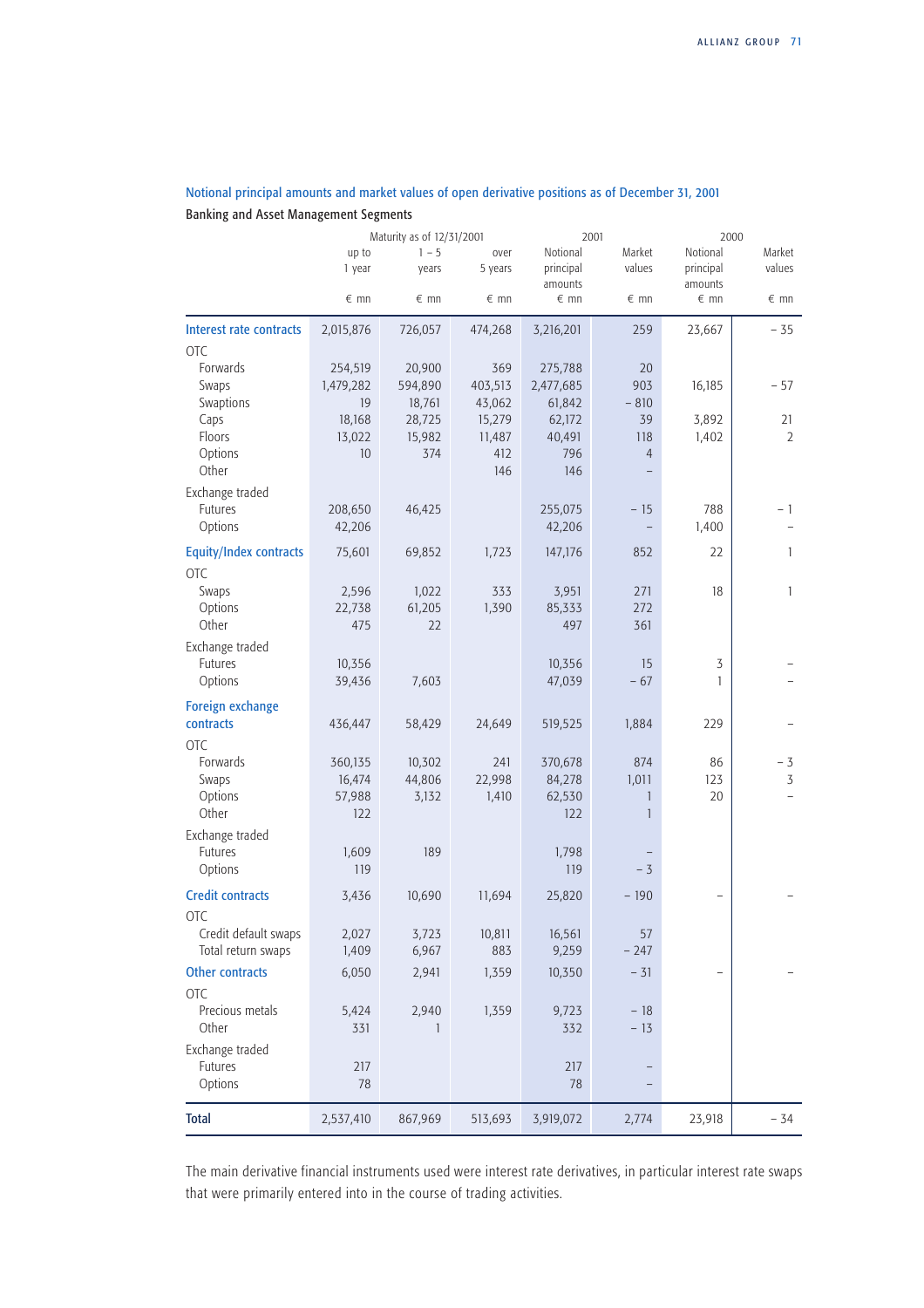| Maturity as of 12/31/2001                                |                                    |                                   |                                   | 2001<br>2000                       |                                       |                                  |                       |
|----------------------------------------------------------|------------------------------------|-----------------------------------|-----------------------------------|------------------------------------|---------------------------------------|----------------------------------|-----------------------|
|                                                          | up to<br>1 year                    | $1 - 5$<br>years                  | over<br>5 years                   | Notional<br>principal<br>amounts   | Market<br>values                      | Notional<br>principal<br>amounts | Market<br>values      |
|                                                          | $\epsilon$ mn                      | $\epsilon$ mn                     | $\epsilon$ mn                     | $\epsilon$ mn                      | $\epsilon$ mn                         | $\epsilon$ mn                    | $\epsilon$ mn         |
| Interest rate contracts                                  | 2,015,876                          | 726,057                           | 474,268                           | 3,216,201                          | 259                                   | 23,667                           | $-35$                 |
| <b>OTC</b><br>Forwards<br>Swaps                          | 254,519<br>1,479,282               | 20,900<br>594,890                 | 369<br>403,513                    | 275,788<br>2,477,685               | 20<br>903                             | 16,185                           | $-57$                 |
| Swaptions<br>Caps<br>Floors<br>Options                   | 19<br>18,168<br>13,022<br>10       | 18,761<br>28,725<br>15,982<br>374 | 43,062<br>15,279<br>11,487<br>412 | 61,842<br>62,172<br>40,491<br>796  | $-810$<br>39<br>118<br>$\overline{4}$ | 3,892<br>1,402                   | 21<br>2               |
| Other                                                    |                                    |                                   | 146                               | 146                                |                                       |                                  |                       |
| Exchange traded<br>Futures<br>Options                    | 208,650<br>42,206                  | 46,425                            |                                   | 255,075<br>42,206                  | $-15$                                 | 788<br>1,400                     | - 1                   |
| <b>Equity/Index contracts</b>                            | 75,601                             | 69,852                            | 1,723                             | 147,176                            | 852                                   | 22                               | $\mathbf{1}$          |
| <b>OTC</b><br>Swaps<br>Options<br>Other                  | 2,596<br>22,738<br>475             | 1,022<br>61,205<br>22             | 333<br>1,390                      | 3,951<br>85,333<br>497             | 271<br>272<br>361                     | 18                               | $\mathbb{I}$          |
| Exchange traded<br>Futures<br>Options                    | 10,356<br>39,436                   | 7,603                             |                                   | 10,356<br>47,039                   | 15<br>$-67$                           | 3<br>1                           |                       |
| Foreign exchange<br>contracts                            | 436,447                            | 58,429                            | 24,649                            | 519,525                            | 1,884                                 | 229                              |                       |
| <b>OTC</b><br>Forwards<br>Swaps<br>Options<br>Other      | 360,135<br>16,474<br>57,988<br>122 | 10,302<br>44,806<br>3,132         | 241<br>22,998<br>1,410            | 370,678<br>84,278<br>62,530<br>122 | 874<br>1,011<br>1<br>$\mathbf{1}$     | 86<br>123<br>20                  | - 3<br>$\overline{3}$ |
| Exchange traded<br>Futures<br>Options                    | 1,609<br>119                       | 189                               |                                   | 1,798<br>119                       | $-3$                                  |                                  |                       |
| <b>Credit contracts</b>                                  | 3,436                              | 10,690                            | 11,694                            | 25,820                             | $-190$                                |                                  |                       |
| <b>OTC</b><br>Credit default swaps<br>Total return swaps | 2,027<br>1,409                     | 3,723<br>6,967                    | 10,811<br>883                     | 16,561<br>9,259                    | 57<br>$-247$                          |                                  |                       |
| Other contracts                                          | 6,050                              | 2,941                             | 1,359                             | 10,350                             | $-31$                                 |                                  |                       |
| <b>OTC</b><br>Precious metals<br>Other                   | 5,424<br>331                       | 2,940<br>1                        | 1,359                             | 9,723<br>332                       | $-18$<br>$-13$                        |                                  |                       |
| Exchange traded<br>Futures<br>Options                    | 217<br>78                          |                                   |                                   | 217<br>78                          |                                       |                                  |                       |
| <b>Total</b>                                             | 2,537,410                          | 867,969                           | 513,693                           | 3,919,072                          | 2,774                                 | 23,918                           | $-34$                 |
|                                                          |                                    |                                   |                                   |                                    |                                       |                                  |                       |

## Notional principal amounts and market values of open derivative positions as of December 31, 2001 Banking and Asset Management Segments

The main derivative financial instruments used were interest rate derivatives, in particular interest rate swaps that were primarily entered into in the course of trading activities.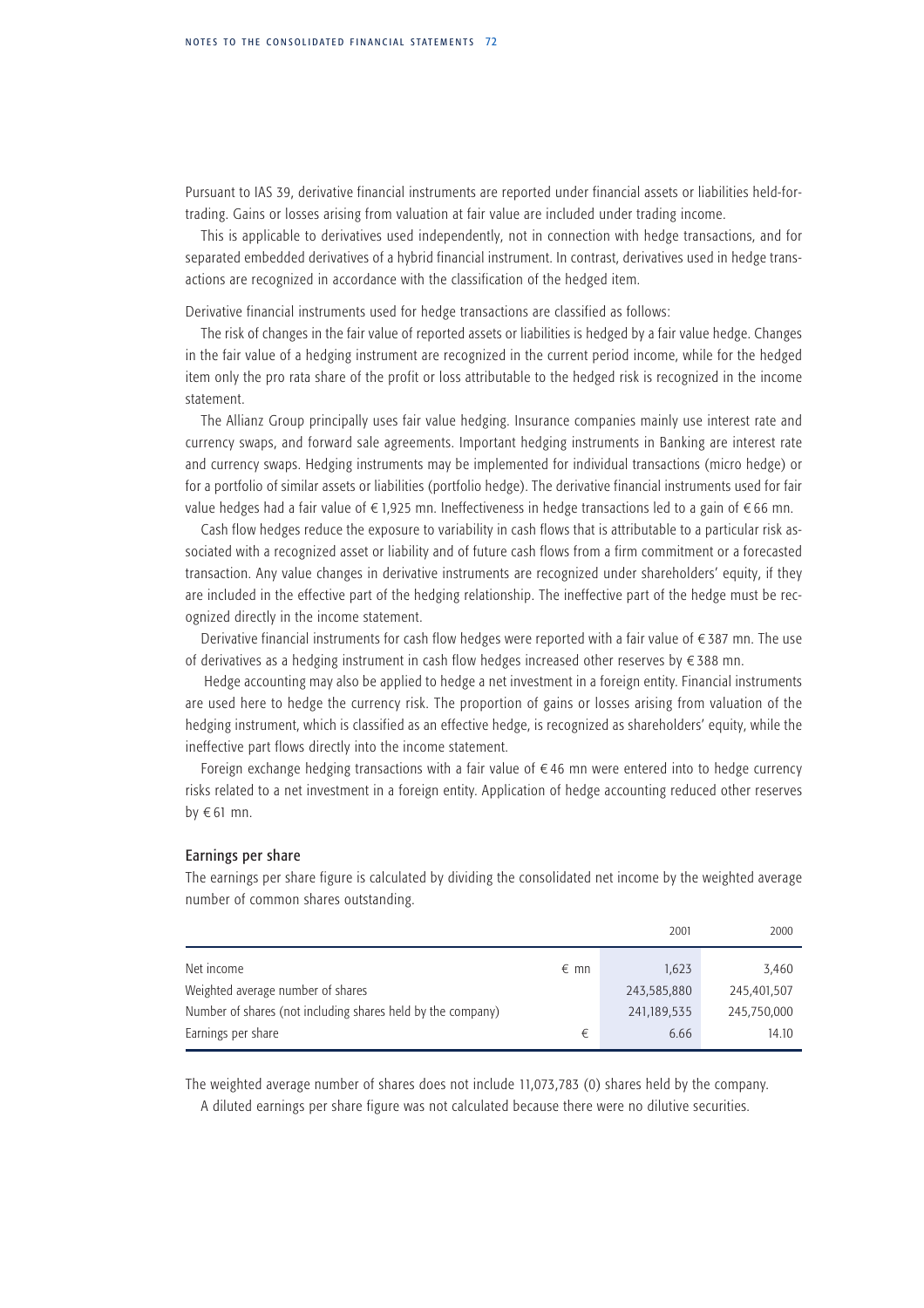Pursuant to IAS 39, derivative financial instruments are reported under financial assets or liabilities held-fortrading. Gains or losses arising from valuation at fair value are included under trading income.

This is applicable to derivatives used independently, not in connection with hedge transactions, and for separated embedded derivatives of a hybrid financial instrument. In contrast, derivatives used in hedge transactions are recognized in accordance with the classification of the hedged item.

Derivative financial instruments used for hedge transactions are classified as follows:

The risk of changes in the fair value of reported assets or liabilities is hedged by a fair value hedge. Changes in the fair value of a hedging instrument are recognized in the current period income, while for the hedged item only the pro rata share of the profit or loss attributable to the hedged risk is recognized in the income statement.

The Allianz Group principally uses fair value hedging. Insurance companies mainly use interest rate and currency swaps, and forward sale agreements. Important hedging instruments in Banking are interest rate and currency swaps. Hedging instruments may be implemented for individual transactions (micro hedge) or for a portfolio of similar assets or liabilities (portfolio hedge). The derivative financial instruments used for fair value hedges had a fair value of  $\epsilon$  1,925 mn. Ineffectiveness in hedge transactions led to a gain of  $\epsilon$  66 mn.

Cash flow hedges reduce the exposure to variability in cash flows that is attributable to a particular risk associated with a recognized asset or liability and of future cash flows from a firm commitment or a forecasted transaction. Any value changes in derivative instruments are recognized under shareholders' equity, if they are included in the effective part of the hedging relationship. The ineffective part of the hedge must be recognized directly in the income statement.

Derivative financial instruments for cash flow hedges were reported with a fair value of  $\epsilon$ 387 mn. The use of derivatives as a hedging instrument in cash flow hedges increased other reserves by  $\epsilon$ 388 mn.

Hedge accounting may also be applied to hedge a net investment in a foreign entity. Financial instruments are used here to hedge the currency risk. The proportion of gains or losses arising from valuation of the hedging instrument, which is classified as an effective hedge, is recognized as shareholders' equity, while the ineffective part flows directly into the income statement.

Foreign exchange hedging transactions with a fair value of  $\epsilon$ 46 mn were entered into to hedge currency risks related to a net investment in a foreign entity. Application of hedge accounting reduced other reserves by  $\epsilon$  61 mn.

#### Earnings per share

The earnings per share figure is calculated by dividing the consolidated net income by the weighted average number of common shares outstanding.

|                                                             |               | 2001        | 2000        |
|-------------------------------------------------------------|---------------|-------------|-------------|
| Net income                                                  | $\epsilon$ mn | 1,623       | 3,460       |
| Weighted average number of shares                           |               | 243,585,880 | 245,401,507 |
| Number of shares (not including shares held by the company) |               | 241,189,535 | 245,750,000 |
| Earnings per share                                          | €             | 6.66        | 14.10       |

The weighted average number of shares does not include 11,073,783 (0) shares held by the company.

A diluted earnings per share figure was not calculated because there were no dilutive securities.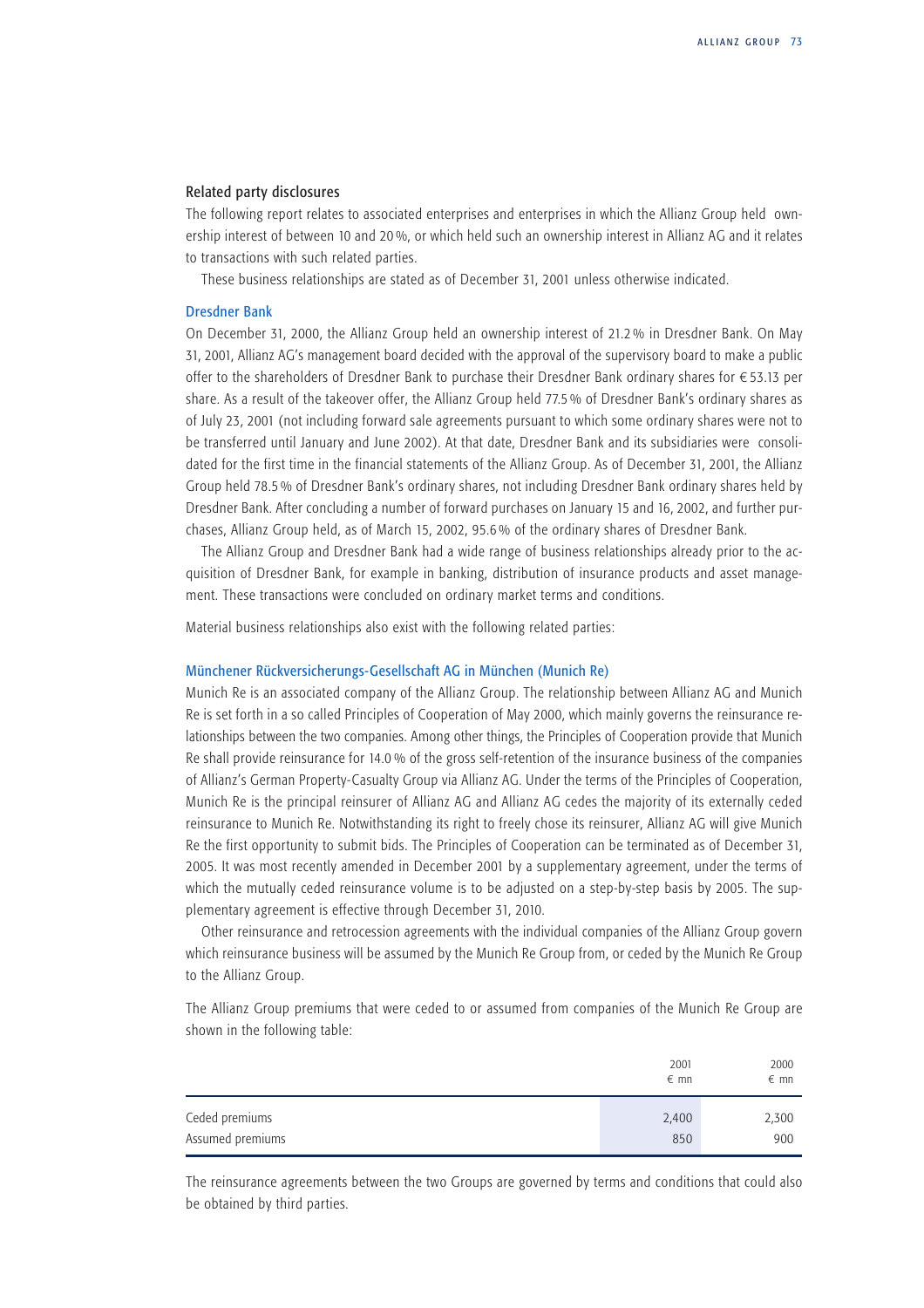#### Related party disclosures

The following report relates to associated enterprises and enterprises in which the Allianz Group held ownership interest of between 10 and 20 %, or which held such an ownership interest in Allianz AG and it relates to transactions with such related parties.

These business relationships are stated as of December 31, 2001 unless otherwise indicated.

#### Dresdner Bank

On December 31, 2000, the Allianz Group held an ownership interest of 21.2 % in Dresdner Bank. On May 31, 2001, Allianz AG's management board decided with the approval of the supervisory board to make a public offer to the shareholders of Dresdner Bank to purchase their Dresdner Bank ordinary shares for  $\epsilon$  53.13 per share. As a result of the takeover offer, the Allianz Group held 77.5 % of Dresdner Bank's ordinary shares as of July 23, 2001 (not including forward sale agreements pursuant to which some ordinary shares were not to be transferred until January and June 2002). At that date, Dresdner Bank and its subsidiaries were consolidated for the first time in the financial statements of the Allianz Group. As of December 31, 2001, the Allianz Group held 78.5 % of Dresdner Bank's ordinary shares, not including Dresdner Bank ordinary shares held by Dresdner Bank. After concluding a number of forward purchases on January 15 and 16, 2002, and further purchases, Allianz Group held, as of March 15, 2002, 95.6 % of the ordinary shares of Dresdner Bank.

The Allianz Group and Dresdner Bank had a wide range of business relationships already prior to the acquisition of Dresdner Bank, for example in banking, distribution of insurance products and asset management. These transactions were concluded on ordinary market terms and conditions.

Material business relationships also exist with the following related parties:

#### Münchener Rückversicherungs-Gesellschaft AG in München (Munich Re)

Munich Re is an associated company of the Allianz Group. The relationship between Allianz AG and Munich Re is set forth in a so called Principles of Cooperation of May 2000, which mainly governs the reinsurance relationships between the two companies. Among other things, the Principles of Cooperation provide that Munich Re shall provide reinsurance for 14.0 % of the gross self-retention of the insurance business of the companies of Allianz's German Property-Casualty Group via Allianz AG. Under the terms of the Principles of Cooperation, Munich Re is the principal reinsurer of Allianz AG and Allianz AG cedes the majority of its externally ceded reinsurance to Munich Re. Notwithstanding its right to freely chose its reinsurer, Allianz AG will give Munich Re the first opportunity to submit bids. The Principles of Cooperation can be terminated as of December 31, 2005. It was most recently amended in December 2001 by a supplementary agreement, under the terms of which the mutually ceded reinsurance volume is to be adjusted on a step-by-step basis by 2005. The supplementary agreement is effective through December 31, 2010.

Other reinsurance and retrocession agreements with the individual companies of the Allianz Group govern which reinsurance business will be assumed by the Munich Re Group from, or ceded by the Munich Re Group to the Allianz Group.

The Allianz Group premiums that were ceded to or assumed from companies of the Munich Re Group are shown in the following table:

|                  | 2001<br>$\epsilon$ mn | 2000<br>$\epsilon$ mn |
|------------------|-----------------------|-----------------------|
| Ceded premiums   | 2,400                 | 2,300                 |
| Assumed premiums | 850                   | 900                   |

The reinsurance agreements between the two Groups are governed by terms and conditions that could also be obtained by third parties.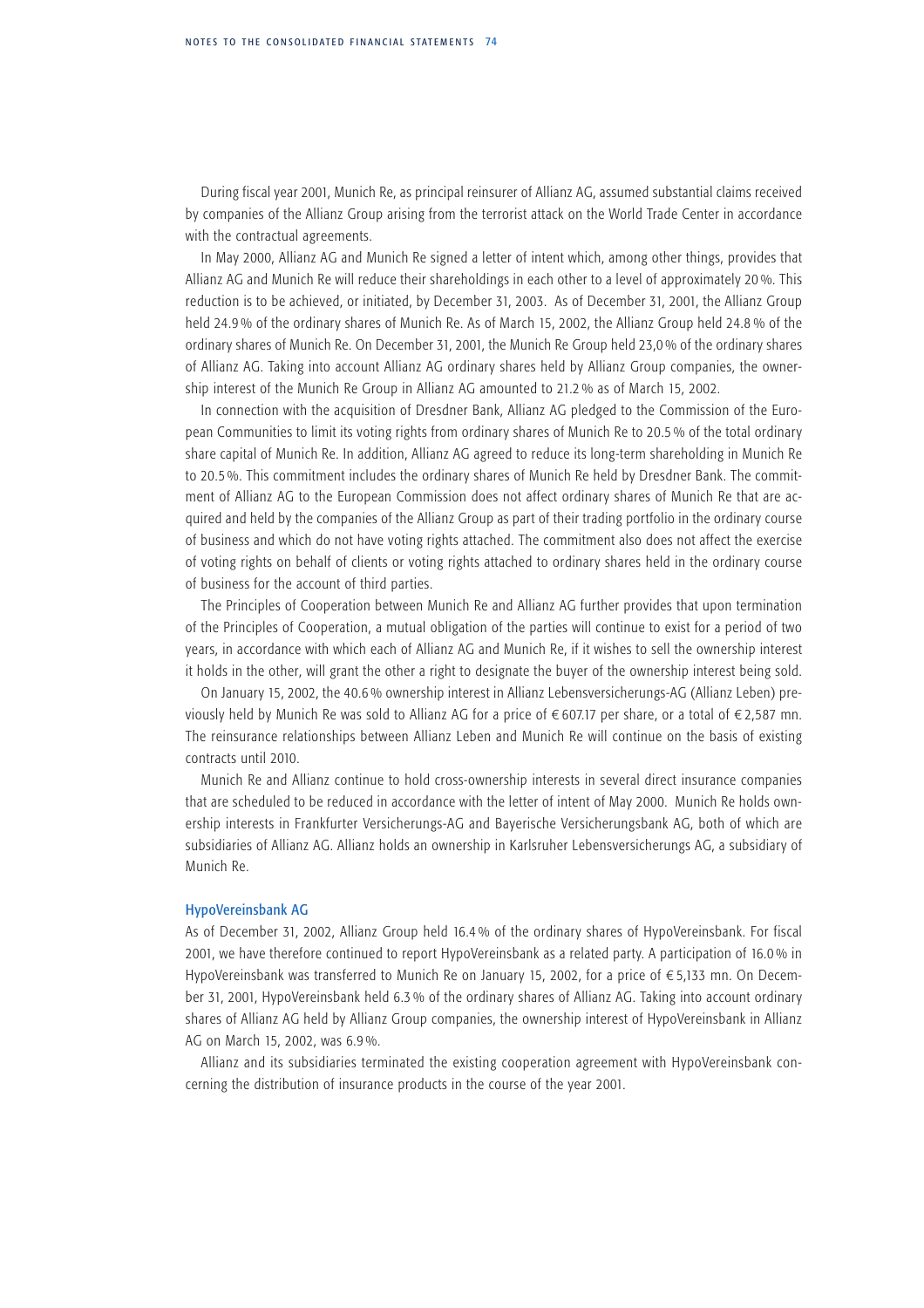During fiscal year 2001, Munich Re, as principal reinsurer of Allianz AG, assumed substantial claims received by companies of the Allianz Group arising from the terrorist attack on the World Trade Center in accordance with the contractual agreements.

In May 2000, Allianz AG and Munich Re signed a letter of intent which, among other things, provides that Allianz AG and Munich Re will reduce their shareholdings in each other to a level of approximately 20 %. This reduction is to be achieved, or initiated, by December 31, 2003. As of December 31, 2001, the Allianz Group held 24.9 % of the ordinary shares of Munich Re. As of March 15, 2002, the Allianz Group held 24.8 % of the ordinary shares of Munich Re. On December 31, 2001, the Munich Re Group held 23,0 % of the ordinary shares of Allianz AG. Taking into account Allianz AG ordinary shares held by Allianz Group companies, the ownership interest of the Munich Re Group in Allianz AG amounted to 21.2 % as of March 15, 2002.

In connection with the acquisition of Dresdner Bank, Allianz AG pledged to the Commission of the European Communities to limit its voting rights from ordinary shares of Munich Re to 20.5 % of the total ordinary share capital of Munich Re. In addition, Allianz AG agreed to reduce its long-term shareholding in Munich Re to 20.5 %. This commitment includes the ordinary shares of Munich Re held by Dresdner Bank. The commitment of Allianz AG to the European Commission does not affect ordinary shares of Munich Re that are acquired and held by the companies of the Allianz Group as part of their trading portfolio in the ordinary course of business and which do not have voting rights attached. The commitment also does not affect the exercise of voting rights on behalf of clients or voting rights attached to ordinary shares held in the ordinary course of business for the account of third parties.

The Principles of Cooperation between Munich Re and Allianz AG further provides that upon termination of the Principles of Cooperation, a mutual obligation of the parties will continue to exist for a period of two years, in accordance with which each of Allianz AG and Munich Re, if it wishes to sell the ownership interest it holds in the other, will grant the other a right to designate the buyer of the ownership interest being sold.

On January 15, 2002, the 40.6 % ownership interest in Allianz Lebensversicherungs-AG (Allianz Leben) previously held by Munich Re was sold to Allianz AG for a price of  $\epsilon$  607.17 per share, or a total of  $\epsilon$  2,587 mn. The reinsurance relationships between Allianz Leben and Munich Re will continue on the basis of existing contracts until 2010.

Munich Re and Allianz continue to hold cross-ownership interests in several direct insurance companies that are scheduled to be reduced in accordance with the letter of intent of May 2000. Munich Re holds ownership interests in Frankfurter Versicherungs-AG and Bayerische Versicherungsbank AG, both of which are subsidiaries of Allianz AG. Allianz holds an ownership in Karlsruher Lebensversicherungs AG, a subsidiary of Munich Re.

## HypoVereinsbank AG

As of December 31, 2002, Allianz Group held 16.4 % of the ordinary shares of HypoVereinsbank. For fiscal 2001, we have therefore continued to report HypoVereinsbank as a related party. A participation of 16.0 % in HypoVereinsbank was transferred to Munich Re on January 15, 2002, for a price of  $\epsilon$  5,133 mn. On December 31, 2001, HypoVereinsbank held 6.3 % of the ordinary shares of Allianz AG. Taking into account ordinary shares of Allianz AG held by Allianz Group companies, the ownership interest of HypoVereinsbank in Allianz AG on March 15, 2002, was 6.9 %.

Allianz and its subsidiaries terminated the existing cooperation agreement with HypoVereinsbank concerning the distribution of insurance products in the course of the year 2001.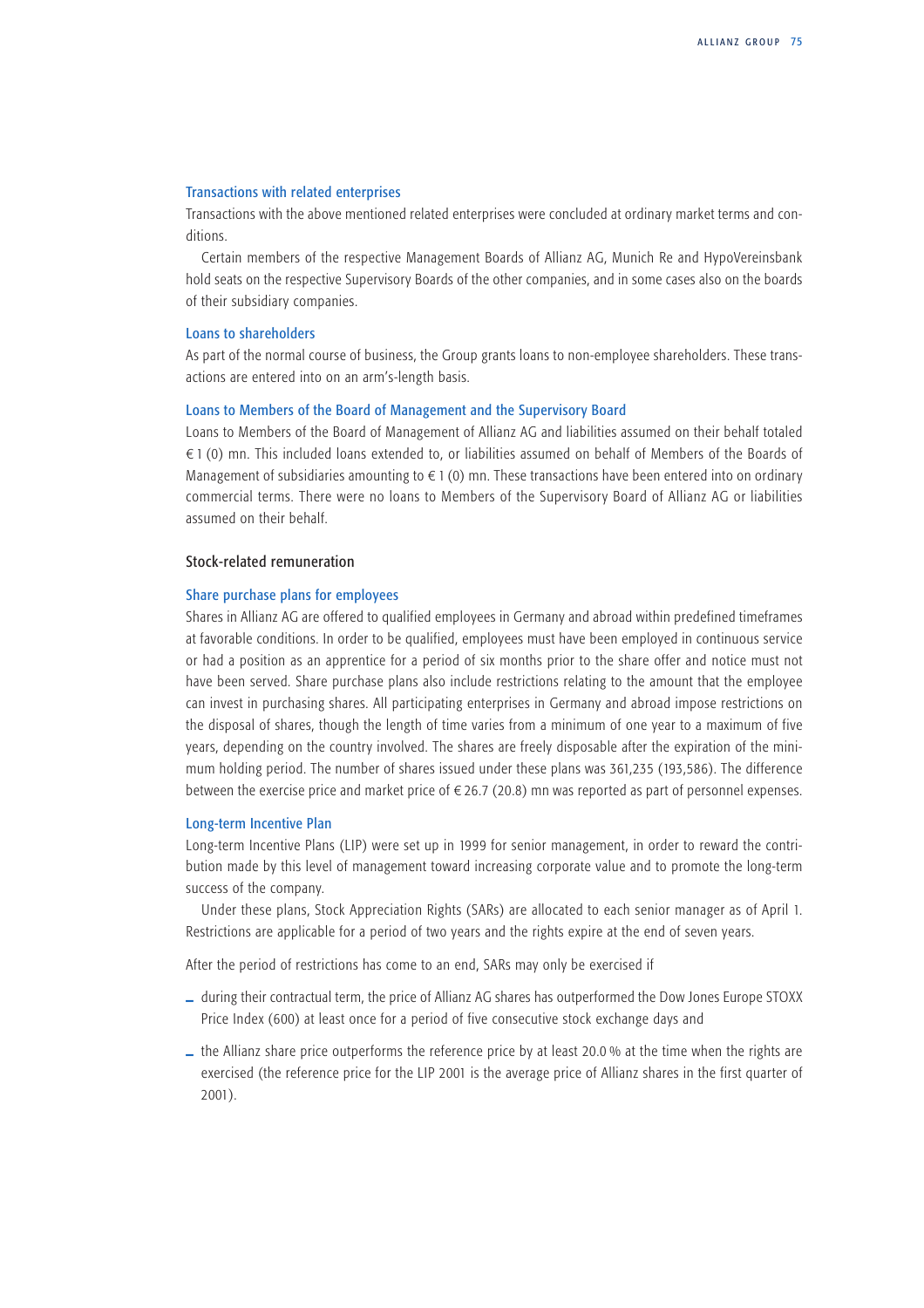#### Transactions with related enterprises

Transactions with the above mentioned related enterprises were concluded at ordinary market terms and conditions.

Certain members of the respective Management Boards of Allianz AG, Munich Re and HypoVereinsbank hold seats on the respective Supervisory Boards of the other companies, and in some cases also on the boards of their subsidiary companies.

#### Loans to shareholders

As part of the normal course of business, the Group grants loans to non-employee shareholders. These transactions are entered into on an arm's-length basis.

#### Loans to Members of the Board of Management and the Supervisory Board

Loans to Members of the Board of Management of Allianz AG and liabilities assumed on their behalf totaled  $\in$  1 (0) mn. This included loans extended to, or liabilities assumed on behalf of Members of the Boards of Management of subsidiaries amounting to  $\epsilon$  1 (0) mn. These transactions have been entered into on ordinary commercial terms. There were no loans to Members of the Supervisory Board of Allianz AG or liabilities assumed on their behalf.

#### Stock-related remuneration

#### Share purchase plans for employees

Shares in Allianz AG are offered to qualified employees in Germany and abroad within predefined timeframes at favorable conditions. In order to be qualified, employees must have been employed in continuous service or had a position as an apprentice for a period of six months prior to the share offer and notice must not have been served. Share purchase plans also include restrictions relating to the amount that the employee can invest in purchasing shares. All participating enterprises in Germany and abroad impose restrictions on the disposal of shares, though the length of time varies from a minimum of one year to a maximum of five years, depending on the country involved. The shares are freely disposable after the expiration of the minimum holding period. The number of shares issued under these plans was 361,235 (193,586). The difference between the exercise price and market price of  $\epsilon$  26.7 (20.8) mn was reported as part of personnel expenses.

#### Long-term Incentive Plan

Long-term Incentive Plans (LIP) were set up in 1999 for senior management, in order to reward the contribution made by this level of management toward increasing corporate value and to promote the long-term success of the company.

Under these plans, Stock Appreciation Rights (SARs) are allocated to each senior manager as of April 1. Restrictions are applicable for a period of two years and the rights expire at the end of seven years.

After the period of restrictions has come to an end, SARs may only be exercised if

- **\_** during their contractual term, the price of Allianz AG shares has outperformed the Dow Jones Europe STOXX Price Index (600) at least once for a period of five consecutive stock exchange days and
- **\_** the Allianz share price outperforms the reference price by at least 20.0 % at the time when the rights are exercised (the reference price for the LIP 2001 is the average price of Allianz shares in the first quarter of 2001).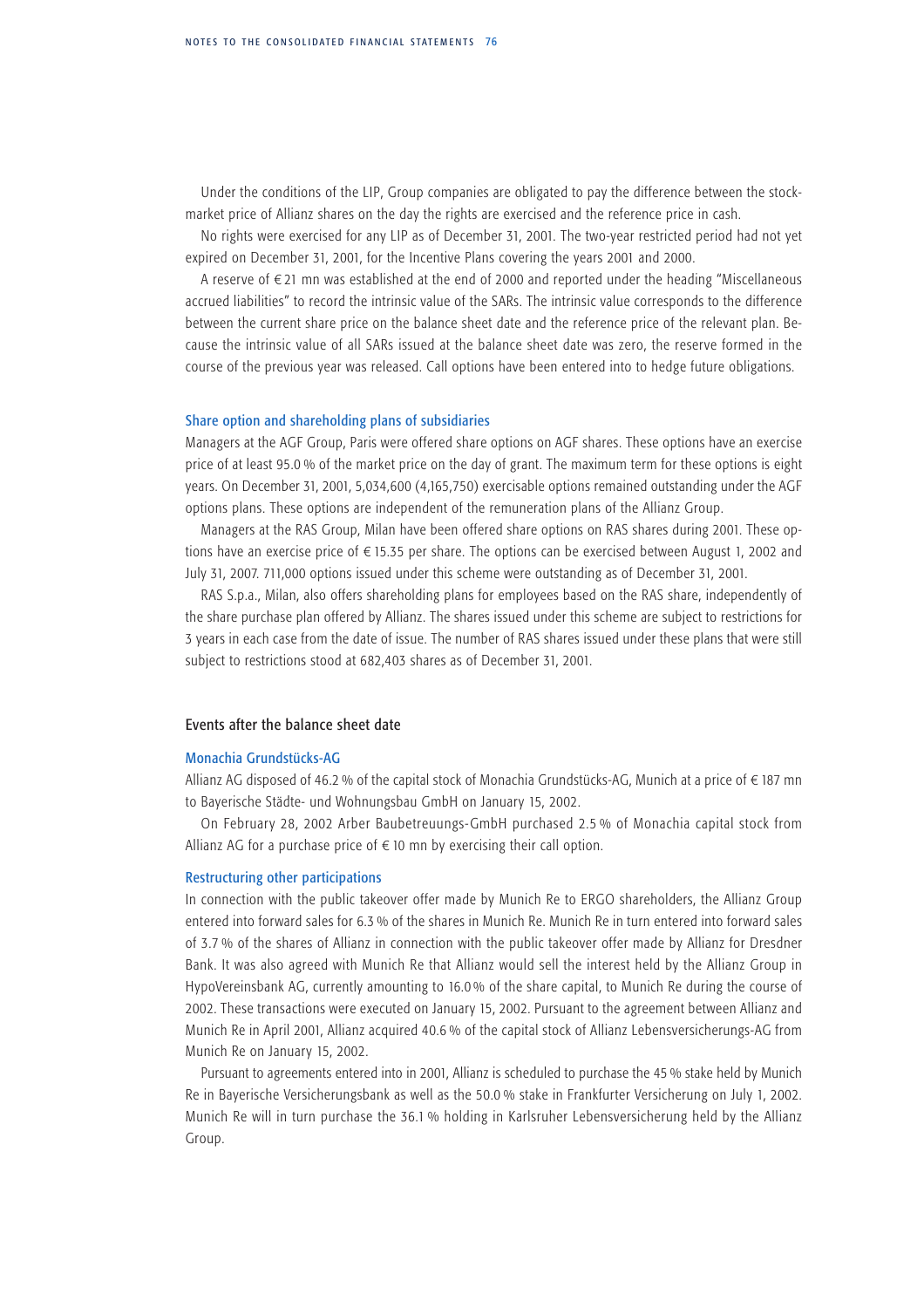Under the conditions of the LIP, Group companies are obligated to pay the difference between the stockmarket price of Allianz shares on the day the rights are exercised and the reference price in cash.

No rights were exercised for any LIP as of December 31, 2001. The two-year restricted period had not yet expired on December 31, 2001, for the Incentive Plans covering the years 2001 and 2000.

A reserve of  $\epsilon$  21 mn was established at the end of 2000 and reported under the heading "Miscellaneous accrued liabilities" to record the intrinsic value of the SARs. The intrinsic value corresponds to the difference between the current share price on the balance sheet date and the reference price of the relevant plan. Because the intrinsic value of all SARs issued at the balance sheet date was zero, the reserve formed in the course of the previous year was released. Call options have been entered into to hedge future obligations.

#### Share option and shareholding plans of subsidiaries

Managers at the AGF Group, Paris were offered share options on AGF shares. These options have an exercise price of at least 95.0 % of the market price on the day of grant. The maximum term for these options is eight years. On December 31, 2001, 5,034,600 (4,165,750) exercisable options remained outstanding under the AGF options plans. These options are independent of the remuneration plans of the Allianz Group.

Managers at the RAS Group, Milan have been offered share options on RAS shares during 2001. These options have an exercise price of  $\epsilon$  15.35 per share. The options can be exercised between August 1, 2002 and July 31, 2007. 711,000 options issued under this scheme were outstanding as of December 31, 2001.

RAS S.p.a., Milan, also offers shareholding plans for employees based on the RAS share, independently of the share purchase plan offered by Allianz. The shares issued under this scheme are subject to restrictions for 3 years in each case from the date of issue. The number of RAS shares issued under these plans that were still subject to restrictions stood at 682,403 shares as of December 31, 2001.

#### Events after the balance sheet date

#### Monachia Grundstücks-AG

Allianz AG disposed of 46.2 % of the capital stock of Monachia Grundstücks-AG, Munich at a price of  $\epsilon$  187 mn to Bayerische Städte- und Wohnungsbau GmbH on January 15, 2002.

On February 28, 2002 Arber Baubetreuungs-GmbH purchased 2.5 % of Monachia capital stock from Allianz AG for a purchase price of  $\epsilon$  10 mn by exercising their call option.

#### Restructuring other participations

In connection with the public takeover offer made by Munich Re to ERGO shareholders, the Allianz Group entered into forward sales for 6.3 % of the shares in Munich Re. Munich Re in turn entered into forward sales of 3.7 % of the shares of Allianz in connection with the public takeover offer made by Allianz for Dresdner Bank. It was also agreed with Munich Re that Allianz would sell the interest held by the Allianz Group in HypoVereinsbank AG, currently amounting to 16.0 % of the share capital, to Munich Re during the course of 2002. These transactions were executed on January 15, 2002. Pursuant to the agreement between Allianz and Munich Re in April 2001, Allianz acquired 40.6 % of the capital stock of Allianz Lebensversicherungs-AG from Munich Re on January 15, 2002.

Pursuant to agreements entered into in 2001, Allianz is scheduled to purchase the 45 % stake held by Munich Re in Bayerische Versicherungsbank as well as the 50.0 % stake in Frankfurter Versicherung on July 1, 2002. Munich Re will in turn purchase the 36.1 % holding in Karlsruher Lebensversicherung held by the Allianz Group.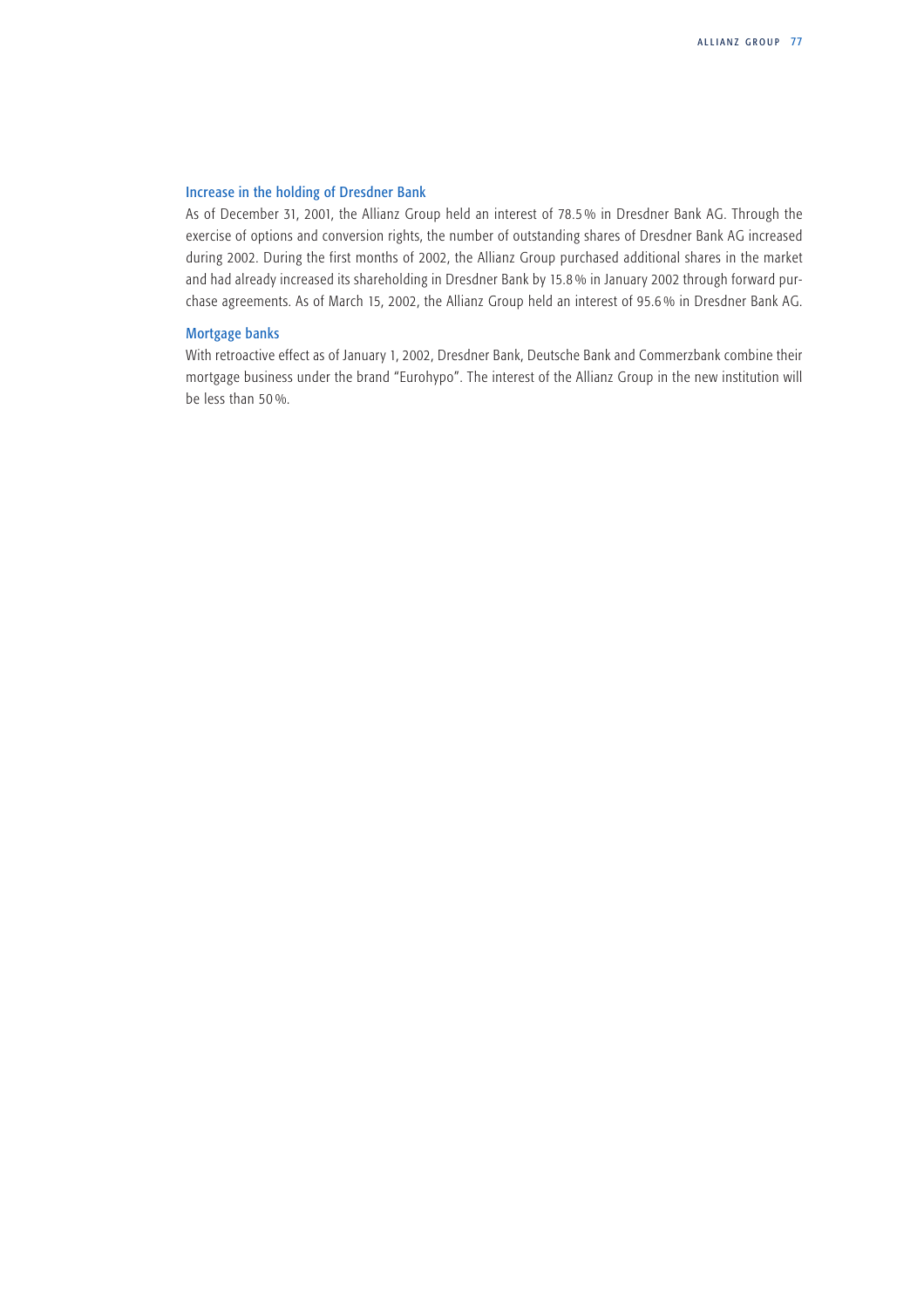## Increase in the holding of Dresdner Bank

As of December 31, 2001, the Allianz Group held an interest of 78.5 % in Dresdner Bank AG. Through the exercise of options and conversion rights, the number of outstanding shares of Dresdner Bank AG increased during 2002. During the first months of 2002, the Allianz Group purchased additional shares in the market and had already increased its shareholding in Dresdner Bank by 15.8 % in January 2002 through forward purchase agreements. As of March 15, 2002, the Allianz Group held an interest of 95.6 % in Dresdner Bank AG.

# Mortgage banks

With retroactive effect as of January 1, 2002, Dresdner Bank, Deutsche Bank and Commerzbank combine their mortgage business under the brand "Eurohypo". The interest of the Allianz Group in the new institution will be less than 50 %.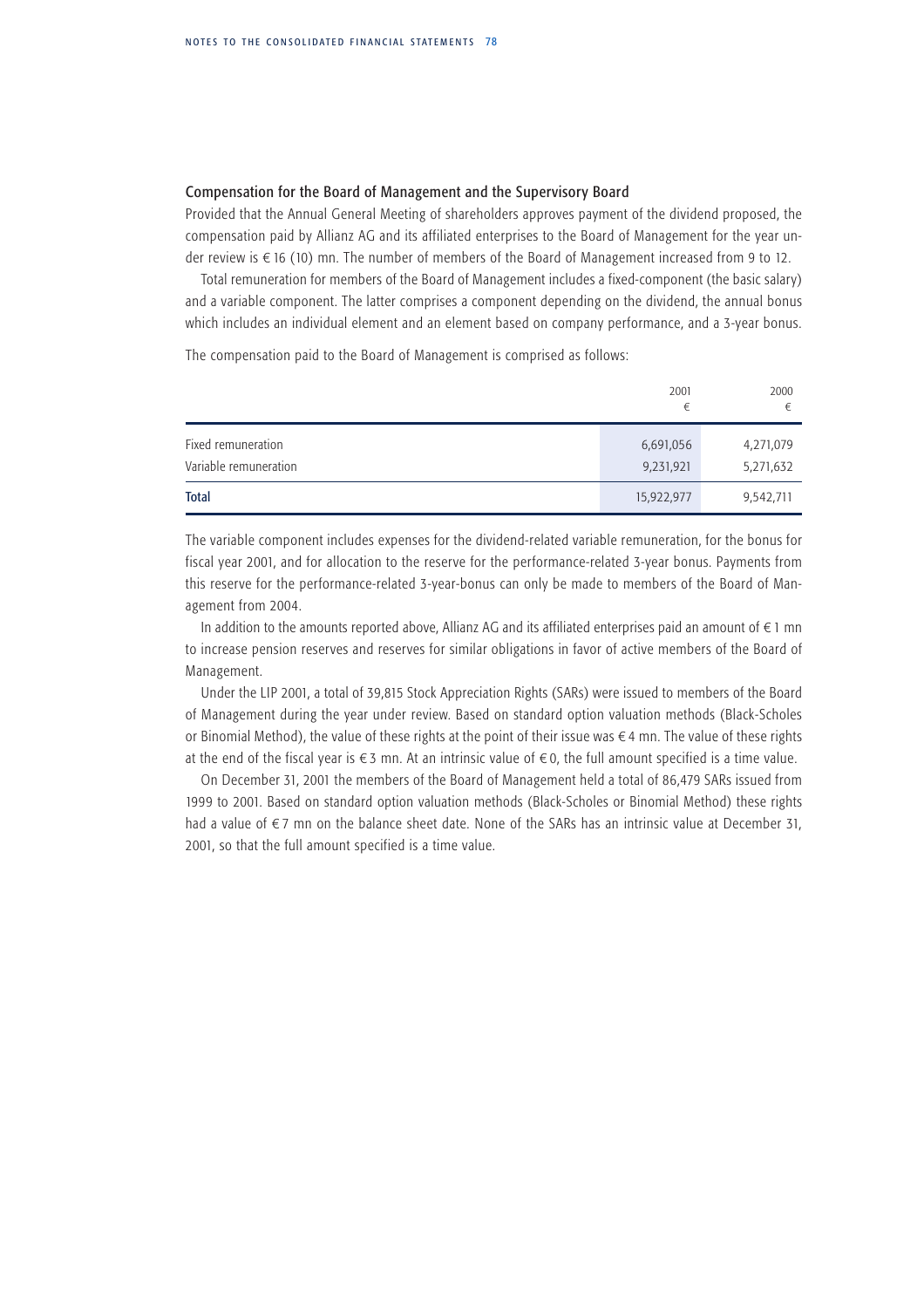#### Compensation for the Board of Management and the Supervisory Board

Provided that the Annual General Meeting of shareholders approves payment of the dividend proposed, the compensation paid by Allianz AG and its affiliated enterprises to the Board of Management for the year under review is  $\epsilon$  16 (10) mn. The number of members of the Board of Management increased from 9 to 12.

Total remuneration for members of the Board of Management includes a fixed-component (the basic salary) and a variable component. The latter comprises a component depending on the dividend, the annual bonus which includes an individual element and an element based on company performance, and a 3-year bonus.

The compensation paid to the Board of Management is comprised as follows:

|                                             | 2001<br>€              | 2000<br>€              |
|---------------------------------------------|------------------------|------------------------|
| Fixed remuneration<br>Variable remuneration | 6,691,056<br>9,231,921 | 4,271,079<br>5,271,632 |
| <b>Total</b>                                | 15,922,977             | 9,542,711              |

The variable component includes expenses for the dividend-related variable remuneration, for the bonus for fiscal year 2001, and for allocation to the reserve for the performance-related 3-year bonus. Payments from this reserve for the performance-related 3-year-bonus can only be made to members of the Board of Management from 2004.

In addition to the amounts reported above, Allianz AG and its affiliated enterprises paid an amount of  $\in$  1 mn to increase pension reserves and reserves for similar obligations in favor of active members of the Board of Management.

Under the LIP 2001, a total of 39,815 Stock Appreciation Rights (SARs) were issued to members of the Board of Management during the year under review. Based on standard option valuation methods (Black-Scholes or Binomial Method), the value of these rights at the point of their issue was  $\epsilon$  4 mn. The value of these rights at the end of the fiscal year is  $\epsilon$ 3 mn. At an intrinsic value of  $\epsilon$ 0, the full amount specified is a time value.

On December 31, 2001 the members of the Board of Management held a total of 86,479 SARs issued from 1999 to 2001. Based on standard option valuation methods (Black-Scholes or Binomial Method) these rights had a value of  $\epsilon$ 7 mn on the balance sheet date. None of the SARs has an intrinsic value at December 31, 2001, so that the full amount specified is a time value.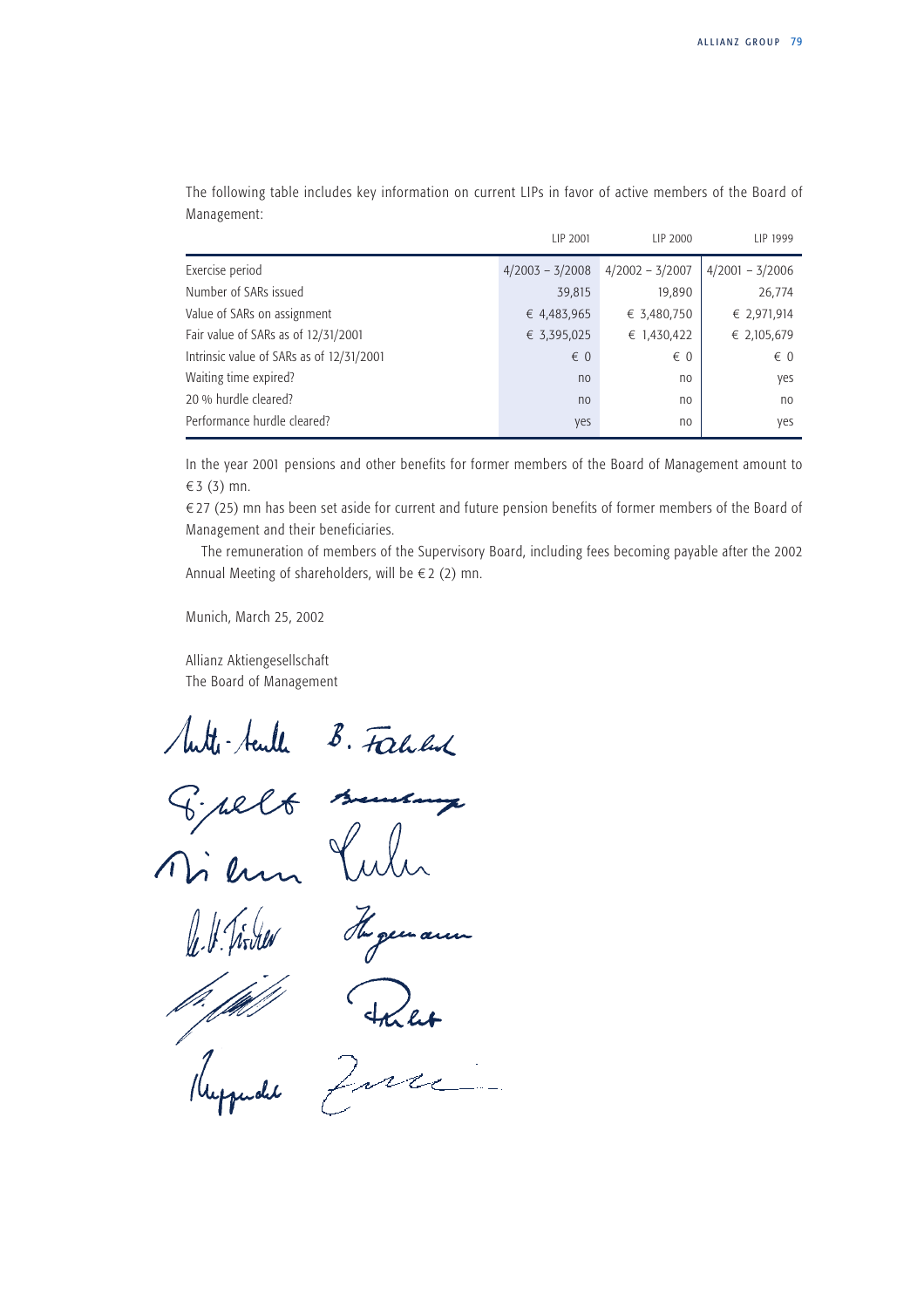|                                          | LIP 2001          | LIP 2000          | LIP 1999          |
|------------------------------------------|-------------------|-------------------|-------------------|
| Exercise period                          | $4/2003 - 3/2008$ | $4/2002 - 3/2007$ | $4/2001 - 3/2006$ |
| Number of SARs issued                    | 39,815            | 19,890            | 26,774            |
| Value of SARs on assignment              | € 4,483,965       | € 3,480,750       | € 2,971,914       |
| Fair value of SARs as of 12/31/2001      | € 3,395,025       | € 1,430,422       | € 2,105,679       |
| Intrinsic value of SARs as of 12/31/2001 | $\epsilon$ 0      | $\epsilon$ 0      | $\epsilon$ 0      |
| Waiting time expired?                    | n <sub>0</sub>    | no                | yes               |
| 20 % hurdle cleared?                     | n <sub>0</sub>    | no                | no                |
| Performance hurdle cleared?              | yes               | no                | yes               |

The following table includes key information on current LIPs in favor of active members of the Board of Management:

In the year 2001 pensions and other benefits for former members of the Board of Management amount to  $\in$  3 (3) mn.

 $\epsilon$ 27 (25) mn has been set aside for current and future pension benefits of former members of the Board of Management and their beneficiaries.

The remuneration of members of the Supervisory Board, including fees becoming payable after the 2002 Annual Meeting of shareholders, will be  $\in$  2 (2) mn.

Munich, March 25, 2002

Allianz Aktiengesellschaft The Board of Management

butte-teal B. Facular

Ture radiation

H gen ann

udel

Anus<br>1 fince 11<br>22 mars 20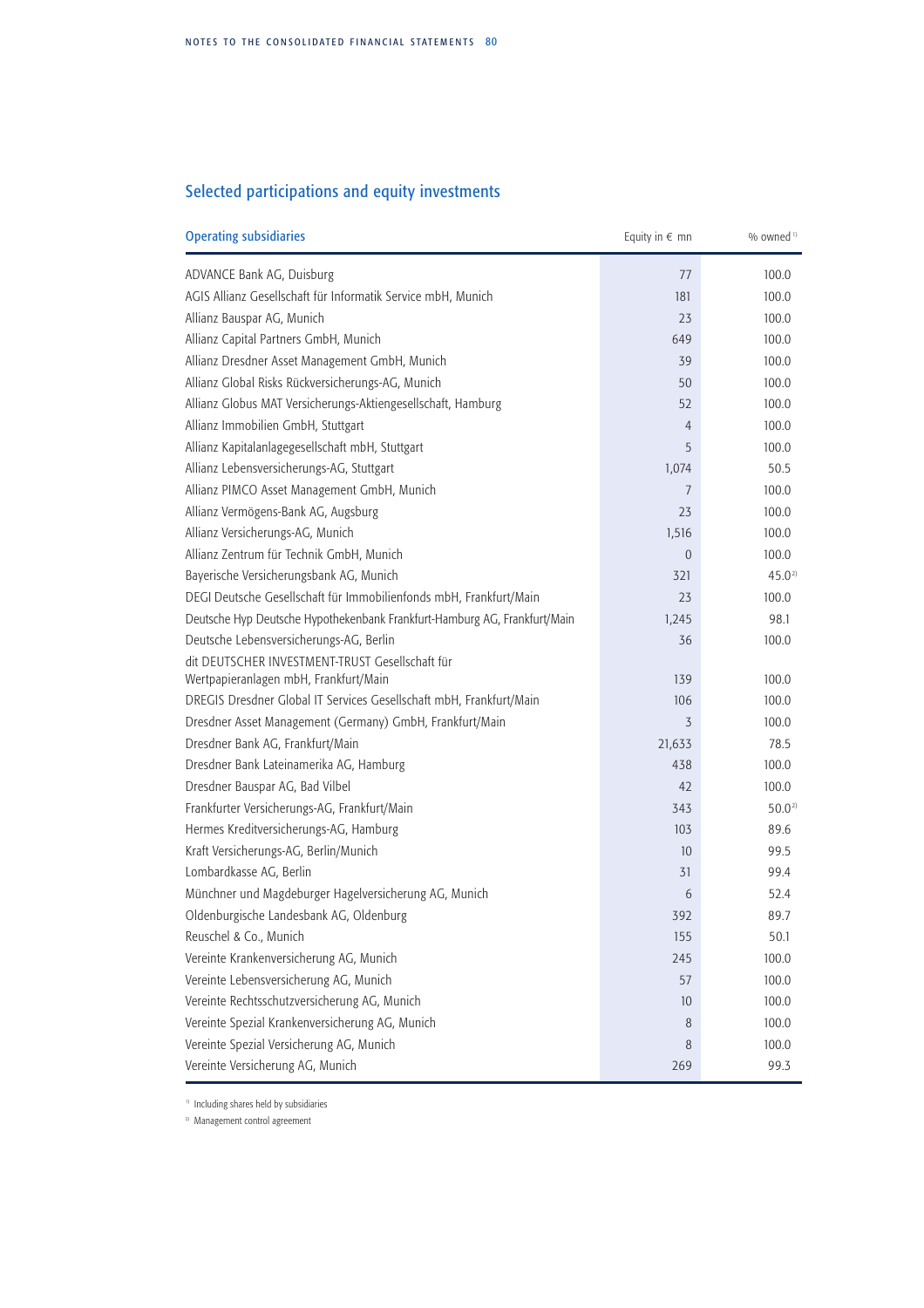# Selected participations and equity investments

| <b>Operating subsidiaries</b>                                                            | Equity in $\epsilon$ mn | % owned <sup>1)</sup> |
|------------------------------------------------------------------------------------------|-------------------------|-----------------------|
| ADVANCE Bank AG, Duisburg                                                                | 77                      | 100.0                 |
| AGIS Allianz Gesellschaft für Informatik Service mbH, Munich                             | 181                     | 100.0                 |
| Allianz Bauspar AG, Munich                                                               | 23                      | 100.0                 |
| Allianz Capital Partners GmbH, Munich                                                    | 649                     | 100.0                 |
| Allianz Dresdner Asset Management GmbH, Munich                                           | 39                      | 100.0                 |
| Allianz Global Risks Rückversicherungs-AG, Munich                                        | 50                      | 100.0                 |
| Allianz Globus MAT Versicherungs-Aktiengesellschaft, Hamburg                             | 52                      | 100.0                 |
| Allianz Immobilien GmbH, Stuttgart                                                       | $\overline{4}$          | 100.0                 |
| Allianz Kapitalanlagegesellschaft mbH, Stuttgart                                         | 5                       | 100.0                 |
| Allianz Lebensversicherungs-AG, Stuttgart                                                | 1,074                   | 50.5                  |
| Allianz PIMCO Asset Management GmbH, Munich                                              | $\overline{7}$          | 100.0                 |
| Allianz Vermögens-Bank AG, Augsburg                                                      | 23                      | 100.0                 |
| Allianz Versicherungs-AG, Munich                                                         | 1,516                   | 100.0                 |
| Allianz Zentrum für Technik GmbH, Munich                                                 | $\overline{0}$          | 100.0                 |
| Bayerische Versicherungsbank AG, Munich                                                  | 321                     | $45.0^{2}$            |
| DEGI Deutsche Gesellschaft für Immobilienfonds mbH, Frankfurt/Main                       | 23                      | 100.0                 |
| Deutsche Hyp Deutsche Hypothekenbank Frankfurt-Hamburg AG, Frankfurt/Main                | 1,245                   | 98.1                  |
| Deutsche Lebensversicherungs-AG, Berlin                                                  | 36                      | 100.0                 |
| dit DEUTSCHER INVESTMENT-TRUST Gesellschaft für<br>Wertpapieranlagen mbH, Frankfurt/Main | 139                     | 100.0                 |
| DREGIS Dresdner Global IT Services Gesellschaft mbH, Frankfurt/Main                      | 106                     | 100.0                 |
| Dresdner Asset Management (Germany) GmbH, Frankfurt/Main                                 | 3                       | 100.0                 |
| Dresdner Bank AG, Frankfurt/Main                                                         | 21,633                  | 78.5                  |
| Dresdner Bank Lateinamerika AG, Hamburg                                                  | 438                     | 100.0                 |
| Dresdner Bauspar AG, Bad Vilbel                                                          | 42                      | 100.0                 |
| Frankfurter Versicherungs-AG, Frankfurt/Main                                             | 343                     | $50.0^{2}$            |
| Hermes Kreditversicherungs-AG, Hamburg                                                   | 103                     | 89.6                  |
| Kraft Versicherungs-AG, Berlin/Munich                                                    | 10                      | 99.5                  |
| Lombardkasse AG, Berlin                                                                  | 31                      | 99.4                  |
| Münchner und Magdeburger Hagelversicherung AG, Munich                                    | 6                       | 52.4                  |
| Oldenburgische Landesbank AG, Oldenburg                                                  | 392                     | 89.7                  |
| Reuschel & Co., Munich                                                                   | 155                     | 50.1                  |
| Vereinte Krankenversicherung AG, Munich                                                  | 245                     | 100.0                 |
| Vereinte Lebensversicherung AG, Munich                                                   | 57                      | 100.0                 |
| Vereinte Rechtsschutzversicherung AG, Munich                                             | 10 <sup>°</sup>         | 100.0                 |
| Vereinte Spezial Krankenversicherung AG, Munich                                          | 8                       | 100.0                 |
| Vereinte Spezial Versicherung AG, Munich                                                 | 8                       | 100.0                 |
| Vereinte Versicherung AG, Munich                                                         | 269                     | 99.3                  |

1) Including shares held by subsidiaries

2) Management control agreement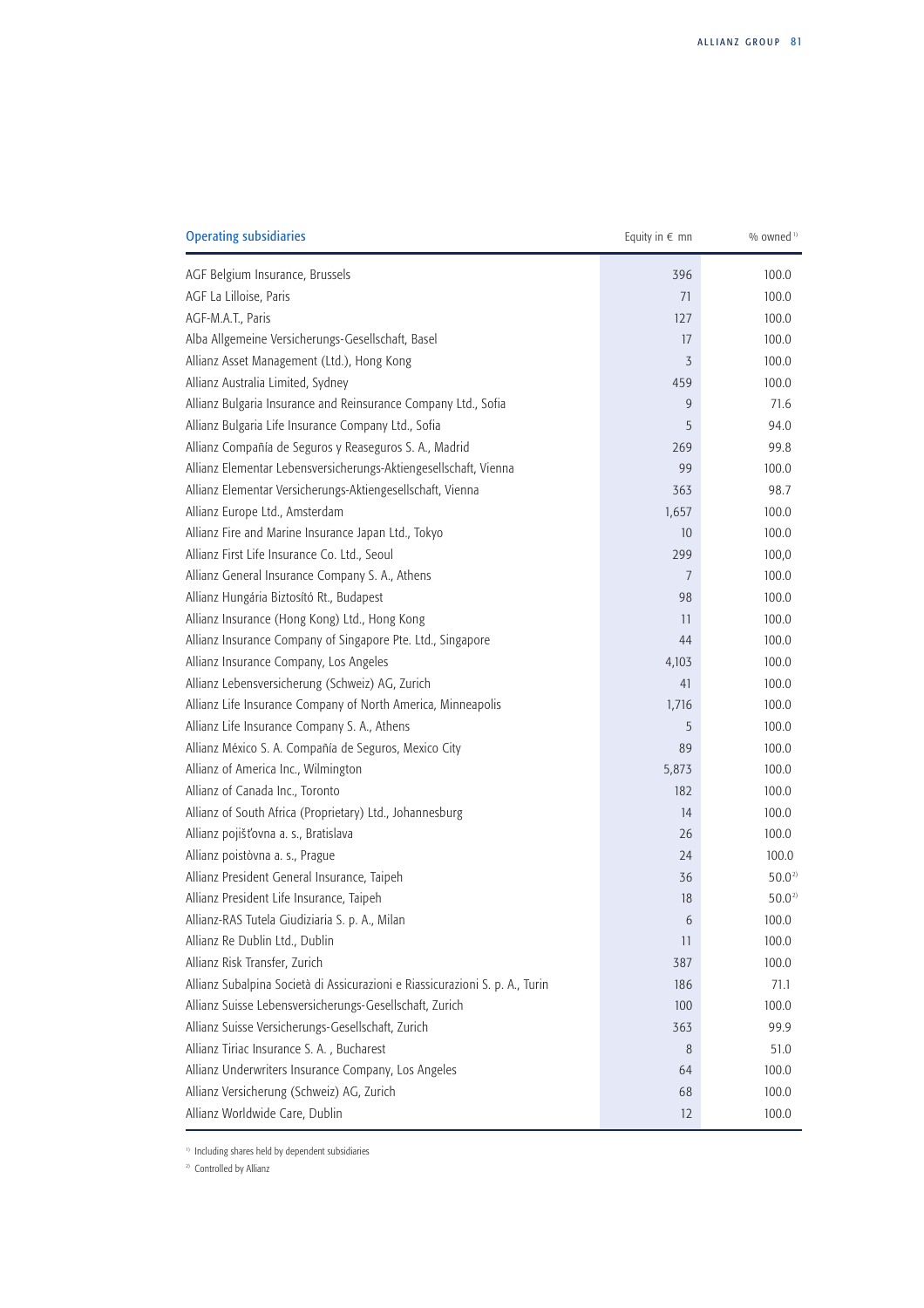| <b>Operating subsidiaries</b>                                                | Equity in $\epsilon$ mn | % owned <sup>1)</sup> |
|------------------------------------------------------------------------------|-------------------------|-----------------------|
| AGF Belgium Insurance, Brussels                                              | 396                     | 100.0                 |
| AGF La Lilloise, Paris                                                       | 71                      | 100.0                 |
| AGF-M.A.T., Paris                                                            | 127                     | 100.0                 |
| Alba Allgemeine Versicherungs-Gesellschaft, Basel                            | 17                      | 100.0                 |
| Allianz Asset Management (Ltd.), Hong Kong                                   | 3                       | 100.0                 |
| Allianz Australia Limited, Sydney                                            | 459                     | 100.0                 |
| Allianz Bulgaria Insurance and Reinsurance Company Ltd., Sofia               | 9                       | 71.6                  |
| Allianz Bulgaria Life Insurance Company Ltd., Sofia                          | 5                       | 94.0                  |
| Allianz Compañía de Seguros y Reaseguros S. A., Madrid                       | 269                     | 99.8                  |
| Allianz Elementar Lebensversicherungs-Aktiengesellschaft, Vienna             | 99                      | 100.0                 |
| Allianz Elementar Versicherungs-Aktiengesellschaft, Vienna                   | 363                     | 98.7                  |
| Allianz Europe Ltd., Amsterdam                                               | 1,657                   | 100.0                 |
| Allianz Fire and Marine Insurance Japan Ltd., Tokyo                          | 10                      | 100.0                 |
| Allianz First Life Insurance Co. Ltd., Seoul                                 | 299                     | 100,0                 |
| Allianz General Insurance Company S. A., Athens                              | 7                       | 100.0                 |
| Allianz Hungária Biztosító Rt., Budapest                                     | 98                      | 100.0                 |
| Allianz Insurance (Hong Kong) Ltd., Hong Kong                                | 11                      | 100.0                 |
| Allianz Insurance Company of Singapore Pte. Ltd., Singapore                  | 44                      | 100.0                 |
| Allianz Insurance Company, Los Angeles                                       | 4,103                   | 100.0                 |
| Allianz Lebensversicherung (Schweiz) AG, Zurich                              | 41                      | 100.0                 |
| Allianz Life Insurance Company of North America, Minneapolis                 | 1,716                   | 100.0                 |
| Allianz Life Insurance Company S. A., Athens                                 | 5                       | 100.0                 |
| Allianz México S. A. Compañía de Seguros, Mexico City                        | 89                      | 100.0                 |
| Allianz of America Inc., Wilmington                                          | 5,873                   | 100.0                 |
| Allianz of Canada Inc., Toronto                                              | 182                     | 100.0                 |
| Allianz of South Africa (Proprietary) Ltd., Johannesburg                     | 14                      | 100.0                 |
| Allianz pojišťovna a. s., Bratislava                                         | 26                      | 100.0                 |
| Allianz poistòvna a. s., Prague                                              | 24                      | 100.0                 |
| Allianz President General Insurance, Taipeh                                  | 36                      | $50.0^{2}$            |
| Allianz President Life Insurance, Taipeh                                     | 18                      | $50.0^{2}$            |
| Allianz-RAS Tutela Giudiziaria S. p. A., Milan                               | 6                       | 100.0                 |
| Allianz Re Dublin Ltd., Dublin                                               | 11                      | 100.0                 |
| Allianz Risk Transfer, Zurich                                                | 387                     | 100.0                 |
| Allianz Subalpina Società di Assicurazioni e Riassicurazioni S. p. A., Turin | 186                     | 71.1                  |
| Allianz Suisse Lebensversicherungs-Gesellschaft, Zurich                      | 100                     | 100.0                 |
| Allianz Suisse Versicherungs-Gesellschaft, Zurich                            | 363                     | 99.9                  |
| Allianz Tiriac Insurance S. A., Bucharest                                    | 8                       | 51.0                  |
| Allianz Underwriters Insurance Company, Los Angeles                          | 64                      | 100.0                 |
| Allianz Versicherung (Schweiz) AG, Zurich                                    | 68                      | 100.0                 |
| Allianz Worldwide Care, Dublin                                               | 12                      | 100.0                 |

1) Including shares held by dependent subsidiaries

<sup>2)</sup> Controlled by Allianz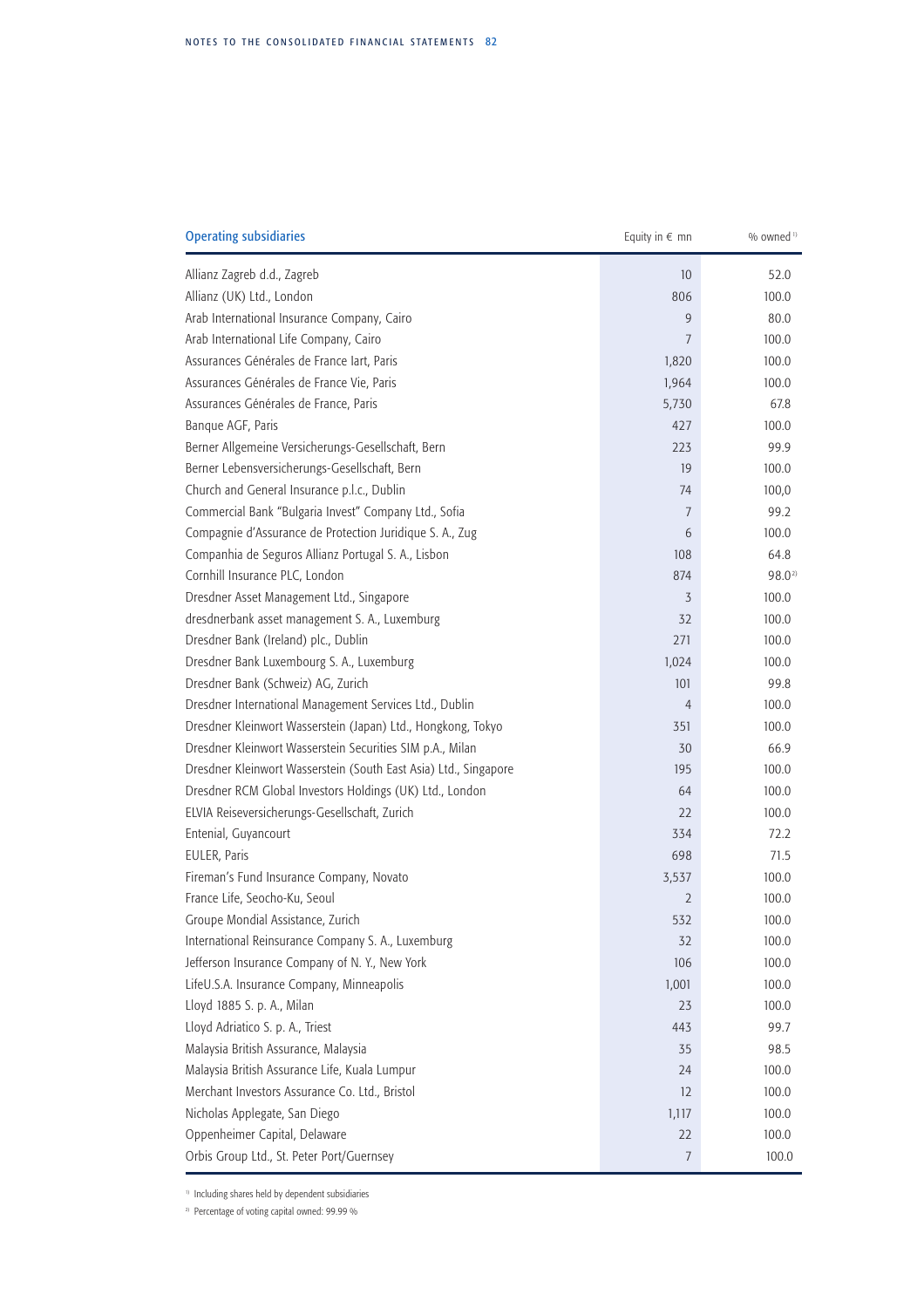| <b>Operating subsidiaries</b>                                    | Equity in $\epsilon$ mn | % owned <sup>1)</sup> |
|------------------------------------------------------------------|-------------------------|-----------------------|
| Allianz Zagreb d.d., Zagreb                                      | 10                      | 52.0                  |
| Allianz (UK) Ltd., London                                        | 806                     | 100.0                 |
| Arab International Insurance Company, Cairo                      | 9                       | 80.0                  |
| Arab International Life Company, Cairo                           | 7                       | 100.0                 |
| Assurances Générales de France lart, Paris                       | 1,820                   | 100.0                 |
| Assurances Générales de France Vie, Paris                        | 1,964                   | 100.0                 |
| Assurances Générales de France, Paris                            | 5,730                   | 67.8                  |
| Banque AGF, Paris                                                | 427                     | 100.0                 |
| Berner Allgemeine Versicherungs-Gesellschaft, Bern               | 223                     | 99.9                  |
| Berner Lebensversicherungs-Gesellschaft, Bern                    | 19                      | 100.0                 |
| Church and General Insurance p.l.c., Dublin                      | 74                      | 100,0                 |
| Commercial Bank "Bulgaria Invest" Company Ltd., Sofia            | $\overline{7}$          | 99.2                  |
| Compagnie d'Assurance de Protection Juridique S. A., Zug         | 6                       | 100.0                 |
| Companhia de Seguros Allianz Portugal S. A., Lisbon              | 108                     | 64.8                  |
| Cornhill Insurance PLC, London                                   | 874                     | $98.0^{2}$            |
| Dresdner Asset Management Ltd., Singapore                        | 3                       | 100.0                 |
| dresdnerbank asset management S. A., Luxemburg                   | 32                      | 100.0                 |
| Dresdner Bank (Ireland) plc., Dublin                             | 271                     | 100.0                 |
| Dresdner Bank Luxembourg S. A., Luxemburg                        | 1,024                   | 100.0                 |
| Dresdner Bank (Schweiz) AG, Zurich                               | 101                     | 99.8                  |
| Dresdner International Management Services Ltd., Dublin          | $\overline{4}$          | 100.0                 |
| Dresdner Kleinwort Wasserstein (Japan) Ltd., Hongkong, Tokyo     | 351                     | 100.0                 |
| Dresdner Kleinwort Wasserstein Securities SIM p.A., Milan        | 30                      | 66.9                  |
| Dresdner Kleinwort Wasserstein (South East Asia) Ltd., Singapore | 195                     | 100.0                 |
| Dresdner RCM Global Investors Holdings (UK) Ltd., London         | 64                      | 100.0                 |
| ELVIA Reiseversicherungs-Gesellschaft, Zurich                    | 22                      | 100.0                 |
| Entenial, Guyancourt                                             | 334                     | 72.2                  |
| EULER, Paris                                                     | 698                     | 71.5                  |
| Fireman's Fund Insurance Company, Novato                         | 3,537                   | 100.0                 |
| France Life, Seocho-Ku, Seoul                                    | 2                       | 100.0                 |
| Groupe Mondial Assistance, Zurich                                | 532                     | 100.0                 |
| International Reinsurance Company S. A., Luxemburg               | 32                      | 100.0                 |
| Jefferson Insurance Company of N.Y., New York                    | 106                     | 100.0                 |
| LifeU.S.A. Insurance Company, Minneapolis                        | 1,001                   | 100.0                 |
| Lloyd 1885 S. p. A., Milan                                       | 23                      | 100.0                 |
| Lloyd Adriatico S. p. A., Triest                                 | 443                     | 99.7                  |
| Malaysia British Assurance, Malaysia                             | 35                      | 98.5                  |
| Malaysia British Assurance Life, Kuala Lumpur                    | 24                      | 100.0                 |
| Merchant Investors Assurance Co. Ltd., Bristol                   | 12                      | 100.0                 |
| Nicholas Applegate, San Diego                                    | 1,117                   | 100.0                 |
| Oppenheimer Capital, Delaware                                    | 22                      | 100.0                 |
| Orbis Group Ltd., St. Peter Port/Guernsey                        | $\overline{7}$          | 100.0                 |

1) Including shares held by dependent subsidiaries

2) Percentage of voting capital owned: 99.99 %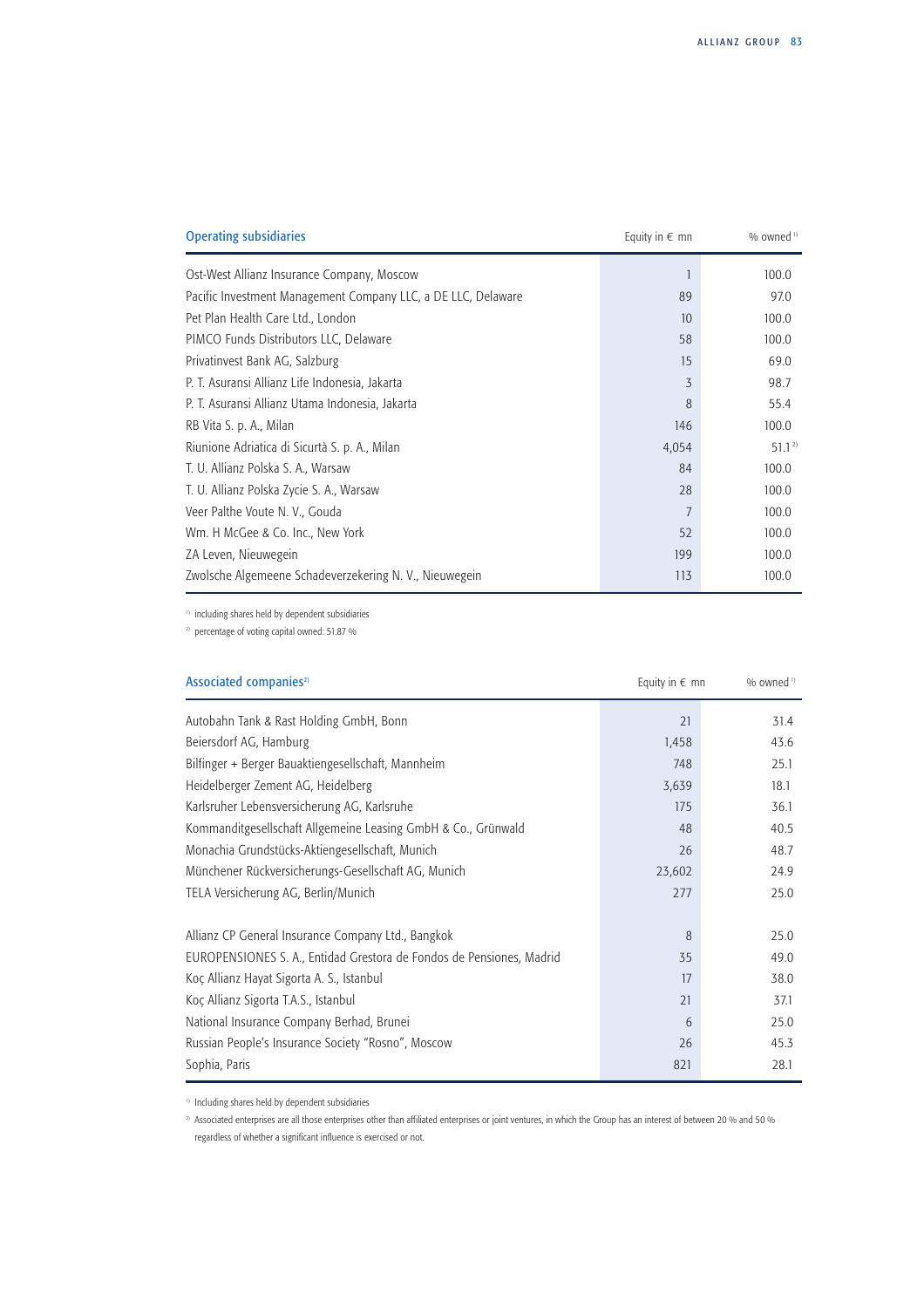| <b>Operating subsidiaries</b>                                 | Equity in $\epsilon$ mn | $%$ owned <sup>1)</sup> |
|---------------------------------------------------------------|-------------------------|-------------------------|
| Ost-West Allianz Insurance Company, Moscow                    |                         | 100.0                   |
| Pacific Investment Management Company LLC, a DE LLC, Delaware | 89                      | 97.0                    |
| Pet Plan Health Care Ltd., London                             | 10                      | 100.0                   |
| PIMCO Funds Distributors LLC, Delaware                        | 58                      | 100.0                   |
| Privatinvest Bank AG, Salzburg                                | 15                      | 69.0                    |
| P. T. Asuransi Allianz Life Indonesia, Jakarta                | 3                       | 98.7                    |
| P. T. Asuransi Allianz Utama Indonesia, Jakarta               | 8                       | 55.4                    |
| RB Vita S. p. A., Milan                                       | 146                     | 100.0                   |
| Riunione Adriatica di Sicurtà S. p. A., Milan                 | 4,054                   | $51.1^{2}$              |
| T. U. Allianz Polska S. A., Warsaw                            | 84                      | 100.0                   |
| T. U. Allianz Polska Zycie S. A., Warsaw                      | 28                      | 100.0                   |
| Veer Palthe Voute N. V., Gouda                                | $\overline{7}$          | 100.0                   |
| Wm. H McGee & Co. Inc., New York                              | 52                      | 100.0                   |
| ZA Leven, Nieuwegein                                          | 199                     | 100.0                   |
| Zwolsche Algemeene Schadeverzekering N. V., Nieuwegein        | 113                     | 100.0                   |

<sup>1)</sup> including shares held by dependent subsidiaries

2) percentage of voting capital owned: 51.87 %

| Associated companies <sup>2)</sup>                                   | Equity in $\epsilon$ mn | % owned <sup>1)</sup> |
|----------------------------------------------------------------------|-------------------------|-----------------------|
| Autobahn Tank & Rast Holding GmbH, Bonn                              | 21                      | 31.4                  |
| Beiersdorf AG, Hamburg                                               | 1,458                   | 43.6                  |
| Bilfinger + Berger Bauaktiengesellschaft, Mannheim                   | 748                     | 25.1                  |
| Heidelberger Zement AG, Heidelberg                                   | 3,639                   | 18.1                  |
| Karlsruher Lebensversicherung AG, Karlsruhe                          | 175                     | 36.1                  |
| Kommanditgesellschaft Allgemeine Leasing GmbH & Co., Grünwald        | 48                      | 40.5                  |
| Monachia Grundstücks-Aktiengesellschaft, Munich                      | 26                      | 48.7                  |
| Münchener Rückversicherungs-Gesellschaft AG, Munich                  | 23,602                  | 24.9                  |
| TELA Versicherung AG, Berlin/Munich                                  | 277                     | 25.0                  |
| Allianz CP General Insurance Company Ltd., Bangkok                   | 8                       | 25.0                  |
| EUROPENSIONES S. A., Entidad Grestora de Fondos de Pensiones, Madrid | 35                      | 49.0                  |
| Koç Allianz Hayat Sigorta A. S., Istanbul                            | 17                      | 38.0                  |
| Koç Allianz Sigorta T.A.S., Istanbul                                 | 21                      | 37.1                  |
| National Insurance Company Berhad, Brunei                            | 6                       | 25.0                  |
| Russian People's Insurance Society "Rosno", Moscow                   | 26                      | 45.3                  |
| Sophia, Paris                                                        | 821                     | 28.1                  |

1) Including shares held by dependent subsidiaries

2) Associated enterprises are all those enterprises other than affiliated enterprises or joint ventures, in which the Group has an interest of between 20 % and 50 % regardless of whether a significant influence is exercised or not.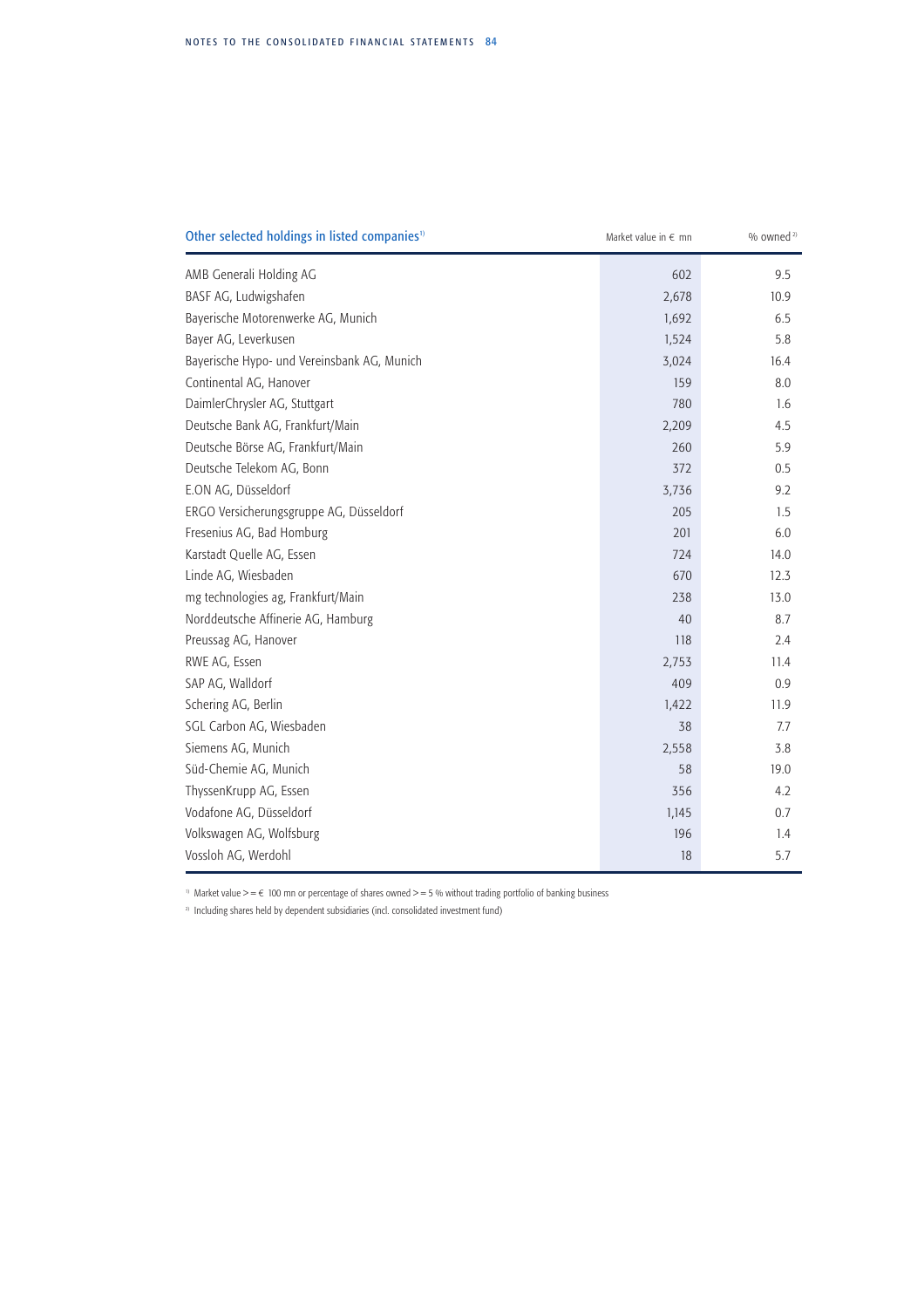| Other selected holdings in listed companies <sup>1)</sup> | Market value in $\epsilon$ mn | $%$ owned $2)$ |
|-----------------------------------------------------------|-------------------------------|----------------|
| AMB Generali Holding AG                                   | 602                           | 9.5            |
| BASF AG, Ludwigshafen                                     | 2,678                         | 10.9           |
| Bayerische Motorenwerke AG, Munich                        | 1,692                         | 6.5            |
| Bayer AG, Leverkusen                                      | 1,524                         | 5.8            |
| Bayerische Hypo- und Vereinsbank AG, Munich               | 3,024                         | 16.4           |
| Continental AG, Hanover                                   | 159                           | 8.0            |
| DaimlerChrysler AG, Stuttgart                             | 780                           | 1.6            |
| Deutsche Bank AG, Frankfurt/Main                          | 2,209                         | 4.5            |
| Deutsche Börse AG, Frankfurt/Main                         | 260                           | 5.9            |
| Deutsche Telekom AG, Bonn                                 | 372                           | 0.5            |
| E.ON AG, Düsseldorf                                       | 3,736                         | 9.2            |
| ERGO Versicherungsgruppe AG, Düsseldorf                   | 205                           | 1.5            |
| Fresenius AG, Bad Homburg                                 | 201                           | 6.0            |
| Karstadt Quelle AG, Essen                                 | 724                           | 14.0           |
| Linde AG, Wiesbaden                                       | 670                           | 12.3           |
| mg technologies ag, Frankfurt/Main                        | 238                           | 13.0           |
| Norddeutsche Affinerie AG, Hamburg                        | 40                            | 8.7            |
| Preussag AG, Hanover                                      | 118                           | 2.4            |
| RWE AG, Essen                                             | 2,753                         | 11.4           |
| SAP AG, Walldorf                                          | 409                           | 0.9            |
| Schering AG, Berlin                                       | 1,422                         | 11.9           |
| SGL Carbon AG, Wiesbaden                                  | 38                            | 7.7            |
| Siemens AG, Munich                                        | 2,558                         | 3.8            |
| Süd-Chemie AG, Munich                                     | 58                            | 19.0           |
| ThyssenKrupp AG, Essen                                    | 356                           | 4.2            |
| Vodafone AG, Düsseldorf                                   | 1,145                         | 0.7            |
| Volkswagen AG, Wolfsburg                                  | 196                           | 1.4            |
| Vossloh AG, Werdohl                                       | 18                            | 5.7            |

<sup>1)</sup> Market value  $\ge$  =  $\in$  100 mn or percentage of shares owned  $\ge$  = 5 % without trading portfolio of banking business

<sup>2)</sup> Including shares held by dependent subsidiaries (incl. consolidated investment fund)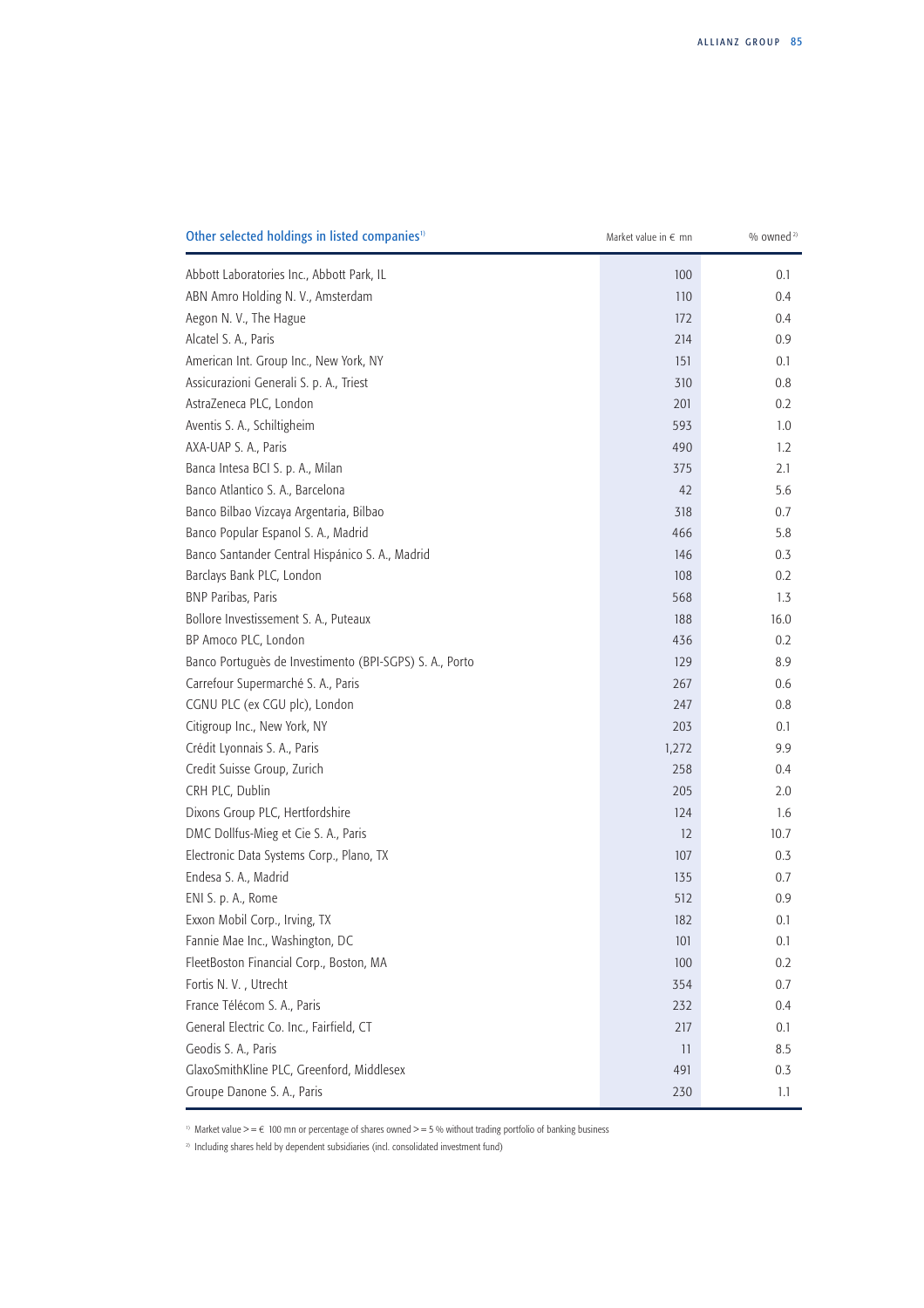| Other selected holdings in listed companies <sup>1)</sup> | Market value in $\epsilon$ mn | % owned <sup>2)</sup> |
|-----------------------------------------------------------|-------------------------------|-----------------------|
| Abbott Laboratories Inc., Abbott Park, IL                 | 100                           | 0.1                   |
| ABN Amro Holding N. V., Amsterdam                         | 110                           | 0.4                   |
| Aegon N. V., The Hague                                    | 172                           | 0.4                   |
| Alcatel S. A., Paris                                      | 214                           | 0.9                   |
| American Int. Group Inc., New York, NY                    | 151                           | 0.1                   |
| Assicurazioni Generali S. p. A., Triest                   | 310                           | 0.8                   |
| AstraZeneca PLC, London                                   | 201                           | 0.2                   |
| Aventis S. A., Schiltigheim                               | 593                           | 1.0                   |
| AXA-UAP S. A., Paris                                      | 490                           | 1.2                   |
| Banca Intesa BCI S. p. A., Milan                          | 375                           | 2.1                   |
| Banco Atlantico S. A., Barcelona                          | 42                            | 5.6                   |
| Banco Bilbao Vizcaya Argentaria, Bilbao                   | 318                           | 0.7                   |
| Banco Popular Espanol S. A., Madrid                       | 466                           | 5.8                   |
| Banco Santander Central Hispánico S. A., Madrid           | 146                           | 0.3                   |
| Barclays Bank PLC, London                                 | 108                           | 0.2                   |
| <b>BNP Paribas, Paris</b>                                 | 568                           | 1.3                   |
| Bollore Investissement S. A., Puteaux                     | 188                           | 16.0                  |
| BP Amoco PLC, London                                      | 436                           | 0.2                   |
| Banco Portuguès de Investimento (BPI-SGPS) S. A., Porto   | 129                           | 8.9                   |
| Carrefour Supermarché S. A., Paris                        | 267                           | 0.6                   |
| CGNU PLC (ex CGU plc), London                             | 247                           | 0.8                   |
| Citigroup Inc., New York, NY                              | 203                           | 0.1                   |
| Crédit Lyonnais S. A., Paris                              | 1,272                         | 9.9                   |
| Credit Suisse Group, Zurich                               | 258                           | 0.4                   |
| CRH PLC, Dublin                                           | 205                           | 2.0                   |
| Dixons Group PLC, Hertfordshire                           | 124                           | 1.6                   |
| DMC Dollfus-Mieg et Cie S. A., Paris                      | 12                            | 10.7                  |
| Electronic Data Systems Corp., Plano, TX                  | 107                           | 0.3                   |
| Endesa S. A., Madrid                                      | 135                           | 0.7                   |
| ENI S. p. A., Rome                                        | 512                           | 0.9                   |
| Exxon Mobil Corp., Irving, TX                             | 182                           | 0.1                   |
| Fannie Mae Inc., Washington, DC                           | 101                           | 0.1                   |
| FleetBoston Financial Corp., Boston, MA                   | 100                           | 0.2                   |
| Fortis N.V., Utrecht                                      | 354                           | 0.7                   |
| France Télécom S. A., Paris                               | 232                           | 0.4                   |
| General Electric Co. Inc., Fairfield, CT                  | 217                           | 0.1                   |
| Geodis S. A., Paris                                       | 11                            | 8.5                   |
| GlaxoSmithKline PLC, Greenford, Middlesex                 | 491                           | 0.3                   |
| Groupe Danone S. A., Paris                                | 230                           | 1.1                   |

<sup>1)</sup> Market value  $>= \epsilon$  100 mn or percentage of shares owned  $>= 5$  % without trading portfolio of banking business

<sup>2)</sup> Including shares held by dependent subsidiaries (incl. consolidated investment fund)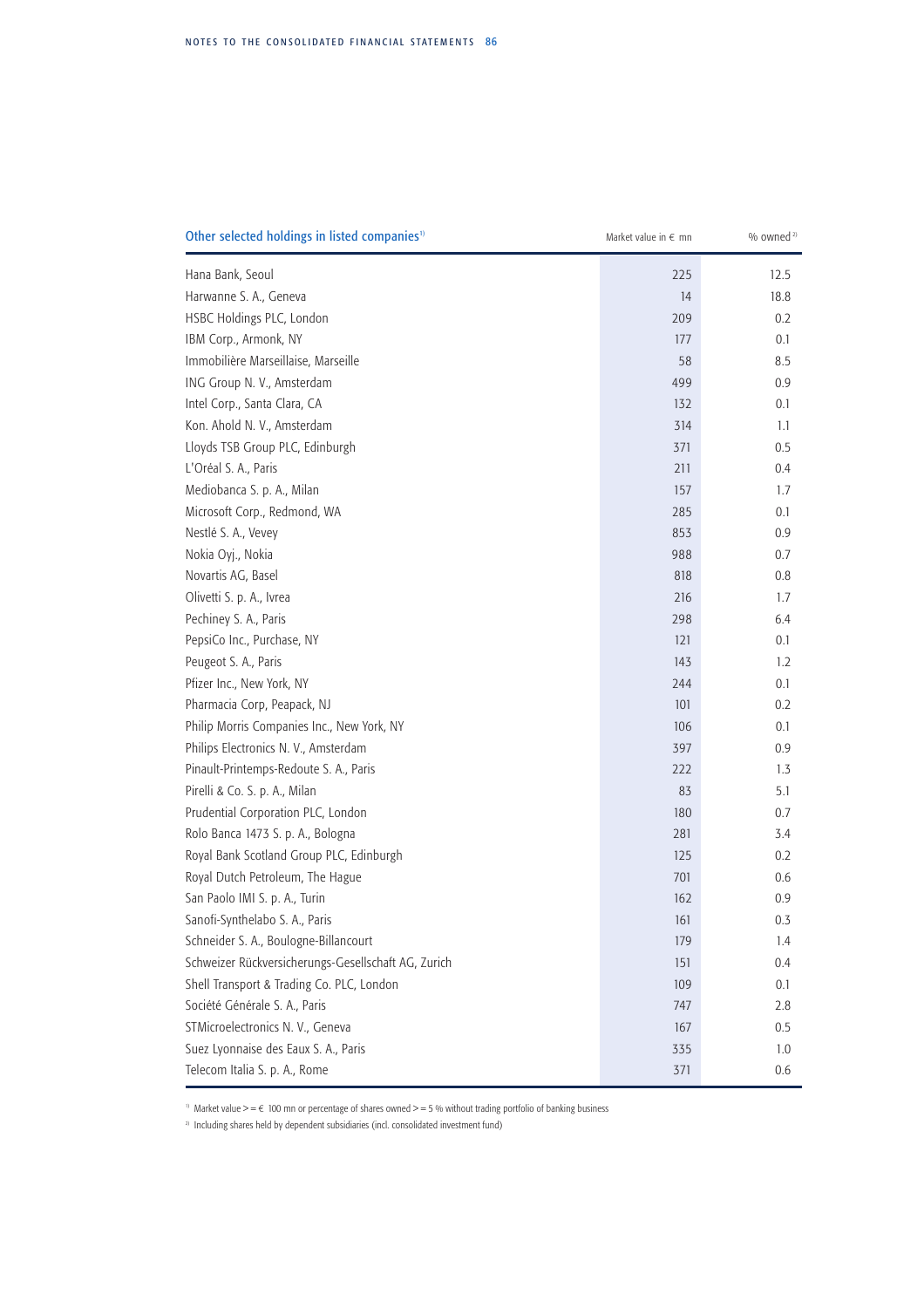| Other selected holdings in listed companies <sup>1)</sup> | Market value in $\epsilon$ mn | % owned <sup>2)</sup> |
|-----------------------------------------------------------|-------------------------------|-----------------------|
| Hana Bank, Seoul                                          | 225                           | 12.5                  |
| Harwanne S. A., Geneva                                    | 14                            | 18.8                  |
| HSBC Holdings PLC, London                                 | 209                           | 0.2                   |
| IBM Corp., Armonk, NY                                     | 177                           | 0.1                   |
| Immobilière Marseillaise, Marseille                       | 58                            | 8.5                   |
| ING Group N. V., Amsterdam                                | 499                           | 0.9                   |
| Intel Corp., Santa Clara, CA                              | 132                           | 0.1                   |
| Kon. Ahold N. V., Amsterdam                               | 314                           | 1.1                   |
| Lloyds TSB Group PLC, Edinburgh                           | 371                           | 0.5                   |
| L'Oréal S. A., Paris                                      | 211                           | 0.4                   |
| Mediobanca S. p. A., Milan                                | 157                           | 1.7                   |
| Microsoft Corp., Redmond, WA                              | 285                           | 0.1                   |
| Nestlé S. A., Vevey                                       | 853                           | 0.9                   |
| Nokia Oyj., Nokia                                         | 988                           | 0.7                   |
| Novartis AG, Basel                                        | 818                           | 0.8                   |
| Olivetti S. p. A., Ivrea                                  | 216                           | 1.7                   |
| Pechiney S. A., Paris                                     | 298                           | 6.4                   |
| PepsiCo Inc., Purchase, NY                                | 121                           | 0.1                   |
| Peugeot S. A., Paris                                      | 143                           | 1.2                   |
| Pfizer Inc., New York, NY                                 | 244                           | 0.1                   |
| Pharmacia Corp, Peapack, NJ                               | 101                           | 0.2                   |
| Philip Morris Companies Inc., New York, NY                | 106                           | 0.1                   |
| Philips Electronics N. V., Amsterdam                      | 397                           | 0.9                   |
| Pinault-Printemps-Redoute S. A., Paris                    | 222                           | 1.3                   |
| Pirelli & Co. S. p. A., Milan                             | 83                            | 5.1                   |
| Prudential Corporation PLC, London                        | 180                           | 0.7                   |
| Rolo Banca 1473 S. p. A., Bologna                         | 281                           | 3.4                   |
| Royal Bank Scotland Group PLC, Edinburgh                  | 125                           | 0.2                   |
| Royal Dutch Petroleum, The Hague                          | 701                           | 0.6                   |
| San Paolo IMI S. p. A., Turin                             | 162                           | 0.9                   |
| Sanofi-Synthelabo S. A., Paris                            | 161                           | 0.3                   |
| Schneider S. A., Boulogne-Billancourt                     | 179                           | 1.4                   |
| Schweizer Rückversicherungs-Gesellschaft AG, Zurich       | 151                           | 0.4                   |
| Shell Transport & Trading Co. PLC, London                 | 109                           | 0.1                   |
| Société Générale S. A., Paris                             | 747                           | 2.8                   |
| STMicroelectronics N. V., Geneva                          | 167                           | 0.5                   |
| Suez Lyonnaise des Eaux S. A., Paris                      | 335                           | 1.0                   |
| Telecom Italia S. p. A., Rome                             | 371                           | 0.6                   |

<sup>1)</sup> Market value  $>=\in 100$  mn or percentage of shares owned  $>=$  5 % without trading portfolio of banking business

<sup>2)</sup> Including shares held by dependent subsidiaries (incl. consolidated investment fund)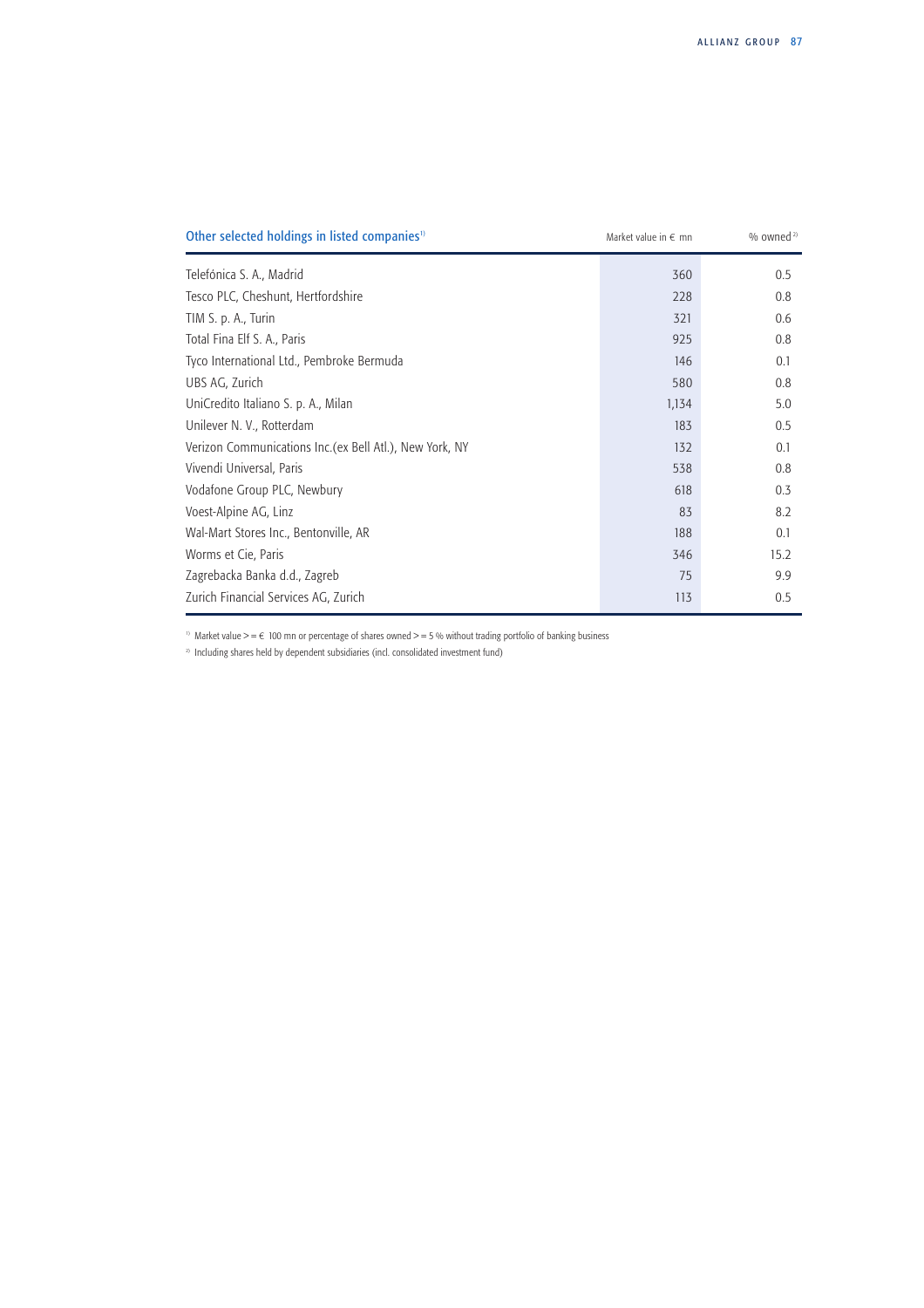| Other selected holdings in listed companies <sup>1)</sup> | Market value in $\epsilon$ mn | $%$ owned $2)$ |
|-----------------------------------------------------------|-------------------------------|----------------|
| Telefónica S. A., Madrid                                  | 360                           | 0.5            |
| Tesco PLC, Cheshunt, Hertfordshire                        | 228                           | 0.8            |
| TIM S. p. A., Turin                                       | 321                           | 0.6            |
| Total Fina Elf S. A., Paris                               | 925                           | 0.8            |
| Tyco International Ltd., Pembroke Bermuda                 | 146                           | 0.1            |
| UBS AG, Zurich                                            | 580                           | 0.8            |
| UniCredito Italiano S. p. A., Milan                       | 1,134                         | 5.0            |
| Unilever N. V., Rotterdam                                 | 183                           | 0.5            |
| Verizon Communications Inc. (ex Bell Atl.), New York, NY  | 132                           | 0.1            |
| Vivendi Universal, Paris                                  | 538                           | 0.8            |
| Vodafone Group PLC, Newbury                               | 618                           | 0.3            |
| Voest-Alpine AG, Linz                                     | 83                            | 8.2            |
| Wal-Mart Stores Inc., Bentonville, AR                     | 188                           | 0.1            |
| Worms et Cie, Paris                                       | 346                           | 15.2           |
| Zagrebacka Banka d.d., Zagreb                             | 75                            | 9.9            |
| Zurich Financial Services AG, Zurich                      | 113                           | 0.5            |

<sup>1)</sup> Market value  $>=$   $\in$  100 mn or percentage of shares owned  $>=$  5 % without trading portfolio of banking business

 $^{2)}$  Including shares held by dependent subsidiaries (incl. consolidated investment fund)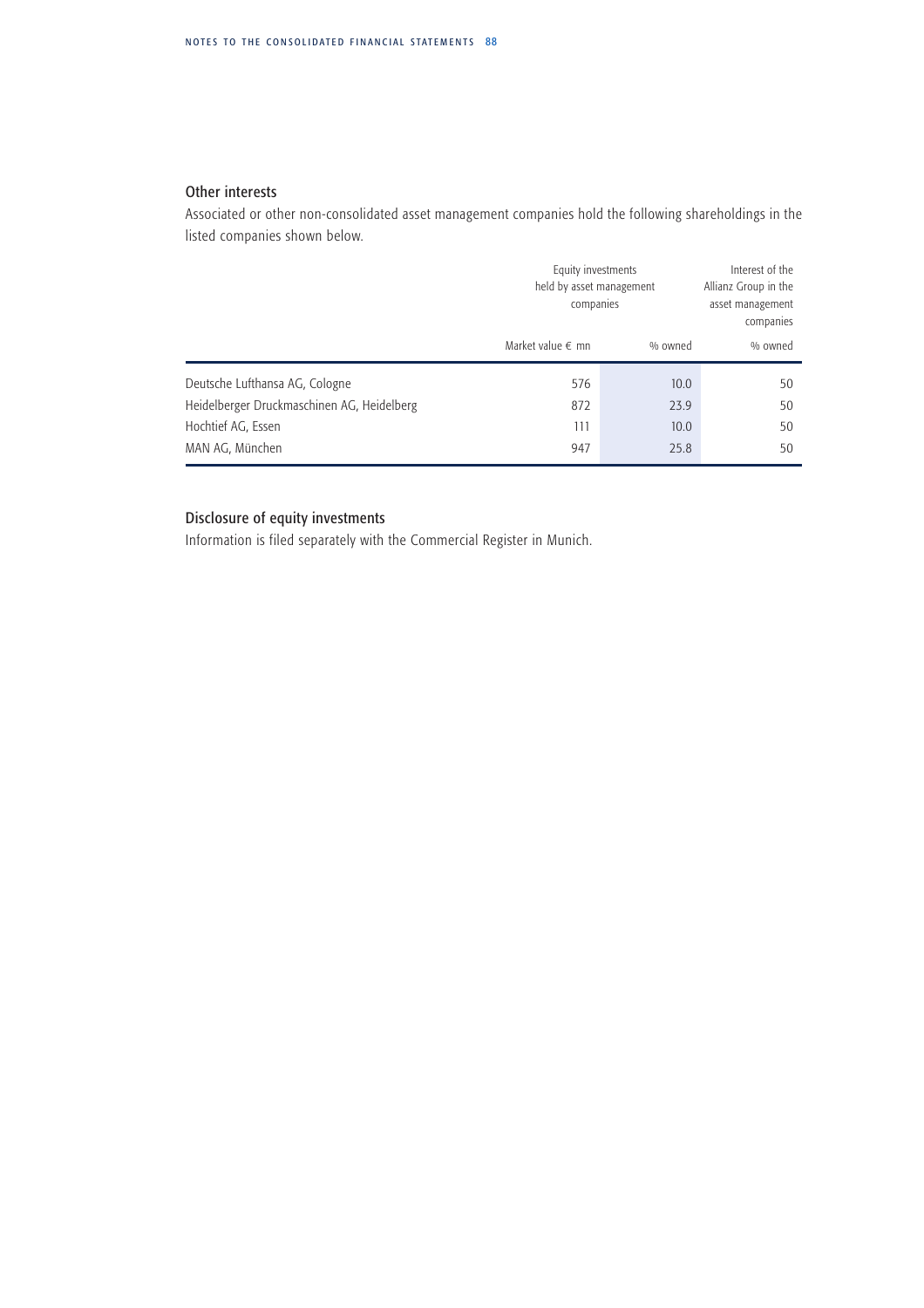# Other interests

Associated or other non-consolidated asset management companies hold the following shareholdings in the listed companies shown below.

|                                            | Equity investments<br>held by asset management<br>companies |         | Interest of the<br>Allianz Group in the<br>asset management<br>companies |
|--------------------------------------------|-------------------------------------------------------------|---------|--------------------------------------------------------------------------|
|                                            | Market value $\epsilon$ mn                                  | % owned | % owned                                                                  |
| Deutsche Lufthansa AG, Cologne             | 576                                                         | 10.0    | 50                                                                       |
| Heidelberger Druckmaschinen AG, Heidelberg | 872                                                         | 23.9    | 50                                                                       |
| Hochtief AG, Essen                         | 111                                                         | 10.0    | 50                                                                       |
| MAN AG, München                            | 947                                                         | 25.8    | 50                                                                       |

# Disclosure of equity investments

Information is filed separately with the Commercial Register in Munich.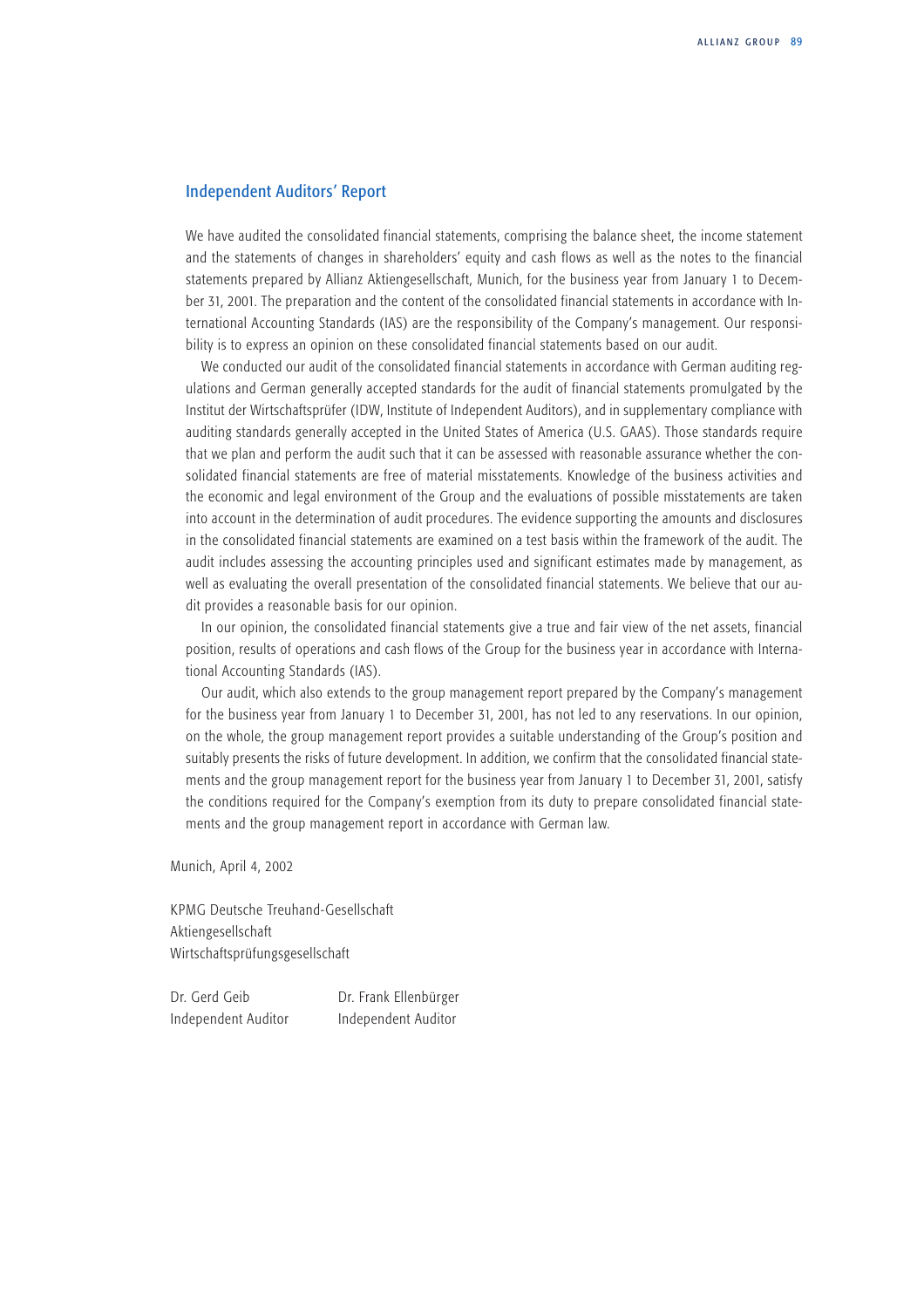#### Independent Auditors' Report

We have audited the consolidated financial statements, comprising the balance sheet, the income statement and the statements of changes in shareholders' equity and cash flows as well as the notes to the financial statements prepared by Allianz Aktiengesellschaft, Munich, for the business year from January 1 to December 31, 2001. The preparation and the content of the consolidated financial statements in accordance with International Accounting Standards (IAS) are the responsibility of the Company's management. Our responsibility is to express an opinion on these consolidated financial statements based on our audit.

We conducted our audit of the consolidated financial statements in accordance with German auditing regulations and German generally accepted standards for the audit of financial statements promulgated by the Institut der Wirtschaftsprüfer (IDW, Institute of Independent Auditors), and in supplementary compliance with auditing standards generally accepted in the United States of America (U.S. GAAS). Those standards require that we plan and perform the audit such that it can be assessed with reasonable assurance whether the consolidated financial statements are free of material misstatements. Knowledge of the business activities and the economic and legal environment of the Group and the evaluations of possible misstatements are taken into account in the determination of audit procedures. The evidence supporting the amounts and disclosures in the consolidated financial statements are examined on a test basis within the framework of the audit. The audit includes assessing the accounting principles used and significant estimates made by management, as well as evaluating the overall presentation of the consolidated financial statements. We believe that our audit provides a reasonable basis for our opinion.

In our opinion, the consolidated financial statements give a true and fair view of the net assets, financial position, results of operations and cash flows of the Group for the business year in accordance with International Accounting Standards (IAS).

Our audit, which also extends to the group management report prepared by the Company's management for the business year from January 1 to December 31, 2001, has not led to any reservations. In our opinion, on the whole, the group management report provides a suitable understanding of the Group's position and suitably presents the risks of future development. In addition, we confirm that the consolidated financial statements and the group management report for the business year from January 1 to December 31, 2001, satisfy the conditions required for the Company's exemption from its duty to prepare consolidated financial statements and the group management report in accordance with German law.

Munich, April 4, 2002

KPMG Deutsche Treuhand-Gesellschaft Aktiengesellschaft Wirtschaftsprüfungsgesellschaft

Dr. Gerd Geib
Br. Gerd Geib
Br. Frank Ellenbürger Independent Auditor Independent Auditor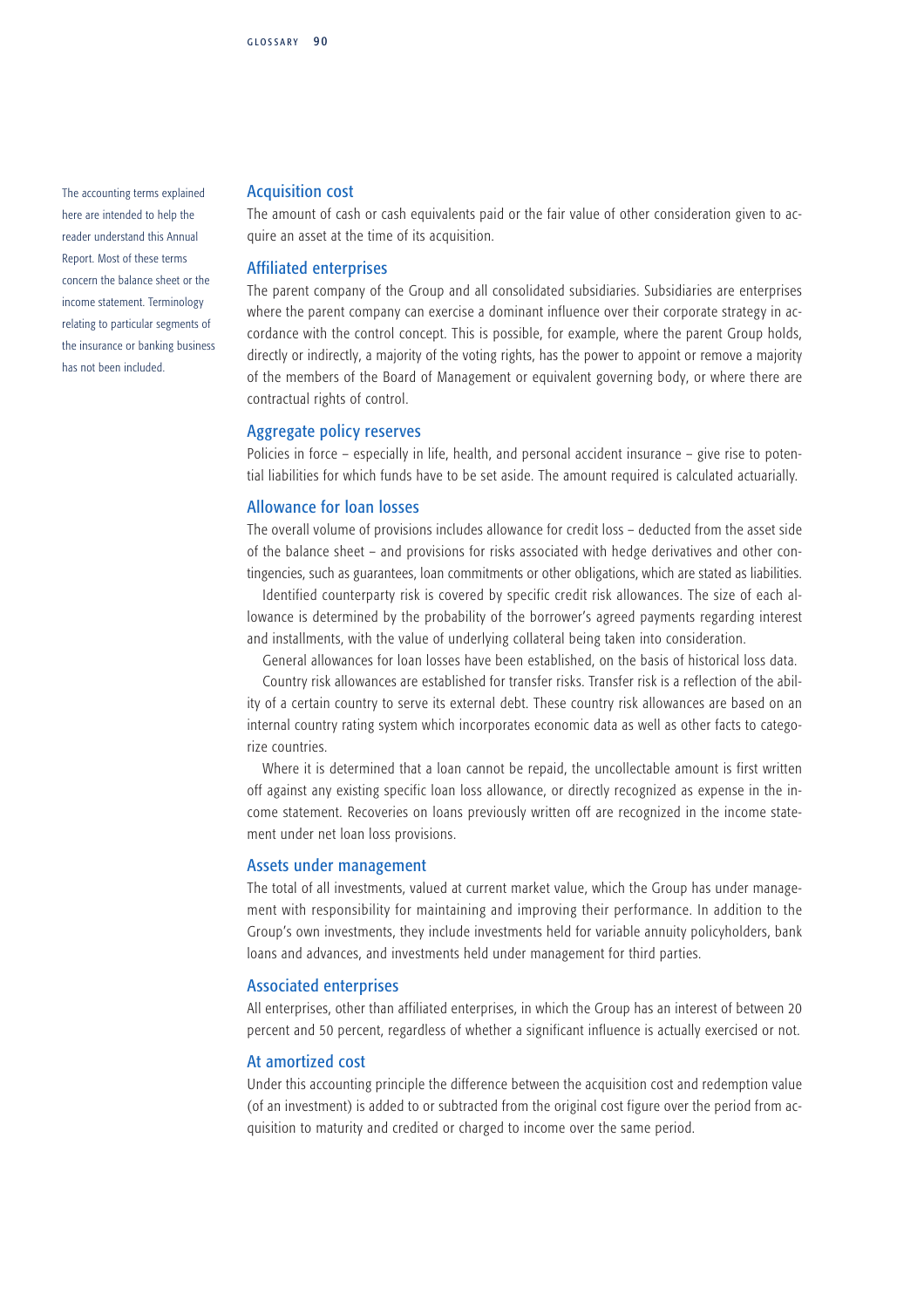The accounting terms explained here are intended to help the reader understand this Annual Report. Most of these terms concern the balance sheet or the income statement. Terminology relating to particular segments of the insurance or banking business has not been included.

## Acquisition cost

The amount of cash or cash equivalents paid or the fair value of other consideration given to acquire an asset at the time of its acquisition.

# Affiliated enterprises

The parent company of the Group and all consolidated subsidiaries. Subsidiaries are enterprises where the parent company can exercise a dominant influence over their corporate strategy in accordance with the control concept. This is possible, for example, where the parent Group holds, directly or indirectly, a majority of the voting rights, has the power to appoint or remove a majority of the members of the Board of Management or equivalent governing body, or where there are contractual rights of control.

## Aggregate policy reserves

Policies in force – especially in life, health, and personal accident insurance – give rise to potential liabilities for which funds have to be set aside. The amount required is calculated actuarially.

## Allowance for loan losses

The overall volume of provisions includes allowance for credit loss – deducted from the asset side of the balance sheet – and provisions for risks associated with hedge derivatives and other contingencies, such as guarantees, loan commitments or other obligations, which are stated as liabilities.

Identified counterparty risk is covered by specific credit risk allowances. The size of each allowance is determined by the probability of the borrower's agreed payments regarding interest and installments, with the value of underlying collateral being taken into consideration.

General allowances for loan losses have been established, on the basis of historical loss data.

Country risk allowances are established for transfer risks. Transfer risk is a reflection of the ability of a certain country to serve its external debt. These country risk allowances are based on an internal country rating system which incorporates economic data as well as other facts to categorize countries.

Where it is determined that a loan cannot be repaid, the uncollectable amount is first written off against any existing specific loan loss allowance, or directly recognized as expense in the income statement. Recoveries on loans previously written off are recognized in the income statement under net loan loss provisions.

#### Assets under management

The total of all investments, valued at current market value, which the Group has under management with responsibility for maintaining and improving their performance. In addition to the Group's own investments, they include investments held for variable annuity policyholders, bank loans and advances, and investments held under management for third parties.

## Associated enterprises

All enterprises, other than affiliated enterprises, in which the Group has an interest of between 20 percent and 50 percent, regardless of whether a significant influence is actually exercised or not.

# At amortized cost

Under this accounting principle the difference between the acquisition cost and redemption value (of an investment) is added to or subtracted from the original cost figure over the period from acquisition to maturity and credited or charged to income over the same period.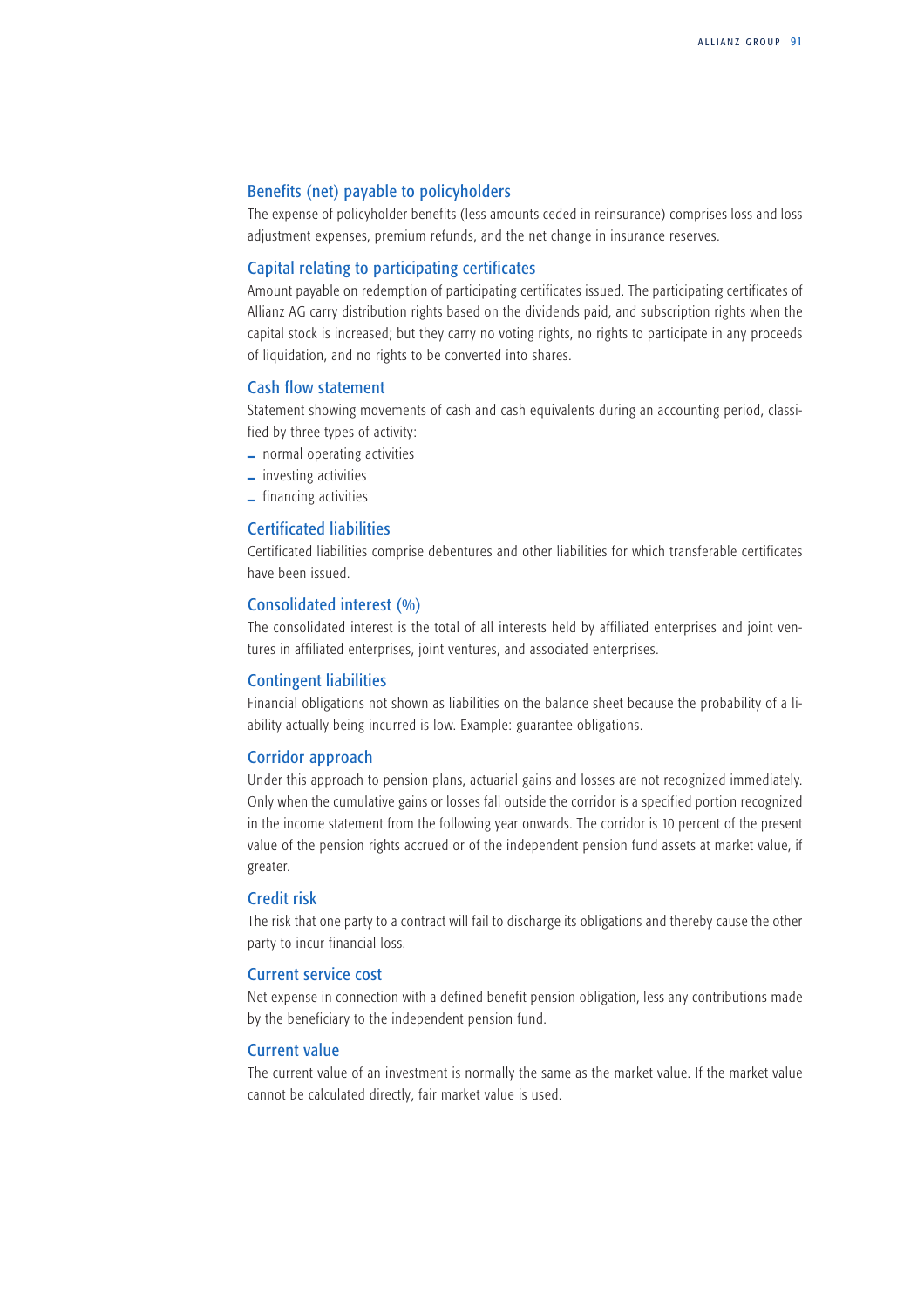## Benefits (net) payable to policyholders

The expense of policyholder benefits (less amounts ceded in reinsurance) comprises loss and loss adjustment expenses, premium refunds, and the net change in insurance reserves.

# Capital relating to participating certificates

Amount payable on redemption of participating certificates issued. The participating certificates of Allianz AG carry distribution rights based on the dividends paid, and subscription rights when the capital stock is increased; but they carry no voting rights, no rights to participate in any proceeds of liquidation, and no rights to be converted into shares.

#### Cash flow statement

Statement showing movements of cash and cash equivalents during an accounting period, classified by three types of activity:

- **\_** normal operating activities
- **\_** investing activities
- **\_** financing activities

## Certificated liabilities

Certificated liabilities comprise debentures and other liabilities for which transferable certificates have been issued.

## Consolidated interest (%)

The consolidated interest is the total of all interests held by affiliated enterprises and joint ventures in affiliated enterprises, joint ventures, and associated enterprises.

#### Contingent liabilities

Financial obligations not shown as liabilities on the balance sheet because the probability of a liability actually being incurred is low. Example: guarantee obligations.

#### Corridor approach

Under this approach to pension plans, actuarial gains and losses are not recognized immediately. Only when the cumulative gains or losses fall outside the corridor is a specified portion recognized in the income statement from the following year onwards. The corridor is 10 percent of the present value of the pension rights accrued or of the independent pension fund assets at market value, if greater.

#### Credit risk

The risk that one party to a contract will fail to discharge its obligations and thereby cause the other party to incur financial loss.

#### Current service cost

Net expense in connection with a defined benefit pension obligation, less any contributions made by the beneficiary to the independent pension fund.

#### Current value

The current value of an investment is normally the same as the market value. If the market value cannot be calculated directly, fair market value is used.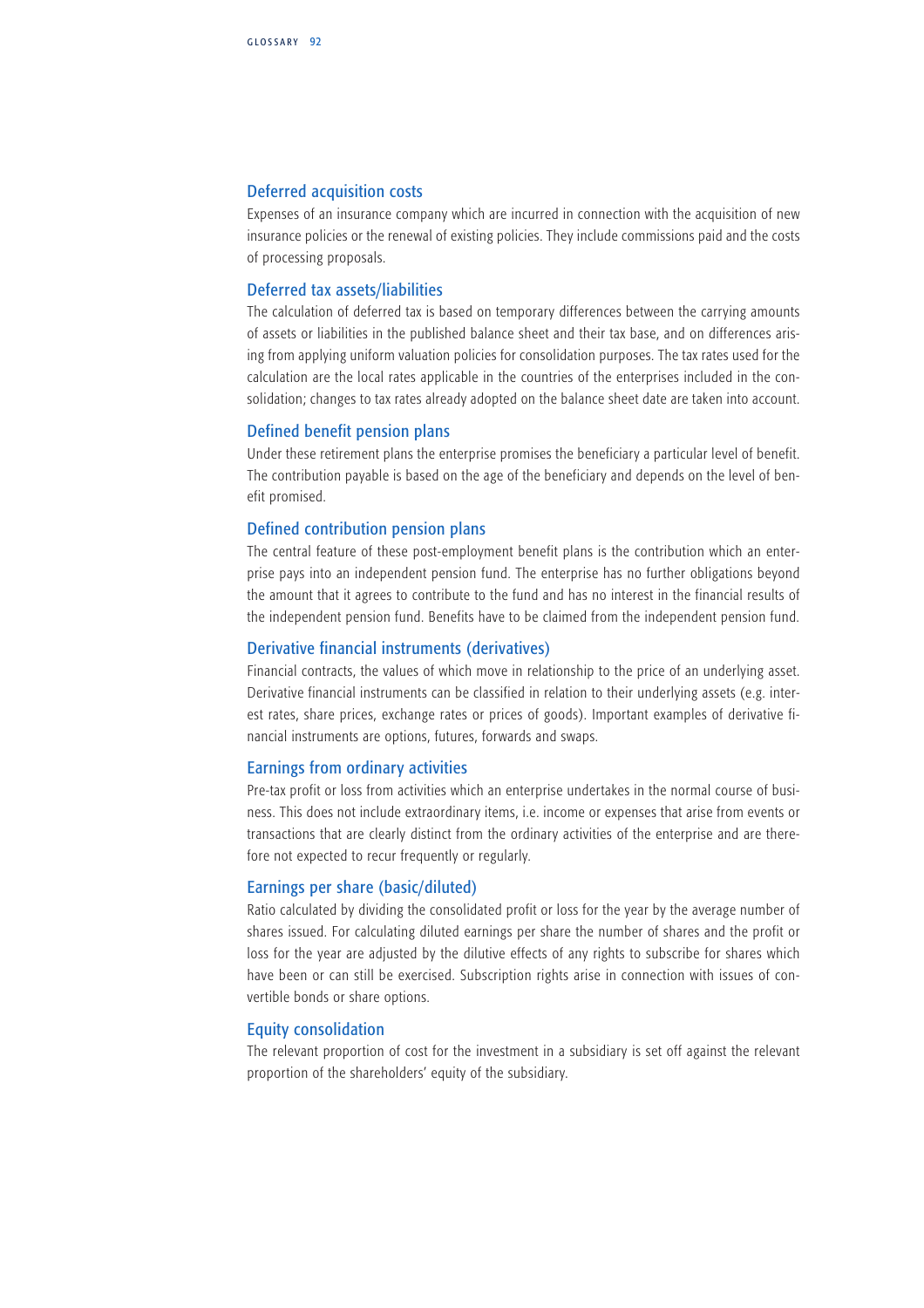#### Deferred acquisition costs

Expenses of an insurance company which are incurred in connection with the acquisition of new insurance policies or the renewal of existing policies. They include commissions paid and the costs of processing proposals.

## Deferred tax assets/liabilities

The calculation of deferred tax is based on temporary differences between the carrying amounts of assets or liabilities in the published balance sheet and their tax base, and on differences arising from applying uniform valuation policies for consolidation purposes. The tax rates used for the calculation are the local rates applicable in the countries of the enterprises included in the consolidation; changes to tax rates already adopted on the balance sheet date are taken into account.

## Defined benefit pension plans

Under these retirement plans the enterprise promises the beneficiary a particular level of benefit. The contribution payable is based on the age of the beneficiary and depends on the level of benefit promised.

#### Defined contribution pension plans

The central feature of these post-employment benefit plans is the contribution which an enterprise pays into an independent pension fund. The enterprise has no further obligations beyond the amount that it agrees to contribute to the fund and has no interest in the financial results of the independent pension fund. Benefits have to be claimed from the independent pension fund.

#### Derivative financial instruments (derivatives)

Financial contracts, the values of which move in relationship to the price of an underlying asset. Derivative financial instruments can be classified in relation to their underlying assets (e.g. interest rates, share prices, exchange rates or prices of goods). Important examples of derivative financial instruments are options, futures, forwards and swaps.

#### Earnings from ordinary activities

Pre-tax profit or loss from activities which an enterprise undertakes in the normal course of business. This does not include extraordinary items, i.e. income or expenses that arise from events or transactions that are clearly distinct from the ordinary activities of the enterprise and are therefore not expected to recur frequently or regularly.

#### Earnings per share (basic/diluted)

Ratio calculated by dividing the consolidated profit or loss for the year by the average number of shares issued. For calculating diluted earnings per share the number of shares and the profit or loss for the year are adjusted by the dilutive effects of any rights to subscribe for shares which have been or can still be exercised. Subscription rights arise in connection with issues of convertible bonds or share options.

## Equity consolidation

The relevant proportion of cost for the investment in a subsidiary is set off against the relevant proportion of the shareholders' equity of the subsidiary.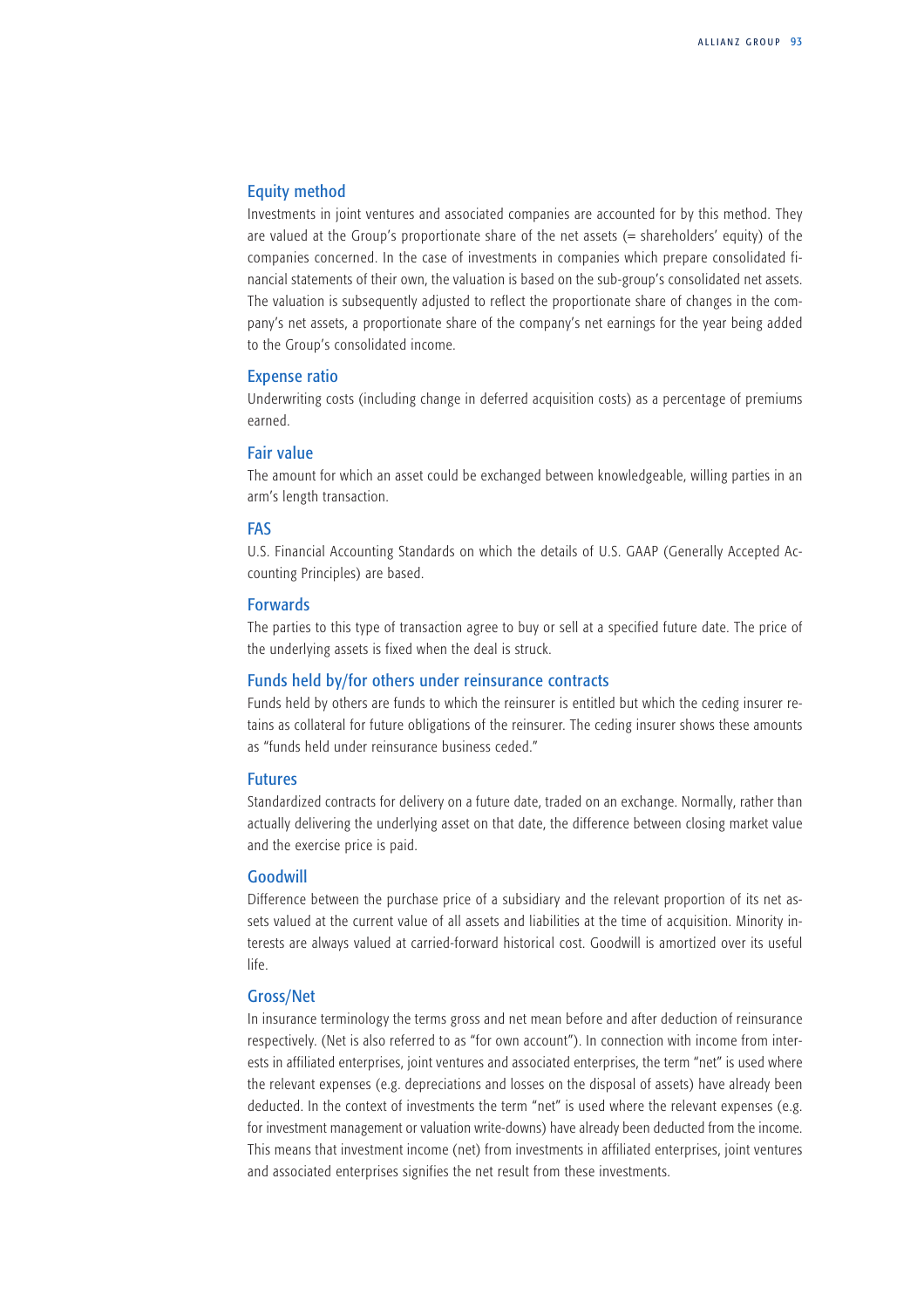#### Equity method

Investments in joint ventures and associated companies are accounted for by this method. They are valued at the Group's proportionate share of the net assets (= shareholders' equity) of the companies concerned. In the case of investments in companies which prepare consolidated financial statements of their own, the valuation is based on the sub-group's consolidated net assets. The valuation is subsequently adjusted to reflect the proportionate share of changes in the company's net assets, a proportionate share of the company's net earnings for the year being added to the Group's consolidated income.

#### Expense ratio

Underwriting costs (including change in deferred acquisition costs) as a percentage of premiums earned.

# Fair value

The amount for which an asset could be exchanged between knowledgeable, willing parties in an arm's length transaction.

## FAS

U.S. Financial Accounting Standards on which the details of U.S. GAAP (Generally Accepted Accounting Principles) are based.

#### Forwards

The parties to this type of transaction agree to buy or sell at a specified future date. The price of the underlying assets is fixed when the deal is struck.

#### Funds held by/for others under reinsurance contracts

Funds held by others are funds to which the reinsurer is entitled but which the ceding insurer retains as collateral for future obligations of the reinsurer. The ceding insurer shows these amounts as "funds held under reinsurance business ceded."

#### Futures

Standardized contracts for delivery on a future date, traded on an exchange. Normally, rather than actually delivering the underlying asset on that date, the difference between closing market value and the exercise price is paid.

## Goodwill

Difference between the purchase price of a subsidiary and the relevant proportion of its net assets valued at the current value of all assets and liabilities at the time of acquisition. Minority interests are always valued at carried-forward historical cost. Goodwill is amortized over its useful life.

## Gross/Net

In insurance terminology the terms gross and net mean before and after deduction of reinsurance respectively. (Net is also referred to as "for own account"). In connection with income from interests in affiliated enterprises, joint ventures and associated enterprises, the term "net" is used where the relevant expenses (e.g. depreciations and losses on the disposal of assets) have already been deducted. In the context of investments the term "net" is used where the relevant expenses (e.g. for investment management or valuation write-downs) have already been deducted from the income. This means that investment income (net) from investments in affiliated enterprises, joint ventures and associated enterprises signifies the net result from these investments.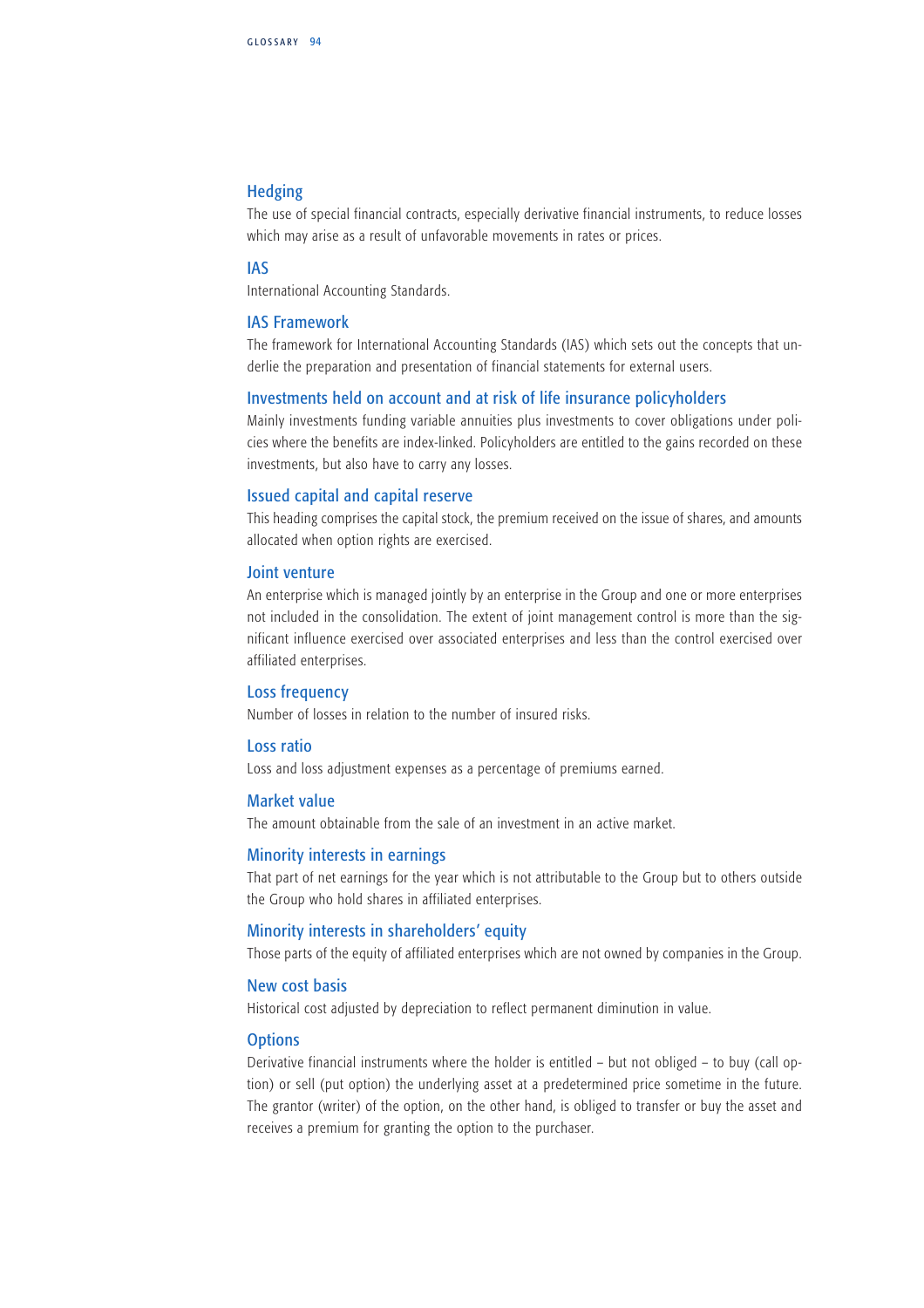## **Hedging**

The use of special financial contracts, especially derivative financial instruments, to reduce losses which may arise as a result of unfavorable movements in rates or prices.

# IAS

International Accounting Standards.

## IAS Framework

The framework for International Accounting Standards (IAS) which sets out the concepts that underlie the preparation and presentation of financial statements for external users.

## Investments held on account and at risk of life insurance policyholders

Mainly investments funding variable annuities plus investments to cover obligations under policies where the benefits are index-linked. Policyholders are entitled to the gains recorded on these investments, but also have to carry any losses.

## Issued capital and capital reserve

This heading comprises the capital stock, the premium received on the issue of shares, and amounts allocated when option rights are exercised.

## Joint venture

An enterprise which is managed jointly by an enterprise in the Group and one or more enterprises not included in the consolidation. The extent of joint management control is more than the significant influence exercised over associated enterprises and less than the control exercised over affiliated enterprises.

## Loss frequency

Number of losses in relation to the number of insured risks.

# Loss ratio

Loss and loss adjustment expenses as a percentage of premiums earned.

#### Market value

The amount obtainable from the sale of an investment in an active market.

#### Minority interests in earnings

That part of net earnings for the year which is not attributable to the Group but to others outside the Group who hold shares in affiliated enterprises.

## Minority interests in shareholders' equity

Those parts of the equity of affiliated enterprises which are not owned by companies in the Group.

## New cost basis

Historical cost adjusted by depreciation to reflect permanent diminution in value.

#### **Options**

Derivative financial instruments where the holder is entitled – but not obliged – to buy (call option) or sell (put option) the underlying asset at a predetermined price sometime in the future. The grantor (writer) of the option, on the other hand, is obliged to transfer or buy the asset and receives a premium for granting the option to the purchaser.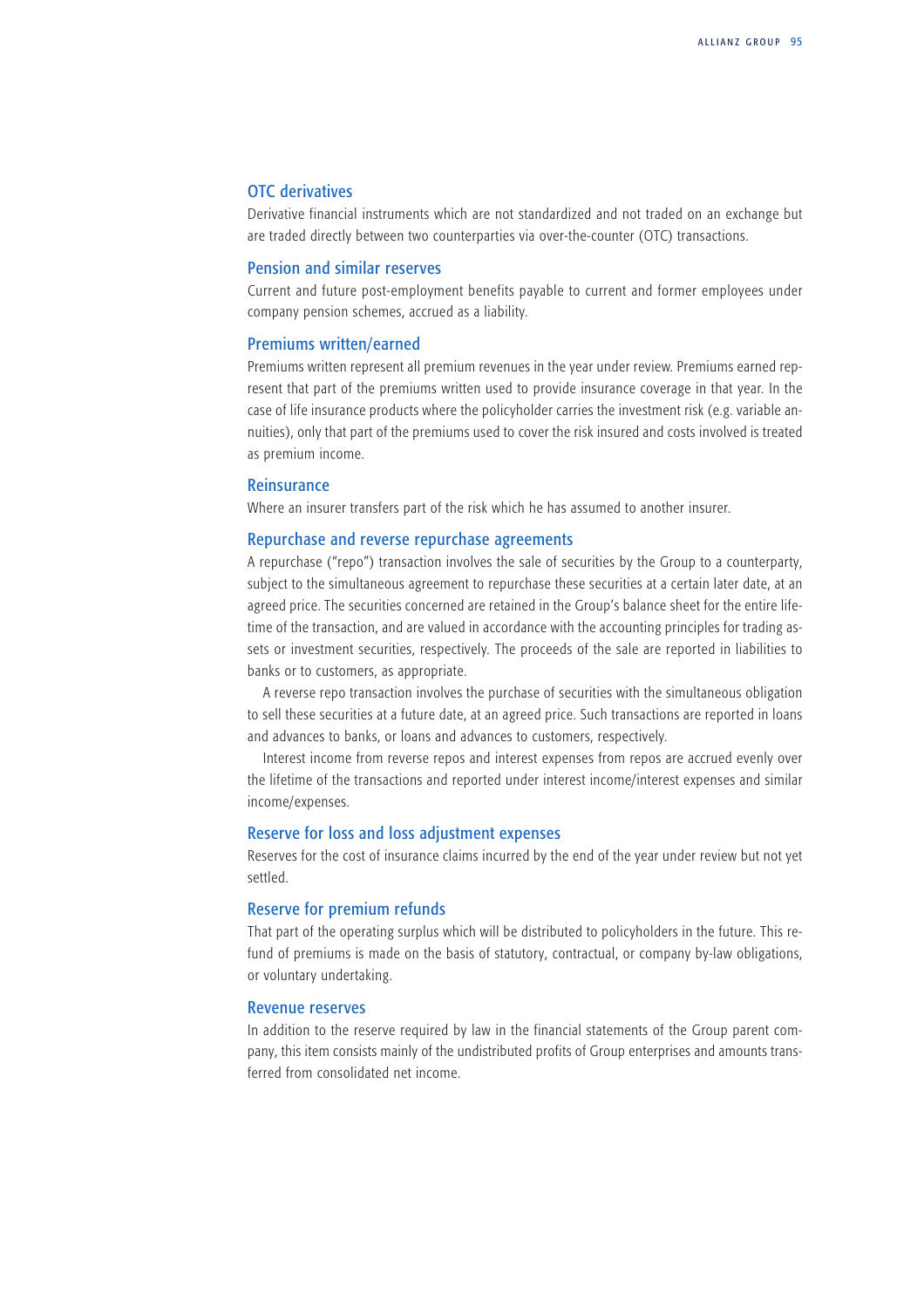## OTC derivatives

Derivative financial instruments which are not standardized and not traded on an exchange but are traded directly between two counterparties via over-the-counter (OTC) transactions.

#### Pension and similar reserves

Current and future post-employment benefits payable to current and former employees under company pension schemes, accrued as a liability.

#### Premiums written/earned

Premiums written represent all premium revenues in the year under review. Premiums earned represent that part of the premiums written used to provide insurance coverage in that year. In the case of life insurance products where the policyholder carries the investment risk (e.g. variable annuities), only that part of the premiums used to cover the risk insured and costs involved is treated as premium income.

#### **Reinsurance**

Where an insurer transfers part of the risk which he has assumed to another insurer.

#### Repurchase and reverse repurchase agreements

A repurchase ("repo") transaction involves the sale of securities by the Group to a counterparty, subject to the simultaneous agreement to repurchase these securities at a certain later date, at an agreed price. The securities concerned are retained in the Group's balance sheet for the entire lifetime of the transaction, and are valued in accordance with the accounting principles for trading assets or investment securities, respectively. The proceeds of the sale are reported in liabilities to banks or to customers, as appropriate.

A reverse repo transaction involves the purchase of securities with the simultaneous obligation to sell these securities at a future date, at an agreed price. Such transactions are reported in loans and advances to banks, or loans and advances to customers, respectively.

Interest income from reverse repos and interest expenses from repos are accrued evenly over the lifetime of the transactions and reported under interest income/interest expenses and similar income/expenses.

#### Reserve for loss and loss adjustment expenses

Reserves for the cost of insurance claims incurred by the end of the year under review but not yet settled.

## Reserve for premium refunds

That part of the operating surplus which will be distributed to policyholders in the future. This refund of premiums is made on the basis of statutory, contractual, or company by-law obligations, or voluntary undertaking.

#### Revenue reserves

In addition to the reserve required by law in the financial statements of the Group parent company, this item consists mainly of the undistributed profits of Group enterprises and amounts transferred from consolidated net income.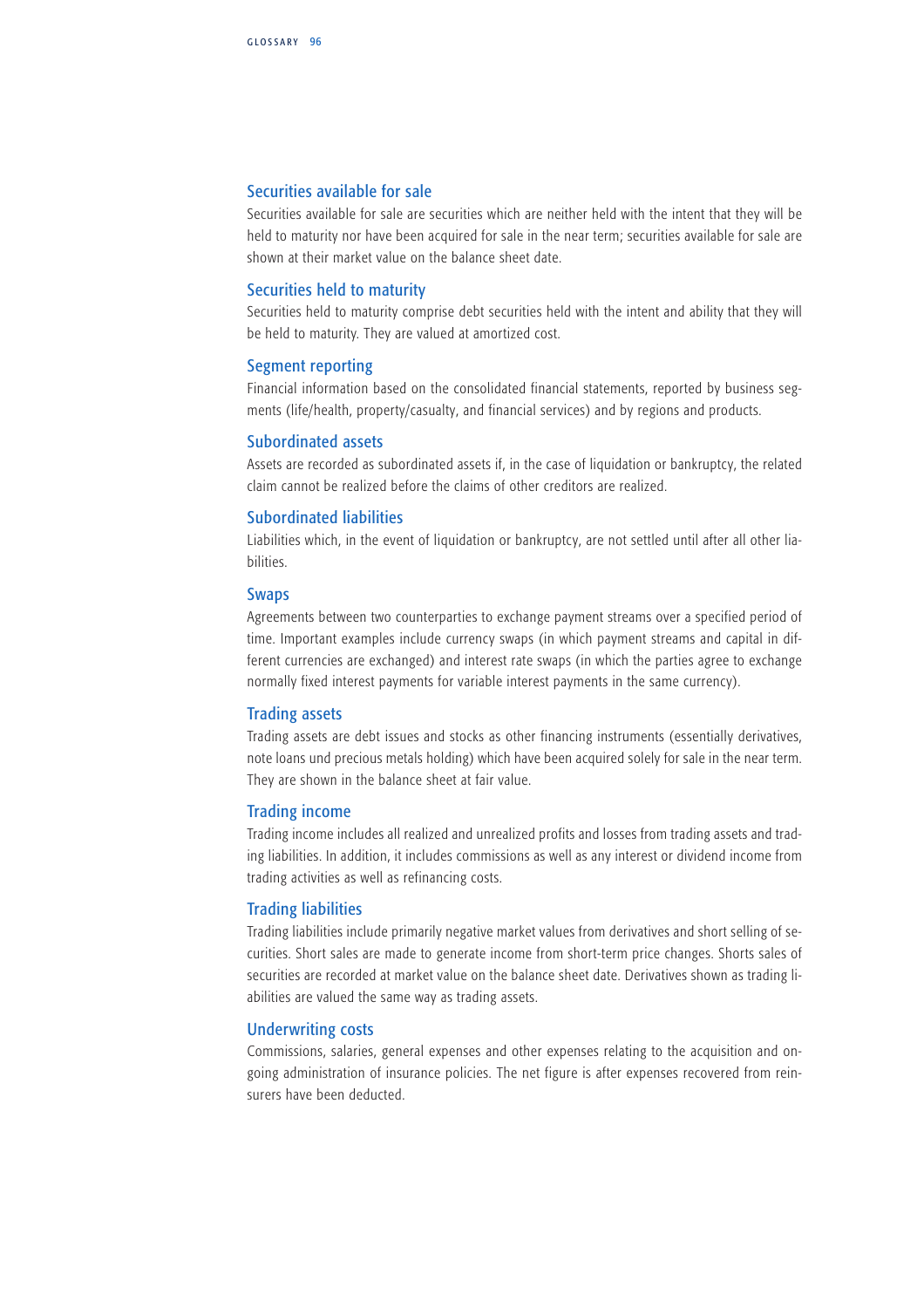# Securities available for sale

Securities available for sale are securities which are neither held with the intent that they will be held to maturity nor have been acquired for sale in the near term; securities available for sale are shown at their market value on the balance sheet date.

## Securities held to maturity

Securities held to maturity comprise debt securities held with the intent and ability that they will be held to maturity. They are valued at amortized cost.

## Segment reporting

Financial information based on the consolidated financial statements, reported by business segments (life/health, property/casualty, and financial services) and by regions and products.

#### Subordinated assets

Assets are recorded as subordinated assets if, in the case of liquidation or bankruptcy, the related claim cannot be realized before the claims of other creditors are realized.

# Subordinated liabilities

Liabilities which, in the event of liquidation or bankruptcy, are not settled until after all other liabilities.

#### Swaps

Agreements between two counterparties to exchange payment streams over a specified period of time. Important examples include currency swaps (in which payment streams and capital in different currencies are exchanged) and interest rate swaps (in which the parties agree to exchange normally fixed interest payments for variable interest payments in the same currency).

## Trading assets

Trading assets are debt issues and stocks as other financing instruments (essentially derivatives, note loans und precious metals holding) which have been acquired solely for sale in the near term. They are shown in the balance sheet at fair value.

## Trading income

Trading income includes all realized and unrealized profits and losses from trading assets and trading liabilities. In addition, it includes commissions as well as any interest or dividend income from trading activities as well as refinancing costs.

## Trading liabilities

Trading liabilities include primarily negative market values from derivatives and short selling of securities. Short sales are made to generate income from short-term price changes. Shorts sales of securities are recorded at market value on the balance sheet date. Derivatives shown as trading liabilities are valued the same way as trading assets.

## Underwriting costs

Commissions, salaries, general expenses and other expenses relating to the acquisition and ongoing administration of insurance policies. The net figure is after expenses recovered from reinsurers have been deducted.